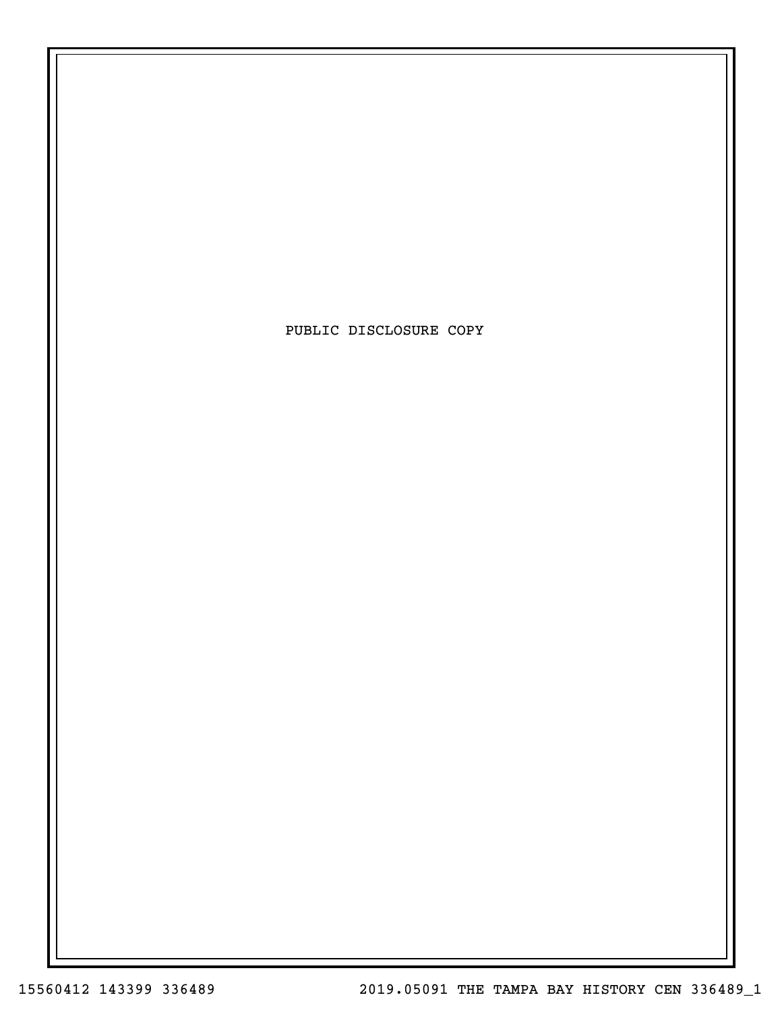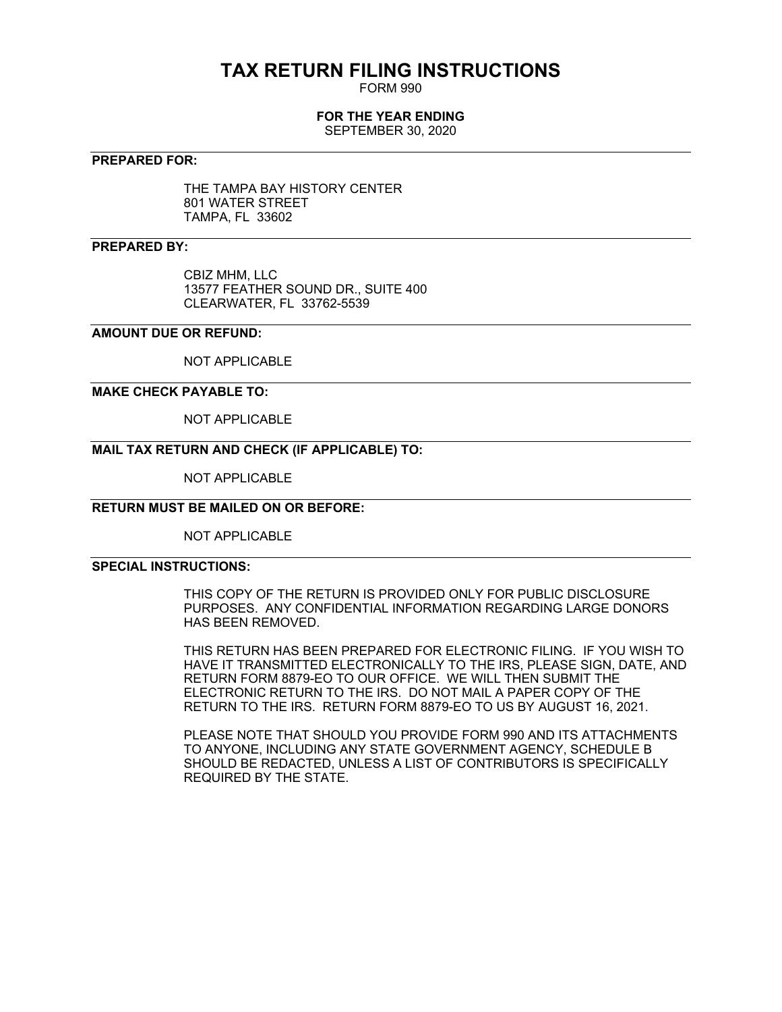# **TAX RETURN FILING INSTRUCTIONS**

FORM 990

# **FOR THE YEAR ENDING**

SEPTEMBER 30, 2020

### **PREPARED FOR:**

THE TAMPA BAY HISTORY CENTER 801 WATER STREET TAMPA, FL 33602

## **PREPARED BY:**

CBIZ MHM, LLC 13577 FEATHER SOUND DR., SUITE 400 CLEARWATER, FL 33762-5539

# **AMOUNT DUE OR REFUND:**

NOT APPLICABLE

#### **MAKE CHECK PAYABLE TO:**

NOT APPLICABLE

# **MAIL TAX RETURN AND CHECK (IF APPLICABLE) TO:**

NOT APPLICABLE

# **RETURN MUST BE MAILED ON OR BEFORE:**

NOT APPLICABLE

### **SPECIAL INSTRUCTIONS:**

THIS COPY OF THE RETURN IS PROVIDED ONLY FOR PUBLIC DISCLOSURE PURPOSES. ANY CONFIDENTIAL INFORMATION REGARDING LARGE DONORS HAS BEEN REMOVED.

THIS RETURN HAS BEEN PREPARED FOR ELECTRONIC FILING. IF YOU WISH TO HAVE IT TRANSMITTED ELECTRONICALLY TO THE IRS, PLEASE SIGN, DATE, AND RETURN FORM 8879-EO TO OUR OFFICE. WE WILL THEN SUBMIT THE ELECTRONIC RETURN TO THE IRS. DO NOT MAIL A PAPER COPY OF THE RETURN TO THE IRS. RETURN FORM 8879-EO TO US BY AUGUST 16, 2021.

PLEASE NOTE THAT SHOULD YOU PROVIDE FORM 990 AND ITS ATTACHMENTS TO ANYONE, INCLUDING ANY STATE GOVERNMENT AGENCY, SCHEDULE B SHOULD BE REDACTED, UNLESS A LIST OF CONTRIBUTORS IS SPECIFICALLY REQUIRED BY THE STATE.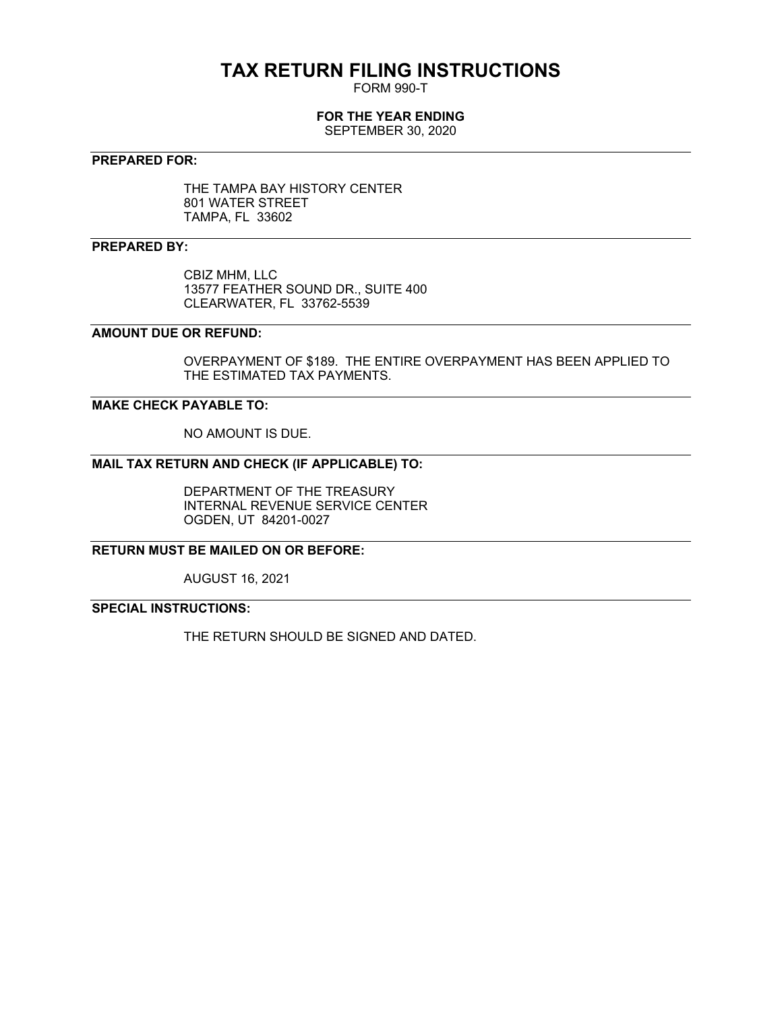# **TAX RETURN FILING INSTRUCTIONS**

FORM 990-T

# **FOR THE YEAR ENDING**

SEPTEMBER 30, 2020

# **PREPARED FOR:**

THE TAMPA BAY HISTORY CENTER 801 WATER STREET TAMPA, FL 33602

## **PREPARED BY:**

CBIZ MHM, LLC 13577 FEATHER SOUND DR., SUITE 400 CLEARWATER, FL 33762-5539

# **AMOUNT DUE OR REFUND:**

OVERPAYMENT OF \$189. THE ENTIRE OVERPAYMENT HAS BEEN APPLIED TO THE ESTIMATED TAX PAYMENTS.

# **MAKE CHECK PAYABLE TO:**

NO AMOUNT IS DUE.

# **MAIL TAX RETURN AND CHECK (IF APPLICABLE) TO:**

DEPARTMENT OF THE TREASURY INTERNAL REVENUE SERVICE CENTER OGDEN, UT 84201-0027

**RETURN MUST BE MAILED ON OR BEFORE:**

AUGUST 16, 2021

# **SPECIAL INSTRUCTIONS:**

THE RETURN SHOULD BE SIGNED AND DATED.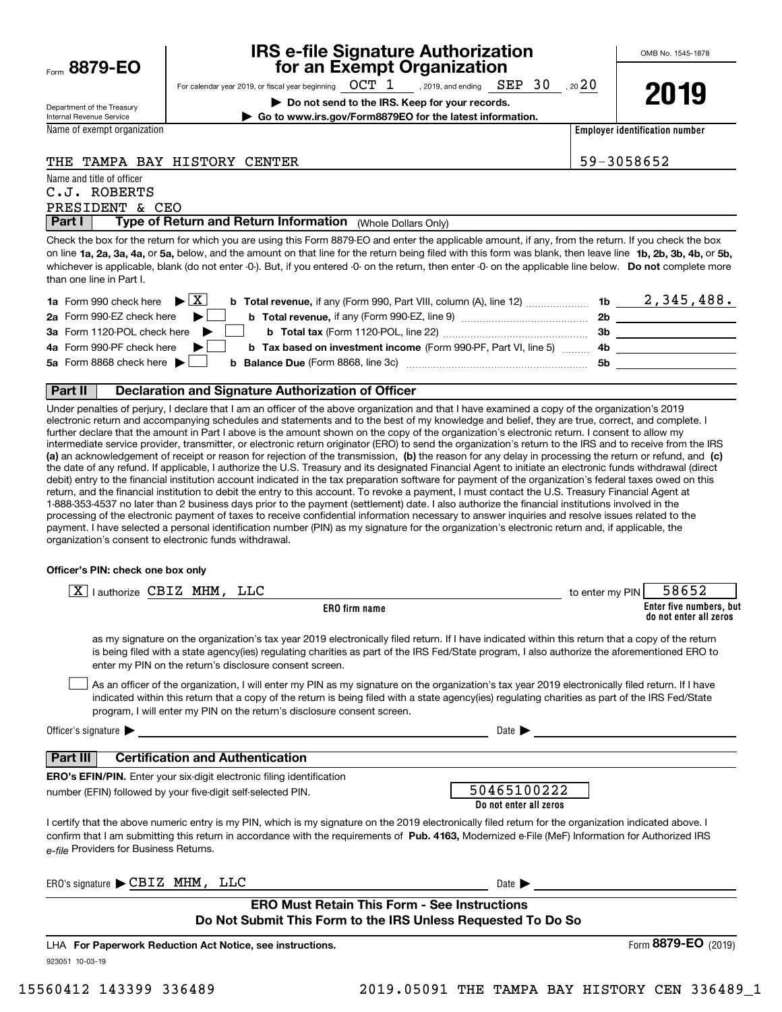|      | 8879-EO |  |  |
|------|---------|--|--|
| Form |         |  |  |

# **IRS e-file Signature Authorization for an Exempt Organization**

OMB No. 1545-1878

Department of the Treasury Internal Revenue Service

**| Go to www.irs.gov/Form8879EO for the latest information.**

Name of exempt organization

For calendar year 2019, or fiscal year beginning  $\hskip1em{\rm OCT}$   $\hskip1em{1}$  , 2019, and ending  $\hskip1em{\rm SEP}$   $\hskip1em{3}$   $0$  , 20 $\hskip1em{2}$  0 **| Do not send to the IRS. Keep for your records.**

**2019**

**Employer identification number**

# THE TAMPA BAY HISTORY CENTER THE SERVICE SERVICE SERVICE SERVICE SERVICE SERVICE SERVICE SERVICE SERVICE SERVICE

Name and title of officer

PRESIDENT & CEO C.J. ROBERTS

**Part I** | Type of Return and Return Information (Whole Dollars Only)

on line **1a, 2a, 3a, 4a,** or **5a,** below, and the amount on that line for the return being filed with this form was blank, then leave line **1b, 2b, 3b, 4b,** or **5b,** whichever is applicable, blank (do not enter -0-). But, if you entered -0- on the return, then enter -0- on the applicable line below. **Do not** complete more Check the box for the return for which you are using this Form 8879-EO and enter the applicable amount, if any, from the return. If you check the box than one line in Part I.

| <b>1a</b> Form 990 check here $\blacktriangleright \begin{bmatrix} X \end{bmatrix}$                                             |    | 2,345,488. |
|---------------------------------------------------------------------------------------------------------------------------------|----|------------|
| 2a Form 990-EZ check here $\blacktriangleright$<br><b>b</b> Total revenue, if any (Form 990-EZ, line 9) <i>managerananana</i> , | 2b |            |
| 3a Form 1120-POL check here $\blacktriangleright$                                                                               | Зb |            |
| 4a Form 990-PF check here $\blacktriangleright$<br><b>b</b> Tax based on investment income (Form 990-PF, Part VI, line 5) 4b    |    |            |
| 5a Form 8868 check here $\blacktriangleright$                                                                                   | 5b |            |
|                                                                                                                                 |    |            |

### **Part II Declaration and Signature Authorization of Officer**

**(a)** an acknowledgement of receipt or reason for rejection of the transmission, (b) the reason for any delay in processing the return or refund, and (c) Under penalties of perjury, I declare that I am an officer of the above organization and that I have examined a copy of the organization's 2019 electronic return and accompanying schedules and statements and to the best of my knowledge and belief, they are true, correct, and complete. I further declare that the amount in Part I above is the amount shown on the copy of the organization's electronic return. I consent to allow my intermediate service provider, transmitter, or electronic return originator (ERO) to send the organization's return to the IRS and to receive from the IRS the date of any refund. If applicable, I authorize the U.S. Treasury and its designated Financial Agent to initiate an electronic funds withdrawal (direct debit) entry to the financial institution account indicated in the tax preparation software for payment of the organization's federal taxes owed on this return, and the financial institution to debit the entry to this account. To revoke a payment, I must contact the U.S. Treasury Financial Agent at 1-888-353-4537 no later than 2 business days prior to the payment (settlement) date. I also authorize the financial institutions involved in the processing of the electronic payment of taxes to receive confidential information necessary to answer inquiries and resolve issues related to the payment. I have selected a personal identification number (PIN) as my signature for the organization's electronic return and, if applicable, the organization's consent to electronic funds withdrawal.

#### **Officer's PIN: check one box only**

| lauthorize CBIZ MHM, LLC<br>X.                                                                                                                                                                                                                                                                                                                                                   | 58652<br>to enter my PIN                          |
|----------------------------------------------------------------------------------------------------------------------------------------------------------------------------------------------------------------------------------------------------------------------------------------------------------------------------------------------------------------------------------|---------------------------------------------------|
| ERO firm name                                                                                                                                                                                                                                                                                                                                                                    | Enter five numbers, but<br>do not enter all zeros |
| as my signature on the organization's tax year 2019 electronically filed return. If I have indicated within this return that a copy of the return<br>is being filed with a state agency(ies) regulating charities as part of the IRS Fed/State program, I also authorize the aforementioned ERO to<br>enter my PIN on the return's disclosure consent screen.                    |                                                   |
| As an officer of the organization, I will enter my PIN as my signature on the organization's tax year 2019 electronically filed return. If I have<br>indicated within this return that a copy of the return is being filed with a state agency(ies) regulating charities as part of the IRS Fed/State<br>program, I will enter my PIN on the return's disclosure consent screen. |                                                   |
| Officer's signature $\blacktriangleright$                                                                                                                                                                                                                                                                                                                                        | Date $\blacksquare$                               |
| <b>Certification and Authentication</b><br>Part III                                                                                                                                                                                                                                                                                                                              |                                                   |
| <b>ERO's EFIN/PIN.</b> Enter your six-digit electronic filing identification                                                                                                                                                                                                                                                                                                     |                                                   |
| number (EFIN) followed by your five-digit self-selected PIN.                                                                                                                                                                                                                                                                                                                     | 50465100222<br>Do not enter all zeros             |
| I certify that the above numeric entry is my PIN, which is my signature on the 2019 electronically filed return for the organization indicated above. I<br>confirm that I am submitting this return in accordance with the requirements of Pub. 4163, Modernized e-File (MeF) Information for Authorized IRS<br>e-file Providers for Business Returns.                           |                                                   |
| ERO's signature CBIZ MHM, LLC                                                                                                                                                                                                                                                                                                                                                    | Date $\blacktriangleright$                        |
| <b>ERO Must Retain This Form - See Instructions</b>                                                                                                                                                                                                                                                                                                                              |                                                   |
| Do Not Submit This Form to the IRS Unless Requested To Do So                                                                                                                                                                                                                                                                                                                     |                                                   |
| LHA For Paperwork Reduction Act Notice, see instructions.                                                                                                                                                                                                                                                                                                                        | Form 8879-EO<br>(2019)                            |
| 923051 10-03-19                                                                                                                                                                                                                                                                                                                                                                  |                                                   |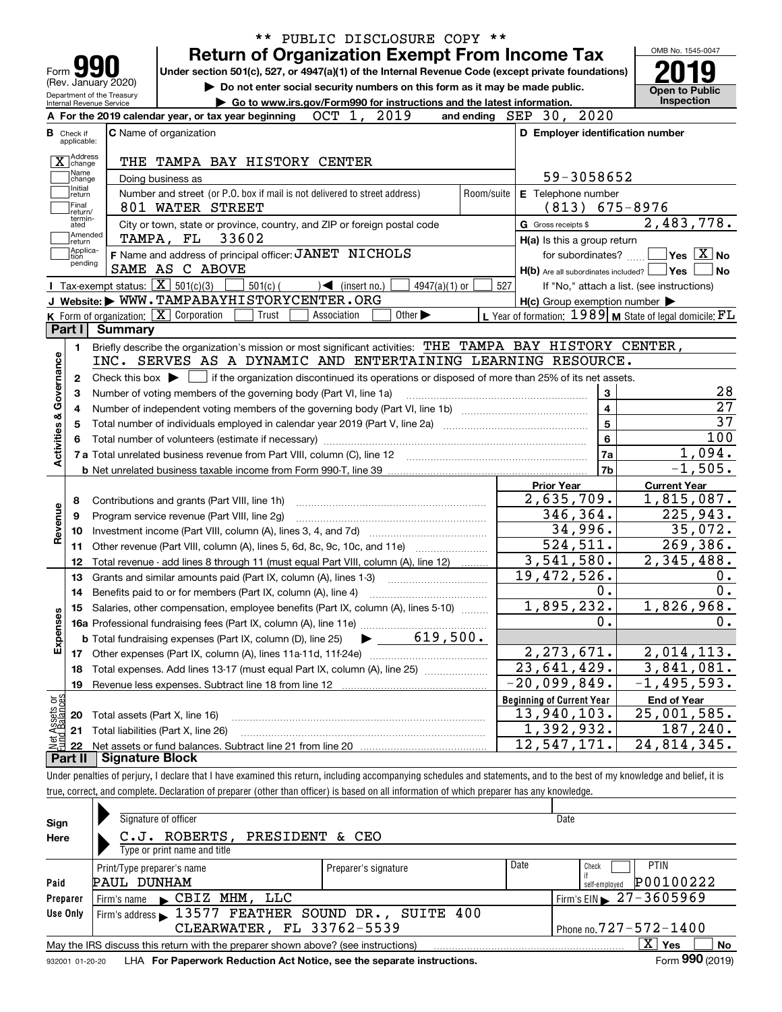|                                                        | <b>Return of Organization Exempt From Income Tax</b>                                                                                                                              |            |                                                                                                                    | OMB No. 1545-0047                                                               |
|--------------------------------------------------------|-----------------------------------------------------------------------------------------------------------------------------------------------------------------------------------|------------|--------------------------------------------------------------------------------------------------------------------|---------------------------------------------------------------------------------|
| Form $\sum$<br>(Rev. January 2020)                     | Under section 501(c), 527, or 4947(a)(1) of the Internal Revenue Code (except private foundations)<br>Do not enter social security numbers on this form as it may be made public. |            |                                                                                                                    |                                                                                 |
| Department of the Treasury<br>Internal Revenue Service | Go to www.irs.gov/Form990 for instructions and the latest information.                                                                                                            |            |                                                                                                                    | Open to Public<br><b>Inspection</b>                                             |
|                                                        | 2019<br>OCT 1,<br>A For the 2019 calendar year, or tax year beginning                                                                                                             |            | and ending SEP 30, 2020                                                                                            |                                                                                 |
| <b>B</b> Check if                                      | <b>C</b> Name of organization                                                                                                                                                     |            | D Employer identification number                                                                                   |                                                                                 |
| applicable:                                            |                                                                                                                                                                                   |            |                                                                                                                    |                                                                                 |
| X change                                               | THE TAMPA BAY HISTORY CENTER                                                                                                                                                      |            |                                                                                                                    |                                                                                 |
| Name<br>change<br>Initial                              | Doing business as                                                                                                                                                                 |            | 59-3058652                                                                                                         |                                                                                 |
| return                                                 | Number and street (or P.O. box if mail is not delivered to street address)                                                                                                        | Room/suite | E Telephone number                                                                                                 |                                                                                 |
| Final<br>return/<br>termin-                            | 801 WATER STREET                                                                                                                                                                  |            | $(813)$ 675-8976                                                                                                   |                                                                                 |
| ated<br> Amended                                       | City or town, state or province, country, and ZIP or foreign postal code                                                                                                          |            | G Gross receipts \$                                                                                                | 2,483,778.                                                                      |
| ∣return<br> Applica-                                   | <b>TAMPA, FL 33602</b>                                                                                                                                                            |            | H(a) Is this a group return                                                                                        |                                                                                 |
| Ition<br>pending                                       | F Name and address of principal officer: JANET NICHOLS                                                                                                                            |            | for subordinates?                                                                                                  | $ {\mathsf Y}{\mathsf e}{\mathsf s} \: \mid \! \underline{{\mathsf X}} \:  $ No |
| Tax-exempt status: $\boxed{\mathbf{X}}$ 501(c)(3)      | SAME AS C ABOVE                                                                                                                                                                   |            | H(b) Are all subordinates included? Ves                                                                            | No                                                                              |
|                                                        | $501(c)$ (<br>$\leq$ (insert no.)<br>$4947(a)(1)$ or<br>J Website: WWW.TAMPABAYHISTORYCENTER.ORG                                                                                  | 527        |                                                                                                                    | If "No," attach a list. (see instructions)                                      |
| K Form of organization: $X$ Corporation                | Other $\blacktriangleright$<br>Trust<br>Association                                                                                                                               |            | $H(c)$ Group exemption number $\blacktriangleright$<br>L Year of formation: $1989$ M State of legal domicile: $FL$ |                                                                                 |
| Part I<br>Summary                                      |                                                                                                                                                                                   |            |                                                                                                                    |                                                                                 |
| 1.                                                     | Briefly describe the organization's mission or most significant activities: THE TAMPA BAY HISTORY CENTER,                                                                         |            |                                                                                                                    |                                                                                 |
|                                                        | INC. SERVES AS A DYNAMIC AND ENTERTAINING LEARNING RESOURCE.                                                                                                                      |            |                                                                                                                    |                                                                                 |
| 2                                                      | Check this box $\blacktriangleright$ $\Box$ if the organization discontinued its operations or disposed of more than 25% of its net assets.                                       |            |                                                                                                                    |                                                                                 |
| З                                                      | Number of voting members of the governing body (Part VI, line 1a)                                                                                                                 |            | 3                                                                                                                  | 28                                                                              |
| 4                                                      |                                                                                                                                                                                   |            | $\overline{\mathbf{4}}$                                                                                            | $\overline{27}$                                                                 |
| 5                                                      |                                                                                                                                                                                   |            | 5                                                                                                                  | $\overline{37}$                                                                 |
| Activities & Governance                                |                                                                                                                                                                                   |            | 6                                                                                                                  | 100                                                                             |
|                                                        |                                                                                                                                                                                   |            | 7a                                                                                                                 | 1,094.                                                                          |
|                                                        |                                                                                                                                                                                   |            | 7b                                                                                                                 | $-1,505.$                                                                       |
|                                                        |                                                                                                                                                                                   |            | <b>Prior Year</b>                                                                                                  | <b>Current Year</b>                                                             |
| 8                                                      | Contributions and grants (Part VIII, line 1h)                                                                                                                                     |            | 2,635,709.                                                                                                         | 1,815,087.                                                                      |
| 9                                                      | Program service revenue (Part VIII, line 2g)                                                                                                                                      |            | 346,364.                                                                                                           | 225,943.                                                                        |
| Revenue<br>10                                          |                                                                                                                                                                                   |            | 34,996.                                                                                                            | 35,072.                                                                         |
| 11                                                     | Other revenue (Part VIII, column (A), lines 5, 6d, 8c, 9c, 10c, and 11e)                                                                                                          |            | $\overline{524}, 511.$                                                                                             | 269,386.                                                                        |
| 12                                                     | Total revenue - add lines 8 through 11 (must equal Part VIII, column (A), line 12)                                                                                                |            | 3,541,580.                                                                                                         | 2,345,488.                                                                      |
| 13                                                     | Grants and similar amounts paid (Part IX, column (A), lines 1-3)                                                                                                                  |            | 19,472,526.                                                                                                        | 0.                                                                              |
| 14                                                     |                                                                                                                                                                                   |            | 0.                                                                                                                 | 0.                                                                              |
|                                                        | 15 Salaries, other compensation, employee benefits (Part IX, column (A), lines 5-10)                                                                                              |            | 1,895,232.                                                                                                         | 1,826,968.                                                                      |
|                                                        |                                                                                                                                                                                   |            | 0.                                                                                                                 | 0.                                                                              |
| Expenses                                               | 619,500.<br><b>b</b> Total fundraising expenses (Part IX, column (D), line 25)                                                                                                    |            |                                                                                                                    |                                                                                 |
| 17                                                     |                                                                                                                                                                                   |            | 2, 273, 671.                                                                                                       | 2,014,113.                                                                      |
| 18                                                     | Total expenses. Add lines 13-17 (must equal Part IX, column (A), line 25)                                                                                                         |            | $\overline{23,641,429}$ .                                                                                          | 3,841,081.                                                                      |
| 19                                                     | Revenue less expenses. Subtract line 18 from line 12                                                                                                                              |            | $\overline{-20,099}$ ,849.                                                                                         | $-1, 495, 593.$                                                                 |
|                                                        |                                                                                                                                                                                   |            | <b>Beginning of Current Year</b>                                                                                   | <b>End of Year</b>                                                              |
| t Assets or<br>d Balances<br>20                        | Total assets (Part X, line 16)                                                                                                                                                    |            | 13,940,103.                                                                                                        | 25,001,585.                                                                     |
| 21                                                     | Total liabilities (Part X, line 26)                                                                                                                                               |            | 1,392,932.                                                                                                         | 187,240.                                                                        |
| 혍<br>22                                                |                                                                                                                                                                                   |            | 12,547,171.                                                                                                        | 24,814,345.                                                                     |
|                                                        | <b>Signature Block</b>                                                                                                                                                            |            |                                                                                                                    |                                                                                 |

true, correct, and complete. Declaration of preparer (other than officer) is based on all information of which preparer has any knowledge.

| Sign     | Signature of officer                                                                                             |                              |      | Date                                          |  |  |  |  |  |  |
|----------|------------------------------------------------------------------------------------------------------------------|------------------------------|------|-----------------------------------------------|--|--|--|--|--|--|
| Here     | ROBERTS, PRESIDENT & CEO<br>$C \cdot J \cdot$                                                                    |                              |      |                                               |  |  |  |  |  |  |
|          | Type or print name and title                                                                                     |                              |      |                                               |  |  |  |  |  |  |
|          | Print/Type preparer's name                                                                                       | Preparer's signature         | Date | <b>PTIN</b><br>Check                          |  |  |  |  |  |  |
| Paid     | PAUL DUNHAM                                                                                                      |                              |      | P00100222<br>self-emploved                    |  |  |  |  |  |  |
| Preparer | Firm's name CBIZ MHM, LLC                                                                                        |                              |      | Firm's EIN $\blacktriangleright$ 27 - 3605969 |  |  |  |  |  |  |
| Use Only | Firm's address 13577 FEATHER SOUND DR., SUITE 400                                                                |                              |      |                                               |  |  |  |  |  |  |
|          | CLEARWATER, FL 33762-5539                                                                                        | Phone no. $727 - 572 - 1400$ |      |                                               |  |  |  |  |  |  |
|          | $\mathbf{X}$<br>Yes  <br>No<br>May the IRS discuss this return with the preparer shown above? (see instructions) |                              |      |                                               |  |  |  |  |  |  |
|          | Form 990 (2019)<br>LHA For Paperwork Reduction Act Notice, see the separate instructions.<br>932001 01-20-20     |                              |      |                                               |  |  |  |  |  |  |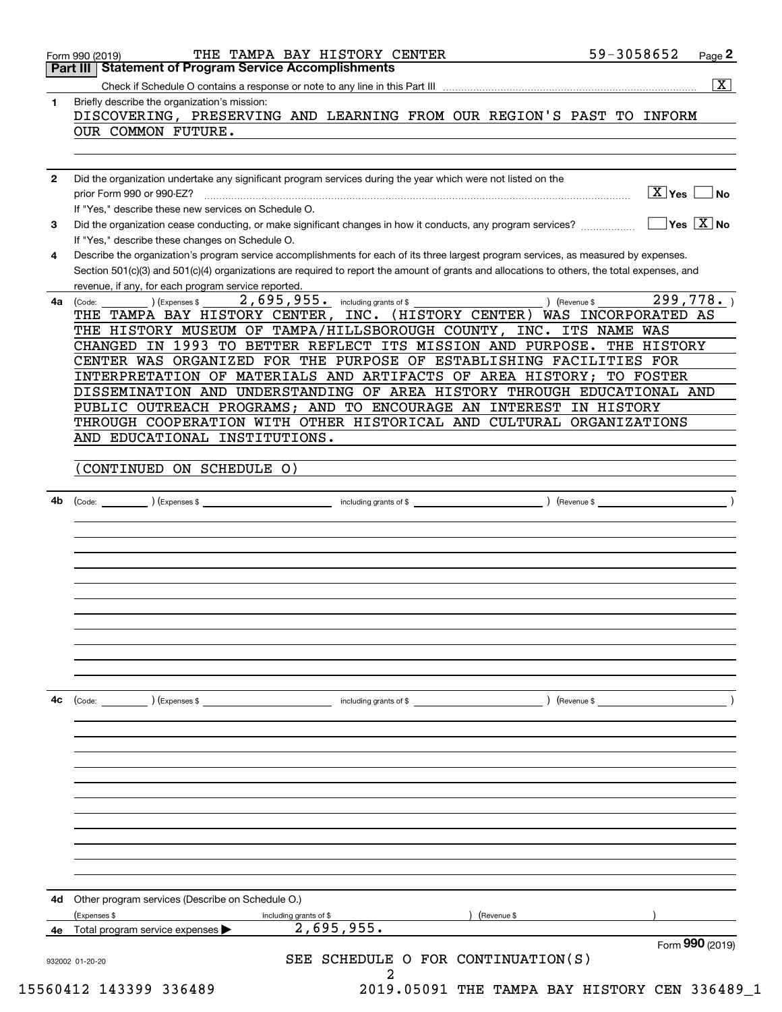|              | Form 990 (2019)<br>SEE SCHEDULE O FOR CONTINUATION(S)                                                                                                                                                     |
|--------------|-----------------------------------------------------------------------------------------------------------------------------------------------------------------------------------------------------------|
| 4е           | (Expenses \$<br>(Revenue \$<br>including grants of \$<br>2,695,955.<br>Total program service expenses                                                                                                     |
| 4d           | Other program services (Describe on Schedule O.)                                                                                                                                                          |
|              |                                                                                                                                                                                                           |
|              |                                                                                                                                                                                                           |
|              |                                                                                                                                                                                                           |
|              |                                                                                                                                                                                                           |
|              |                                                                                                                                                                                                           |
|              |                                                                                                                                                                                                           |
| 4с           | $\left(\text{Code:} \right)$ $\left(\text{Expenses $}\right)$<br>including grants of \$<br>) (Revenue \$                                                                                                  |
|              |                                                                                                                                                                                                           |
|              |                                                                                                                                                                                                           |
|              |                                                                                                                                                                                                           |
|              |                                                                                                                                                                                                           |
|              |                                                                                                                                                                                                           |
|              |                                                                                                                                                                                                           |
| 4b           |                                                                                                                                                                                                           |
|              | (CONTINUED ON SCHEDULE O)                                                                                                                                                                                 |
|              | AND EDUCATIONAL INSTITUTIONS.                                                                                                                                                                             |
|              | THROUGH COOPERATION WITH OTHER HISTORICAL AND CULTURAL ORGANIZATIONS                                                                                                                                      |
|              | DISSEMINATION AND UNDERSTANDING OF AREA HISTORY THROUGH EDUCATIONAL AND<br>PUBLIC OUTREACH PROGRAMS; AND TO ENCOURAGE AN INTEREST IN HISTORY                                                              |
|              | INTERPRETATION OF MATERIALS AND ARTIFACTS OF AREA HISTORY; TO FOSTER                                                                                                                                      |
|              | CHANGED IN 1993 TO BETTER REFLECT ITS MISSION AND PURPOSE. THE HISTORY<br>CENTER WAS ORGANIZED FOR THE PURPOSE OF ESTABLISHING FACILITIES FOR                                                             |
|              | THE TAMPA BAY HISTORY CENTER, INC. (HISTORY CENTER) WAS INCORPORATED AS<br>THE HISTORY MUSEUM OF TAMPA/HILLSBOROUGH COUNTY, INC. ITS NAME WAS                                                             |
| 4a           | 299,778.<br>2,695,955.<br>) (Revenue \$<br>including grants of \$<br>(Expenses \$<br>(Code:                                                                                                               |
|              | Section 501(c)(3) and 501(c)(4) organizations are required to report the amount of grants and allocations to others, the total expenses, and<br>revenue, if any, for each program service reported.       |
| 4            | Describe the organization's program service accomplishments for each of its three largest program services, as measured by expenses.                                                                      |
| 3            | $\sqrt{}$ Yes $\sqrt{}$ X $\sqrt{}$ No<br>Did the organization cease conducting, or make significant changes in how it conducts, any program services?<br>If "Yes," describe these changes on Schedule O. |
|              | If "Yes," describe these new services on Schedule O.                                                                                                                                                      |
| $\mathbf{2}$ | Did the organization undertake any significant program services during the year which were not listed on the<br>$\sqrt{X}$ Yes<br>prior Form 990 or 990-EZ?<br>∣No                                        |
|              |                                                                                                                                                                                                           |
|              | OUR COMMON FUTURE.                                                                                                                                                                                        |
| 1.           | Briefly describe the organization's mission:<br>DISCOVERING, PRESERVING AND LEARNING FROM OUR REGION'S PAST TO INFORM                                                                                     |
|              |                                                                                                                                                                                                           |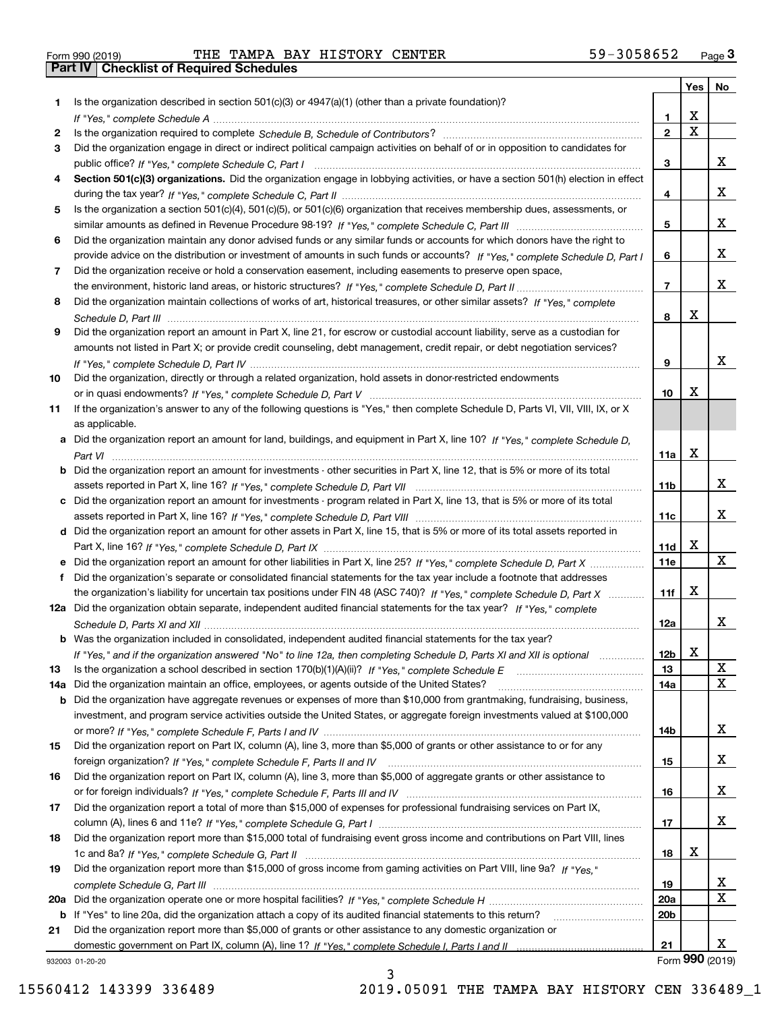| Form 990 (2019) |  |  |
|-----------------|--|--|

Form 990 (2019) THE TAMPA BAY HISTORY CENTER 59-3058652 <sub>Page</sub> 3<br>**Part IV | Checklist of Required Schedules** 

|     |                                                                                                                                       |                 | Yes                     | No              |
|-----|---------------------------------------------------------------------------------------------------------------------------------------|-----------------|-------------------------|-----------------|
| 1.  | Is the organization described in section $501(c)(3)$ or $4947(a)(1)$ (other than a private foundation)?                               |                 |                         |                 |
|     |                                                                                                                                       | 1               | X                       |                 |
| 2   |                                                                                                                                       | $\overline{2}$  | $\overline{\mathbf{x}}$ |                 |
| 3   | Did the organization engage in direct or indirect political campaign activities on behalf of or in opposition to candidates for       |                 |                         |                 |
|     |                                                                                                                                       | 3               |                         | x               |
| 4   | Section 501(c)(3) organizations. Did the organization engage in lobbying activities, or have a section 501(h) election in effect      |                 |                         | x               |
|     |                                                                                                                                       | 4               |                         |                 |
| 5   | Is the organization a section 501(c)(4), 501(c)(5), or 501(c)(6) organization that receives membership dues, assessments, or          | 5               |                         | x               |
| 6   | Did the organization maintain any donor advised funds or any similar funds or accounts for which donors have the right to             |                 |                         |                 |
|     | provide advice on the distribution or investment of amounts in such funds or accounts? If "Yes," complete Schedule D, Part I          | 6               |                         | x               |
| 7   | Did the organization receive or hold a conservation easement, including easements to preserve open space,                             |                 |                         |                 |
|     |                                                                                                                                       | $\overline{7}$  |                         | x               |
| 8   | Did the organization maintain collections of works of art, historical treasures, or other similar assets? If "Yes," complete          |                 |                         |                 |
|     |                                                                                                                                       | 8               | X                       |                 |
| 9   | Did the organization report an amount in Part X, line 21, for escrow or custodial account liability, serve as a custodian for         |                 |                         |                 |
|     | amounts not listed in Part X; or provide credit counseling, debt management, credit repair, or debt negotiation services?             |                 |                         |                 |
|     |                                                                                                                                       | 9               |                         | X               |
| 10  | Did the organization, directly or through a related organization, hold assets in donor-restricted endowments                          |                 |                         |                 |
|     |                                                                                                                                       | 10              | X                       |                 |
| 11  | If the organization's answer to any of the following questions is "Yes," then complete Schedule D, Parts VI, VII, VIII, IX, or X      |                 |                         |                 |
|     | as applicable.                                                                                                                        |                 |                         |                 |
|     | a Did the organization report an amount for land, buildings, and equipment in Part X, line 10? If "Yes," complete Schedule D,         |                 |                         |                 |
|     |                                                                                                                                       | 11a             | X                       |                 |
|     | <b>b</b> Did the organization report an amount for investments - other securities in Part X, line 12, that is 5% or more of its total |                 |                         |                 |
|     |                                                                                                                                       | 11 <sub>b</sub> |                         | x               |
|     | c Did the organization report an amount for investments - program related in Part X, line 13, that is 5% or more of its total         |                 |                         |                 |
|     |                                                                                                                                       | 11c             |                         | X.              |
|     | d Did the organization report an amount for other assets in Part X, line 15, that is 5% or more of its total assets reported in       |                 |                         |                 |
|     |                                                                                                                                       | 11d             | X                       | X               |
|     |                                                                                                                                       | 11e             |                         |                 |
|     | Did the organization's separate or consolidated financial statements for the tax year include a footnote that addresses               |                 | X                       |                 |
|     | the organization's liability for uncertain tax positions under FIN 48 (ASC 740)? If "Yes," complete Schedule D, Part X                | 11f             |                         |                 |
|     | 12a Did the organization obtain separate, independent audited financial statements for the tax year? If "Yes," complete               | 12a             |                         | x               |
|     | <b>b</b> Was the organization included in consolidated, independent audited financial statements for the tax year?                    |                 |                         |                 |
|     |                                                                                                                                       | 12b             | X                       |                 |
| 13  | If "Yes," and if the organization answered "No" to line 12a, then completing Schedule D, Parts XI and XII is optional                 | 13              |                         | X               |
| 14a | Did the organization maintain an office, employees, or agents outside of the United States?                                           | 14a             |                         | X               |
|     | <b>b</b> Did the organization have aggregate revenues or expenses of more than \$10,000 from grantmaking, fundraising, business,      |                 |                         |                 |
|     | investment, and program service activities outside the United States, or aggregate foreign investments valued at \$100,000            |                 |                         |                 |
|     |                                                                                                                                       | 14b             |                         | x               |
| 15  | Did the organization report on Part IX, column (A), line 3, more than \$5,000 of grants or other assistance to or for any             |                 |                         |                 |
|     |                                                                                                                                       | 15              |                         | x               |
| 16  | Did the organization report on Part IX, column (A), line 3, more than \$5,000 of aggregate grants or other assistance to              |                 |                         |                 |
|     |                                                                                                                                       | 16              |                         | x               |
| 17  | Did the organization report a total of more than \$15,000 of expenses for professional fundraising services on Part IX,               |                 |                         |                 |
|     |                                                                                                                                       | 17              |                         | X               |
| 18  | Did the organization report more than \$15,000 total of fundraising event gross income and contributions on Part VIII, lines          |                 |                         |                 |
|     |                                                                                                                                       | 18              | х                       |                 |
| 19  | Did the organization report more than \$15,000 of gross income from gaming activities on Part VIII, line 9a? If "Yes."                |                 |                         |                 |
|     |                                                                                                                                       | 19              |                         | X               |
|     |                                                                                                                                       | <b>20a</b>      |                         | X               |
|     | <b>b</b> If "Yes" to line 20a, did the organization attach a copy of its audited financial statements to this return?                 | 20 <sub>b</sub> |                         |                 |
| 21  | Did the organization report more than \$5,000 of grants or other assistance to any domestic organization or                           |                 |                         |                 |
|     |                                                                                                                                       | 21              |                         | x               |
|     | 932003 01-20-20                                                                                                                       |                 |                         | Form 990 (2019) |

932003 01-20-20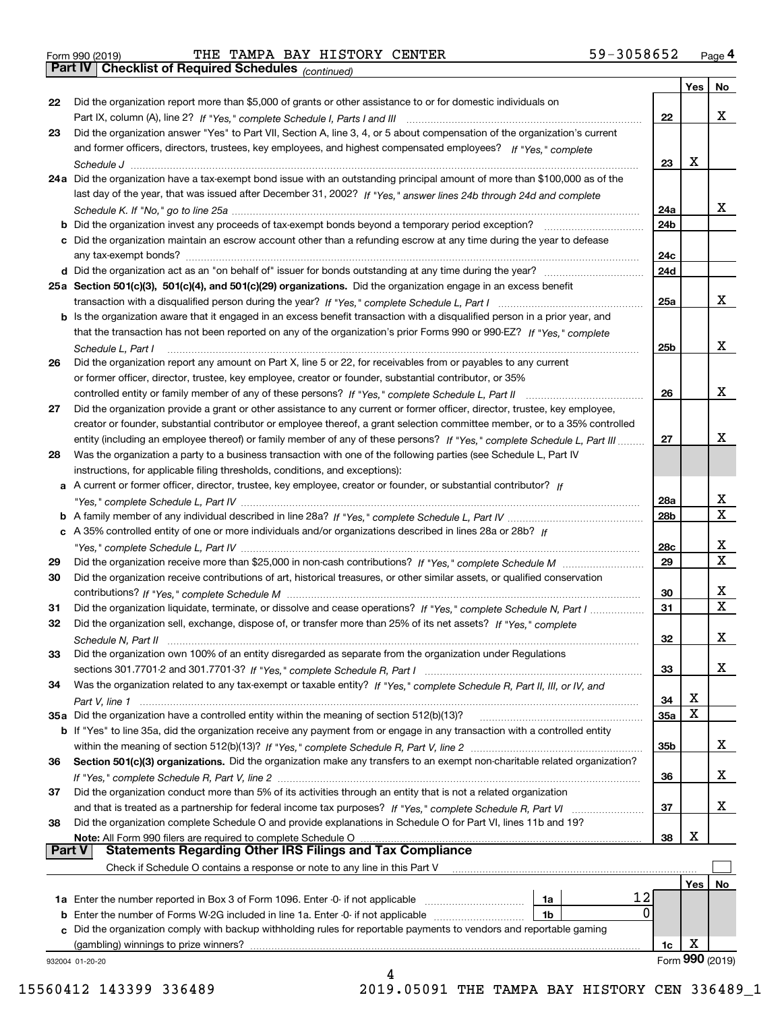Form 990 (2019) THE TAMPA BAY HISTORY CENTER 59-3058652 <sub>Page</sub> 4<br>**Part IV | Checklist of Required Schedules** <sub>(continued)</sub>

*(continued)*

|               |                                                                                                                                                                                                    |                 | Yes | No.             |
|---------------|----------------------------------------------------------------------------------------------------------------------------------------------------------------------------------------------------|-----------------|-----|-----------------|
| 22            | Did the organization report more than \$5,000 of grants or other assistance to or for domestic individuals on                                                                                      |                 |     |                 |
|               |                                                                                                                                                                                                    | 22              |     | x               |
| 23            | Did the organization answer "Yes" to Part VII, Section A, line 3, 4, or 5 about compensation of the organization's current                                                                         |                 |     |                 |
|               | and former officers, directors, trustees, key employees, and highest compensated employees? If "Yes," complete                                                                                     |                 |     |                 |
|               |                                                                                                                                                                                                    | 23              | х   |                 |
|               | 24a Did the organization have a tax-exempt bond issue with an outstanding principal amount of more than \$100,000 as of the                                                                        |                 |     |                 |
|               | last day of the year, that was issued after December 31, 2002? If "Yes," answer lines 24b through 24d and complete                                                                                 |                 |     |                 |
|               |                                                                                                                                                                                                    | 24a             |     | x               |
|               |                                                                                                                                                                                                    | 24 <sub>b</sub> |     |                 |
|               | c Did the organization maintain an escrow account other than a refunding escrow at any time during the year to defease                                                                             |                 |     |                 |
|               |                                                                                                                                                                                                    | 24c             |     |                 |
|               |                                                                                                                                                                                                    | 24d             |     |                 |
|               | 25a Section 501(c)(3), 501(c)(4), and 501(c)(29) organizations. Did the organization engage in an excess benefit                                                                                   |                 |     |                 |
|               |                                                                                                                                                                                                    | 25a             |     | x               |
|               | b Is the organization aware that it engaged in an excess benefit transaction with a disqualified person in a prior year, and                                                                       |                 |     |                 |
|               | that the transaction has not been reported on any of the organization's prior Forms 990 or 990-EZ? If "Yes," complete                                                                              |                 |     |                 |
|               | Schedule L, Part I                                                                                                                                                                                 | 25 <sub>b</sub> |     | x               |
| 26            | Did the organization report any amount on Part X, line 5 or 22, for receivables from or payables to any current                                                                                    |                 |     |                 |
|               | or former officer, director, trustee, key employee, creator or founder, substantial contributor, or 35%                                                                                            |                 |     | x               |
|               | controlled entity or family member of any of these persons? If "Yes," complete Schedule L, Part II                                                                                                 | 26              |     |                 |
| 27            | Did the organization provide a grant or other assistance to any current or former officer, director, trustee, key employee,                                                                        |                 |     |                 |
|               | creator or founder, substantial contributor or employee thereof, a grant selection committee member, or to a 35% controlled                                                                        |                 |     | x               |
|               | entity (including an employee thereof) or family member of any of these persons? If "Yes," complete Schedule L, Part III                                                                           | 27              |     |                 |
| 28            | Was the organization a party to a business transaction with one of the following parties (see Schedule L, Part IV                                                                                  |                 |     |                 |
|               | instructions, for applicable filing thresholds, conditions, and exceptions):<br>a A current or former officer, director, trustee, key employee, creator or founder, or substantial contributor? If |                 |     |                 |
|               |                                                                                                                                                                                                    | 28a             |     | х               |
|               |                                                                                                                                                                                                    | 28 <sub>b</sub> |     | x               |
|               | c A 35% controlled entity of one or more individuals and/or organizations described in lines 28a or 28b? If                                                                                        |                 |     |                 |
|               |                                                                                                                                                                                                    | 28c             |     | х               |
| 29            |                                                                                                                                                                                                    | 29              |     | X               |
| 30            | Did the organization receive contributions of art, historical treasures, or other similar assets, or qualified conservation                                                                        |                 |     |                 |
|               |                                                                                                                                                                                                    | 30              |     | х               |
| 31            | Did the organization liquidate, terminate, or dissolve and cease operations? If "Yes," complete Schedule N, Part I                                                                                 | 31              |     | X.              |
| 32            | Did the organization sell, exchange, dispose of, or transfer more than 25% of its net assets? If "Yes," complete                                                                                   |                 |     |                 |
|               | Schedule N. Part II                                                                                                                                                                                | 32              |     | х               |
| 33            | Did the organization own 100% of an entity disregarded as separate from the organization under Regulations                                                                                         |                 |     |                 |
|               |                                                                                                                                                                                                    | 33              |     | x               |
| 34            | Was the organization related to any tax-exempt or taxable entity? If "Yes," complete Schedule R, Part II, III, or IV, and                                                                          |                 |     |                 |
|               |                                                                                                                                                                                                    | 34              | х   |                 |
|               | 35a Did the organization have a controlled entity within the meaning of section 512(b)(13)?                                                                                                        | <b>35a</b>      | X   |                 |
|               | b If "Yes" to line 35a, did the organization receive any payment from or engage in any transaction with a controlled entity                                                                        |                 |     |                 |
|               |                                                                                                                                                                                                    | 35b             |     | x               |
| 36            | Section 501(c)(3) organizations. Did the organization make any transfers to an exempt non-charitable related organization?                                                                         |                 |     |                 |
|               |                                                                                                                                                                                                    | 36              |     | X.              |
| 37            | Did the organization conduct more than 5% of its activities through an entity that is not a related organization                                                                                   |                 |     |                 |
|               | and that is treated as a partnership for federal income tax purposes? If "Yes," complete Schedule R, Part VI                                                                                       | 37              |     | X.              |
| 38            | Did the organization complete Schedule O and provide explanations in Schedule O for Part VI, lines 11b and 19?                                                                                     |                 |     |                 |
|               | Note: All Form 990 filers are required to complete Schedule O                                                                                                                                      | 38              | х   |                 |
| <b>Part V</b> | <b>Statements Regarding Other IRS Filings and Tax Compliance</b>                                                                                                                                   |                 |     |                 |
|               | Check if Schedule O contains a response or note to any line in this Part V                                                                                                                         |                 |     |                 |
|               |                                                                                                                                                                                                    |                 | Yes | No              |
|               | 12<br>1a Enter the number reported in Box 3 of Form 1096. Enter -0- if not applicable<br>1a                                                                                                        |                 |     |                 |
|               | 0<br><b>b</b> Enter the number of Forms W-2G included in line 1a. Enter -0- if not applicable<br>1b                                                                                                |                 |     |                 |
|               | c Did the organization comply with backup withholding rules for reportable payments to vendors and reportable gaming                                                                               |                 |     |                 |
|               | (gambling) winnings to prize winners?                                                                                                                                                              | 1c              | х   | Form 990 (2019) |
|               | 932004 01-20-20<br>Δ                                                                                                                                                                               |                 |     |                 |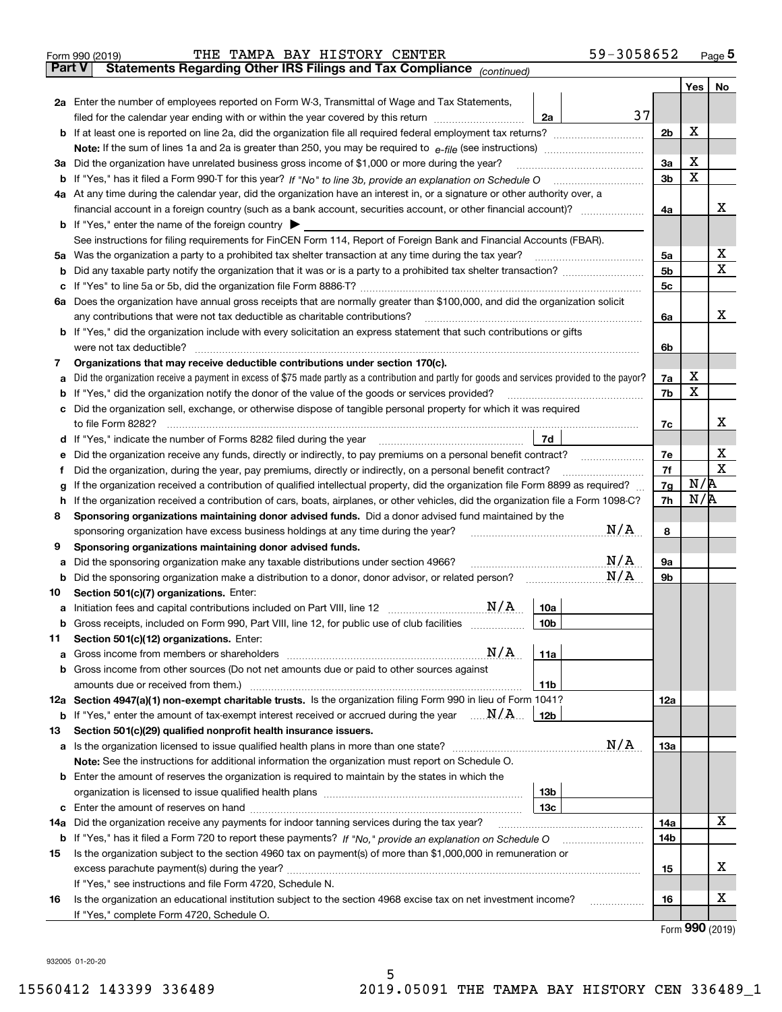|               | 59-3058652<br>THE TAMPA BAY HISTORY CENTER<br>Form 990 (2019)                                                                                                                                                                      |                |             | Page $5$    |
|---------------|------------------------------------------------------------------------------------------------------------------------------------------------------------------------------------------------------------------------------------|----------------|-------------|-------------|
| <b>Part V</b> | Statements Regarding Other IRS Filings and Tax Compliance (continued)                                                                                                                                                              |                |             |             |
|               |                                                                                                                                                                                                                                    |                | Yes         | No          |
|               | <b>2a</b> Enter the number of employees reported on Form W-3, Transmittal of Wage and Tax Statements,                                                                                                                              |                |             |             |
|               | 37<br>filed for the calendar year ending with or within the year covered by this return<br>2a                                                                                                                                      |                |             |             |
|               |                                                                                                                                                                                                                                    | 2 <sub>b</sub> | X           |             |
|               | <b>Note:</b> If the sum of lines 1a and 2a is greater than 250, you may be required to $e$ -file (see instructions) <i>manimummmmmm</i>                                                                                            |                |             |             |
|               | 3a Did the organization have unrelated business gross income of \$1,000 or more during the year?                                                                                                                                   | 3a             | X           |             |
|               | <b>b</b> If "Yes," has it filed a Form 990-T for this year? If "No" to line 3b, provide an explanation on Schedule O                                                                                                               | 3b             | $\mathbf X$ |             |
|               | 4a At any time during the calendar year, did the organization have an interest in, or a signature or other authority over, a                                                                                                       |                |             | x           |
|               |                                                                                                                                                                                                                                    | 4a             |             |             |
|               | <b>b</b> If "Yes," enter the name of the foreign country $\triangleright$                                                                                                                                                          |                |             |             |
|               | See instructions for filing requirements for FinCEN Form 114, Report of Foreign Bank and Financial Accounts (FBAR).<br>5a Was the organization a party to a prohibited tax shelter transaction at any time during the tax year?    | 5a             |             | х           |
| b             |                                                                                                                                                                                                                                    | 5b             |             | $\mathbf X$ |
| с             |                                                                                                                                                                                                                                    | 5 <sub>c</sub> |             |             |
|               | 6a Does the organization have annual gross receipts that are normally greater than \$100,000, and did the organization solicit                                                                                                     |                |             |             |
|               | any contributions that were not tax deductible as charitable contributions?                                                                                                                                                        | 6a             |             | х           |
|               | <b>b</b> If "Yes," did the organization include with every solicitation an express statement that such contributions or gifts                                                                                                      |                |             |             |
|               | were not tax deductible?                                                                                                                                                                                                           | 6b             |             |             |
| 7             | Organizations that may receive deductible contributions under section 170(c).                                                                                                                                                      |                |             |             |
| a             | Did the organization receive a payment in excess of \$75 made partly as a contribution and partly for goods and services provided to the payor?                                                                                    | 7a             | X           |             |
| b             | If "Yes," did the organization notify the donor of the value of the goods or services provided?                                                                                                                                    | 7b             | $\mathbf X$ |             |
| c             | Did the organization sell, exchange, or otherwise dispose of tangible personal property for which it was required                                                                                                                  |                |             |             |
|               | to file Form 8282?                                                                                                                                                                                                                 | 7c             |             | x           |
| d             | 7d<br>If "Yes," indicate the number of Forms 8282 filed during the year                                                                                                                                                            |                |             |             |
| е             | Did the organization receive any funds, directly or indirectly, to pay premiums on a personal benefit contract?                                                                                                                    | 7e             |             | х           |
| Ť             | Did the organization, during the year, pay premiums, directly or indirectly, on a personal benefit contract?                                                                                                                       | 7f             | N/R         | X           |
| g             | If the organization received a contribution of qualified intellectual property, did the organization file Form 8899 as required?                                                                                                   |                |             |             |
| h             | If the organization received a contribution of cars, boats, airplanes, or other vehicles, did the organization file a Form 1098-C?                                                                                                 | 7h             | N/R         |             |
| 8             | Sponsoring organizations maintaining donor advised funds. Did a donor advised fund maintained by the                                                                                                                               |                |             |             |
|               | N/A<br>sponsoring organization have excess business holdings at any time during the year?                                                                                                                                          | 8              |             |             |
| 9             | Sponsoring organizations maintaining donor advised funds.                                                                                                                                                                          |                |             |             |
| а             | N/A<br>Did the sponsoring organization make any taxable distributions under section 4966?<br>N/A                                                                                                                                   | 9а             |             |             |
| b             | Did the sponsoring organization make a distribution to a donor, donor advisor, or related person?                                                                                                                                  | 9b             |             |             |
| 10            | Section 501(c)(7) organizations. Enter:<br>N/A                                                                                                                                                                                     |                |             |             |
| a             | <u>10a</u><br>Initiation fees and capital contributions included on Part VIII, line 12 [111] [12] [12] [12] [13] [13] [13] [<br>Gross receipts, included on Form 990, Part VIII, line 12, for public use of club facilities<br>10b |                |             |             |
| b<br>11       | Section 501(c)(12) organizations. Enter:                                                                                                                                                                                           |                |             |             |
| а             | N/A<br>11a                                                                                                                                                                                                                         |                |             |             |
| b             | Gross income from other sources (Do not net amounts due or paid to other sources against                                                                                                                                           |                |             |             |
|               | amounts due or received from them.)<br>11b                                                                                                                                                                                         |                |             |             |
|               | 12a Section 4947(a)(1) non-exempt charitable trusts. Is the organization filing Form 990 in lieu of Form 1041?                                                                                                                     | 12a            |             |             |
| b             | If "Yes," enter the amount of tax-exempt interest received or accrued during the year $\ldots \mathbf{N}/\mathbf{A}$<br>12b                                                                                                        |                |             |             |
| 13            | Section 501(c)(29) qualified nonprofit health insurance issuers.                                                                                                                                                                   |                |             |             |
|               | N/A                                                                                                                                                                                                                                | 13a            |             |             |
|               | Note: See the instructions for additional information the organization must report on Schedule O.                                                                                                                                  |                |             |             |
|               | <b>b</b> Enter the amount of reserves the organization is required to maintain by the states in which the                                                                                                                          |                |             |             |
|               | 13b                                                                                                                                                                                                                                |                |             |             |
| c             | 13с                                                                                                                                                                                                                                |                |             |             |
| 14a           | Did the organization receive any payments for indoor tanning services during the tax year?                                                                                                                                         | 14a            |             | X           |
| b             |                                                                                                                                                                                                                                    | 14b            |             |             |
| 15            | Is the organization subject to the section 4960 tax on payment(s) of more than \$1,000,000 in remuneration or                                                                                                                      |                |             |             |
|               |                                                                                                                                                                                                                                    | 15             |             | х           |
|               | If "Yes," see instructions and file Form 4720, Schedule N.                                                                                                                                                                         |                |             |             |
| 16            | Is the organization an educational institution subject to the section 4968 excise tax on net investment income?<br>.                                                                                                               | 16             |             | х           |
|               | If "Yes," complete Form 4720, Schedule O.                                                                                                                                                                                          |                |             |             |

5

Form (2019) **990**

932005 01-20-20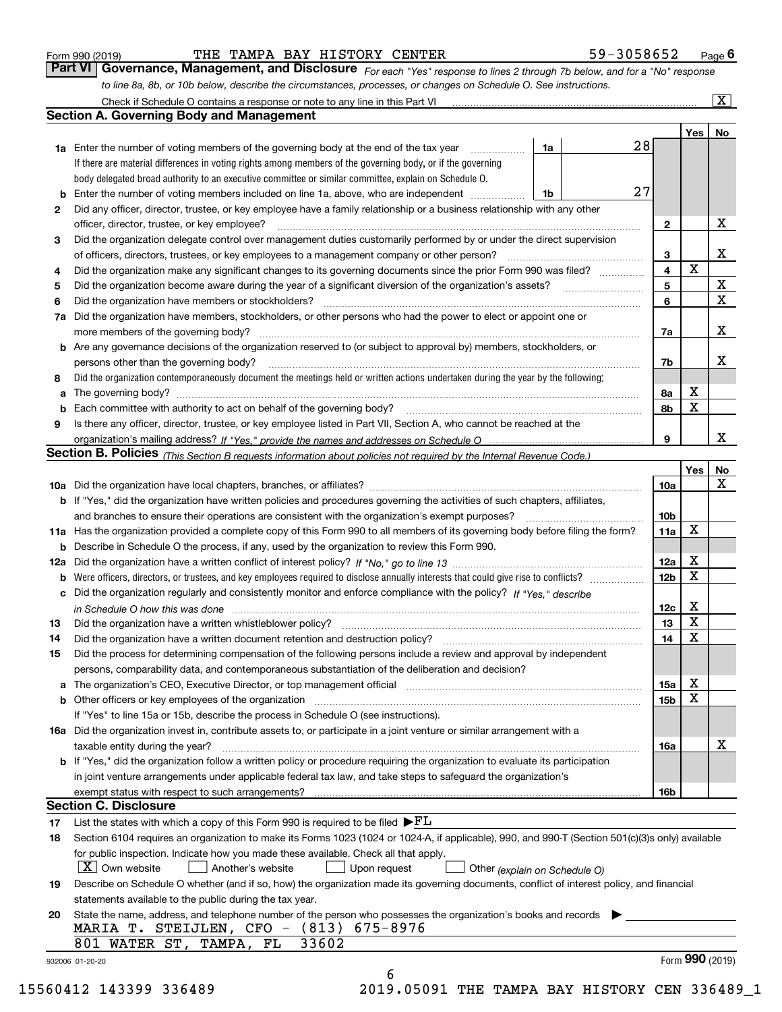|  | Form 990 (2019) |
|--|-----------------|
|  |                 |

THE TAMPA BAY HISTORY CENTER 59-3058652

*For each "Yes" response to lines 2 through 7b below, and for a "No" response to line 8a, 8b, or 10b below, describe the circumstances, processes, or changes on Schedule O. See instructions.* Form 990 (2019) **THE TAMPA BAY HISTORY CENTER** *Form 990 (2019)* **6 Page 6**<br>**Part VI Governance, Management, and Disclosure** *For each "Yes" response to lines 2 through 7b below, and for a "No" response* 

|     | Check if Schedule O contains a response or note to any line in this Part VI                                                                                           |    |    |                 |     | $\mathbf{x}$    |
|-----|-----------------------------------------------------------------------------------------------------------------------------------------------------------------------|----|----|-----------------|-----|-----------------|
|     | Section A. Governing Body and Management                                                                                                                              |    |    |                 |     |                 |
|     |                                                                                                                                                                       |    |    |                 | Yes | No              |
|     | 1a Enter the number of voting members of the governing body at the end of the tax year                                                                                | 1a | 28 |                 |     |                 |
|     | If there are material differences in voting rights among members of the governing body, or if the governing                                                           |    |    |                 |     |                 |
|     | body delegated broad authority to an executive committee or similar committee, explain on Schedule O.                                                                 |    |    |                 |     |                 |
| b   | Enter the number of voting members included on line 1a, above, who are independent                                                                                    | 1b | 27 |                 |     |                 |
| 2   | Did any officer, director, trustee, or key employee have a family relationship or a business relationship with any other                                              |    |    |                 |     |                 |
|     | officer, director, trustee, or key employee?                                                                                                                          |    |    | 2               |     | х               |
| 3   | Did the organization delegate control over management duties customarily performed by or under the direct supervision                                                 |    |    |                 |     |                 |
|     | of officers, directors, trustees, or key employees to a management company or other person?                                                                           |    |    | 3               |     | x               |
| 4   | Did the organization make any significant changes to its governing documents since the prior Form 990 was filed?                                                      |    |    | 4               | X   |                 |
| 5   |                                                                                                                                                                       |    |    | 5               |     | X               |
| 6   | Did the organization have members or stockholders?                                                                                                                    |    |    | 6               |     | X               |
| 7a  | Did the organization have members, stockholders, or other persons who had the power to elect or appoint one or                                                        |    |    |                 |     |                 |
|     | more members of the governing body?                                                                                                                                   |    |    | 7a              |     | х               |
|     | Are any governance decisions of the organization reserved to (or subject to approval by) members, stockholders, or                                                    |    |    |                 |     |                 |
| b   | persons other than the governing body?                                                                                                                                |    |    |                 |     | x               |
|     |                                                                                                                                                                       |    |    | 7b              |     |                 |
| 8   | Did the organization contemporaneously document the meetings held or written actions undertaken during the year by the following:                                     |    |    |                 | х   |                 |
| a   | The governing body?                                                                                                                                                   |    |    | 8а              | X   |                 |
| b   |                                                                                                                                                                       |    |    | 8b              |     |                 |
| 9   | Is there any officer, director, trustee, or key employee listed in Part VII, Section A, who cannot be reached at the                                                  |    |    |                 |     |                 |
|     |                                                                                                                                                                       |    |    | 9               |     | x               |
|     | <b>Section B. Policies</b> (This Section B requests information about policies not required by the Internal Revenue Code.)                                            |    |    |                 |     |                 |
|     |                                                                                                                                                                       |    |    |                 | Yes | No              |
|     |                                                                                                                                                                       |    |    | 10a             |     | x               |
|     | <b>b</b> If "Yes," did the organization have written policies and procedures governing the activities of such chapters, affiliates,                                   |    |    |                 |     |                 |
|     | and branches to ensure their operations are consistent with the organization's exempt purposes?                                                                       |    |    | 10 <sub>b</sub> |     |                 |
|     | 11a Has the organization provided a complete copy of this Form 990 to all members of its governing body before filing the form?                                       |    |    | 11a             | X   |                 |
| b   | Describe in Schedule O the process, if any, used by the organization to review this Form 990.                                                                         |    |    |                 |     |                 |
| 12a |                                                                                                                                                                       |    |    | 12a             | X   |                 |
| b   |                                                                                                                                                                       |    |    | 12 <sub>b</sub> | X   |                 |
| с   | Did the organization regularly and consistently monitor and enforce compliance with the policy? If "Yes." describe                                                    |    |    |                 |     |                 |
|     | in Schedule O how this was done measured and the control of the control of the state of the control of the cont                                                       |    |    | 12c             | х   |                 |
| 13  | Did the organization have a written whistleblower policy?                                                                                                             |    |    | 13              | X   |                 |
| 14  | Did the organization have a written document retention and destruction policy?                                                                                        |    |    | 14              | X   |                 |
| 15  | Did the process for determining compensation of the following persons include a review and approval by independent                                                    |    |    |                 |     |                 |
|     | persons, comparability data, and contemporaneous substantiation of the deliberation and decision?                                                                     |    |    |                 |     |                 |
| а   | The organization's CEO, Executive Director, or top management official manufactured content of the organization's CEO, Executive Director, or top management official |    |    | 15a             | Χ   |                 |
| b   | Other officers or key employees of the organization                                                                                                                   |    |    | 15 <sub>b</sub> | X   |                 |
|     | If "Yes" to line 15a or 15b, describe the process in Schedule O (see instructions).                                                                                   |    |    |                 |     |                 |
|     | 16a Did the organization invest in, contribute assets to, or participate in a joint venture or similar arrangement with a                                             |    |    |                 |     |                 |
|     | taxable entity during the year?                                                                                                                                       |    |    | 16a             |     | х               |
|     | b If "Yes," did the organization follow a written policy or procedure requiring the organization to evaluate its participation                                        |    |    |                 |     |                 |
|     | in joint venture arrangements under applicable federal tax law, and take steps to safeguard the organization's                                                        |    |    |                 |     |                 |
|     | exempt status with respect to such arrangements?                                                                                                                      |    |    | 16b             |     |                 |
|     | <b>Section C. Disclosure</b>                                                                                                                                          |    |    |                 |     |                 |
| 17  | List the states with which a copy of this Form 990 is required to be filed $\blacktriangleright$ FL                                                                   |    |    |                 |     |                 |
| 18  | Section 6104 requires an organization to make its Forms 1023 (1024 or 1024-A, if applicable), 990, and 990-T (Section 501(c)(3)s only) available                      |    |    |                 |     |                 |
|     | for public inspection. Indicate how you made these available. Check all that apply.                                                                                   |    |    |                 |     |                 |
|     | $\lfloor X \rfloor$ Own website<br>Another's website<br>Upon request                                                                                                  |    |    |                 |     |                 |
|     | Other (explain on Schedule O)                                                                                                                                         |    |    |                 |     |                 |
| 19  | Describe on Schedule O whether (and if so, how) the organization made its governing documents, conflict of interest policy, and financial                             |    |    |                 |     |                 |
|     | statements available to the public during the tax year.                                                                                                               |    |    |                 |     |                 |
| 20  | State the name, address, and telephone number of the person who possesses the organization's books and records                                                        |    |    |                 |     |                 |
|     | MARIA T. STEIJLEN, CFO - (813) 675-8976                                                                                                                               |    |    |                 |     |                 |
|     | 33602<br>801 WATER ST,<br>TAMPA, FL                                                                                                                                   |    |    |                 |     |                 |
|     | 932006 01-20-20                                                                                                                                                       |    |    |                 |     | Form 990 (2019) |
|     | 6                                                                                                                                                                     |    |    |                 |     |                 |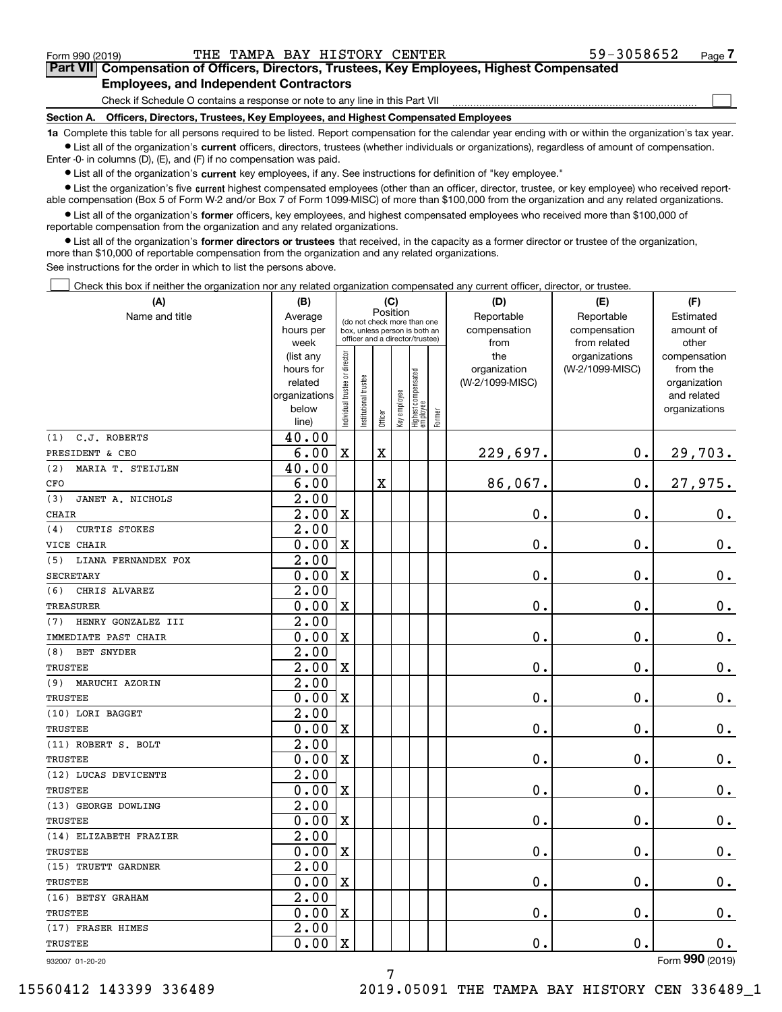$\mathcal{L}^{\text{max}}$ 

# **7Part VII Compensation of Officers, Directors, Trustees, Key Employees, Highest Compensated Employees, and Independent Contractors**

Check if Schedule O contains a response or note to any line in this Part VII

**Section A. Officers, Directors, Trustees, Key Employees, and Highest Compensated Employees**

**1a**  Complete this table for all persons required to be listed. Report compensation for the calendar year ending with or within the organization's tax year. **•** List all of the organization's current officers, directors, trustees (whether individuals or organizations), regardless of amount of compensation.

Enter -0- in columns (D), (E), and (F) if no compensation was paid.

 $\bullet$  List all of the organization's  $\,$ current key employees, if any. See instructions for definition of "key employee."

**•** List the organization's five current highest compensated employees (other than an officer, director, trustee, or key employee) who received reportable compensation (Box 5 of Form W-2 and/or Box 7 of Form 1099-MISC) of more than \$100,000 from the organization and any related organizations.

**•** List all of the organization's former officers, key employees, and highest compensated employees who received more than \$100,000 of reportable compensation from the organization and any related organizations.

**former directors or trustees**  ¥ List all of the organization's that received, in the capacity as a former director or trustee of the organization, more than \$10,000 of reportable compensation from the organization and any related organizations.

See instructions for the order in which to list the persons above.

Check this box if neither the organization nor any related organization compensated any current officer, director, or trustee.  $\mathcal{L}^{\text{max}}$ 

| (A)                         | (B)                    |                               |                      | (C)         |              |                                                                  |        | (D)                 | (E)                              | (F)                      |
|-----------------------------|------------------------|-------------------------------|----------------------|-------------|--------------|------------------------------------------------------------------|--------|---------------------|----------------------------------|--------------------------|
| Name and title              | Average                |                               |                      | Position    |              | (do not check more than one                                      |        | Reportable          | Reportable                       | Estimated                |
|                             | hours per              |                               |                      |             |              | box, unless person is both an<br>officer and a director/trustee) |        | compensation        | compensation                     | amount of                |
|                             | week                   |                               |                      |             |              |                                                                  |        | from                | from related                     | other                    |
|                             | (list any<br>hours for |                               |                      |             |              |                                                                  |        | the<br>organization | organizations<br>(W-2/1099-MISC) | compensation<br>from the |
|                             | related                |                               |                      |             |              |                                                                  |        | (W-2/1099-MISC)     |                                  | organization             |
|                             | organizations          |                               |                      |             |              |                                                                  |        |                     |                                  | and related              |
|                             | below                  | ndividual trustee or director | nstitutional trustee |             | key employee |                                                                  |        |                     |                                  | organizations            |
|                             | line)                  |                               |                      | Officer     |              | Highest compensated<br>  employee                                | Former |                     |                                  |                          |
| C.J. ROBERTS<br>(1)         | 40.00                  |                               |                      |             |              |                                                                  |        |                     |                                  |                          |
| PRESIDENT & CEO             | 6.00                   | $\mathbf X$                   |                      | $\mathbf X$ |              |                                                                  |        | 229,697.            | $\mathbf 0$ .                    | 29,703.                  |
| (2)<br>MARIA T. STEIJLEN    | 40.00                  |                               |                      |             |              |                                                                  |        |                     |                                  |                          |
| CFO                         | 6.00                   |                               |                      | $\mathbf X$ |              |                                                                  |        | 86,067.             | $\mathbf 0$ .                    | 27,975.                  |
| JANET A. NICHOLS<br>(3)     | 2.00                   |                               |                      |             |              |                                                                  |        |                     |                                  |                          |
| <b>CHAIR</b>                | $\overline{2.00}$      | $\mathbf X$                   |                      |             |              |                                                                  |        | 0.                  | $\mathbf 0$ .                    | $\mathbf 0$ .            |
| <b>CURTIS STOKES</b><br>(4) | $\overline{2.00}$      |                               |                      |             |              |                                                                  |        |                     |                                  |                          |
| VICE CHAIR                  | 0.00                   | $\mathbf X$                   |                      |             |              |                                                                  |        | 0.                  | $\mathbf 0$ .                    | $\mathbf 0$ .            |
| LIANA FERNANDEX FOX<br>(5)  | $\overline{2.00}$      |                               |                      |             |              |                                                                  |        |                     |                                  |                          |
| <b>SECRETARY</b>            | 0.00                   | $\mathbf X$                   |                      |             |              |                                                                  |        | 0.                  | $\mathbf 0$ .                    | $0_{.}$                  |
| (6)<br>CHRIS ALVAREZ        | $\overline{2.00}$      |                               |                      |             |              |                                                                  |        |                     |                                  |                          |
| <b>TREASURER</b>            | 0.00                   | $\overline{\mathbf{X}}$       |                      |             |              |                                                                  |        | 0.                  | 0.                               | $0_{.}$                  |
| HENRY GONZALEZ III<br>(7)   | 2.00                   |                               |                      |             |              |                                                                  |        |                     |                                  |                          |
| IMMEDIATE PAST CHAIR        | 0.00                   | $\mathbf X$                   |                      |             |              |                                                                  |        | 0.                  | $\mathbf 0$ .                    | $\mathbf 0$ .            |
| BET SNYDER<br>(8)           | $\overline{2.00}$      |                               |                      |             |              |                                                                  |        |                     |                                  |                          |
| <b>TRUSTEE</b>              | 2.00                   | $\overline{\mathbf{X}}$       |                      |             |              |                                                                  |        | 0.                  | 0.                               | $\mathbf 0$ .            |
| (9) MARUCHI AZORIN          | 2.00                   |                               |                      |             |              |                                                                  |        |                     |                                  |                          |
| <b>TRUSTEE</b>              | 0.00                   | $\overline{\mathbf{X}}$       |                      |             |              |                                                                  |        | $\mathbf 0$ .       | $\mathbf 0$ .                    | $0_{.}$                  |
| (10) LORI BAGGET            | 2.00                   |                               |                      |             |              |                                                                  |        |                     |                                  |                          |
| <b>TRUSTEE</b>              | 0.00                   | $\mathbf X$                   |                      |             |              |                                                                  |        | $\mathbf 0$ .       | $\mathbf 0$ .                    | 0.                       |
| (11) ROBERT S. BOLT         | 2.00                   |                               |                      |             |              |                                                                  |        |                     |                                  |                          |
| <b>TRUSTEE</b>              | 0.00                   | X                             |                      |             |              |                                                                  |        | 0.                  | 0.                               | $\mathbf 0$ .            |
| (12) LUCAS DEVICENTE        | 2.00                   |                               |                      |             |              |                                                                  |        |                     |                                  |                          |
| <b>TRUSTEE</b>              | 0.00                   | $\overline{\mathbf{X}}$       |                      |             |              |                                                                  |        | 0.                  | 0.                               | $0_{.}$                  |
| (13) GEORGE DOWLING         | $\overline{2.00}$      |                               |                      |             |              |                                                                  |        |                     |                                  |                          |
| TRUSTEE                     | 0.00                   | $\mathbf X$                   |                      |             |              |                                                                  |        | 0.                  | $\mathbf 0$ .                    | $\mathbf 0$ .            |
| (14) ELIZABETH FRAZIER      | 2.00                   |                               |                      |             |              |                                                                  |        |                     |                                  |                          |
| TRUSTEE                     | 0.00                   | $\overline{\mathbf{X}}$       |                      |             |              |                                                                  |        | 0.                  | $\mathbf 0$ .                    | $\mathbf 0$ .            |
| (15) TRUETT GARDNER         | 2.00                   |                               |                      |             |              |                                                                  |        |                     |                                  |                          |
| <b>TRUSTEE</b>              | 0.00                   | $\mathbf X$                   |                      |             |              |                                                                  |        | 0.                  | 0.                               | $\mathbf 0$ .            |
| (16) BETSY GRAHAM           | 2.00                   |                               |                      |             |              |                                                                  |        |                     |                                  |                          |
| TRUSTEE                     | 0.00                   | $\mathbf x$                   |                      |             |              |                                                                  |        | 0.                  | $\mathbf 0$ .                    | 0.                       |
| (17) FRASER HIMES           | 2.00                   |                               |                      |             |              |                                                                  |        |                     |                                  |                          |
| TRUSTEE                     | 0.00                   | $\overline{\mathbf{X}}$       |                      |             |              |                                                                  |        | 0.                  | $\mathbf 0$ .                    | 0.                       |

932007 01-20-20

Form (2019) **990**

7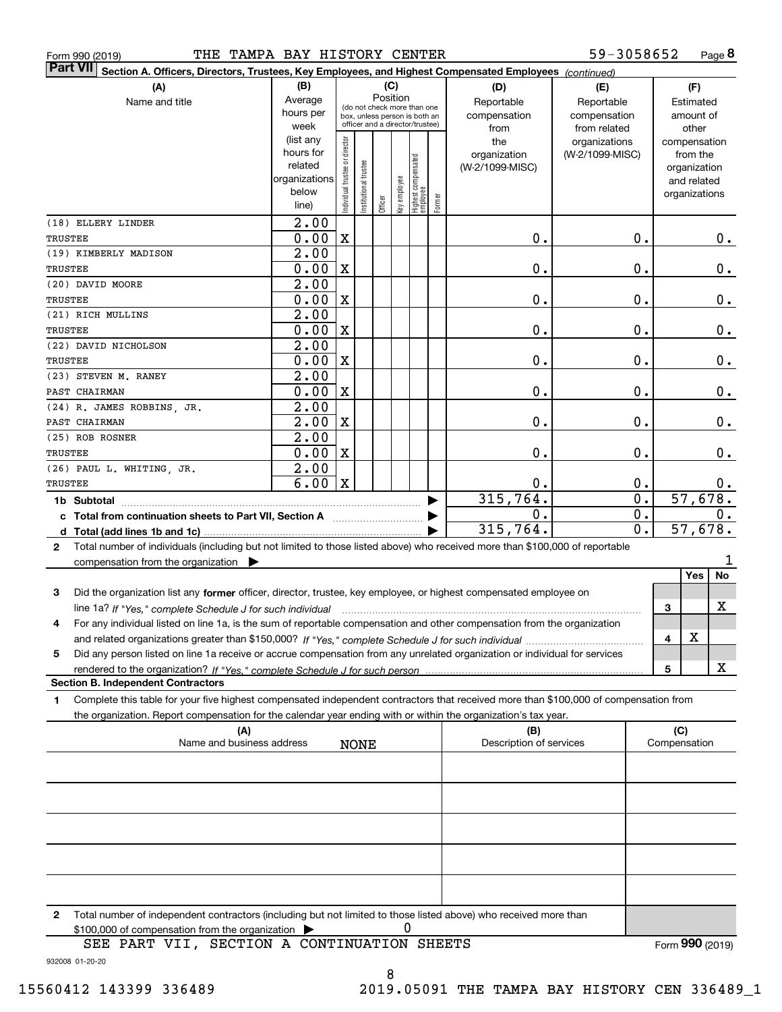|  | Form 990 (2019) |
|--|-----------------|
|  |                 |

| <b>Part VII</b> | Section A. Officers, Directors, Trustees, Key Employees, and Highest Compensated Employees (continued)                               |                        |                               |                      |         |              |                                   |        |                         |                                  |    |               |              |       |
|-----------------|--------------------------------------------------------------------------------------------------------------------------------------|------------------------|-------------------------------|----------------------|---------|--------------|-----------------------------------|--------|-------------------------|----------------------------------|----|---------------|--------------|-------|
|                 | (A)                                                                                                                                  | (B)                    |                               |                      |         | (C)          |                                   |        | (D)                     | (E)                              |    |               | (F)          |       |
|                 | Name and title                                                                                                                       | Average                |                               |                      |         | Position     | (do not check more than one       |        | Reportable              | Reportable                       |    |               | Estimated    |       |
|                 |                                                                                                                                      | hours per              |                               |                      |         |              | box, unless person is both an     |        | compensation            | compensation                     |    |               | amount of    |       |
|                 |                                                                                                                                      | week                   |                               |                      |         |              | officer and a director/trustee)   |        | from                    | from related                     |    |               | other        |       |
|                 |                                                                                                                                      | (list any<br>hours for | ndividual trustee or director |                      |         |              |                                   |        | the<br>organization     | organizations<br>(W-2/1099-MISC) |    | compensation  | from the     |       |
|                 |                                                                                                                                      | related                |                               |                      |         |              |                                   |        | (W-2/1099-MISC)         |                                  |    |               | organization |       |
|                 |                                                                                                                                      | organizations          |                               |                      |         |              |                                   |        |                         |                                  |    |               | and related  |       |
|                 |                                                                                                                                      | below                  |                               | nstitutional trustee |         | Key employee |                                   |        |                         |                                  |    | organizations |              |       |
|                 |                                                                                                                                      | line)                  |                               |                      | Officer |              | Highest compensated<br>  employee | Former |                         |                                  |    |               |              |       |
|                 | (18) ELLERY LINDER                                                                                                                   | 2.00                   |                               |                      |         |              |                                   |        |                         |                                  |    |               |              |       |
| <b>TRUSTEE</b>  |                                                                                                                                      | 0.00                   | $\mathbf X$                   |                      |         |              |                                   |        | 0.                      |                                  | 0. |               |              | 0.    |
|                 | (19) KIMBERLY MADISON                                                                                                                | 2.00                   |                               |                      |         |              |                                   |        |                         |                                  |    |               |              |       |
| TRUSTEE         |                                                                                                                                      | 0.00                   | X                             |                      |         |              |                                   |        | 0.                      |                                  | 0. |               |              | 0.    |
|                 | (20) DAVID MOORE                                                                                                                     | 2.00                   |                               |                      |         |              |                                   |        |                         |                                  |    |               |              |       |
| TRUSTEE         |                                                                                                                                      | 0.00                   | X                             |                      |         |              |                                   |        | 0.                      |                                  | 0. |               |              | 0.    |
|                 | (21) RICH MULLINS                                                                                                                    | 2.00                   |                               |                      |         |              |                                   |        |                         |                                  |    |               |              |       |
| <b>TRUSTEE</b>  |                                                                                                                                      | 0.00                   | X                             |                      |         |              |                                   |        | 0.                      |                                  | 0. |               |              | $0$ . |
|                 | (22) DAVID NICHOLSON                                                                                                                 | 2.00                   |                               |                      |         |              |                                   |        |                         |                                  |    |               |              |       |
| TRUSTEE         |                                                                                                                                      | 0.00                   | X                             |                      |         |              |                                   |        | 0.                      |                                  | 0. |               |              | 0.    |
|                 | (23) STEVEN M. RANEY                                                                                                                 | 2.00                   |                               |                      |         |              |                                   |        |                         |                                  |    |               |              |       |
|                 | PAST CHAIRMAN                                                                                                                        | 0.00                   | X                             |                      |         |              |                                   |        | 0.                      |                                  | 0. |               |              | 0.    |
|                 | (24) R. JAMES ROBBINS, JR.                                                                                                           | 2.00                   |                               |                      |         |              |                                   |        |                         |                                  |    |               |              |       |
|                 | PAST CHAIRMAN                                                                                                                        | 2.00                   | X                             |                      |         |              |                                   |        | 0.                      |                                  | 0. |               |              | 0.    |
|                 | (25) ROB ROSNER                                                                                                                      | 2.00                   |                               |                      |         |              |                                   |        |                         |                                  |    |               |              |       |
| TRUSTEE         |                                                                                                                                      | 0.00                   | X                             |                      |         |              |                                   |        | 0.                      |                                  | 0. |               |              | 0.    |
|                 | (26) PAUL L. WHITING, JR.                                                                                                            | 2.00                   |                               |                      |         |              |                                   |        |                         |                                  |    |               |              |       |
| TRUSTEE         |                                                                                                                                      | 6.00                   | $\mathbf X$                   |                      |         |              |                                   |        | Ο.                      |                                  | 0. |               |              | 0.    |
|                 | 1b Subtotal                                                                                                                          |                        |                               |                      |         |              |                                   |        | 315,764.                |                                  | 0. |               | 57,678.      |       |
|                 | c Total from continuation sheets to Part VII, Section A                                                                              |                        |                               |                      |         |              |                                   |        | 0.                      |                                  | 0. |               |              | 0.    |
|                 |                                                                                                                                      |                        |                               |                      |         |              |                                   |        | 315,764.                |                                  | 0. |               | 57,678.      |       |
| $\mathbf{2}$    | Total number of individuals (including but not limited to those listed above) who received more than \$100,000 of reportable         |                        |                               |                      |         |              |                                   |        |                         |                                  |    |               |              |       |
|                 | compensation from the organization $\blacktriangleright$                                                                             |                        |                               |                      |         |              |                                   |        |                         |                                  |    |               |              |       |
|                 |                                                                                                                                      |                        |                               |                      |         |              |                                   |        |                         |                                  |    |               | Yes          | No    |
| 3               | Did the organization list any former officer, director, trustee, key employee, or highest compensated employee on                    |                        |                               |                      |         |              |                                   |        |                         |                                  |    |               |              |       |
|                 | line 1a? If "Yes," complete Schedule J for such individual                                                                           |                        |                               |                      |         |              |                                   |        |                         |                                  |    | 3             |              | х     |
| 4               | For any individual listed on line 1a, is the sum of reportable compensation and other compensation from the organization             |                        |                               |                      |         |              |                                   |        |                         |                                  |    |               |              |       |
|                 |                                                                                                                                      |                        |                               |                      |         |              |                                   |        |                         |                                  |    | 4             | x            |       |
| 5               | Did any person listed on line 1a receive or accrue compensation from any unrelated organization or individual for services           |                        |                               |                      |         |              |                                   |        |                         |                                  |    |               |              |       |
|                 |                                                                                                                                      |                        |                               |                      |         |              |                                   |        |                         |                                  |    | 5             |              | X     |
|                 | <b>Section B. Independent Contractors</b>                                                                                            |                        |                               |                      |         |              |                                   |        |                         |                                  |    |               |              |       |
| 1               | Complete this table for your five highest compensated independent contractors that received more than \$100,000 of compensation from |                        |                               |                      |         |              |                                   |        |                         |                                  |    |               |              |       |
|                 | the organization. Report compensation for the calendar year ending with or within the organization's tax year.                       |                        |                               |                      |         |              |                                   |        |                         |                                  |    |               |              |       |
|                 | (A)<br>Name and business address                                                                                                     |                        |                               |                      |         |              |                                   |        | (B)                     |                                  |    | (C)           |              |       |
|                 |                                                                                                                                      |                        |                               | <b>NONE</b>          |         |              |                                   |        | Description of services |                                  |    | Compensation  |              |       |
|                 |                                                                                                                                      |                        |                               |                      |         |              |                                   |        |                         |                                  |    |               |              |       |
|                 |                                                                                                                                      |                        |                               |                      |         |              |                                   |        |                         |                                  |    |               |              |       |
|                 |                                                                                                                                      |                        |                               |                      |         |              |                                   |        |                         |                                  |    |               |              |       |
|                 |                                                                                                                                      |                        |                               |                      |         |              |                                   |        |                         |                                  |    |               |              |       |
|                 |                                                                                                                                      |                        |                               |                      |         |              |                                   |        |                         |                                  |    |               |              |       |
|                 |                                                                                                                                      |                        |                               |                      |         |              |                                   |        |                         |                                  |    |               |              |       |
|                 |                                                                                                                                      |                        |                               |                      |         |              |                                   |        |                         |                                  |    |               |              |       |
|                 |                                                                                                                                      |                        |                               |                      |         |              |                                   |        |                         |                                  |    |               |              |       |

**2**Total number of independent contractors (including but not limited to those listed above) who received more than \$100,000 of compensation from the organization 0

932008 01-20-20 SEE PART VII, SECTION A CONTINUATION SHEETS

8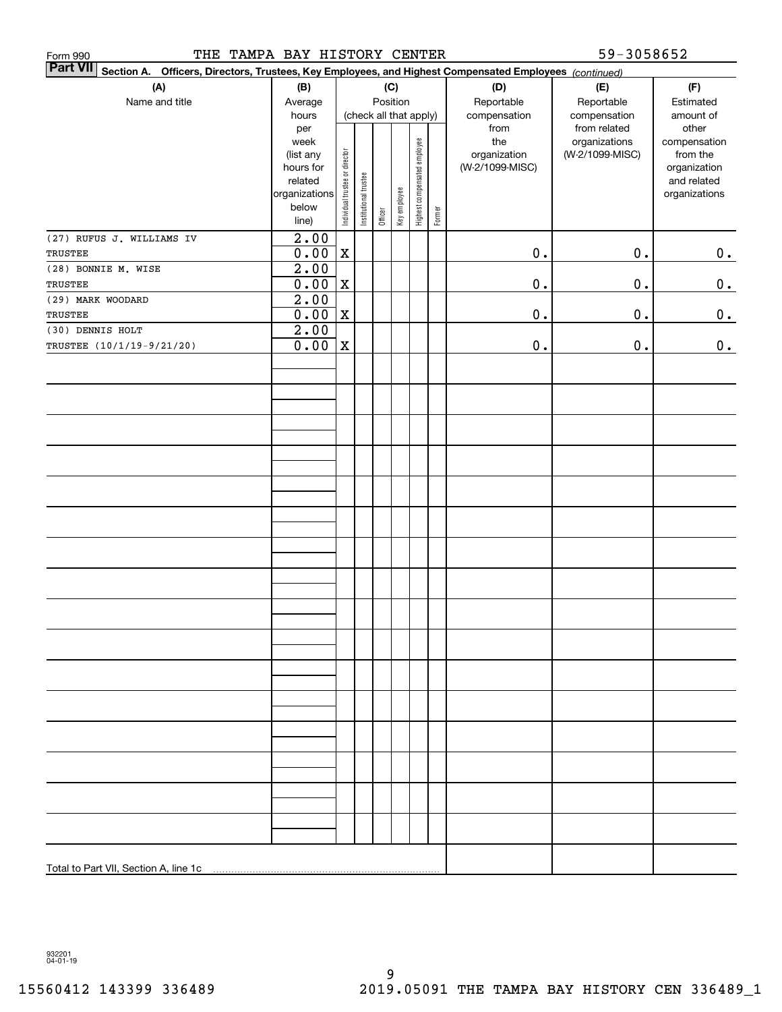| THE TAMPA BAY HISTORY CENTER<br>Form 990                                                                        |                           |                                |                       |         |              |                              |        |                      | 59-3058652                   |                             |
|-----------------------------------------------------------------------------------------------------------------|---------------------------|--------------------------------|-----------------------|---------|--------------|------------------------------|--------|----------------------|------------------------------|-----------------------------|
| Part VII Section A. Officers, Directors, Trustees, Key Employees, and Highest Compensated Employees (continued) |                           |                                |                       |         |              |                              |        |                      |                              |                             |
| (A)                                                                                                             | (B)                       |                                |                       |         | (C)          |                              |        | (D)                  | (E)                          | (F)                         |
| Name and title                                                                                                  | Average                   |                                |                       |         | Position     |                              |        | Reportable           | Reportable                   | Estimated                   |
|                                                                                                                 | hours<br>per              |                                |                       |         |              | (check all that apply)       |        | compensation<br>from | compensation<br>from related | amount of<br>other          |
|                                                                                                                 | week                      |                                |                       |         |              |                              |        | the                  | organizations                | compensation                |
|                                                                                                                 | (list any                 |                                |                       |         |              |                              |        | organization         | (W-2/1099-MISC)              | from the                    |
|                                                                                                                 | hours for<br>related      |                                |                       |         |              |                              |        | (W-2/1099-MISC)      |                              | organization<br>and related |
|                                                                                                                 | organizations             | Individual trustee or director | Institutional trustee |         |              | Highest compensated employee |        |                      |                              | organizations               |
|                                                                                                                 | below                     |                                |                       |         | Key employee |                              |        |                      |                              |                             |
|                                                                                                                 | line)                     |                                |                       | Officer |              |                              | Former |                      |                              |                             |
| (27) RUFUS J. WILLIAMS IV                                                                                       | 2.00                      |                                |                       |         |              |                              |        |                      |                              |                             |
| TRUSTEE                                                                                                         | 0.00                      | $\mathbf X$                    |                       |         |              |                              |        | $0$ .                | $\mathbf 0$ .                | 0.                          |
| (28) BONNIE M. WISE                                                                                             | 2.00                      |                                |                       |         |              |                              |        |                      |                              |                             |
| TRUSTEE                                                                                                         | 0.00                      | $\mathbf X$                    |                       |         |              |                              |        | $\mathbf 0$ .        | 0.                           | $0_{.}$                     |
| (29) MARK WOODARD<br>TRUSTEE                                                                                    | $\overline{2.00}$<br>0.00 | $\mathbf X$                    |                       |         |              |                              |        | $\mathbf 0$ .        | 0.                           |                             |
| (30) DENNIS HOLT                                                                                                | $\overline{2.00}$         |                                |                       |         |              |                              |        |                      |                              | 0.                          |
| TRUSTEE (10/1/19-9/21/20)                                                                                       | 0.00                      | $\mathbf X$                    |                       |         |              |                              |        | $\mathbf 0$ .        | $\mathbf 0$ .                | $0_{.}$                     |
|                                                                                                                 |                           |                                |                       |         |              |                              |        |                      |                              |                             |
|                                                                                                                 |                           |                                |                       |         |              |                              |        |                      |                              |                             |
|                                                                                                                 |                           |                                |                       |         |              |                              |        |                      |                              |                             |
|                                                                                                                 |                           |                                |                       |         |              |                              |        |                      |                              |                             |
|                                                                                                                 |                           |                                |                       |         |              |                              |        |                      |                              |                             |
|                                                                                                                 |                           |                                |                       |         |              |                              |        |                      |                              |                             |
|                                                                                                                 |                           |                                |                       |         |              |                              |        |                      |                              |                             |
|                                                                                                                 |                           |                                |                       |         |              |                              |        |                      |                              |                             |
|                                                                                                                 |                           |                                |                       |         |              |                              |        |                      |                              |                             |
|                                                                                                                 |                           |                                |                       |         |              |                              |        |                      |                              |                             |
|                                                                                                                 |                           |                                |                       |         |              |                              |        |                      |                              |                             |
|                                                                                                                 |                           |                                |                       |         |              |                              |        |                      |                              |                             |
|                                                                                                                 |                           |                                |                       |         |              |                              |        |                      |                              |                             |
|                                                                                                                 |                           |                                |                       |         |              |                              |        |                      |                              |                             |
|                                                                                                                 |                           |                                |                       |         |              |                              |        |                      |                              |                             |
|                                                                                                                 |                           |                                |                       |         |              |                              |        |                      |                              |                             |
|                                                                                                                 |                           |                                |                       |         |              |                              |        |                      |                              |                             |
|                                                                                                                 |                           |                                |                       |         |              |                              |        |                      |                              |                             |
|                                                                                                                 |                           |                                |                       |         |              |                              |        |                      |                              |                             |
|                                                                                                                 |                           |                                |                       |         |              |                              |        |                      |                              |                             |
|                                                                                                                 |                           |                                |                       |         |              |                              |        |                      |                              |                             |
|                                                                                                                 |                           |                                |                       |         |              |                              |        |                      |                              |                             |
|                                                                                                                 |                           |                                |                       |         |              |                              |        |                      |                              |                             |
|                                                                                                                 |                           |                                |                       |         |              |                              |        |                      |                              |                             |
|                                                                                                                 |                           |                                |                       |         |              |                              |        |                      |                              |                             |
|                                                                                                                 |                           |                                |                       |         |              |                              |        |                      |                              |                             |
|                                                                                                                 |                           |                                |                       |         |              |                              |        |                      |                              |                             |
|                                                                                                                 |                           |                                |                       |         |              |                              |        |                      |                              |                             |
|                                                                                                                 |                           |                                |                       |         |              |                              |        |                      |                              |                             |
|                                                                                                                 |                           |                                |                       |         |              |                              |        |                      |                              |                             |
|                                                                                                                 |                           |                                |                       |         |              |                              |        |                      |                              |                             |
|                                                                                                                 |                           |                                |                       |         |              |                              |        |                      |                              |                             |

932201 04-01-19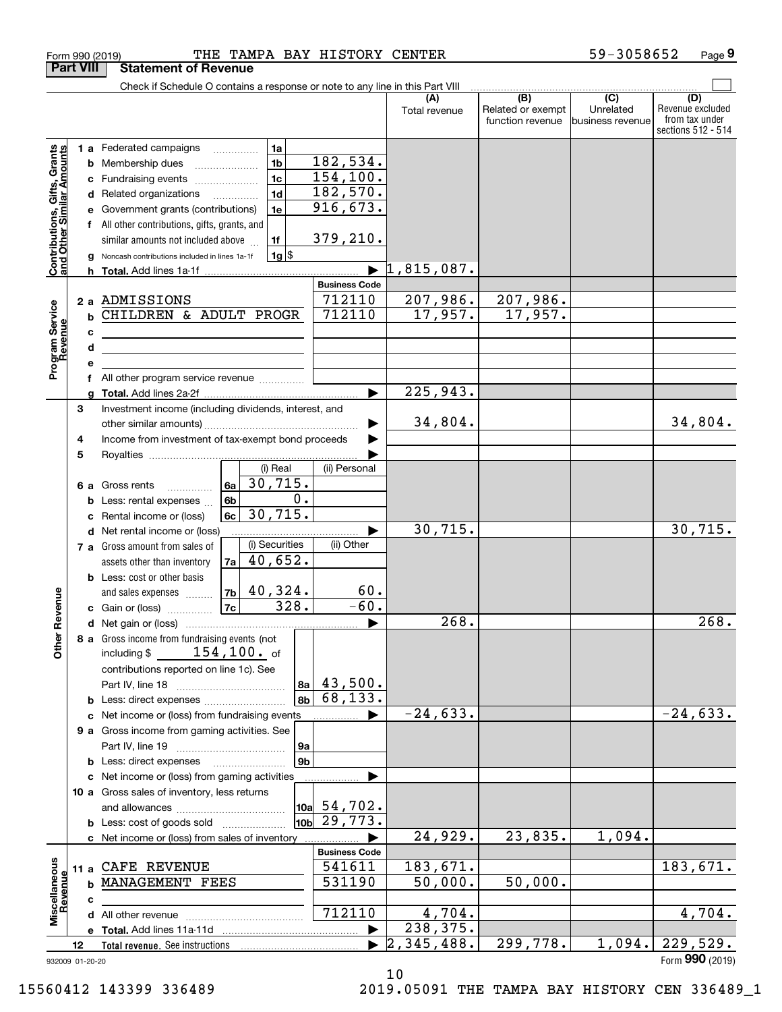|                                                           | <b>Part VIII</b> | <b>Statement of Revenue</b>                                                                                                                                                                                                                                                                                                                                             |                                                           |                       |                                              |                                                   |                                                                 |
|-----------------------------------------------------------|------------------|-------------------------------------------------------------------------------------------------------------------------------------------------------------------------------------------------------------------------------------------------------------------------------------------------------------------------------------------------------------------------|-----------------------------------------------------------|-----------------------|----------------------------------------------|---------------------------------------------------|-----------------------------------------------------------------|
|                                                           |                  | Check if Schedule O contains a response or note to any line in this Part VIII                                                                                                                                                                                                                                                                                           |                                                           |                       |                                              |                                                   |                                                                 |
|                                                           |                  |                                                                                                                                                                                                                                                                                                                                                                         |                                                           | Total revenue         | (B)<br>Related or exempt<br>function revenue | $\overline{(C)}$<br>Unrelated<br>business revenue | (D)<br>Revenue excluded<br>from tax under<br>sections 512 - 514 |
| Contributions, Gifts, Grants<br>and Other Similar Amounts | c<br>d<br>е<br>f | 1a<br><b>1 a</b> Federated campaigns<br>1 <sub>b</sub><br><b>b</b> Membership dues<br>1 <sub>c</sub><br>Fundraising events<br>1 <sub>d</sub><br>Related organizations<br>1e<br>Government grants (contributions)<br>All other contributions, gifts, grants, and<br>similar amounts not included above<br>1f<br>$1g$ \$<br>Noncash contributions included in lines 1a-1f | 182,534.<br>154, 100.<br>182,570.<br>916,673.<br>379,210. |                       |                                              |                                                   |                                                                 |
|                                                           |                  |                                                                                                                                                                                                                                                                                                                                                                         |                                                           | 1,815,087.            |                                              |                                                   |                                                                 |
|                                                           |                  |                                                                                                                                                                                                                                                                                                                                                                         | <b>Business Code</b>                                      |                       |                                              |                                                   |                                                                 |
| Program Service<br>Revenue                                | c<br>d<br>е      | 2 a ADMISSIONS<br><b>b CHILDREN &amp; ADULT PROGR</b><br><u> 1989 - Johann Stein, mars an deus an deus Amerikaanse komme</u>                                                                                                                                                                                                                                            | 712110<br>712110                                          | 207,986.<br>17,957.   | 207,986.<br>17,957.                          |                                                   |                                                                 |
|                                                           | f                | All other program service revenue <i>mimimini</i>                                                                                                                                                                                                                                                                                                                       |                                                           |                       |                                              |                                                   |                                                                 |
|                                                           |                  |                                                                                                                                                                                                                                                                                                                                                                         | ▶                                                         | 225,943.              |                                              |                                                   |                                                                 |
|                                                           | 3<br>4           | Investment income (including dividends, interest, and<br>Income from investment of tax-exempt bond proceeds                                                                                                                                                                                                                                                             |                                                           | 34,804.               |                                              |                                                   | 34,804.                                                         |
|                                                           | 5<br>6а          | (i) Real<br>30,715.<br>6a<br>Gross rents<br>$\frac{1}{2}$                                                                                                                                                                                                                                                                                                               | (ii) Personal                                             |                       |                                              |                                                   |                                                                 |
|                                                           | b<br>c           | 0.<br>6b<br>Less: rental expenses<br>30,715.<br>6c<br>Rental income or (loss)                                                                                                                                                                                                                                                                                           |                                                           |                       |                                              |                                                   |                                                                 |
|                                                           |                  | d Net rental income or (loss)<br>(i) Securities<br>7 a Gross amount from sales of<br>40,652.<br>7a<br>assets other than inventory<br><b>b</b> Less: cost or other basis                                                                                                                                                                                                 | (ii) Other                                                | 30, 715.              |                                              |                                                   | 30, 715.                                                        |
|                                                           |                  | $ 7b $ 40,324.<br>and sales expenses                                                                                                                                                                                                                                                                                                                                    | 60.                                                       |                       |                                              |                                                   |                                                                 |
| Revenue                                                   |                  | 328.<br> 7c <br>c Gain or (loss)                                                                                                                                                                                                                                                                                                                                        | $-60.$                                                    |                       |                                              |                                                   |                                                                 |
|                                                           |                  |                                                                                                                                                                                                                                                                                                                                                                         | $\blacktriangleright$                                     | 268.                  |                                              |                                                   | 268.                                                            |
| <b>Other</b>                                              |                  | 8 a Gross income from fundraising events (not<br>including \$ 154, 100. of<br>contributions reported on line 1c). See<br> 8a                                                                                                                                                                                                                                            | 43,500.                                                   |                       |                                              |                                                   |                                                                 |
|                                                           |                  | 8b<br><b>b</b> Less: direct expenses                                                                                                                                                                                                                                                                                                                                    | 68, 133.                                                  |                       |                                              |                                                   |                                                                 |
|                                                           |                  | c Net income or (loss) from fundraising events                                                                                                                                                                                                                                                                                                                          |                                                           | $-24,633.$            |                                              |                                                   | $-24,633.$                                                      |
|                                                           |                  | 9 a Gross income from gaming activities. See<br>9а<br>9 <sub>b</sub>                                                                                                                                                                                                                                                                                                    |                                                           |                       |                                              |                                                   |                                                                 |
|                                                           |                  | <b>b</b> Less: direct expenses <b>contained b</b> Less: direct expenses<br>c Net income or (loss) from gaming activities                                                                                                                                                                                                                                                |                                                           |                       |                                              |                                                   |                                                                 |
|                                                           |                  | 10 a Gross sales of inventory, less returns                                                                                                                                                                                                                                                                                                                             | $ 10a $ 54,702.                                           |                       |                                              |                                                   |                                                                 |
|                                                           |                  | <b>b</b> Less: cost of goods sold                                                                                                                                                                                                                                                                                                                                       | $\boxed{10b\ 29, 773.}$                                   |                       |                                              |                                                   |                                                                 |
|                                                           |                  | c Net income or (loss) from sales of inventory                                                                                                                                                                                                                                                                                                                          |                                                           | 24,929.               | 23,835.                                      | 1,094.                                            |                                                                 |
|                                                           |                  |                                                                                                                                                                                                                                                                                                                                                                         | <b>Business Code</b>                                      |                       |                                              |                                                   |                                                                 |
|                                                           |                  | 11 a CAFE REVENUE<br><b>b MANAGEMENT FEES</b>                                                                                                                                                                                                                                                                                                                           | 541611<br>531190                                          | 183,671.<br>50,000.   | 50,000.                                      |                                                   | 183,671.                                                        |
| Revenue                                                   |                  |                                                                                                                                                                                                                                                                                                                                                                         |                                                           |                       |                                              |                                                   |                                                                 |
| Miscellaneous                                             | c                |                                                                                                                                                                                                                                                                                                                                                                         | 712110                                                    | 4,704.                |                                              |                                                   | 4,704.                                                          |
|                                                           |                  |                                                                                                                                                                                                                                                                                                                                                                         |                                                           | 238, 375.             |                                              |                                                   |                                                                 |
|                                                           | 12               |                                                                                                                                                                                                                                                                                                                                                                         |                                                           | $\sqrt{2,345}$ , 488. | 299,778.                                     | 1,094.                                            | 229,529.                                                        |
|                                                           | 932009 01-20-20  |                                                                                                                                                                                                                                                                                                                                                                         |                                                           |                       |                                              |                                                   | Form 990 (2019)                                                 |

Form 990 (2019) THE TAMPA BAY HISTORY CENTER 59-3058652 Page

**9**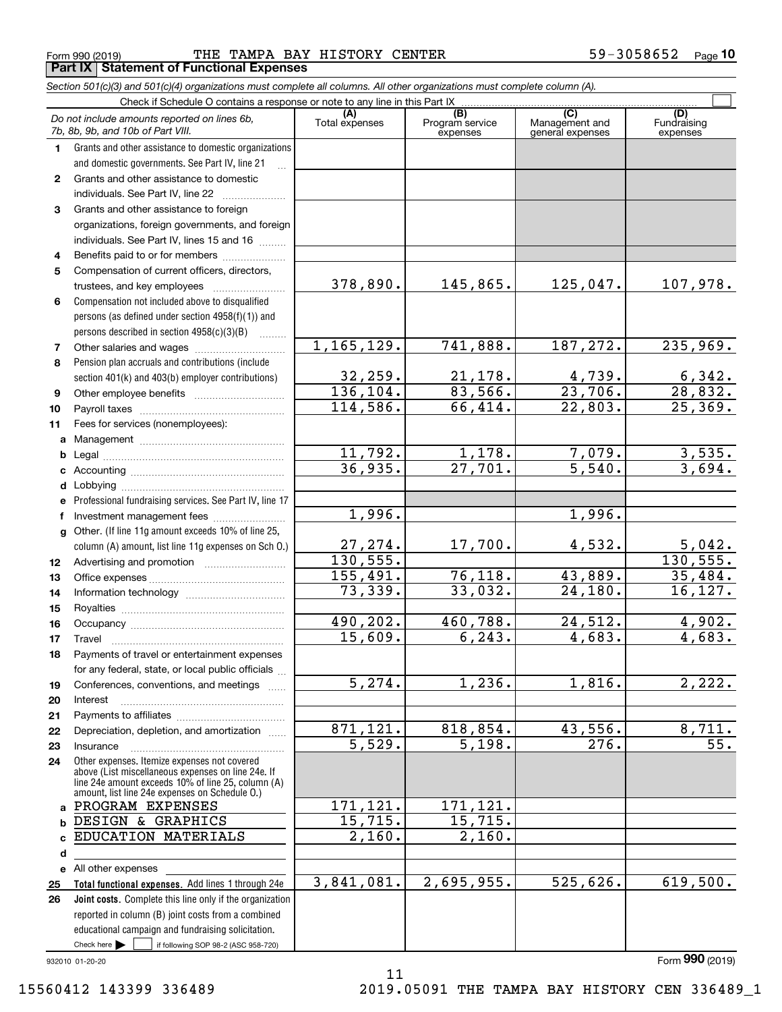Form 990 (2019) Page THE TAMPA BAY HISTORY CENTER 59-3058652 **Part IX Statement of Functional Expenses**

|                  | Section 501(c)(3) and 501(c)(4) organizations must complete all columns. All other organizations must complete column (A).                                                                                 |                       |                                    |                                           |                                |
|------------------|------------------------------------------------------------------------------------------------------------------------------------------------------------------------------------------------------------|-----------------------|------------------------------------|-------------------------------------------|--------------------------------|
|                  | Check if Schedule O contains a response or note to any line in this Part IX.                                                                                                                               |                       |                                    |                                           |                                |
|                  | Do not include amounts reported on lines 6b,<br>7b, 8b, 9b, and 10b of Part VIII.                                                                                                                          | (A)<br>Total expenses | (B)<br>Program service<br>expenses | (C)<br>Management and<br>general expenses | (D)<br>Fundraising<br>expenses |
| 1.               | Grants and other assistance to domestic organizations                                                                                                                                                      |                       |                                    |                                           |                                |
|                  | and domestic governments. See Part IV, line 21                                                                                                                                                             |                       |                                    |                                           |                                |
| $\mathbf{2}$     | Grants and other assistance to domestic                                                                                                                                                                    |                       |                                    |                                           |                                |
|                  | individuals. See Part IV, line 22                                                                                                                                                                          |                       |                                    |                                           |                                |
| 3                | Grants and other assistance to foreign                                                                                                                                                                     |                       |                                    |                                           |                                |
|                  | organizations, foreign governments, and foreign                                                                                                                                                            |                       |                                    |                                           |                                |
|                  | individuals. See Part IV, lines 15 and 16                                                                                                                                                                  |                       |                                    |                                           |                                |
| 4                | Benefits paid to or for members                                                                                                                                                                            |                       |                                    |                                           |                                |
| 5                | Compensation of current officers, directors,                                                                                                                                                               |                       |                                    |                                           |                                |
|                  |                                                                                                                                                                                                            | 378,890.              | 145,865.                           | 125,047.                                  | 107,978.                       |
| 6                | Compensation not included above to disqualified                                                                                                                                                            |                       |                                    |                                           |                                |
|                  | persons (as defined under section 4958(f)(1)) and                                                                                                                                                          |                       |                                    |                                           |                                |
|                  | persons described in section 4958(c)(3)(B)<br><b>Contractor</b>                                                                                                                                            |                       |                                    |                                           |                                |
| 7                | Other salaries and wages                                                                                                                                                                                   | 1,165,129.            | 741,888.                           | 187, 272.                                 | 235,969.                       |
| 8                | Pension plan accruals and contributions (include                                                                                                                                                           |                       |                                    |                                           |                                |
|                  | section 401(k) and 403(b) employer contributions)                                                                                                                                                          | 32, 259.              | 21, 178.                           | 4,739.                                    | $\frac{6,342}{28,832}$         |
| 9                |                                                                                                                                                                                                            | 136, 104.             | 83,566.                            | $\overline{23,706}$ .                     |                                |
| 10               |                                                                                                                                                                                                            | 114,586.              | 66,414.                            | 22,803.                                   | 25,369.                        |
| 11               | Fees for services (nonemployees):                                                                                                                                                                          |                       |                                    |                                           |                                |
| a                |                                                                                                                                                                                                            |                       |                                    |                                           |                                |
| b                |                                                                                                                                                                                                            | 11,792.               | 1,178.                             | 7,079.                                    | $\frac{3,535}{3,694}$          |
| c                |                                                                                                                                                                                                            | 36,935.               | 27,701.                            | 5,540.                                    |                                |
| d                |                                                                                                                                                                                                            |                       |                                    |                                           |                                |
| е                | Professional fundraising services. See Part IV, line 17                                                                                                                                                    |                       |                                    |                                           |                                |
| f                | Investment management fees                                                                                                                                                                                 | 1,996.                |                                    | 1,996.                                    |                                |
| g                | Other. (If line 11g amount exceeds 10% of line 25,                                                                                                                                                         |                       |                                    |                                           |                                |
|                  | column (A) amount, list line 11g expenses on Sch 0.)                                                                                                                                                       | 27,274.               | 17,700.                            | 4,532.                                    | $\frac{5,042}{130,555}$        |
| 12 <sup>12</sup> |                                                                                                                                                                                                            | 130, 555.             |                                    |                                           |                                |
| 13               |                                                                                                                                                                                                            | 155,491.              | 76,118.                            | 43,889.                                   | 35,484.                        |
| 14               |                                                                                                                                                                                                            | 73,339.               | 33,032.                            | 24,180.                                   | 16, 127.                       |
| 15               |                                                                                                                                                                                                            |                       |                                    |                                           |                                |
| 16               |                                                                                                                                                                                                            | 490,202.              | 460,788.                           | 24,512.                                   | 4,902.                         |
| 17               |                                                                                                                                                                                                            | 15,609.               | 6, 243.                            | 4,683.                                    | 4,683.                         |
| 18               | Payments of travel or entertainment expenses                                                                                                                                                               |                       |                                    |                                           |                                |
|                  | for any federal, state, or local public officials                                                                                                                                                          |                       |                                    |                                           |                                |
| 19               | Conferences, conventions, and meetings                                                                                                                                                                     | 5,274.                | 1,236.                             | 1,816.                                    | 2,222.                         |
| 20               | Interest                                                                                                                                                                                                   |                       |                                    |                                           |                                |
| 21               |                                                                                                                                                                                                            |                       |                                    |                                           |                                |
| 22               | Depreciation, depletion, and amortization                                                                                                                                                                  | 871, 121.             | 818,854.                           | 43,556.                                   | $\overline{8,711}$ .           |
| 23               | Insurance                                                                                                                                                                                                  | 5,529.                | 5,198.                             | 276.                                      | 55.                            |
| 24               | Other expenses. Itemize expenses not covered<br>above (List miscellaneous expenses on line 24e. If<br>line 24e amount exceeds 10% of line 25, column (A)<br>amount, list line 24e expenses on Schedule O.) |                       |                                    |                                           |                                |
|                  | a PROGRAM EXPENSES                                                                                                                                                                                         | 171,121.              | 171,121.                           |                                           |                                |
| b                | DESIGN & GRAPHICS                                                                                                                                                                                          | 15,715.               | 15,715.                            |                                           |                                |
| c                | EDUCATION MATERIALS                                                                                                                                                                                        | 2,160.                | 2,160.                             |                                           |                                |
| d                |                                                                                                                                                                                                            |                       |                                    |                                           |                                |
|                  | e All other expenses                                                                                                                                                                                       |                       |                                    |                                           |                                |
| 25               | Total functional expenses. Add lines 1 through 24e                                                                                                                                                         | 3,841,081.            | 2,695,955.                         | 525,626.                                  | 619,500.                       |
| 26               | <b>Joint costs.</b> Complete this line only if the organization                                                                                                                                            |                       |                                    |                                           |                                |
|                  | reported in column (B) joint costs from a combined                                                                                                                                                         |                       |                                    |                                           |                                |
|                  | educational campaign and fundraising solicitation.                                                                                                                                                         |                       |                                    |                                           |                                |
|                  | Check here $\blacktriangleright$<br>if following SOP 98-2 (ASC 958-720)                                                                                                                                    |                       |                                    |                                           |                                |

11

932010 01-20-20

Form (2019) **990**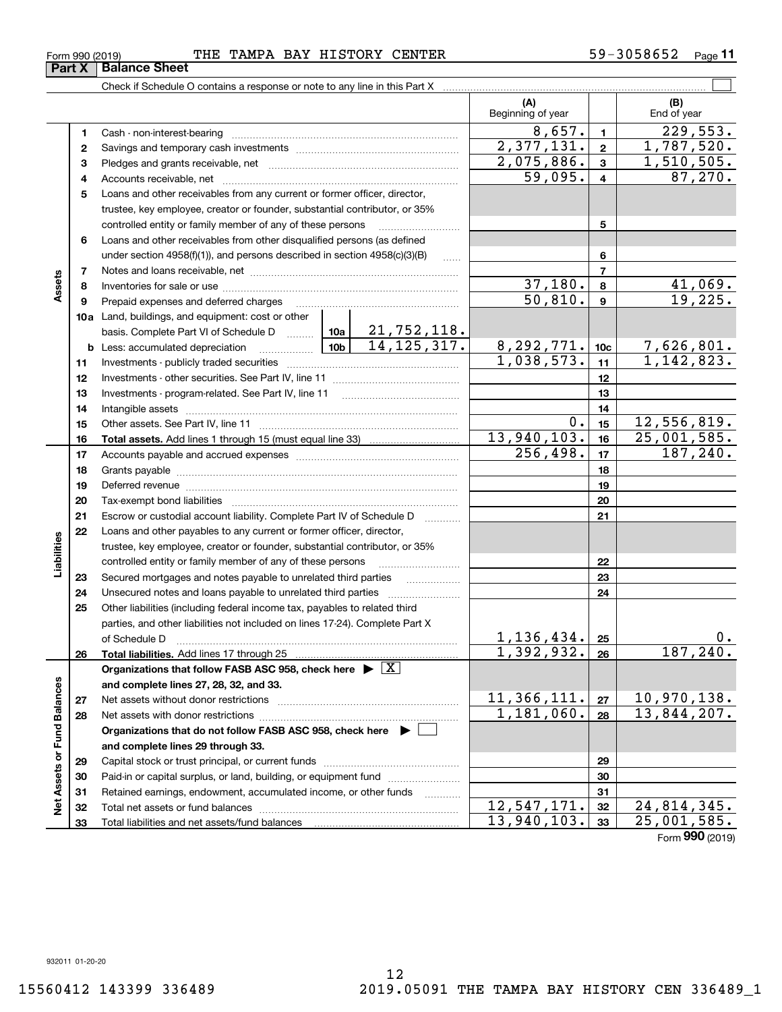**32 33**

**Net Assets or Fund Balances**

Net Assets or Fund Balances

**Assets**

**Part X** | Balance Sheet

**Liabilities**

Liabilities

#### Form 990 (2019) Page THE TAMPA BAY HISTORY CENTER 59-3058652

Check if Schedule O contains a response or note to any line in this Part X

Total net assets or fund balances ~~~~~~~~~~~~~~~~~~~~~~

Total liabilities and net assets/fund balances

|    |                                                                                                                                      |         | (A)<br>Beginning of year      |                  | (B)<br>End of year                |
|----|--------------------------------------------------------------------------------------------------------------------------------------|---------|-------------------------------|------------------|-----------------------------------|
| 1  |                                                                                                                                      |         | 8,657.                        | $\mathbf{1}$     | 229,553.                          |
| 2  | Cash - non-interest-bearing                                                                                                          |         | 2,377,131.                    | $\mathbf{2}$     | 1,787,520.                        |
| 3  |                                                                                                                                      |         | 2,075,886.                    | 3                | 1,510,505.                        |
| 4  |                                                                                                                                      |         | $\overline{59}$ , 095.        | 4                | 87,270.                           |
| 5  | Loans and other receivables from any current or former officer, director,                                                            |         |                               |                  |                                   |
|    | trustee, key employee, creator or founder, substantial contributor, or 35%                                                           |         |                               |                  |                                   |
|    | controlled entity or family member of any of these persons                                                                           |         |                               | 5                |                                   |
| 6  | Loans and other receivables from other disqualified persons (as defined                                                              |         |                               |                  |                                   |
|    | under section $4958(f)(1)$ , and persons described in section $4958(c)(3)(B)$                                                        |         | 6                             |                  |                                   |
| 7  |                                                                                                                                      |         | $\overline{7}$                |                  |                                   |
| 8  |                                                                                                                                      | 37,180. | 8                             |                  |                                   |
| 9  | Prepaid expenses and deferred charges                                                                                                |         | 50, 810.                      | $\boldsymbol{9}$ | $\frac{41,069.}{19,225.}$         |
|    | 10a Land, buildings, and equipment: cost or other                                                                                    |         |                               |                  |                                   |
|    |                                                                                                                                      |         |                               |                  |                                   |
|    | basis. Complete Part VI of Schedule D  10a 21, 752, 118.<br><b>b</b> Less: accumulated depreciation<br>. 1                           |         |                               | 10 <sub>c</sub>  |                                   |
| 11 |                                                                                                                                      |         | $\frac{8,292,771}{1,038,573}$ | 11               | $7,626,801.$<br>1,142,823.        |
| 12 |                                                                                                                                      |         |                               | 12               |                                   |
| 13 |                                                                                                                                      |         |                               | 13               |                                   |
| 14 |                                                                                                                                      |         |                               | 14               |                                   |
| 15 |                                                                                                                                      |         | 0.                            | 15               | 12,556,819.                       |
| 16 |                                                                                                                                      |         | 13,940,103.                   | 16               | 25,001,585.                       |
| 17 |                                                                                                                                      |         | 256,498.                      | 17               | 187, 240.                         |
| 18 |                                                                                                                                      |         |                               | 18               |                                   |
| 19 |                                                                                                                                      |         |                               | 19               |                                   |
| 20 |                                                                                                                                      |         |                               | 20               |                                   |
| 21 | Escrow or custodial account liability. Complete Part IV of Schedule D                                                                |         |                               | 21               |                                   |
| 22 | Loans and other payables to any current or former officer, director,                                                                 |         |                               |                  |                                   |
|    | trustee, key employee, creator or founder, substantial contributor, or 35%                                                           |         |                               |                  |                                   |
|    | controlled entity or family member of any of these persons                                                                           |         |                               | 22               |                                   |
| 23 | Secured mortgages and notes payable to unrelated third parties                                                                       | .       |                               | 23               |                                   |
| 24 | Unsecured notes and loans payable to unrelated third parties                                                                         |         |                               | 24               |                                   |
| 25 | Other liabilities (including federal income tax, payables to related third                                                           |         |                               |                  |                                   |
|    | parties, and other liabilities not included on lines 17-24). Complete Part X                                                         |         |                               |                  |                                   |
|    | of Schedule D                                                                                                                        |         | 1,136,434.                    | 25               | 0.                                |
| 26 |                                                                                                                                      |         | 1,392,932.                    | 26               | 187,240.                          |
|    | Organizations that follow FASB ASC 958, check here $\blacktriangleright \boxed{\text{X}}$                                            |         |                               |                  |                                   |
|    | and complete lines 27, 28, 32, and 33.                                                                                               |         |                               |                  |                                   |
| 27 | Net assets without donor restrictions                                                                                                |         | 11,366,111.<br>1,181,060.     | 27               | <u>10,970,138.</u><br>13,844,207. |
| 28 |                                                                                                                                      |         |                               | 28               |                                   |
|    | Organizations that do not follow FASB ASC 958, check here $\blacktriangleright$                                                      |         |                               |                  |                                   |
|    | and complete lines 29 through 33.                                                                                                    |         |                               |                  |                                   |
| 29 |                                                                                                                                      |         |                               | 29               |                                   |
| 30 | Paid-in or capital surplus, or land, building, or equipment fund<br>Retained earnings, endowment, accumulated income, or other funds |         |                               | 30<br>31         |                                   |
| 31 |                                                                                                                                      |         |                               |                  |                                   |

 $\mathcal{L}^{\text{max}}$ 

Form (2019) **990**

**3233**

 $12,547,171. |32| 24,814,345.$ 13,940,103. 25,001,585.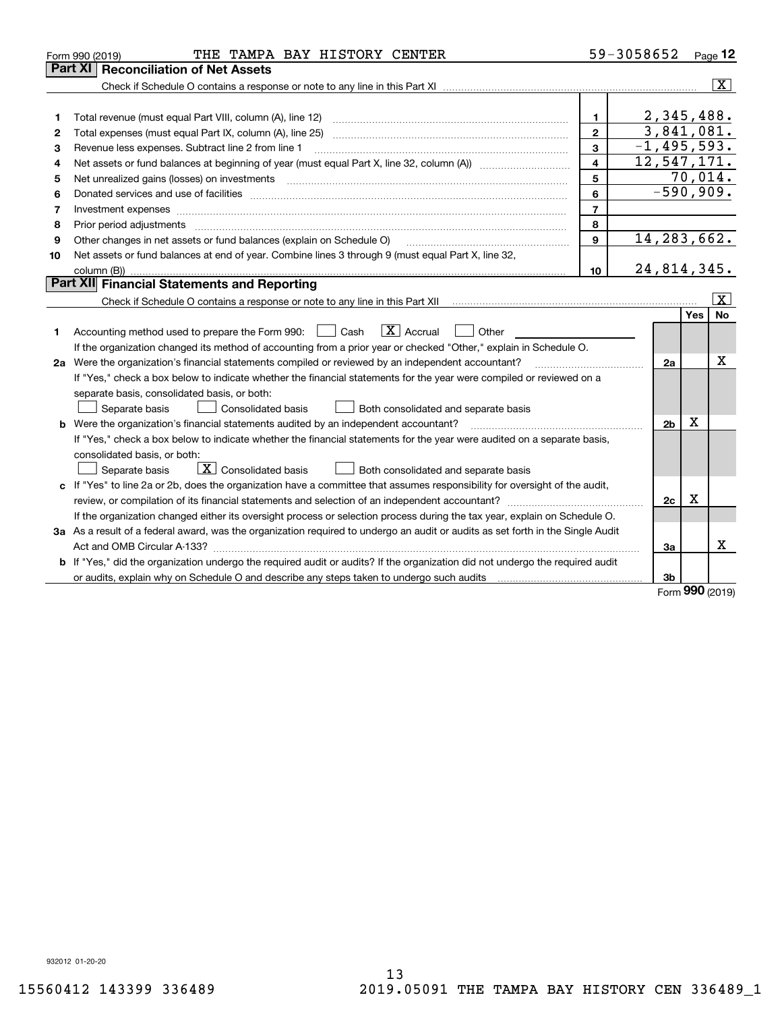|    | THE TAMPA BAY HISTORY CENTER<br>Form 990 (2019)                                                                                 |                | 59-3058652      |             | Page 12                 |
|----|---------------------------------------------------------------------------------------------------------------------------------|----------------|-----------------|-------------|-------------------------|
|    | Part XI<br><b>Reconciliation of Net Assets</b>                                                                                  |                |                 |             |                         |
|    |                                                                                                                                 |                |                 |             | $\overline{\mathbf{X}}$ |
|    |                                                                                                                                 |                |                 |             |                         |
| 1  |                                                                                                                                 | $\mathbf{1}$   | 2,345,488.      |             |                         |
| 2  |                                                                                                                                 | $\overline{2}$ | 3,841,081.      |             |                         |
| 3  | Revenue less expenses. Subtract line 2 from line 1                                                                              | 3              | $-1, 495, 593.$ |             |                         |
| 4  |                                                                                                                                 | 4              | 12,547,171.     |             |                         |
| 5  | Net unrealized gains (losses) on investments                                                                                    | 5              |                 |             | 70,014.                 |
| 6  |                                                                                                                                 | 6              |                 |             | $-590,909.$             |
| 7  |                                                                                                                                 | $\overline{7}$ |                 |             |                         |
| 8  | Prior period adjustments www.communication.communication.com/news/communication.com/news/communication.com/news/                | 8              |                 |             |                         |
| 9  | Other changes in net assets or fund balances (explain on Schedule O)                                                            | 9              | 14, 283, 662.   |             |                         |
| 10 | Net assets or fund balances at end of year. Combine lines 3 through 9 (must equal Part X, line 32,                              |                |                 |             |                         |
|    |                                                                                                                                 | 10             | 24,814,345.     |             |                         |
|    | Part XII Financial Statements and Reporting                                                                                     |                |                 |             |                         |
|    |                                                                                                                                 |                |                 |             | $\overline{\mathbf{x}}$ |
|    |                                                                                                                                 |                |                 | Yes         | <b>No</b>               |
| 1. | $\boxed{\text{X}}$ Accrual<br>Accounting method used to prepare the Form 990: <u>June</u> Cash<br>Other<br>$\mathbf{1}$         |                |                 |             |                         |
|    | If the organization changed its method of accounting from a prior year or checked "Other," explain in Schedule O.               |                |                 |             |                         |
|    | 2a Were the organization's financial statements compiled or reviewed by an independent accountant?                              |                | 2a              |             | х                       |
|    | If "Yes," check a box below to indicate whether the financial statements for the year were compiled or reviewed on a            |                |                 |             |                         |
|    | separate basis, consolidated basis, or both:                                                                                    |                |                 |             |                         |
|    | Separate basis<br>Consolidated basis<br>Both consolidated and separate basis                                                    |                |                 |             |                         |
|    | b Were the organization's financial statements audited by an independent accountant?                                            |                | 2 <sub>b</sub>  | х           |                         |
|    | If "Yes," check a box below to indicate whether the financial statements for the year were audited on a separate basis,         |                |                 |             |                         |
|    | consolidated basis, or both:                                                                                                    |                |                 |             |                         |
|    | $\boxed{\textbf{X}}$ Consolidated basis<br>Separate basis<br>Both consolidated and separate basis                               |                |                 |             |                         |
|    | c If "Yes" to line 2a or 2b, does the organization have a committee that assumes responsibility for oversight of the audit,     |                |                 |             |                         |
|    |                                                                                                                                 |                | 2c              | $\mathbf X$ |                         |
|    | If the organization changed either its oversight process or selection process during the tax year, explain on Schedule O.       |                |                 |             |                         |
|    | 3a As a result of a federal award, was the organization required to undergo an audit or audits as set forth in the Single Audit |                |                 |             |                         |
|    |                                                                                                                                 |                | 3a              |             | х                       |
|    | b If "Yes," did the organization undergo the required audit or audits? If the organization did not undergo the required audit   |                |                 |             |                         |
|    |                                                                                                                                 |                | 3b              | <b>nnn</b>  |                         |

Form (2019) **990**

932012 01-20-20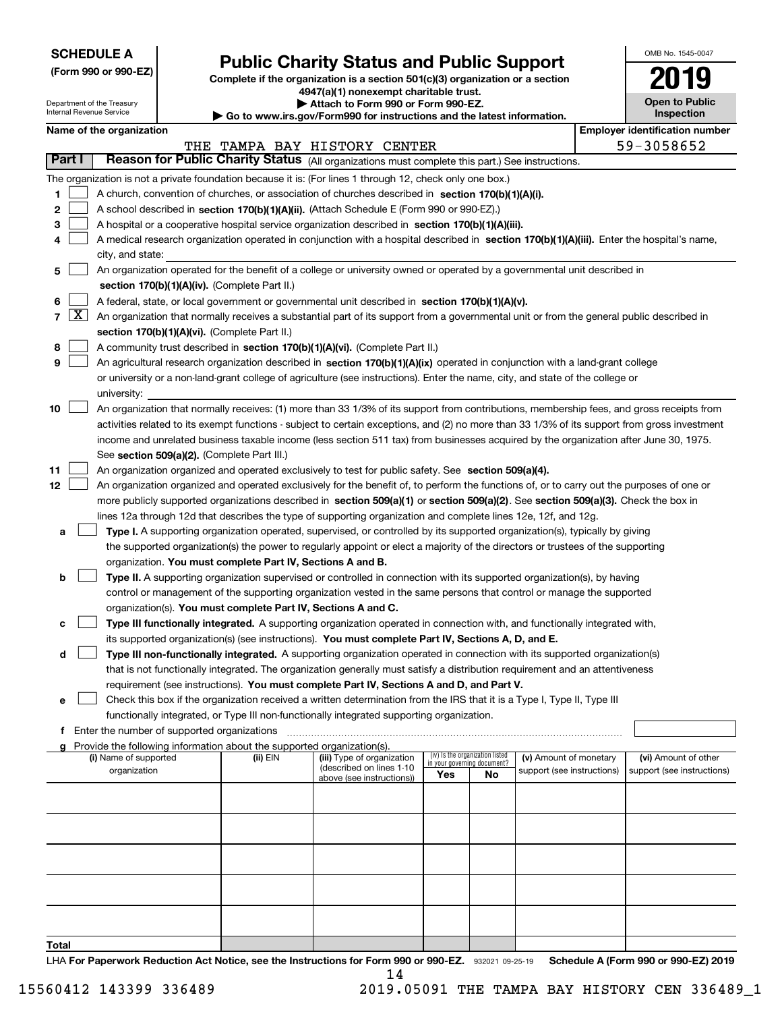| <b>SCHEDULE A</b> |  |
|-------------------|--|
|-------------------|--|

Department of the Treasury Internal Revenue Service

**(Form 990 or 990-EZ)**

# **Public Charity Status and Public Support**

**Complete if the organization is a section 501(c)(3) organization or a section 4947(a)(1) nonexempt charitable trust.**

| Attach to Form 990 or Form 990-EZ.                          |
|-------------------------------------------------------------|
| nu iyo way/Fayya000 fay iyotuyotigan gad tha lotagt iyfayya |

**| Go to www.irs.gov/Form990 for instructions and the latest information.**

| OMB No 1545-0047                    |
|-------------------------------------|
| 1119                                |
| <b>Open to Public</b><br>Inspection |

| Name of the organization |  |
|--------------------------|--|
|--------------------------|--|

|        |                       | Name of the organization                                                                                                                      |          |                              |                                    |                                 |                            | <b>Employer identification number</b> |
|--------|-----------------------|-----------------------------------------------------------------------------------------------------------------------------------------------|----------|------------------------------|------------------------------------|---------------------------------|----------------------------|---------------------------------------|
|        |                       |                                                                                                                                               |          | THE TAMPA BAY HISTORY CENTER |                                    |                                 |                            | 59-3058652                            |
| Part I |                       | Reason for Public Charity Status (All organizations must complete this part.) See instructions.                                               |          |                              |                                    |                                 |                            |                                       |
|        |                       | The organization is not a private foundation because it is: (For lines 1 through 12, check only one box.)                                     |          |                              |                                    |                                 |                            |                                       |
| 1.     |                       | A church, convention of churches, or association of churches described in section $170(b)(1)(A)(i)$ .                                         |          |                              |                                    |                                 |                            |                                       |
| 2      |                       | A school described in section 170(b)(1)(A)(ii). (Attach Schedule E (Form 990 or 990-EZ).)                                                     |          |                              |                                    |                                 |                            |                                       |
| з      |                       | A hospital or a cooperative hospital service organization described in section 170(b)(1)(A)(iii).                                             |          |                              |                                    |                                 |                            |                                       |
| 4      |                       | A medical research organization operated in conjunction with a hospital described in section 170(b)(1)(A)(iii). Enter the hospital's name,    |          |                              |                                    |                                 |                            |                                       |
|        |                       | city, and state:                                                                                                                              |          |                              |                                    |                                 |                            |                                       |
| 5      |                       | An organization operated for the benefit of a college or university owned or operated by a governmental unit described in                     |          |                              |                                    |                                 |                            |                                       |
|        |                       | section 170(b)(1)(A)(iv). (Complete Part II.)                                                                                                 |          |                              |                                    |                                 |                            |                                       |
| 6      |                       | A federal, state, or local government or governmental unit described in section 170(b)(1)(A)(v).                                              |          |                              |                                    |                                 |                            |                                       |
|        | 7 $\lfloor x \rfloor$ | An organization that normally receives a substantial part of its support from a governmental unit or from the general public described in     |          |                              |                                    |                                 |                            |                                       |
|        |                       | section 170(b)(1)(A)(vi). (Complete Part II.)                                                                                                 |          |                              |                                    |                                 |                            |                                       |
| 8      |                       | A community trust described in section 170(b)(1)(A)(vi). (Complete Part II.)                                                                  |          |                              |                                    |                                 |                            |                                       |
| 9      |                       | An agricultural research organization described in section 170(b)(1)(A)(ix) operated in conjunction with a land-grant college                 |          |                              |                                    |                                 |                            |                                       |
|        |                       | or university or a non-land-grant college of agriculture (see instructions). Enter the name, city, and state of the college or                |          |                              |                                    |                                 |                            |                                       |
|        |                       | university:                                                                                                                                   |          |                              |                                    |                                 |                            |                                       |
| 10     |                       | An organization that normally receives: (1) more than 33 1/3% of its support from contributions, membership fees, and gross receipts from     |          |                              |                                    |                                 |                            |                                       |
|        |                       | activities related to its exempt functions - subject to certain exceptions, and (2) no more than 33 1/3% of its support from gross investment |          |                              |                                    |                                 |                            |                                       |
|        |                       | income and unrelated business taxable income (less section 511 tax) from businesses acquired by the organization after June 30, 1975.         |          |                              |                                    |                                 |                            |                                       |
|        |                       | See section 509(a)(2). (Complete Part III.)                                                                                                   |          |                              |                                    |                                 |                            |                                       |
| 11     |                       | An organization organized and operated exclusively to test for public safety. See section 509(a)(4).                                          |          |                              |                                    |                                 |                            |                                       |
| 12     |                       | An organization organized and operated exclusively for the benefit of, to perform the functions of, or to carry out the purposes of one or    |          |                              |                                    |                                 |                            |                                       |
|        |                       | more publicly supported organizations described in section 509(a)(1) or section 509(a)(2). See section 509(a)(3). Check the box in            |          |                              |                                    |                                 |                            |                                       |
|        |                       | lines 12a through 12d that describes the type of supporting organization and complete lines 12e, 12f, and 12g.                                |          |                              |                                    |                                 |                            |                                       |
| a      |                       | Type I. A supporting organization operated, supervised, or controlled by its supported organization(s), typically by giving                   |          |                              |                                    |                                 |                            |                                       |
|        |                       | the supported organization(s) the power to regularly appoint or elect a majority of the directors or trustees of the supporting               |          |                              |                                    |                                 |                            |                                       |
|        |                       | organization. You must complete Part IV, Sections A and B.                                                                                    |          |                              |                                    |                                 |                            |                                       |
| b      |                       | Type II. A supporting organization supervised or controlled in connection with its supported organization(s), by having                       |          |                              |                                    |                                 |                            |                                       |
|        |                       | control or management of the supporting organization vested in the same persons that control or manage the supported                          |          |                              |                                    |                                 |                            |                                       |
|        |                       | organization(s). You must complete Part IV, Sections A and C.                                                                                 |          |                              |                                    |                                 |                            |                                       |
| с      |                       | Type III functionally integrated. A supporting organization operated in connection with, and functionally integrated with,                    |          |                              |                                    |                                 |                            |                                       |
|        |                       | its supported organization(s) (see instructions). You must complete Part IV, Sections A, D, and E.                                            |          |                              |                                    |                                 |                            |                                       |
| d      |                       | Type III non-functionally integrated. A supporting organization operated in connection with its supported organization(s)                     |          |                              |                                    |                                 |                            |                                       |
|        |                       | that is not functionally integrated. The organization generally must satisfy a distribution requirement and an attentiveness                  |          |                              |                                    |                                 |                            |                                       |
|        |                       | requirement (see instructions). You must complete Part IV, Sections A and D, and Part V.                                                      |          |                              |                                    |                                 |                            |                                       |
|        |                       | Check this box if the organization received a written determination from the IRS that it is a Type I, Type II, Type III                       |          |                              |                                    |                                 |                            |                                       |
|        |                       | functionally integrated, or Type III non-functionally integrated supporting organization.                                                     |          |                              |                                    |                                 |                            |                                       |
| f      |                       | Enter the number of supported organizations                                                                                                   |          |                              |                                    |                                 |                            |                                       |
|        |                       | Provide the following information about the supported organization(s).<br>(i) Name of supported                                               | (ii) EIN | (iii) Type of organization   |                                    | (iv) Is the organization listed | (v) Amount of monetary     | (vi) Amount of other                  |
|        |                       | organization                                                                                                                                  |          | (described on lines 1-10     | in your governing document?<br>Yes | No                              | support (see instructions) | support (see instructions)            |
|        |                       |                                                                                                                                               |          | above (see instructions))    |                                    |                                 |                            |                                       |
|        |                       |                                                                                                                                               |          |                              |                                    |                                 |                            |                                       |
|        |                       |                                                                                                                                               |          |                              |                                    |                                 |                            |                                       |
|        |                       |                                                                                                                                               |          |                              |                                    |                                 |                            |                                       |
|        |                       |                                                                                                                                               |          |                              |                                    |                                 |                            |                                       |
|        |                       |                                                                                                                                               |          |                              |                                    |                                 |                            |                                       |
|        |                       |                                                                                                                                               |          |                              |                                    |                                 |                            |                                       |
|        |                       |                                                                                                                                               |          |                              |                                    |                                 |                            |                                       |
|        |                       |                                                                                                                                               |          |                              |                                    |                                 |                            |                                       |
| Total  |                       |                                                                                                                                               |          |                              |                                    |                                 |                            |                                       |
|        |                       |                                                                                                                                               |          |                              |                                    |                                 |                            |                                       |

LHA For Paperwork Reduction Act Notice, see the Instructions for Form 990 or 990-EZ. 932021 09-25-19 Schedule A (Form 990 or 990-EZ) 2019 14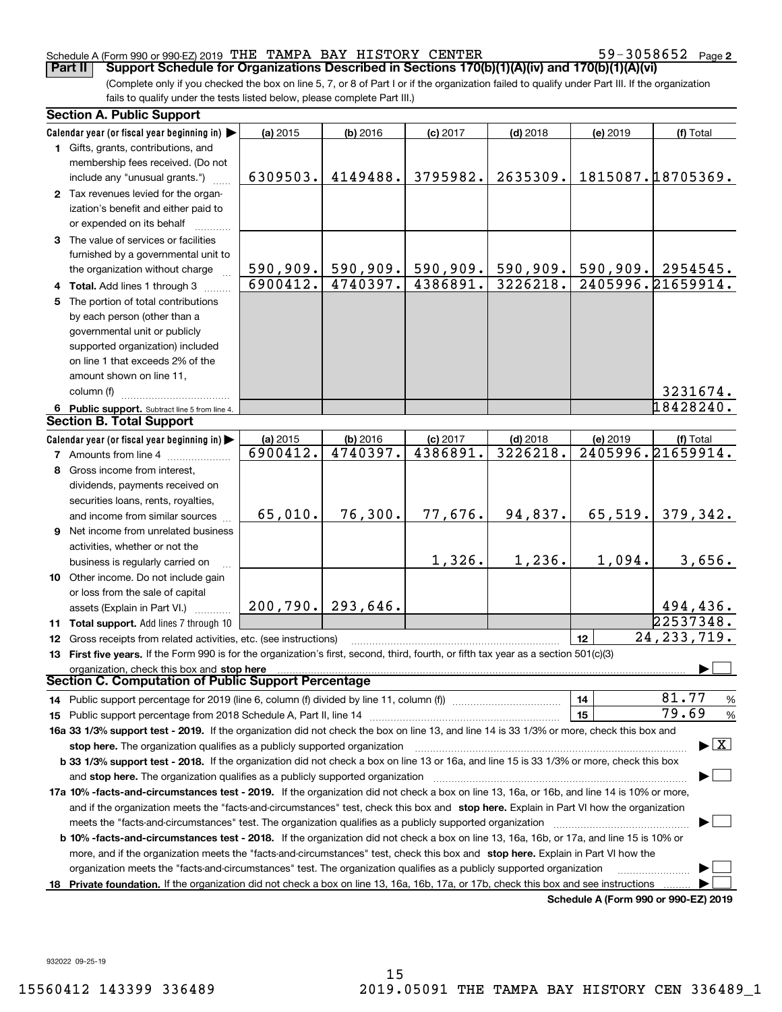#### Schedule A (Form 990 or 990-EZ) 2019 Page THE TAMPA BAY HISTORY CENTER 59-3058652

59-3058652 Page 2

(Complete only if you checked the box on line 5, 7, or 8 of Part I or if the organization failed to qualify under Part III. If the organization fails to qualify under the tests listed below, please complete Part III.) **Part II** | Support Schedule for Organizations Described in Sections 170(b)(1)(A)(iv) and 170(b)(1)(A)(vi)

| <b>Section A. Public Support</b>                                                                                                               |                    |                       |            |            |          |                                      |  |
|------------------------------------------------------------------------------------------------------------------------------------------------|--------------------|-----------------------|------------|------------|----------|--------------------------------------|--|
| Calendar year (or fiscal year beginning in)                                                                                                    | (a) 2015           | (b) 2016              | $(c)$ 2017 | $(d)$ 2018 | (e) 2019 | (f) Total                            |  |
| 1 Gifts, grants, contributions, and                                                                                                            |                    |                       |            |            |          |                                      |  |
| membership fees received. (Do not                                                                                                              |                    |                       |            |            |          |                                      |  |
| include any "unusual grants.")                                                                                                                 | 6309503.           | 4149488.              | 3795982.   | 2635309.   |          | 1815087.18705369.                    |  |
| 2 Tax revenues levied for the organ-                                                                                                           |                    |                       |            |            |          |                                      |  |
| ization's benefit and either paid to                                                                                                           |                    |                       |            |            |          |                                      |  |
| or expended on its behalf                                                                                                                      |                    |                       |            |            |          |                                      |  |
| 3 The value of services or facilities                                                                                                          |                    |                       |            |            |          |                                      |  |
| furnished by a governmental unit to                                                                                                            |                    |                       |            |            |          |                                      |  |
| the organization without charge                                                                                                                |                    | $590, 909.$ 590, 909. | 590,909.   | 590, 909.  |          | $590, 909.$ 2954545.                 |  |
| 4 Total. Add lines 1 through 3                                                                                                                 | $\sqrt{6900412}$ . | 4740397.              | 4386891.   | 3226218.   |          | 2405996.21659914.                    |  |
| 5 The portion of total contributions                                                                                                           |                    |                       |            |            |          |                                      |  |
| by each person (other than a                                                                                                                   |                    |                       |            |            |          |                                      |  |
| governmental unit or publicly                                                                                                                  |                    |                       |            |            |          |                                      |  |
| supported organization) included                                                                                                               |                    |                       |            |            |          |                                      |  |
| on line 1 that exceeds 2% of the                                                                                                               |                    |                       |            |            |          |                                      |  |
| amount shown on line 11,                                                                                                                       |                    |                       |            |            |          |                                      |  |
| column (f)                                                                                                                                     |                    |                       |            |            |          | 3231674.                             |  |
| 6 Public support. Subtract line 5 from line 4.                                                                                                 |                    |                       |            |            |          | 18428240.                            |  |
| <b>Section B. Total Support</b>                                                                                                                |                    |                       |            |            |          |                                      |  |
| Calendar year (or fiscal year beginning in)                                                                                                    | (a) 2015           | (b) 2016              | $(c)$ 2017 | $(d)$ 2018 | (e) 2019 | (f) Total                            |  |
| <b>7</b> Amounts from line 4                                                                                                                   | 6900412.           | 4740397.              | 4386891.   | 3226218.   |          | 2405996.21659914.                    |  |
| 8 Gross income from interest,                                                                                                                  |                    |                       |            |            |          |                                      |  |
| dividends, payments received on                                                                                                                |                    |                       |            |            |          |                                      |  |
| securities loans, rents, royalties,                                                                                                            |                    |                       |            |            |          |                                      |  |
| and income from similar sources                                                                                                                | 65,010.            | 76,300.               | 77,676.    | 94,837.    | 65, 519. | 379,342.                             |  |
| 9 Net income from unrelated business                                                                                                           |                    |                       |            |            |          |                                      |  |
| activities, whether or not the                                                                                                                 |                    |                       |            |            |          |                                      |  |
| business is regularly carried on                                                                                                               |                    |                       | 1,326.     | 1,236.     | 1,094.   | 3,656.                               |  |
| 10 Other income. Do not include gain                                                                                                           |                    |                       |            |            |          |                                      |  |
| or loss from the sale of capital                                                                                                               |                    |                       |            |            |          |                                      |  |
| assets (Explain in Part VI.)                                                                                                                   |                    | $200, 790.$ 293,646.  |            |            |          | 494,436.                             |  |
| 11 Total support. Add lines 7 through 10                                                                                                       |                    |                       |            |            |          | 22537348.                            |  |
| 12 Gross receipts from related activities, etc. (see instructions)                                                                             |                    |                       |            |            | 12       | 24, 233, 719.                        |  |
| 13 First five years. If the Form 990 is for the organization's first, second, third, fourth, or fifth tax year as a section 501(c)(3)          |                    |                       |            |            |          |                                      |  |
| organization, check this box and stop here                                                                                                     |                    |                       |            |            |          |                                      |  |
| Section C. Computation of Public Support Percentage                                                                                            |                    |                       |            |            |          |                                      |  |
| 14 Public support percentage for 2019 (line 6, column (f) divided by line 11, column (f) <i>manumanomeron</i> entertain-                       |                    |                       |            |            | 14       | 81.77<br>$\frac{9}{6}$               |  |
|                                                                                                                                                |                    |                       |            |            | 15       | 79.69<br>%                           |  |
| 16a 33 1/3% support test - 2019. If the organization did not check the box on line 13, and line 14 is 33 1/3% or more, check this box and      |                    |                       |            |            |          |                                      |  |
| $\blacktriangleright$ $\vert$ X $\vert$<br>stop here. The organization qualifies as a publicly supported organization                          |                    |                       |            |            |          |                                      |  |
| b 33 1/3% support test - 2018. If the organization did not check a box on line 13 or 16a, and line 15 is 33 1/3% or more, check this box       |                    |                       |            |            |          |                                      |  |
| and stop here. The organization qualifies as a publicly supported organization                                                                 |                    |                       |            |            |          |                                      |  |
| 17a 10% -facts-and-circumstances test - 2019. If the organization did not check a box on line 13, 16a, or 16b, and line 14 is 10% or more,     |                    |                       |            |            |          |                                      |  |
| and if the organization meets the "facts-and-circumstances" test, check this box and stop here. Explain in Part VI how the organization        |                    |                       |            |            |          |                                      |  |
| meets the "facts-and-circumstances" test. The organization qualifies as a publicly supported organization <i>marroummumumumum</i>              |                    |                       |            |            |          |                                      |  |
| <b>b 10% -facts-and-circumstances test - 2018.</b> If the organization did not check a box on line 13, 16a, 16b, or 17a, and line 15 is 10% or |                    |                       |            |            |          |                                      |  |
| more, and if the organization meets the "facts-and-circumstances" test, check this box and stop here. Explain in Part VI how the               |                    |                       |            |            |          |                                      |  |
| organization meets the "facts-and-circumstances" test. The organization qualifies as a publicly supported organization                         |                    |                       |            |            |          |                                      |  |
| 18 Private foundation. If the organization did not check a box on line 13, 16a, 16b, 17a, or 17b, check this box and see instructions          |                    |                       |            |            |          |                                      |  |
|                                                                                                                                                |                    |                       |            |            |          | Schedule A (Form 990 or 990-F7) 2019 |  |

**Schedule A (Form 990 or 990-EZ) 2019**

932022 09-25-19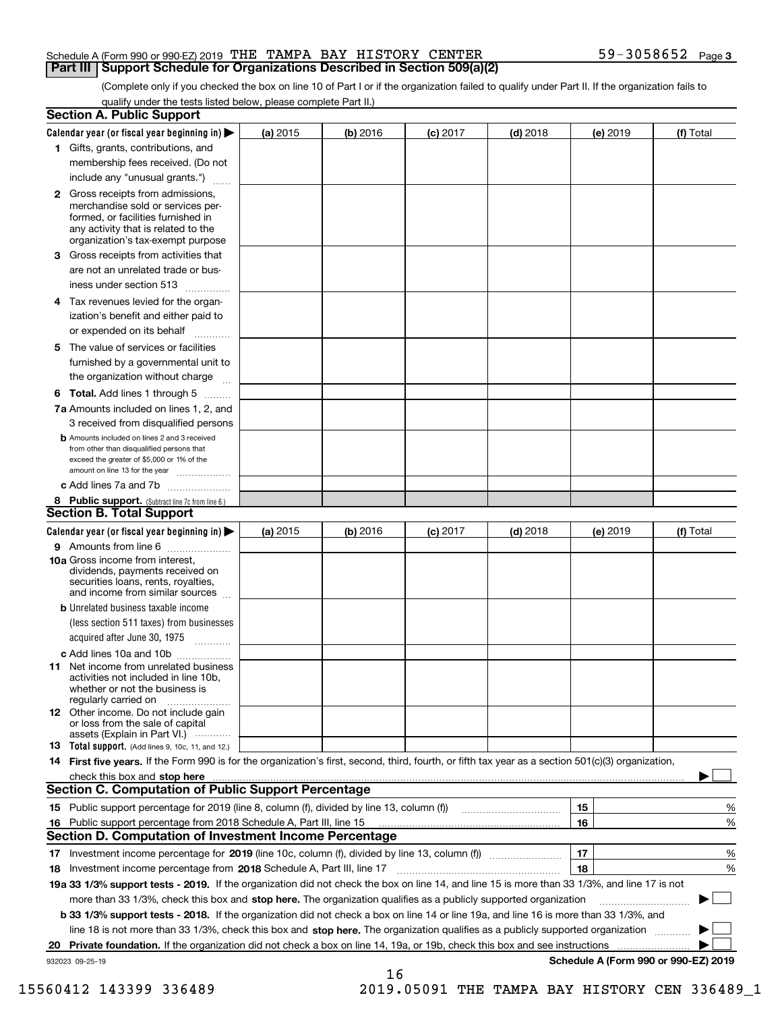#### Schedule A (Form 990 or 990-EZ) 2019 Page THE TAMPA BAY HISTORY CENTER 59-3058652 **Part III Support Schedule for Organizations Described in Section 509(a)(2)**

(Complete only if you checked the box on line 10 of Part I or if the organization failed to qualify under Part II. If the organization fails to qualify under the tests listed below, please complete Part II.)

|    | <b>Section A. Public Support</b>                                                                                                                                                                                               |          |          |                 |            |          |                                      |
|----|--------------------------------------------------------------------------------------------------------------------------------------------------------------------------------------------------------------------------------|----------|----------|-----------------|------------|----------|--------------------------------------|
|    | Calendar year (or fiscal year beginning in) $\blacktriangleright$                                                                                                                                                              | (a) 2015 | (b) 2016 | <b>(c)</b> 2017 | $(d)$ 2018 | (e) 2019 | (f) Total                            |
|    | 1 Gifts, grants, contributions, and                                                                                                                                                                                            |          |          |                 |            |          |                                      |
|    | membership fees received. (Do not                                                                                                                                                                                              |          |          |                 |            |          |                                      |
|    | include any "unusual grants.")                                                                                                                                                                                                 |          |          |                 |            |          |                                      |
|    | <b>2</b> Gross receipts from admissions,<br>merchandise sold or services per-<br>formed, or facilities furnished in<br>any activity that is related to the<br>organization's tax-exempt purpose                                |          |          |                 |            |          |                                      |
|    | 3 Gross receipts from activities that<br>are not an unrelated trade or bus-                                                                                                                                                    |          |          |                 |            |          |                                      |
|    | iness under section 513                                                                                                                                                                                                        |          |          |                 |            |          |                                      |
|    | 4 Tax revenues levied for the organ-<br>ization's benefit and either paid to                                                                                                                                                   |          |          |                 |            |          |                                      |
|    | or expended on its behalf                                                                                                                                                                                                      |          |          |                 |            |          |                                      |
|    | 5 The value of services or facilities<br>furnished by a governmental unit to                                                                                                                                                   |          |          |                 |            |          |                                      |
|    | the organization without charge                                                                                                                                                                                                |          |          |                 |            |          |                                      |
|    | <b>6 Total.</b> Add lines 1 through 5                                                                                                                                                                                          |          |          |                 |            |          |                                      |
|    | 7a Amounts included on lines 1, 2, and<br>3 received from disqualified persons                                                                                                                                                 |          |          |                 |            |          |                                      |
|    | <b>b</b> Amounts included on lines 2 and 3 received<br>from other than disqualified persons that<br>exceed the greater of \$5,000 or 1% of the<br>amount on line 13 for the year                                               |          |          |                 |            |          |                                      |
|    | c Add lines 7a and 7b                                                                                                                                                                                                          |          |          |                 |            |          |                                      |
|    | 8 Public support. (Subtract line 7c from line 6.)<br><b>Section B. Total Support</b>                                                                                                                                           |          |          |                 |            |          |                                      |
|    | Calendar year (or fiscal year beginning in)                                                                                                                                                                                    | (a) 2015 | (b) 2016 | $(c)$ 2017      | $(d)$ 2018 | (e) 2019 | (f) Total                            |
|    | 9 Amounts from line 6                                                                                                                                                                                                          |          |          |                 |            |          |                                      |
|    | <b>10a</b> Gross income from interest,<br>dividends, payments received on<br>securities loans, rents, royalties,<br>and income from similar sources                                                                            |          |          |                 |            |          |                                      |
|    | <b>b</b> Unrelated business taxable income<br>(less section 511 taxes) from businesses                                                                                                                                         |          |          |                 |            |          |                                      |
|    | acquired after June 30, 1975                                                                                                                                                                                                   |          |          |                 |            |          |                                      |
|    | c Add lines 10a and 10b<br>11 Net income from unrelated business<br>activities not included in line 10b,<br>whether or not the business is                                                                                     |          |          |                 |            |          |                                      |
|    | regularly carried on<br><b>12</b> Other income. Do not include gain<br>or loss from the sale of capital<br>assets (Explain in Part VI.)                                                                                        |          |          |                 |            |          |                                      |
|    | 13 Total support. (Add lines 9, 10c, 11, and 12.)                                                                                                                                                                              |          |          |                 |            |          |                                      |
|    | 14 First five years. If the Form 990 is for the organization's first, second, third, fourth, or fifth tax year as a section 501(c)(3) organization,                                                                            |          |          |                 |            |          |                                      |
|    | check this box and stop here measurements and contact the contract of the contract of the contract of the contract of the contract of the contract of the contract of the contract of the contract of the contract of the cont |          |          |                 |            |          |                                      |
|    | <b>Section C. Computation of Public Support Percentage</b>                                                                                                                                                                     |          |          |                 |            |          |                                      |
|    |                                                                                                                                                                                                                                |          |          |                 |            | 15       | %                                    |
| 16 | Public support percentage from 2018 Schedule A, Part III, line 15                                                                                                                                                              |          |          |                 |            | 16       | %                                    |
|    | <b>Section D. Computation of Investment Income Percentage</b>                                                                                                                                                                  |          |          |                 |            |          |                                      |
|    | 17 Investment income percentage for 2019 (line 10c, column (f), divided by line 13, column (f))                                                                                                                                |          |          |                 |            | 17       | %                                    |
|    | 18 Investment income percentage from 2018 Schedule A, Part III, line 17                                                                                                                                                        |          |          |                 |            | 18       | %                                    |
|    | 19a 33 1/3% support tests - 2019. If the organization did not check the box on line 14, and line 15 is more than 33 1/3%, and line 17 is not                                                                                   |          |          |                 |            |          |                                      |
|    | more than 33 1/3%, check this box and stop here. The organization qualifies as a publicly supported organization                                                                                                               |          |          |                 |            |          |                                      |
|    | b 33 1/3% support tests - 2018. If the organization did not check a box on line 14 or line 19a, and line 16 is more than 33 1/3%, and                                                                                          |          |          |                 |            |          |                                      |
|    | line 18 is not more than 33 1/3%, check this box and stop here. The organization qualifies as a publicly supported organization                                                                                                |          |          |                 |            |          |                                      |
| 20 | <b>Private foundation.</b> If the organization did not check a box on line 14, 19a, or 19b, check this box and see instructions                                                                                                |          |          |                 |            |          | .                                    |
|    | 932023 09-25-19                                                                                                                                                                                                                |          | 16       |                 |            |          | Schedule A (Form 990 or 990-EZ) 2019 |

 <sup>15560412 143399 336489 2019.05091</sup> THE TAMPA BAY HISTORY CEN 336489\_1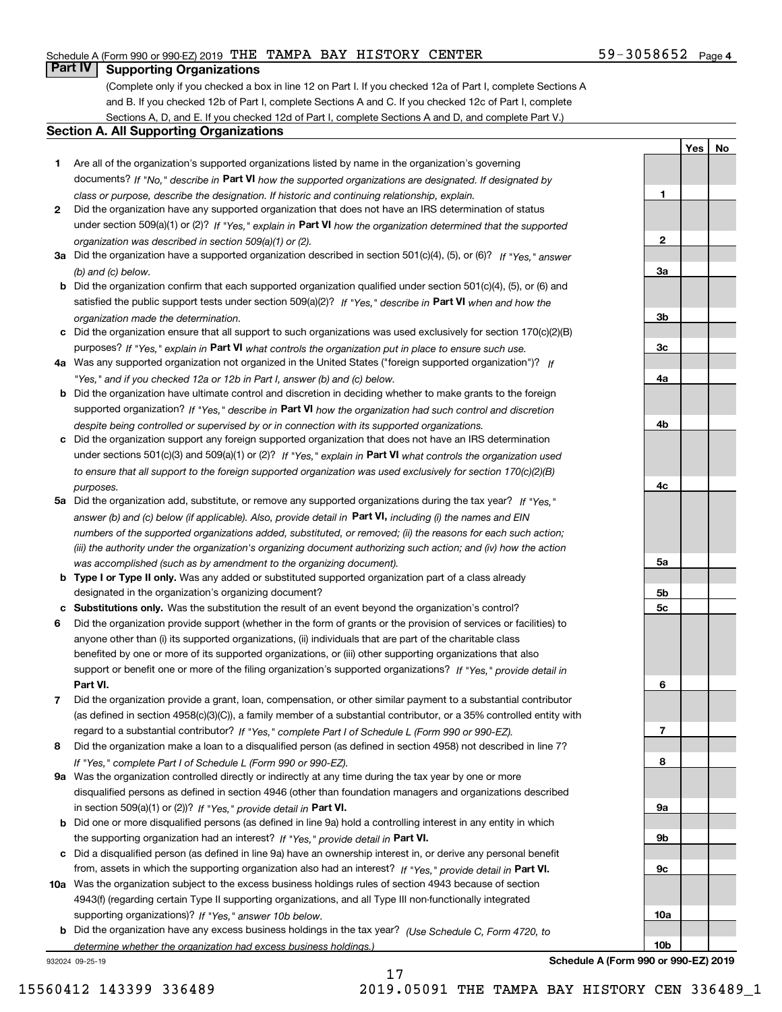## Schedule A (Form 990 or 990-EZ) 2019 Page THE TAMPA BAY HISTORY CENTER 59-3058652

# **Part IV Supporting Organizations**

(Complete only if you checked a box in line 12 on Part I. If you checked 12a of Part I, complete Sections A and B. If you checked 12b of Part I, complete Sections A and C. If you checked 12c of Part I, complete Sections A, D, and E. If you checked 12d of Part I, complete Sections A and D, and complete Part V.)

#### **Section A. All Supporting Organizations**

- **1** Are all of the organization's supported organizations listed by name in the organization's governing documents? If "No," describe in **Part VI** how the supported organizations are designated. If designated by *class or purpose, describe the designation. If historic and continuing relationship, explain.*
- **2** Did the organization have any supported organization that does not have an IRS determination of status under section 509(a)(1) or (2)? If "Yes," explain in Part VI how the organization determined that the supported *organization was described in section 509(a)(1) or (2).*
- **3a** Did the organization have a supported organization described in section 501(c)(4), (5), or (6)? If "Yes," answer *(b) and (c) below.*
- **b** Did the organization confirm that each supported organization qualified under section 501(c)(4), (5), or (6) and satisfied the public support tests under section 509(a)(2)? If "Yes," describe in **Part VI** when and how the *organization made the determination.*
- **c**Did the organization ensure that all support to such organizations was used exclusively for section 170(c)(2)(B) purposes? If "Yes," explain in **Part VI** what controls the organization put in place to ensure such use.
- **4a***If* Was any supported organization not organized in the United States ("foreign supported organization")? *"Yes," and if you checked 12a or 12b in Part I, answer (b) and (c) below.*
- **b** Did the organization have ultimate control and discretion in deciding whether to make grants to the foreign supported organization? If "Yes," describe in **Part VI** how the organization had such control and discretion *despite being controlled or supervised by or in connection with its supported organizations.*
- **c** Did the organization support any foreign supported organization that does not have an IRS determination under sections 501(c)(3) and 509(a)(1) or (2)? If "Yes," explain in **Part VI** what controls the organization used *to ensure that all support to the foreign supported organization was used exclusively for section 170(c)(2)(B) purposes.*
- **5a** Did the organization add, substitute, or remove any supported organizations during the tax year? If "Yes," answer (b) and (c) below (if applicable). Also, provide detail in **Part VI,** including (i) the names and EIN *numbers of the supported organizations added, substituted, or removed; (ii) the reasons for each such action; (iii) the authority under the organization's organizing document authorizing such action; and (iv) how the action was accomplished (such as by amendment to the organizing document).*
- **b** Type I or Type II only. Was any added or substituted supported organization part of a class already designated in the organization's organizing document?
- **cSubstitutions only.**  Was the substitution the result of an event beyond the organization's control?
- **6** Did the organization provide support (whether in the form of grants or the provision of services or facilities) to **Part VI.** *If "Yes," provide detail in* support or benefit one or more of the filing organization's supported organizations? anyone other than (i) its supported organizations, (ii) individuals that are part of the charitable class benefited by one or more of its supported organizations, or (iii) other supporting organizations that also
- **7**Did the organization provide a grant, loan, compensation, or other similar payment to a substantial contributor *If "Yes," complete Part I of Schedule L (Form 990 or 990-EZ).* regard to a substantial contributor? (as defined in section 4958(c)(3)(C)), a family member of a substantial contributor, or a 35% controlled entity with
- **8** Did the organization make a loan to a disqualified person (as defined in section 4958) not described in line 7? *If "Yes," complete Part I of Schedule L (Form 990 or 990-EZ).*
- **9a** Was the organization controlled directly or indirectly at any time during the tax year by one or more in section 509(a)(1) or (2))? If "Yes," *provide detail in* <code>Part VI.</code> disqualified persons as defined in section 4946 (other than foundation managers and organizations described
- **b** Did one or more disqualified persons (as defined in line 9a) hold a controlling interest in any entity in which the supporting organization had an interest? If "Yes," provide detail in P**art VI**.
- **c**Did a disqualified person (as defined in line 9a) have an ownership interest in, or derive any personal benefit from, assets in which the supporting organization also had an interest? If "Yes," provide detail in P**art VI.**
- **10a** Was the organization subject to the excess business holdings rules of section 4943 because of section supporting organizations)? If "Yes," answer 10b below. 4943(f) (regarding certain Type II supporting organizations, and all Type III non-functionally integrated
- **b** Did the organization have any excess business holdings in the tax year? (Use Schedule C, Form 4720, to *determine whether the organization had excess business holdings.)*

17

932024 09-25-19



59-3058652 Page 4

**YesNo**

**Schedule A (Form 990 or 990-EZ) 2019**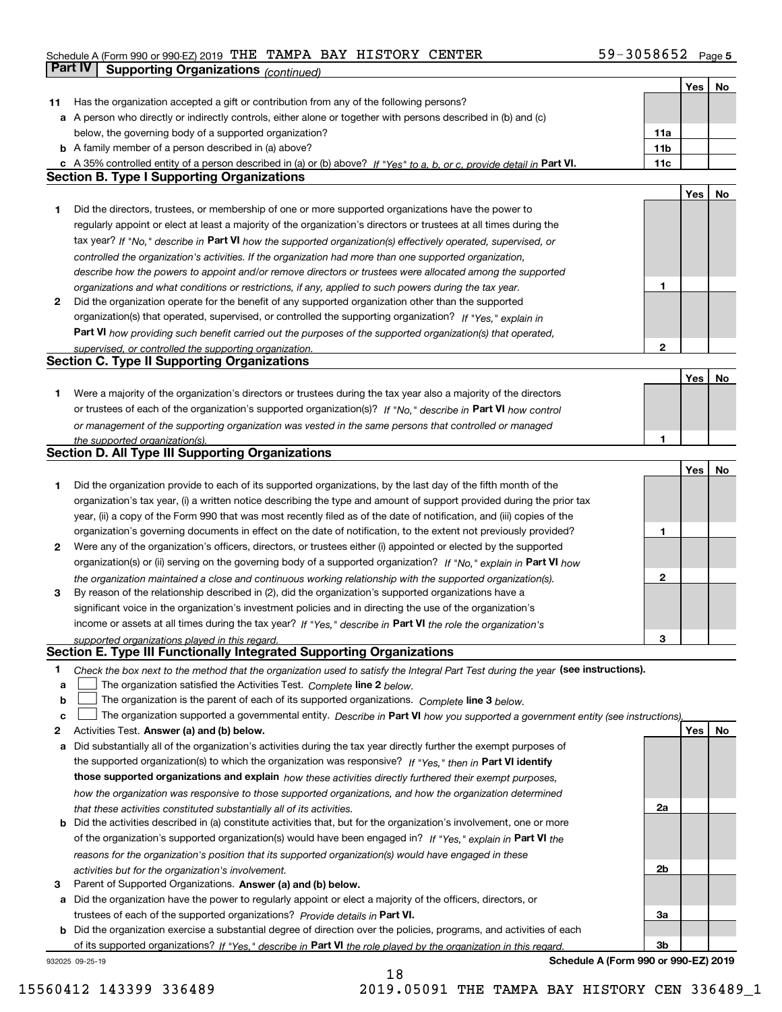## Schedule A (Form 990 or 990-EZ) 2019 Page THE TAMPA BAY HISTORY CENTER 59-3058652 **Part IV Supporting Organizations** *(continued)*

|    |                                                                                                                                   |                 | Yes | No  |
|----|-----------------------------------------------------------------------------------------------------------------------------------|-----------------|-----|-----|
| 11 | Has the organization accepted a gift or contribution from any of the following persons?                                           |                 |     |     |
|    | a A person who directly or indirectly controls, either alone or together with persons described in (b) and (c)                    |                 |     |     |
|    | below, the governing body of a supported organization?                                                                            | 11a             |     |     |
|    | <b>b</b> A family member of a person described in (a) above?                                                                      | 11 <sub>b</sub> |     |     |
|    |                                                                                                                                   |                 |     |     |
|    | c A 35% controlled entity of a person described in (a) or (b) above? If "Yes" to a, b, or c, provide detail in Part VI.           | 11c             |     |     |
|    | <b>Section B. Type I Supporting Organizations</b>                                                                                 |                 |     |     |
|    |                                                                                                                                   |                 | Yes | No  |
| 1  | Did the directors, trustees, or membership of one or more supported organizations have the power to                               |                 |     |     |
|    | regularly appoint or elect at least a majority of the organization's directors or trustees at all times during the                |                 |     |     |
|    | tax year? If "No," describe in Part VI how the supported organization(s) effectively operated, supervised, or                     |                 |     |     |
|    | controlled the organization's activities. If the organization had more than one supported organization,                           |                 |     |     |
|    | describe how the powers to appoint and/or remove directors or trustees were allocated among the supported                         |                 |     |     |
|    |                                                                                                                                   | 1               |     |     |
|    | organizations and what conditions or restrictions, if any, applied to such powers during the tax year.                            |                 |     |     |
| 2  | Did the organization operate for the benefit of any supported organization other than the supported                               |                 |     |     |
|    | organization(s) that operated, supervised, or controlled the supporting organization? If "Yes," explain in                        |                 |     |     |
|    | Part VI how providing such benefit carried out the purposes of the supported organization(s) that operated,                       |                 |     |     |
|    | supervised, or controlled the supporting organization.                                                                            | $\mathbf{2}$    |     |     |
|    | <b>Section C. Type II Supporting Organizations</b>                                                                                |                 |     |     |
|    |                                                                                                                                   |                 | Yes | No  |
| 1  | Were a majority of the organization's directors or trustees during the tax year also a majority of the directors                  |                 |     |     |
|    | or trustees of each of the organization's supported organization(s)? If "No," describe in Part VI how control                     |                 |     |     |
|    | or management of the supporting organization was vested in the same persons that controlled or managed                            |                 |     |     |
|    | the supported organization(s).                                                                                                    | 1               |     |     |
|    | Section D. All Type III Supporting Organizations                                                                                  |                 |     |     |
|    |                                                                                                                                   |                 |     |     |
|    |                                                                                                                                   |                 | Yes | No  |
| 1  | Did the organization provide to each of its supported organizations, by the last day of the fifth month of the                    |                 |     |     |
|    | organization's tax year, (i) a written notice describing the type and amount of support provided during the prior tax             |                 |     |     |
|    | year, (ii) a copy of the Form 990 that was most recently filed as of the date of notification, and (iii) copies of the            |                 |     |     |
|    | organization's governing documents in effect on the date of notification, to the extent not previously provided?                  | 1               |     |     |
| 2  | Were any of the organization's officers, directors, or trustees either (i) appointed or elected by the supported                  |                 |     |     |
|    | organization(s) or (ii) serving on the governing body of a supported organization? If "No," explain in Part VI how                |                 |     |     |
|    | the organization maintained a close and continuous working relationship with the supported organization(s).                       | 2               |     |     |
| 3  | By reason of the relationship described in (2), did the organization's supported organizations have a                             |                 |     |     |
|    |                                                                                                                                   |                 |     |     |
|    | significant voice in the organization's investment policies and in directing the use of the organization's                        |                 |     |     |
|    | income or assets at all times during the tax year? If "Yes," describe in Part VI the role the organization's                      |                 |     |     |
|    | supported organizations played in this regard.                                                                                    | З               |     |     |
|    | Section E. Type III Functionally Integrated Supporting Organizations                                                              |                 |     |     |
| 1. | Check the box next to the method that the organization used to satisfy the Integral Part Test during the year (see instructions). |                 |     |     |
| а  | The organization satisfied the Activities Test. Complete line 2 below.                                                            |                 |     |     |
| b  | The organization is the parent of each of its supported organizations. Complete line 3 below.                                     |                 |     |     |
| c  | The organization supported a governmental entity. Describe in Part VI how you supported a government entity (see instructions).   |                 |     |     |
| 2  | Activities Test. Answer (a) and (b) below.                                                                                        |                 | Yes | No. |
|    |                                                                                                                                   |                 |     |     |
| a  | Did substantially all of the organization's activities during the tax year directly further the exempt purposes of                |                 |     |     |
|    | the supported organization(s) to which the organization was responsive? If "Yes," then in Part VI identify                        |                 |     |     |
|    | those supported organizations and explain how these activities directly furthered their exempt purposes,                          |                 |     |     |
|    | how the organization was responsive to those supported organizations, and how the organization determined                         |                 |     |     |
|    | that these activities constituted substantially all of its activities.                                                            | 2a              |     |     |
| b  | Did the activities described in (a) constitute activities that, but for the organization's involvement, one or more               |                 |     |     |
|    | of the organization's supported organization(s) would have been engaged in? If "Yes," explain in Part VI the                      |                 |     |     |
|    | reasons for the organization's position that its supported organization(s) would have engaged in these                            |                 |     |     |
|    |                                                                                                                                   | 2b              |     |     |
|    | activities but for the organization's involvement.                                                                                |                 |     |     |
| 3  | Parent of Supported Organizations. Answer (a) and (b) below.                                                                      |                 |     |     |
|    | a Did the organization have the power to regularly appoint or elect a majority of the officers, directors, or                     |                 |     |     |
|    | trustees of each of the supported organizations? Provide details in Part VI.                                                      | За              |     |     |
|    | <b>b</b> Did the organization exercise a substantial degree of direction over the policies, programs, and activities of each      |                 |     |     |
|    | of its supported organizations? If "Yes," describe in Part VI the role played by the organization in this regard                  | 3b              |     |     |
|    | Schedule A (Form 990 or 990-EZ) 2019<br>932025 09-25-19                                                                           |                 |     |     |

**Schedule A (Form 990 or 990-EZ) 2019**

15560412 143399 336489 2019.05091 THE TAMPA BAY HISTORY CEN 336489\_1

18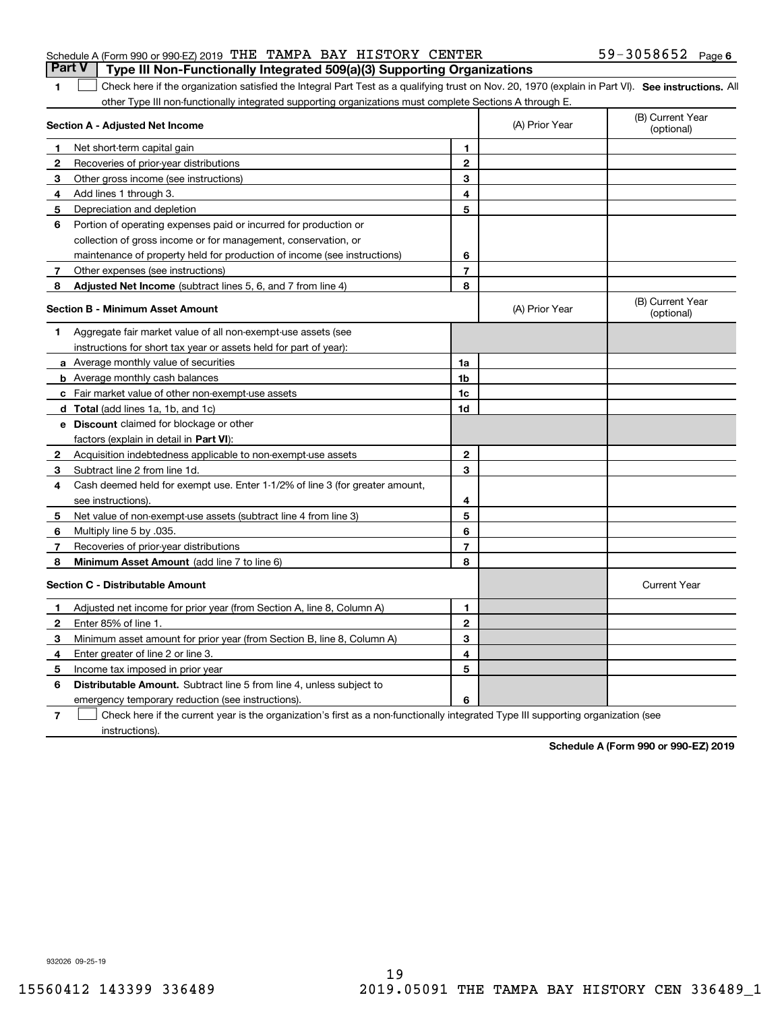| Part V   Type III Non-Functionally Integrated 509(a)(3) Supporting Organizations                |  |  |                   |  |
|-------------------------------------------------------------------------------------------------|--|--|-------------------|--|
| Schedule A (Form 990 or 990-EZ) 2019 $\,$ THE $\,$ TAMPA $\,$ BAY $\,$ HISTORY $\,$ CENTER $\,$ |  |  | 59-3058652 Page 6 |  |

**SEP 10. See instructions.** All antegral Part Test as a qualifying trust on Nov. 20, 1970 (explain in Part VI). See instructions. All other Type III non-functionally integrated supporting organizations must complete Sections A through E.  $\overline{\phantom{a}}$ 

|              | Section A - Adjusted Net Income                                              | (A) Prior Year | (B) Current Year<br>(optional) |                                |
|--------------|------------------------------------------------------------------------------|----------------|--------------------------------|--------------------------------|
| 1            | Net short-term capital gain                                                  | 1              |                                |                                |
| $\mathbf{2}$ | Recoveries of prior-year distributions                                       | $\overline{2}$ |                                |                                |
| 3            | Other gross income (see instructions)                                        | 3              |                                |                                |
| 4            | Add lines 1 through 3.                                                       | 4              |                                |                                |
| 5            | Depreciation and depletion                                                   | 5              |                                |                                |
| 6            | Portion of operating expenses paid or incurred for production or             |                |                                |                                |
|              | collection of gross income or for management, conservation, or               |                |                                |                                |
|              | maintenance of property held for production of income (see instructions)     | 6              |                                |                                |
| 7            | Other expenses (see instructions)                                            | $\overline{7}$ |                                |                                |
| 8            | Adjusted Net Income (subtract lines 5, 6, and 7 from line 4)                 | 8              |                                |                                |
|              | <b>Section B - Minimum Asset Amount</b>                                      |                | (A) Prior Year                 | (B) Current Year<br>(optional) |
| 1            | Aggregate fair market value of all non-exempt-use assets (see                |                |                                |                                |
|              | instructions for short tax year or assets held for part of year):            |                |                                |                                |
|              | a Average monthly value of securities                                        | 1a             |                                |                                |
|              | <b>b</b> Average monthly cash balances                                       | 1b             |                                |                                |
|              | c Fair market value of other non-exempt-use assets                           | 1c             |                                |                                |
|              | d Total (add lines 1a, 1b, and 1c)                                           | 1d             |                                |                                |
|              | <b>e</b> Discount claimed for blockage or other                              |                |                                |                                |
|              | factors (explain in detail in Part VI):                                      |                |                                |                                |
| 2            | Acquisition indebtedness applicable to non-exempt-use assets                 | $\overline{2}$ |                                |                                |
| З            | Subtract line 2 from line 1d.                                                | 3              |                                |                                |
| 4            | Cash deemed held for exempt use. Enter 1-1/2% of line 3 (for greater amount, |                |                                |                                |
|              | see instructions)                                                            | 4              |                                |                                |
| 5            | Net value of non-exempt-use assets (subtract line 4 from line 3)             | 5              |                                |                                |
| 6            | Multiply line 5 by .035.                                                     | 6              |                                |                                |
| 7            | Recoveries of prior-year distributions                                       | $\overline{7}$ |                                |                                |
| 8            | Minimum Asset Amount (add line 7 to line 6)                                  | 8              |                                |                                |
|              | <b>Section C - Distributable Amount</b>                                      |                |                                | <b>Current Year</b>            |
| 1            | Adjusted net income for prior year (from Section A, line 8, Column A)        | 1              |                                |                                |
| $\mathbf{2}$ | Enter 85% of line 1.                                                         | $\overline{2}$ |                                |                                |
| 3            | Minimum asset amount for prior year (from Section B, line 8, Column A)       | 3              |                                |                                |
| 4            | Enter greater of line 2 or line 3.                                           | 4              |                                |                                |
| 5            | Income tax imposed in prior year                                             | 5              |                                |                                |
| 6            | <b>Distributable Amount.</b> Subtract line 5 from line 4, unless subject to  |                |                                |                                |
|              | emergency temporary reduction (see instructions).                            | 6              |                                |                                |
|              |                                                                              |                |                                |                                |

**7**Check here if the current year is the organization's first as a non-functionally integrated Type III supporting organization (see instructions).

**Schedule A (Form 990 or 990-EZ) 2019**

932026 09-25-19

**1**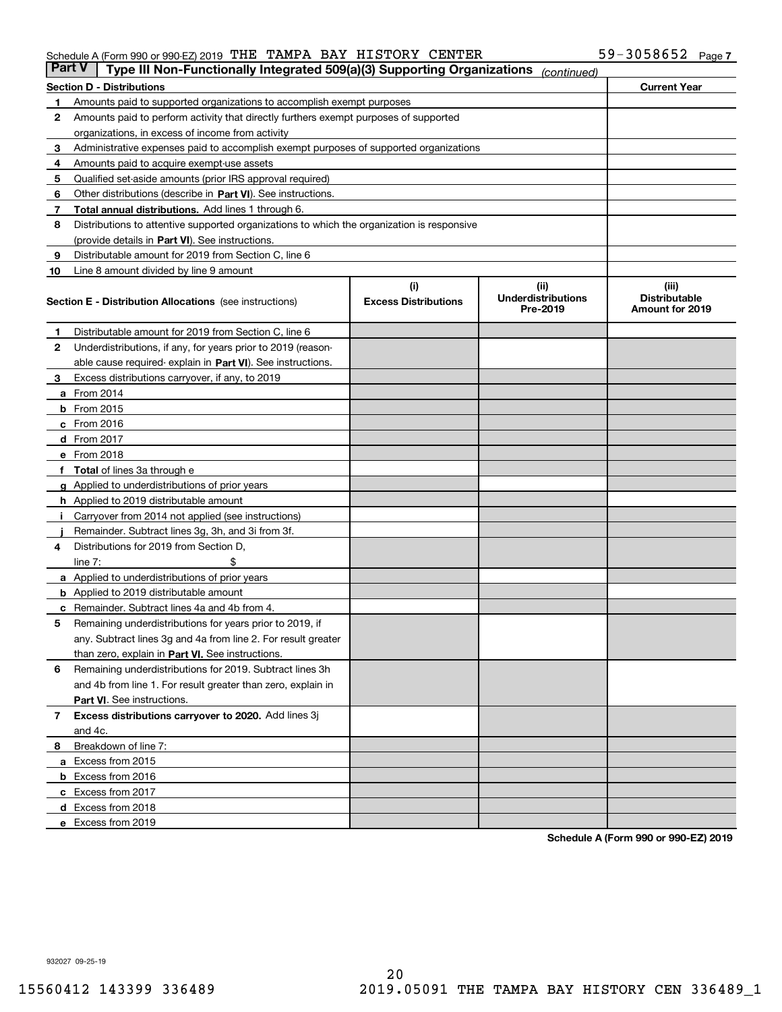#### Schedule A (Form 990 or 990-EZ) 2019 Page THE TAMPA BAY HISTORY CENTER 59-3058652

| <b>Part V</b> | Type III Non-Functionally Integrated 509(a)(3) Supporting Organizations                    |                             | (continued)                           |                                                |
|---------------|--------------------------------------------------------------------------------------------|-----------------------------|---------------------------------------|------------------------------------------------|
|               | Section D - Distributions                                                                  |                             |                                       | <b>Current Year</b>                            |
| 1             | Amounts paid to supported organizations to accomplish exempt purposes                      |                             |                                       |                                                |
| 2             | Amounts paid to perform activity that directly furthers exempt purposes of supported       |                             |                                       |                                                |
|               | organizations, in excess of income from activity                                           |                             |                                       |                                                |
| з             | Administrative expenses paid to accomplish exempt purposes of supported organizations      |                             |                                       |                                                |
| 4             | Amounts paid to acquire exempt-use assets                                                  |                             |                                       |                                                |
| 5             | Qualified set-aside amounts (prior IRS approval required)                                  |                             |                                       |                                                |
| 6             | Other distributions (describe in Part VI). See instructions.                               |                             |                                       |                                                |
| 7             | Total annual distributions. Add lines 1 through 6.                                         |                             |                                       |                                                |
| 8             | Distributions to attentive supported organizations to which the organization is responsive |                             |                                       |                                                |
|               | (provide details in Part VI). See instructions.                                            |                             |                                       |                                                |
| 9             | Distributable amount for 2019 from Section C, line 6                                       |                             |                                       |                                                |
| 10            | Line 8 amount divided by line 9 amount                                                     |                             |                                       |                                                |
|               |                                                                                            | (i)                         | (ii)                                  | (iii)                                          |
|               | Section E - Distribution Allocations (see instructions)                                    | <b>Excess Distributions</b> | <b>Underdistributions</b><br>Pre-2019 | <b>Distributable</b><br><b>Amount for 2019</b> |
| 1             | Distributable amount for 2019 from Section C, line 6                                       |                             |                                       |                                                |
| 2             | Underdistributions, if any, for years prior to 2019 (reason-                               |                             |                                       |                                                |
|               | able cause required- explain in Part VI). See instructions.                                |                             |                                       |                                                |
| З             | Excess distributions carryover, if any, to 2019                                            |                             |                                       |                                                |
|               | <b>a</b> From 2014                                                                         |                             |                                       |                                                |
|               | <b>b</b> From 2015                                                                         |                             |                                       |                                                |
|               | c From 2016                                                                                |                             |                                       |                                                |
|               | d From 2017                                                                                |                             |                                       |                                                |
|               | e From 2018                                                                                |                             |                                       |                                                |
|               | f Total of lines 3a through e                                                              |                             |                                       |                                                |
|               | <b>g</b> Applied to underdistributions of prior years                                      |                             |                                       |                                                |
|               | <b>h</b> Applied to 2019 distributable amount                                              |                             |                                       |                                                |
|               | Carryover from 2014 not applied (see instructions)                                         |                             |                                       |                                                |
|               | Remainder. Subtract lines 3g, 3h, and 3i from 3f.                                          |                             |                                       |                                                |
| 4             | Distributions for 2019 from Section D,                                                     |                             |                                       |                                                |
|               | line $7:$                                                                                  |                             |                                       |                                                |
|               | <b>a</b> Applied to underdistributions of prior years                                      |                             |                                       |                                                |
|               | <b>b</b> Applied to 2019 distributable amount                                              |                             |                                       |                                                |
| c             | Remainder. Subtract lines 4a and 4b from 4.                                                |                             |                                       |                                                |
| 5             | Remaining underdistributions for years prior to 2019, if                                   |                             |                                       |                                                |
|               | any. Subtract lines 3g and 4a from line 2. For result greater                              |                             |                                       |                                                |
|               | than zero, explain in Part VI. See instructions.                                           |                             |                                       |                                                |
| 6             | Remaining underdistributions for 2019. Subtract lines 3h                                   |                             |                                       |                                                |
|               | and 4b from line 1. For result greater than zero, explain in                               |                             |                                       |                                                |
|               | Part VI. See instructions.                                                                 |                             |                                       |                                                |
|               |                                                                                            |                             |                                       |                                                |
| 7             | Excess distributions carryover to 2020. Add lines 3j                                       |                             |                                       |                                                |
|               | and 4c.                                                                                    |                             |                                       |                                                |
| 8             | Breakdown of line 7:                                                                       |                             |                                       |                                                |
|               | a Excess from 2015                                                                         |                             |                                       |                                                |
|               | <b>b</b> Excess from 2016                                                                  |                             |                                       |                                                |
|               | c Excess from 2017                                                                         |                             |                                       |                                                |
|               | d Excess from 2018                                                                         |                             |                                       |                                                |
|               | e Excess from 2019                                                                         |                             |                                       |                                                |

**Schedule A (Form 990 or 990-EZ) 2019**

932027 09-25-19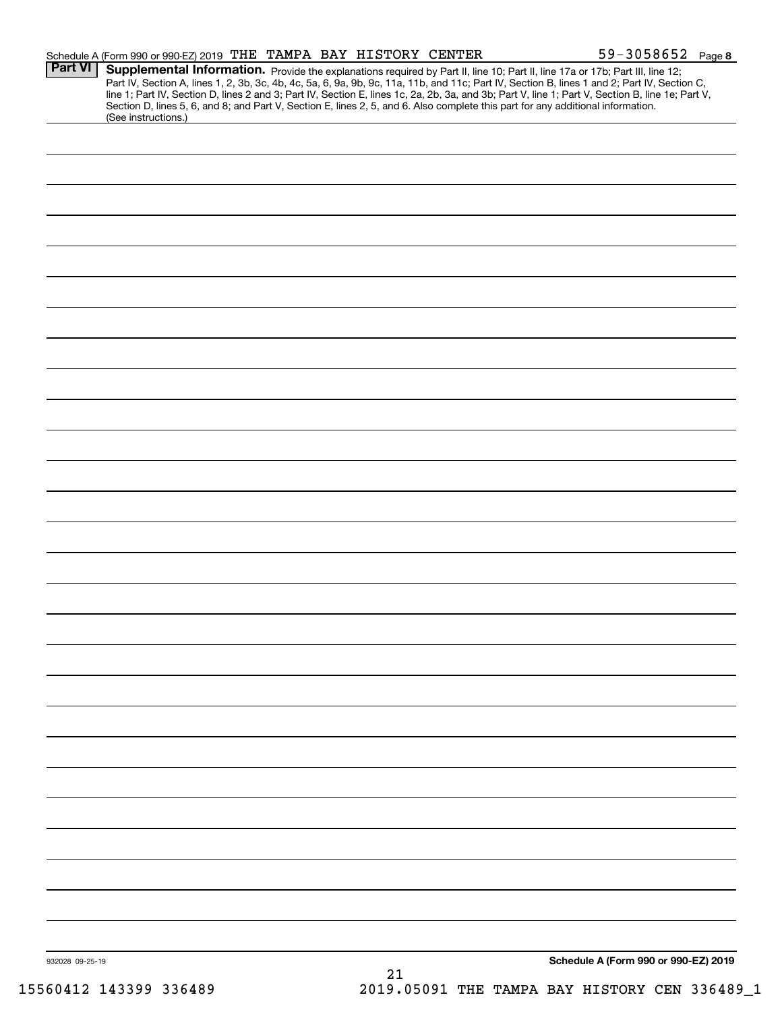|                 | Schedule A (Form 990 or 990-EZ) 2019 THE TAMPA BAY HISTORY CENTER                                                                                                                                                                                                                       |    | $59 - 3058652$ Page 8                                                                                                                                                                                                                                                                            |  |
|-----------------|-----------------------------------------------------------------------------------------------------------------------------------------------------------------------------------------------------------------------------------------------------------------------------------------|----|--------------------------------------------------------------------------------------------------------------------------------------------------------------------------------------------------------------------------------------------------------------------------------------------------|--|
| <b>Part VI</b>  | Supplemental Information. Provide the explanations required by Part II, line 10; Part II, line 17a or 17b; Part III, line 12;<br>Section D, lines 5, 6, and 8; and Part V, Section E, lines 2, 5, and 6. Also complete this part for any additional information.<br>(See instructions.) |    | Part IV, Section A, lines 1, 2, 3b, 3c, 4b, 4c, 5a, 6, 9a, 9b, 9c, 11a, 11b, and 11c; Part IV, Section B, lines 1 and 2; Part IV, Section C,<br>line 1; Part IV, Section D, lines 2 and 3; Part IV, Section E, lines 1c, 2a, 2b, 3a, and 3b; Part V, line 1; Part V, Section B, line 1e; Part V, |  |
|                 |                                                                                                                                                                                                                                                                                         |    |                                                                                                                                                                                                                                                                                                  |  |
|                 |                                                                                                                                                                                                                                                                                         |    |                                                                                                                                                                                                                                                                                                  |  |
|                 |                                                                                                                                                                                                                                                                                         |    |                                                                                                                                                                                                                                                                                                  |  |
|                 |                                                                                                                                                                                                                                                                                         |    |                                                                                                                                                                                                                                                                                                  |  |
|                 |                                                                                                                                                                                                                                                                                         |    |                                                                                                                                                                                                                                                                                                  |  |
|                 |                                                                                                                                                                                                                                                                                         |    |                                                                                                                                                                                                                                                                                                  |  |
|                 |                                                                                                                                                                                                                                                                                         |    |                                                                                                                                                                                                                                                                                                  |  |
|                 |                                                                                                                                                                                                                                                                                         |    |                                                                                                                                                                                                                                                                                                  |  |
|                 |                                                                                                                                                                                                                                                                                         |    |                                                                                                                                                                                                                                                                                                  |  |
|                 |                                                                                                                                                                                                                                                                                         |    |                                                                                                                                                                                                                                                                                                  |  |
|                 |                                                                                                                                                                                                                                                                                         |    |                                                                                                                                                                                                                                                                                                  |  |
|                 |                                                                                                                                                                                                                                                                                         |    |                                                                                                                                                                                                                                                                                                  |  |
|                 |                                                                                                                                                                                                                                                                                         |    |                                                                                                                                                                                                                                                                                                  |  |
|                 |                                                                                                                                                                                                                                                                                         |    |                                                                                                                                                                                                                                                                                                  |  |
|                 |                                                                                                                                                                                                                                                                                         |    |                                                                                                                                                                                                                                                                                                  |  |
|                 |                                                                                                                                                                                                                                                                                         |    |                                                                                                                                                                                                                                                                                                  |  |
|                 |                                                                                                                                                                                                                                                                                         |    |                                                                                                                                                                                                                                                                                                  |  |
|                 |                                                                                                                                                                                                                                                                                         |    |                                                                                                                                                                                                                                                                                                  |  |
|                 |                                                                                                                                                                                                                                                                                         |    |                                                                                                                                                                                                                                                                                                  |  |
|                 |                                                                                                                                                                                                                                                                                         |    |                                                                                                                                                                                                                                                                                                  |  |
|                 |                                                                                                                                                                                                                                                                                         |    |                                                                                                                                                                                                                                                                                                  |  |
|                 |                                                                                                                                                                                                                                                                                         |    |                                                                                                                                                                                                                                                                                                  |  |
|                 |                                                                                                                                                                                                                                                                                         |    |                                                                                                                                                                                                                                                                                                  |  |
|                 |                                                                                                                                                                                                                                                                                         |    |                                                                                                                                                                                                                                                                                                  |  |
|                 |                                                                                                                                                                                                                                                                                         |    |                                                                                                                                                                                                                                                                                                  |  |
|                 |                                                                                                                                                                                                                                                                                         |    |                                                                                                                                                                                                                                                                                                  |  |
|                 |                                                                                                                                                                                                                                                                                         |    |                                                                                                                                                                                                                                                                                                  |  |
|                 |                                                                                                                                                                                                                                                                                         |    |                                                                                                                                                                                                                                                                                                  |  |
|                 |                                                                                                                                                                                                                                                                                         |    |                                                                                                                                                                                                                                                                                                  |  |
|                 |                                                                                                                                                                                                                                                                                         |    |                                                                                                                                                                                                                                                                                                  |  |
|                 |                                                                                                                                                                                                                                                                                         |    |                                                                                                                                                                                                                                                                                                  |  |
|                 |                                                                                                                                                                                                                                                                                         |    |                                                                                                                                                                                                                                                                                                  |  |
| 932028 09-25-19 |                                                                                                                                                                                                                                                                                         | 21 | Schedule A (Form 990 or 990-EZ) 2019                                                                                                                                                                                                                                                             |  |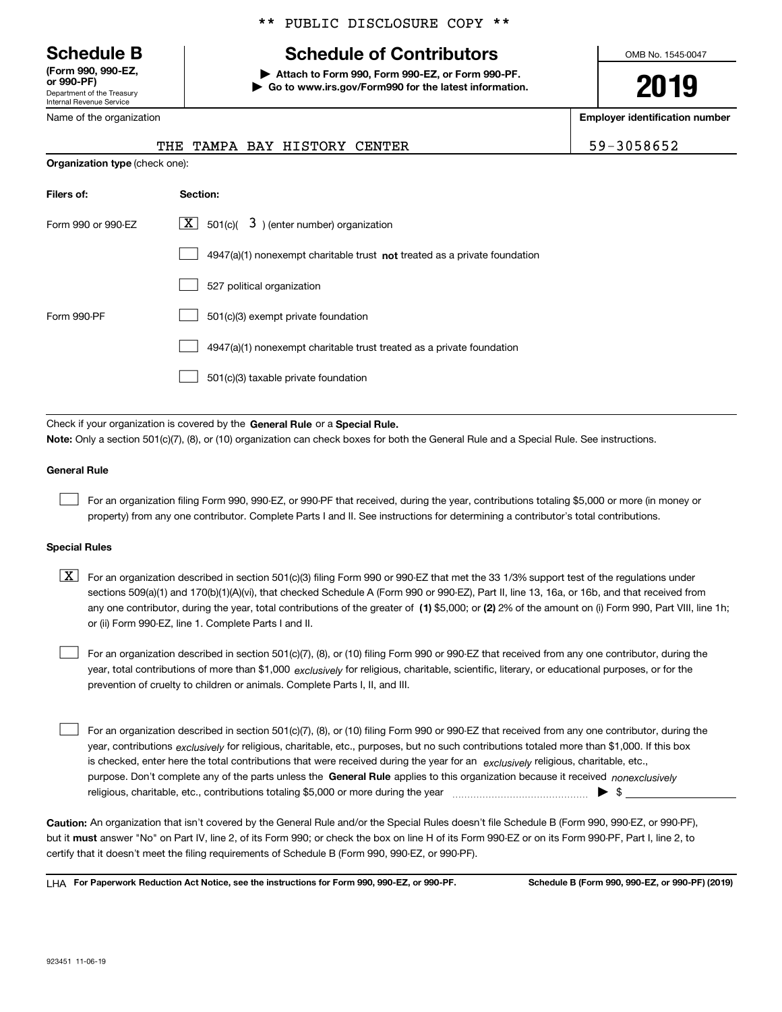Department of the Treasury Internal Revenue Service **(Form 990, 990-EZ, or 990-PF)**

Name of the organization

## \*\* PUBLIC DISCLOSURE COPY \*\*

# **Schedule B Schedule of Contributors**

**| Attach to Form 990, Form 990-EZ, or Form 990-PF. | Go to www.irs.gov/Form990 for the latest information.** OMB No. 1545-0047

**2019**

**Employer identification number**

|  |  | 59-3058652 |  |  |  |
|--|--|------------|--|--|--|
|  |  |            |  |  |  |

| Name of the organization              |  |  |  |                              |  |  |  |
|---------------------------------------|--|--|--|------------------------------|--|--|--|
|                                       |  |  |  | THE TAMPA BAY HISTORY CENTER |  |  |  |
| <b>Organization type (check one):</b> |  |  |  |                              |  |  |  |

| Filers of:         | Section:                                                                    |
|--------------------|-----------------------------------------------------------------------------|
| Form 990 or 990-EZ | $\lfloor x \rfloor$ 501(c)( 3) (enter number) organization                  |
|                    | $4947(a)(1)$ nonexempt charitable trust not treated as a private foundation |
|                    | 527 political organization                                                  |
| Form 990-PF        | 501(c)(3) exempt private foundation                                         |
|                    | 4947(a)(1) nonexempt charitable trust treated as a private foundation       |
|                    | 501(c)(3) taxable private foundation                                        |

Check if your organization is covered by the **General Rule** or a **Special Rule. Note:**  Only a section 501(c)(7), (8), or (10) organization can check boxes for both the General Rule and a Special Rule. See instructions.

#### **General Rule**

 $\mathcal{L}^{\text{max}}$ 

For an organization filing Form 990, 990-EZ, or 990-PF that received, during the year, contributions totaling \$5,000 or more (in money or property) from any one contributor. Complete Parts I and II. See instructions for determining a contributor's total contributions.

#### **Special Rules**

any one contributor, during the year, total contributions of the greater of  $\,$  (1) \$5,000; or **(2)** 2% of the amount on (i) Form 990, Part VIII, line 1h;  $\boxed{\textbf{X}}$  For an organization described in section 501(c)(3) filing Form 990 or 990-EZ that met the 33 1/3% support test of the regulations under sections 509(a)(1) and 170(b)(1)(A)(vi), that checked Schedule A (Form 990 or 990-EZ), Part II, line 13, 16a, or 16b, and that received from or (ii) Form 990-EZ, line 1. Complete Parts I and II.

year, total contributions of more than \$1,000 *exclusively* for religious, charitable, scientific, literary, or educational purposes, or for the For an organization described in section 501(c)(7), (8), or (10) filing Form 990 or 990-EZ that received from any one contributor, during the prevention of cruelty to children or animals. Complete Parts I, II, and III.  $\mathcal{L}^{\text{max}}$ 

purpose. Don't complete any of the parts unless the **General Rule** applies to this organization because it received *nonexclusively* year, contributions <sub>exclusively</sub> for religious, charitable, etc., purposes, but no such contributions totaled more than \$1,000. If this box is checked, enter here the total contributions that were received during the year for an  $\;$ exclusively religious, charitable, etc., For an organization described in section 501(c)(7), (8), or (10) filing Form 990 or 990-EZ that received from any one contributor, during the religious, charitable, etc., contributions totaling \$5,000 or more during the year  $\Box$ — $\Box$   $\Box$  $\mathcal{L}^{\text{max}}$ 

**Caution:**  An organization that isn't covered by the General Rule and/or the Special Rules doesn't file Schedule B (Form 990, 990-EZ, or 990-PF),  **must** but it answer "No" on Part IV, line 2, of its Form 990; or check the box on line H of its Form 990-EZ or on its Form 990-PF, Part I, line 2, to certify that it doesn't meet the filing requirements of Schedule B (Form 990, 990-EZ, or 990-PF).

**For Paperwork Reduction Act Notice, see the instructions for Form 990, 990-EZ, or 990-PF. Schedule B (Form 990, 990-EZ, or 990-PF) (2019)** LHA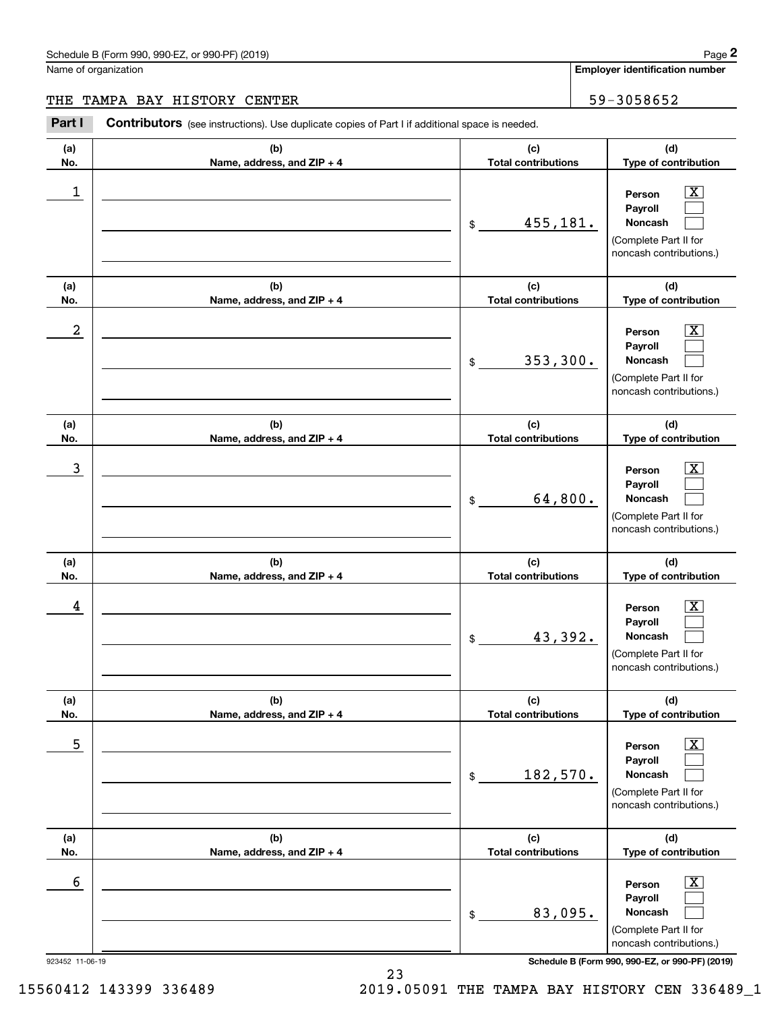#### Schedule B (Form 990, 990-EZ, or 990-PF) (2019) **Page 2** Page 1 and 2011 **Page 2** Page 2 **Page 2** Page 1 and 2011 **Page 2**

Name of organization

**Employer identification number**

#### THE TAMPA BAY HISTORY CENTER THE SERVICE OF SALE SERVICE SERVICE SERVICE SERVICE SERVICE SERVICE SERVICE SERVICE

**(a)No.(b)Name, address, and ZIP + 4 (c)Total contributions (d)Type of contribution PersonPayrollNoncash (a)No.(b)Name, address, and ZIP + 4 (c)Total contributions (d)Type of contribution PersonPayrollNoncash (a)No.(b)Name, address, and ZIP + 4 (c)Total contributions (d)Type of contribution PersonPayrollNoncash (a) No.(b) Name, address, and ZIP + 4 (c) Total contributions (d) Type of contribution PersonPayrollNoncash (a) No.(b) Name, address, and ZIP + 4 (c) Total contributions (d) Type of contribution PersonPayrollNoncash (a) No.(b)Name, address, and ZIP + 4 (c) Total contributions (d)Type of contribution PersonPayrollNoncash** Contributors (see instructions). Use duplicate copies of Part I if additional space is needed. \$(Complete Part II for noncash contributions.) \$(Complete Part II for noncash contributions.) \$(Complete Part II for noncash contributions.) \$(Complete Part II for noncash contributions.) \$(Complete Part II for noncash contributions.) \$(Complete Part II for noncash contributions.) Chedule B (Form 990, 990-EZ, or 990-PF) (2019)<br>Iame of organization<br>**2Part I 2Part I Contributors** (see instructions). Use duplicate copies of Part I if additional space is needed.<br>2Part I **Contributors** (see instructi  $|X|$  $\mathcal{L}^{\text{max}}$  $\mathcal{L}^{\text{max}}$  $\boxed{\text{X}}$  $\mathcal{L}^{\text{max}}$  $\mathcal{L}^{\text{max}}$  $|X|$  $\mathcal{L}^{\text{max}}$  $\mathcal{L}^{\text{max}}$  $\boxed{\text{X}}$  $\mathcal{L}^{\text{max}}$  $\mathcal{L}^{\text{max}}$  $\boxed{\text{X}}$  $\mathcal{L}^{\text{max}}$  $\mathcal{L}^{\text{max}}$  $\boxed{\text{X}}$  $\mathcal{L}^{\text{max}}$  $\mathcal{L}^{\text{max}}$  $\begin{array}{c|c|c|c|c|c} 1 & \hspace{1.5cm} & \hspace{1.5cm} & \hspace{1.5cm} & \hspace{1.5cm} & \hspace{1.5cm} & \hspace{1.5cm} & \hspace{1.5cm} & \hspace{1.5cm} & \hspace{1.5cm} & \hspace{1.5cm} & \hspace{1.5cm} & \hspace{1.5cm} & \hspace{1.5cm} & \hspace{1.5cm} & \hspace{1.5cm} & \hspace{1.5cm} & \hspace{1.5cm} & \hspace{1.5cm} & \hspace{1.5cm} & \hspace{1.5cm} &$ 455,181.  $2$  | Person  $\overline{\text{X}}$ 353,300.  $\overline{3}$  | Person  $\overline{X}$ 64,800.  $4$  | Person  $\overline{\text{X}}$ 43,392.  $\sim$  5 | Person X 182,570.  $\sim$  6 | Person X 83,095.

923452 11-06-19 **Schedule B (Form 990, 990-EZ, or 990-PF) (2019)**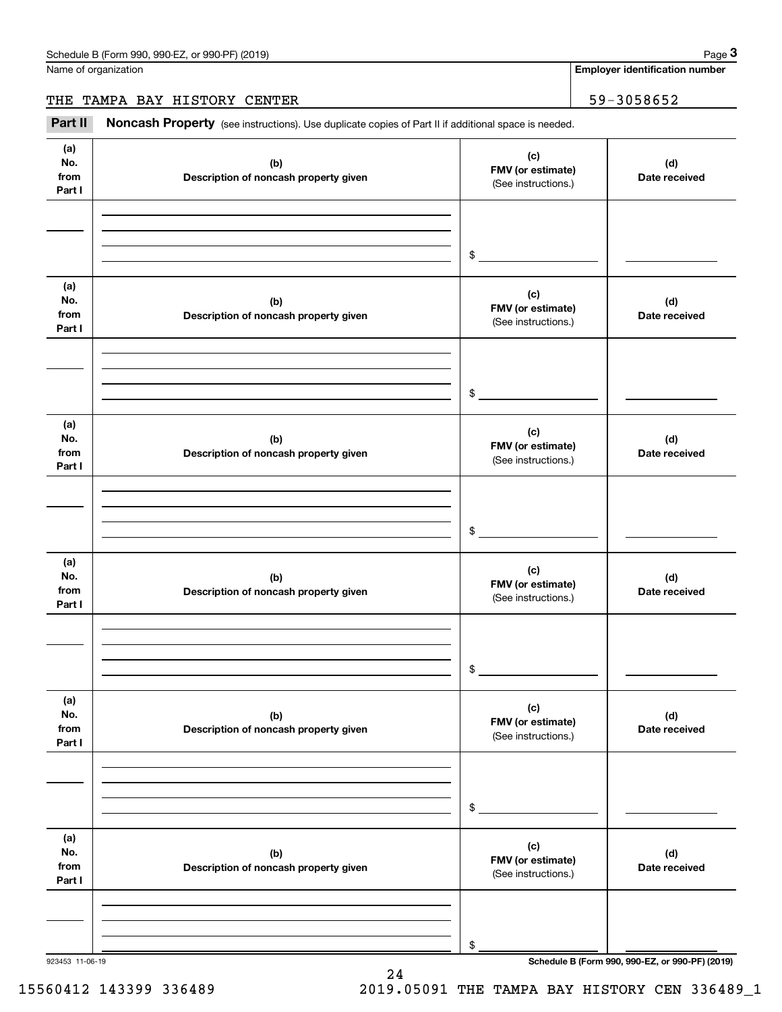Name of organization

**Employer identification number**

THE TAMPA BAY HISTORY CENTER | 59-3058652

(see instructions). Use duplicate copies of Part II if additional space is needed.<br> **2Part II Noncash Property** (see instructions). Use duplicate copies of Part II if additional space is needed.<br>
3Part II **Noncash Proper** 

| (a)<br>No.<br>from<br>Part I | (b)<br>Description of noncash property given | (c)<br>FMV (or estimate)<br>(See instructions.) | (d)<br>Date received |
|------------------------------|----------------------------------------------|-------------------------------------------------|----------------------|
|                              |                                              | $\frac{1}{2}$                                   |                      |
| (a)<br>No.<br>from<br>Part I | (b)<br>Description of noncash property given | (c)<br>FMV (or estimate)<br>(See instructions.) | (d)<br>Date received |
|                              |                                              | $\frac{1}{2}$                                   |                      |
| (a)<br>No.<br>from<br>Part I | (b)<br>Description of noncash property given | (c)<br>FMV (or estimate)<br>(See instructions.) | (d)<br>Date received |
|                              |                                              | $\frac{1}{2}$                                   |                      |
| (a)<br>No.<br>from<br>Part I | (b)<br>Description of noncash property given | (c)<br>FMV (or estimate)<br>(See instructions.) | (d)<br>Date received |
|                              |                                              | $\frac{1}{2}$                                   |                      |
| (a)<br>No.<br>from<br>Part I | (b)<br>Description of noncash property given | (c)<br>FMV (or estimate)<br>(See instructions.) | (d)<br>Date received |
|                              |                                              | \$                                              |                      |
| (a)<br>No.<br>from<br>Part I | (b)<br>Description of noncash property given | (c)<br>FMV (or estimate)<br>(See instructions.) | (d)<br>Date received |
|                              |                                              | \$                                              |                      |

24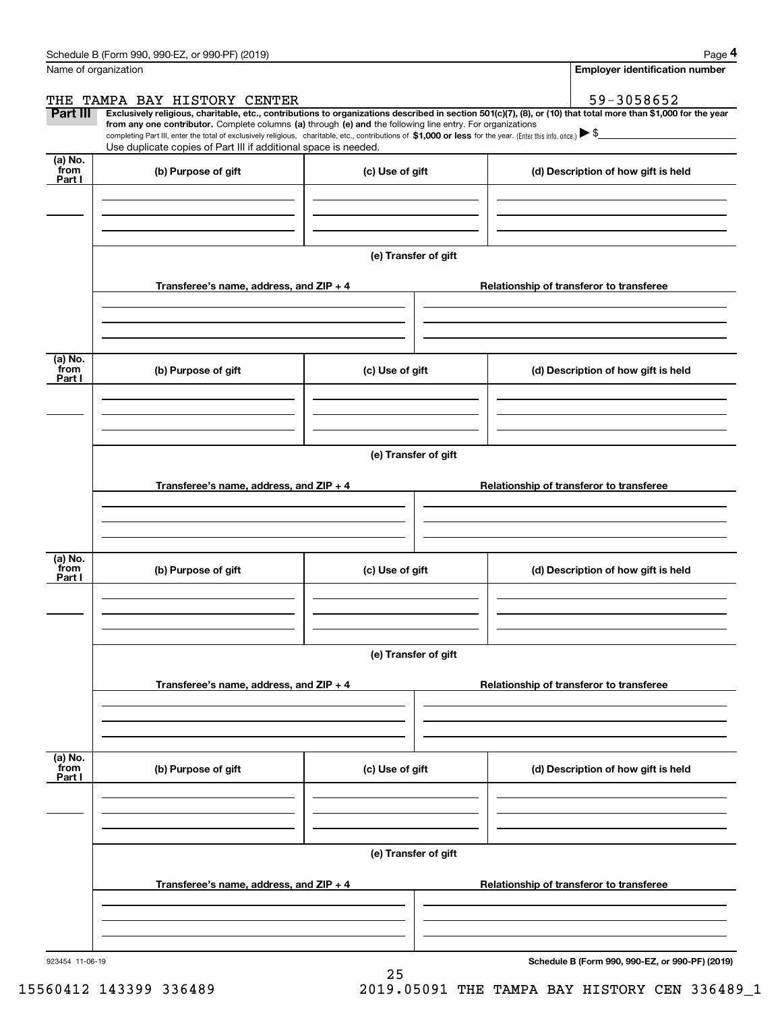|                 | Schedule B (Form 990, 990-EZ, or 990-PF) (2019)                                                                                                                                   |                      | Page 4                                                                                                                                                         |
|-----------------|-----------------------------------------------------------------------------------------------------------------------------------------------------------------------------------|----------------------|----------------------------------------------------------------------------------------------------------------------------------------------------------------|
|                 | Name of organization                                                                                                                                                              |                      | <b>Employer identification number</b>                                                                                                                          |
| THE             | TAMPA BAY HISTORY CENTER                                                                                                                                                          |                      | 59-3058652                                                                                                                                                     |
| <b>Part III</b> | from any one contributor. Complete columns (a) through (e) and the following line entry. For organizations                                                                        |                      | Exclusively religious, charitable, etc., contributions to organizations described in section 501(c)(7), (8), or (10) that total more than \$1,000 for the year |
|                 | completing Part III, enter the total of exclusively religious, charitable, etc., contributions of \$1,000 or less for the year. (Enter this info. once.) $\blacktriangleright$ \$ |                      |                                                                                                                                                                |
| (a) No.         | Use duplicate copies of Part III if additional space is needed.                                                                                                                   |                      |                                                                                                                                                                |
| from<br>Part I  | (b) Purpose of gift                                                                                                                                                               | (c) Use of gift      | (d) Description of how gift is held                                                                                                                            |
|                 |                                                                                                                                                                                   |                      |                                                                                                                                                                |
|                 |                                                                                                                                                                                   |                      |                                                                                                                                                                |
|                 |                                                                                                                                                                                   |                      |                                                                                                                                                                |
|                 |                                                                                                                                                                                   |                      |                                                                                                                                                                |
|                 |                                                                                                                                                                                   | (e) Transfer of gift |                                                                                                                                                                |
|                 | Transferee's name, address, and ZIP + 4                                                                                                                                           |                      | Relationship of transferor to transferee                                                                                                                       |
|                 |                                                                                                                                                                                   |                      |                                                                                                                                                                |
|                 |                                                                                                                                                                                   |                      |                                                                                                                                                                |
|                 |                                                                                                                                                                                   |                      |                                                                                                                                                                |
| (a) No.<br>from | (b) Purpose of gift                                                                                                                                                               |                      | (d) Description of how gift is held                                                                                                                            |
| Part I          |                                                                                                                                                                                   | (c) Use of gift      |                                                                                                                                                                |
|                 |                                                                                                                                                                                   |                      |                                                                                                                                                                |
|                 |                                                                                                                                                                                   |                      |                                                                                                                                                                |
|                 |                                                                                                                                                                                   |                      |                                                                                                                                                                |
|                 |                                                                                                                                                                                   | (e) Transfer of gift |                                                                                                                                                                |
|                 |                                                                                                                                                                                   |                      |                                                                                                                                                                |
|                 | Transferee's name, address, and ZIP + 4                                                                                                                                           |                      | Relationship of transferor to transferee                                                                                                                       |
|                 |                                                                                                                                                                                   |                      |                                                                                                                                                                |
|                 |                                                                                                                                                                                   |                      |                                                                                                                                                                |
| (a) No.         |                                                                                                                                                                                   |                      |                                                                                                                                                                |
| from<br>Part I  | (b) Purpose of gift                                                                                                                                                               | (c) Use of gift      | (d) Description of how gift is held                                                                                                                            |
|                 |                                                                                                                                                                                   |                      |                                                                                                                                                                |
|                 |                                                                                                                                                                                   |                      |                                                                                                                                                                |
|                 |                                                                                                                                                                                   |                      |                                                                                                                                                                |
|                 |                                                                                                                                                                                   | (e) Transfer of gift |                                                                                                                                                                |
|                 |                                                                                                                                                                                   |                      |                                                                                                                                                                |
|                 | Transferee's name, address, and $ZIP + 4$                                                                                                                                         |                      | Relationship of transferor to transferee                                                                                                                       |
|                 |                                                                                                                                                                                   |                      |                                                                                                                                                                |
|                 |                                                                                                                                                                                   |                      |                                                                                                                                                                |
|                 |                                                                                                                                                                                   |                      |                                                                                                                                                                |
| (a) No.<br>from | (b) Purpose of gift                                                                                                                                                               | (c) Use of gift      | (d) Description of how gift is held                                                                                                                            |
| Part I          |                                                                                                                                                                                   |                      |                                                                                                                                                                |
|                 |                                                                                                                                                                                   |                      |                                                                                                                                                                |
|                 |                                                                                                                                                                                   |                      |                                                                                                                                                                |
|                 |                                                                                                                                                                                   |                      |                                                                                                                                                                |
|                 |                                                                                                                                                                                   | (e) Transfer of gift |                                                                                                                                                                |
|                 | Transferee's name, address, and $ZIP + 4$                                                                                                                                         |                      | Relationship of transferor to transferee                                                                                                                       |
|                 |                                                                                                                                                                                   |                      |                                                                                                                                                                |
|                 |                                                                                                                                                                                   |                      |                                                                                                                                                                |
|                 |                                                                                                                                                                                   |                      |                                                                                                                                                                |
|                 |                                                                                                                                                                                   |                      |                                                                                                                                                                |

25

923454 11-06-19

**Schedule B (Form 990, 990-EZ, or 990-PF) (2019)**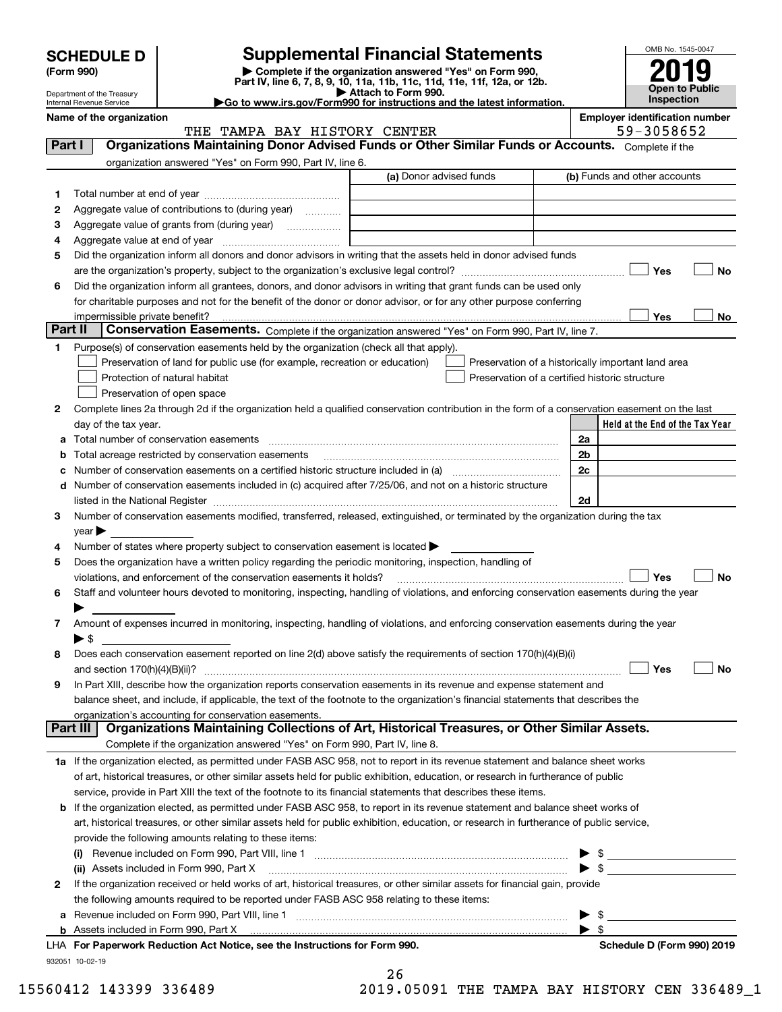| <b>SCHEDULE D</b> |  |
|-------------------|--|
|-------------------|--|

| (Form 990) |  |
|------------|--|
|------------|--|

# **Supplemental Financial Statements**

(Form 990)<br>
Pepartment of the Treasury<br>
Department of the Treasury<br>
Department of the Treasury<br>
Department of the Treasury<br> **Co to www.irs.gov/Form990 for instructions and the latest information.**<br> **Co to www.irs.gov/Form9** 

| OMB No. 1545-0047     |
|-----------------------|
| 2019                  |
|                       |
| <b>Open to Public</b> |
| Inspection            |

Department of the Treasury Internal Revenue Service

**Name of the organization Employer identification number**

|         | THE TAMPA BAY HISTORY CENTER                                                                                                                                                                                                  |                         |                                                | 59-3058652                                         |
|---------|-------------------------------------------------------------------------------------------------------------------------------------------------------------------------------------------------------------------------------|-------------------------|------------------------------------------------|----------------------------------------------------|
| Part I  | Organizations Maintaining Donor Advised Funds or Other Similar Funds or Accounts. Complete if the                                                                                                                             |                         |                                                |                                                    |
|         | organization answered "Yes" on Form 990, Part IV, line 6.                                                                                                                                                                     |                         |                                                |                                                    |
|         |                                                                                                                                                                                                                               | (a) Donor advised funds |                                                | (b) Funds and other accounts                       |
| 1       |                                                                                                                                                                                                                               |                         |                                                |                                                    |
| 2       | Aggregate value of contributions to (during year)                                                                                                                                                                             |                         |                                                |                                                    |
| з       | Aggregate value of grants from (during year)                                                                                                                                                                                  |                         |                                                |                                                    |
| 4       |                                                                                                                                                                                                                               |                         |                                                |                                                    |
|         | Did the organization inform all donors and donor advisors in writing that the assets held in donor advised funds                                                                                                              |                         |                                                |                                                    |
| 5       |                                                                                                                                                                                                                               |                         |                                                |                                                    |
|         |                                                                                                                                                                                                                               |                         |                                                | Yes<br>No                                          |
| 6       | Did the organization inform all grantees, donors, and donor advisors in writing that grant funds can be used only                                                                                                             |                         |                                                |                                                    |
|         | for charitable purposes and not for the benefit of the donor or donor advisor, or for any other purpose conferring                                                                                                            |                         |                                                |                                                    |
|         | impermissible private benefit?                                                                                                                                                                                                |                         |                                                | Yes<br>No                                          |
| Part II | Conservation Easements. Complete if the organization answered "Yes" on Form 990, Part IV, line 7.                                                                                                                             |                         |                                                |                                                    |
| 1       | Purpose(s) of conservation easements held by the organization (check all that apply).                                                                                                                                         |                         |                                                |                                                    |
|         | Preservation of land for public use (for example, recreation or education)                                                                                                                                                    |                         |                                                | Preservation of a historically important land area |
|         | Protection of natural habitat                                                                                                                                                                                                 |                         | Preservation of a certified historic structure |                                                    |
|         | Preservation of open space                                                                                                                                                                                                    |                         |                                                |                                                    |
| 2       | Complete lines 2a through 2d if the organization held a qualified conservation contribution in the form of a conservation easement on the last                                                                                |                         |                                                |                                                    |
|         | day of the tax year.                                                                                                                                                                                                          |                         |                                                | Held at the End of the Tax Year                    |
| а       |                                                                                                                                                                                                                               |                         |                                                | 2a                                                 |
| b       | Total acreage restricted by conservation easements                                                                                                                                                                            |                         |                                                | 2 <sub>b</sub>                                     |
| c       |                                                                                                                                                                                                                               |                         |                                                | 2c                                                 |
|         | d Number of conservation easements included in (c) acquired after 7/25/06, and not on a historic structure                                                                                                                    |                         |                                                |                                                    |
|         | listed in the National Register [111] Marshall Register [11] Marshall Register [11] Marshall Register [11] Marshall Register [11] Marshall Register [11] Marshall Register [11] Marshall Register [11] Marshall Register [11] |                         |                                                | 2d                                                 |
| З.      | Number of conservation easements modified, transferred, released, extinguished, or terminated by the organization during the tax                                                                                              |                         |                                                |                                                    |
|         | $year \blacktriangleright$                                                                                                                                                                                                    |                         |                                                |                                                    |
| 4       | Number of states where property subject to conservation easement is located >                                                                                                                                                 |                         |                                                |                                                    |
| 5       | Does the organization have a written policy regarding the periodic monitoring, inspection, handling of                                                                                                                        |                         |                                                |                                                    |
|         | violations, and enforcement of the conservation easements it holds?                                                                                                                                                           |                         |                                                | Yes<br><b>No</b>                                   |
| 6       | Staff and volunteer hours devoted to monitoring, inspecting, handling of violations, and enforcing conservation easements during the year                                                                                     |                         |                                                |                                                    |
|         |                                                                                                                                                                                                                               |                         |                                                |                                                    |
|         |                                                                                                                                                                                                                               |                         |                                                |                                                    |
| 7       | Amount of expenses incurred in monitoring, inspecting, handling of violations, and enforcing conservation easements during the year                                                                                           |                         |                                                |                                                    |
|         | $\blacktriangleright$ \$                                                                                                                                                                                                      |                         |                                                |                                                    |
| 8       | Does each conservation easement reported on line 2(d) above satisfy the requirements of section 170(h)(4)(B)(i)                                                                                                               |                         |                                                |                                                    |
|         |                                                                                                                                                                                                                               |                         |                                                | Yes<br>No                                          |
| 9       | In Part XIII, describe how the organization reports conservation easements in its revenue and expense statement and                                                                                                           |                         |                                                |                                                    |
|         | balance sheet, and include, if applicable, the text of the footnote to the organization's financial statements that describes the                                                                                             |                         |                                                |                                                    |
|         | organization's accounting for conservation easements.<br>Organizations Maintaining Collections of Art, Historical Treasures, or Other Similar Assets.                                                                         |                         |                                                |                                                    |
|         | Part III                                                                                                                                                                                                                      |                         |                                                |                                                    |
|         | Complete if the organization answered "Yes" on Form 990, Part IV, line 8.                                                                                                                                                     |                         |                                                |                                                    |
|         | 1a If the organization elected, as permitted under FASB ASC 958, not to report in its revenue statement and balance sheet works                                                                                               |                         |                                                |                                                    |
|         | of art, historical treasures, or other similar assets held for public exhibition, education, or research in furtherance of public                                                                                             |                         |                                                |                                                    |
|         | service, provide in Part XIII the text of the footnote to its financial statements that describes these items.                                                                                                                |                         |                                                |                                                    |
| b       | If the organization elected, as permitted under FASB ASC 958, to report in its revenue statement and balance sheet works of                                                                                                   |                         |                                                |                                                    |
|         | art, historical treasures, or other similar assets held for public exhibition, education, or research in furtherance of public service,                                                                                       |                         |                                                |                                                    |
|         | provide the following amounts relating to these items:                                                                                                                                                                        |                         |                                                |                                                    |
|         |                                                                                                                                                                                                                               |                         |                                                | \$                                                 |
|         | (ii) Assets included in Form 990, Part X                                                                                                                                                                                      |                         |                                                | $\blacktriangleright$ \$                           |
| 2       | If the organization received or held works of art, historical treasures, or other similar assets for financial gain, provide                                                                                                  |                         |                                                |                                                    |
|         | the following amounts required to be reported under FASB ASC 958 relating to these items:                                                                                                                                     |                         |                                                |                                                    |
| а       | Revenue included on Form 990, Part VIII, line 1 [2000] [2000] [2000] [2000] [3000] [3000] [3000] [3000] [3000                                                                                                                 |                         |                                                | $\blacktriangleright$ \$                           |
|         |                                                                                                                                                                                                                               |                         |                                                | $\blacktriangleright$ \$                           |
|         |                                                                                                                                                                                                                               |                         |                                                |                                                    |

932051 10-02-19

| LHA For Paperwork Reduction Act Notice, see the Instructions for Form 990. | Schedule D (Form 990) 2019 |
|----------------------------------------------------------------------------|----------------------------|
|----------------------------------------------------------------------------|----------------------------|

26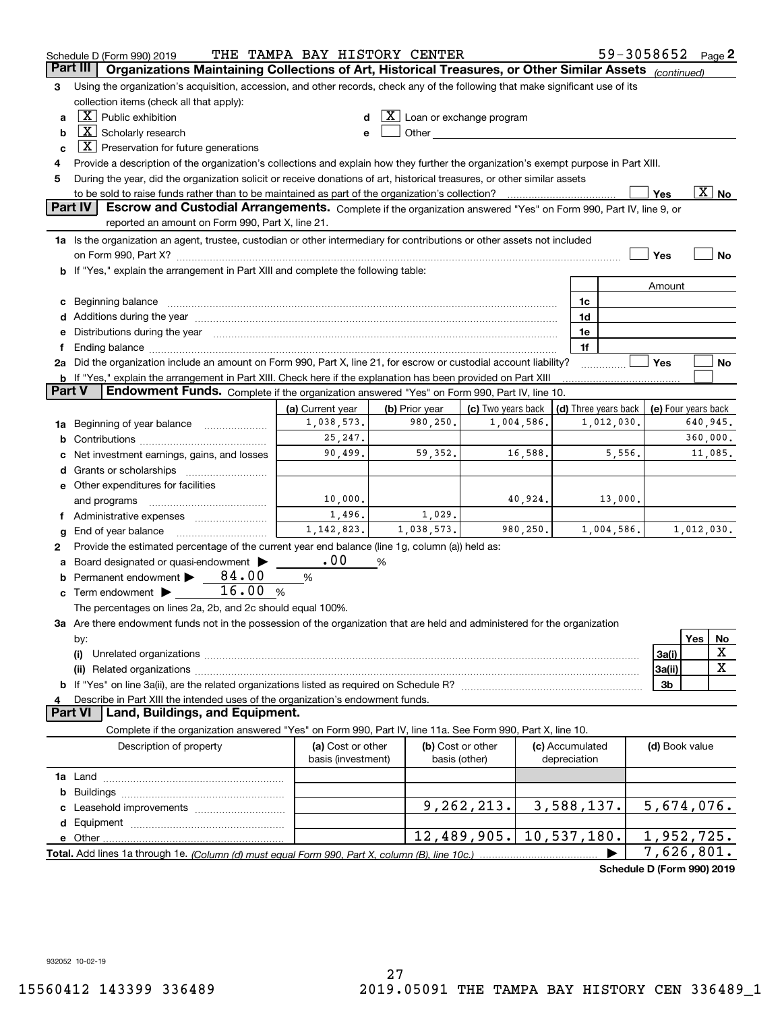|        | Schedule D (Form 990) 2019                                                                                                                                                                                                     | THE TAMPA BAY HISTORY CENTER |                                                   |                                                                                                                                                                                                                                |              |                      |         | 59-3058652                 |            | Page 2                   |
|--------|--------------------------------------------------------------------------------------------------------------------------------------------------------------------------------------------------------------------------------|------------------------------|---------------------------------------------------|--------------------------------------------------------------------------------------------------------------------------------------------------------------------------------------------------------------------------------|--------------|----------------------|---------|----------------------------|------------|--------------------------|
|        | Part III<br>Organizations Maintaining Collections of Art, Historical Treasures, or Other Similar Assets (continued)                                                                                                            |                              |                                                   |                                                                                                                                                                                                                                |              |                      |         |                            |            |                          |
| з      | Using the organization's acquisition, accession, and other records, check any of the following that make significant use of its                                                                                                |                              |                                                   |                                                                                                                                                                                                                                |              |                      |         |                            |            |                          |
|        | collection items (check all that apply):                                                                                                                                                                                       |                              |                                                   |                                                                                                                                                                                                                                |              |                      |         |                            |            |                          |
| a      | $\boxed{\text{X}}$ Public exhibition                                                                                                                                                                                           |                              | $\underline{\textbf{X}}$ Loan or exchange program |                                                                                                                                                                                                                                |              |                      |         |                            |            |                          |
| b      | $\boxed{\text{X}}$ Scholarly research                                                                                                                                                                                          |                              |                                                   | Other and the control of the control of the control of the control of the control of the control of the control of the control of the control of the control of the control of the control of the control of the control of th |              |                      |         |                            |            |                          |
| c      | $\lfloor \mathbf{X} \rfloor$ Preservation for future generations                                                                                                                                                               |                              |                                                   |                                                                                                                                                                                                                                |              |                      |         |                            |            |                          |
| 4      | Provide a description of the organization's collections and explain how they further the organization's exempt purpose in Part XIII.                                                                                           |                              |                                                   |                                                                                                                                                                                                                                |              |                      |         |                            |            |                          |
| 5      | During the year, did the organization solicit or receive donations of art, historical treasures, or other similar assets                                                                                                       |                              |                                                   |                                                                                                                                                                                                                                |              |                      |         |                            |            |                          |
|        | to be sold to raise funds rather than to be maintained as part of the organization's collection?                                                                                                                               |                              |                                                   |                                                                                                                                                                                                                                |              |                      |         | Yes                        |            | $\overline{\text{X}}$ No |
|        | Escrow and Custodial Arrangements. Complete if the organization answered "Yes" on Form 990, Part IV, line 9, or<br><b>Part IV</b>                                                                                              |                              |                                                   |                                                                                                                                                                                                                                |              |                      |         |                            |            |                          |
|        | reported an amount on Form 990, Part X, line 21.                                                                                                                                                                               |                              |                                                   |                                                                                                                                                                                                                                |              |                      |         |                            |            |                          |
|        | 1a Is the organization an agent, trustee, custodian or other intermediary for contributions or other assets not included                                                                                                       |                              |                                                   |                                                                                                                                                                                                                                |              |                      |         |                            |            |                          |
|        | on Form 990, Part X? [11] matter and the contract of the contract of the contract of the contract of the contract of the contract of the contract of the contract of the contract of the contract of the contract of the contr |                              |                                                   |                                                                                                                                                                                                                                |              |                      |         | Yes                        |            | No                       |
|        | <b>b</b> If "Yes," explain the arrangement in Part XIII and complete the following table:                                                                                                                                      |                              |                                                   |                                                                                                                                                                                                                                |              |                      |         |                            |            |                          |
|        |                                                                                                                                                                                                                                |                              |                                                   |                                                                                                                                                                                                                                |              |                      |         | Amount                     |            |                          |
|        |                                                                                                                                                                                                                                |                              |                                                   |                                                                                                                                                                                                                                |              | 1c                   |         |                            |            |                          |
|        | d Additions during the year measurement contains and a state of the year measurement of the year measurement of                                                                                                                |                              |                                                   |                                                                                                                                                                                                                                |              | 1d                   |         |                            |            |                          |
|        | e Distributions during the year manufactured and an according to the year manufactured and the year manufactur                                                                                                                 |                              |                                                   |                                                                                                                                                                                                                                |              | 1e<br>1f             |         |                            |            |                          |
|        | 2a Did the organization include an amount on Form 990, Part X, line 21, for escrow or custodial account liability?                                                                                                             |                              |                                                   |                                                                                                                                                                                                                                |              |                      |         | Yes                        |            | No                       |
|        | <b>b</b> If "Yes," explain the arrangement in Part XIII. Check here if the explanation has been provided on Part XIII                                                                                                          |                              |                                                   |                                                                                                                                                                                                                                |              |                      |         |                            |            |                          |
| Part V | Endowment Funds. Complete if the organization answered "Yes" on Form 990, Part IV, line 10.                                                                                                                                    |                              |                                                   |                                                                                                                                                                                                                                |              |                      |         |                            |            |                          |
|        |                                                                                                                                                                                                                                | (a) Current year             | (b) Prior year                                    | (c) Two years back                                                                                                                                                                                                             |              | (d) Three years back |         | (e) Four years back        |            |                          |
|        | 1a Beginning of year balance                                                                                                                                                                                                   | 1,038,573.                   | 980,250.                                          | 1,004,586.                                                                                                                                                                                                                     |              | 1,012,030.           |         |                            | 640,945.   |                          |
| b      |                                                                                                                                                                                                                                | 25,247.                      |                                                   |                                                                                                                                                                                                                                |              |                      |         |                            | 360,000.   |                          |
|        | Net investment earnings, gains, and losses                                                                                                                                                                                     | 90,499.                      | 59,352.                                           | 16,588.                                                                                                                                                                                                                        |              |                      | 5,556.  |                            |            | 11,085.                  |
|        |                                                                                                                                                                                                                                |                              |                                                   |                                                                                                                                                                                                                                |              |                      |         |                            |            |                          |
|        | e Other expenditures for facilities                                                                                                                                                                                            |                              |                                                   |                                                                                                                                                                                                                                |              |                      |         |                            |            |                          |
|        | and programs                                                                                                                                                                                                                   | 10,000.                      |                                                   | 40,924.                                                                                                                                                                                                                        |              |                      | 13,000. |                            |            |                          |
|        | f Administrative expenses                                                                                                                                                                                                      | 1,496.                       | 1,029.                                            |                                                                                                                                                                                                                                |              |                      |         |                            |            |                          |
| g      | End of year balance                                                                                                                                                                                                            | 1, 142, 823.                 | 1,038,573.                                        | 980,250.                                                                                                                                                                                                                       |              | 1,004,586.           |         |                            | 1,012,030. |                          |
| 2      | Provide the estimated percentage of the current year end balance (line 1g, column (a)) held as:                                                                                                                                |                              |                                                   |                                                                                                                                                                                                                                |              |                      |         |                            |            |                          |
|        | Board designated or quasi-endowment                                                                                                                                                                                            | .00                          | %                                                 |                                                                                                                                                                                                                                |              |                      |         |                            |            |                          |
|        | <b>b</b> Permanent endowment $\triangleright$ 84.00                                                                                                                                                                            | %                            |                                                   |                                                                                                                                                                                                                                |              |                      |         |                            |            |                          |
|        | 16.00<br>$\mathbf c$ Term endowment $\blacktriangleright$                                                                                                                                                                      | %                            |                                                   |                                                                                                                                                                                                                                |              |                      |         |                            |            |                          |
|        | The percentages on lines 2a, 2b, and 2c should equal 100%.                                                                                                                                                                     |                              |                                                   |                                                                                                                                                                                                                                |              |                      |         |                            |            |                          |
|        | 3a Are there endowment funds not in the possession of the organization that are held and administered for the organization                                                                                                     |                              |                                                   |                                                                                                                                                                                                                                |              |                      |         |                            |            |                          |
|        | by:                                                                                                                                                                                                                            |                              |                                                   |                                                                                                                                                                                                                                |              |                      |         |                            | Yes        | No                       |
|        | (i)                                                                                                                                                                                                                            |                              |                                                   |                                                                                                                                                                                                                                |              |                      |         | 3a(i)                      |            | х                        |
|        |                                                                                                                                                                                                                                |                              |                                                   |                                                                                                                                                                                                                                |              |                      |         | 3a(ii)                     |            | $\mathbf X$              |
|        |                                                                                                                                                                                                                                |                              |                                                   |                                                                                                                                                                                                                                |              |                      |         | 3b                         |            |                          |
| 4      | Describe in Part XIII the intended uses of the organization's endowment funds.<br>Land, Buildings, and Equipment.<br><b>Part VI</b>                                                                                            |                              |                                                   |                                                                                                                                                                                                                                |              |                      |         |                            |            |                          |
|        | Complete if the organization answered "Yes" on Form 990, Part IV, line 11a. See Form 990, Part X, line 10.                                                                                                                     |                              |                                                   |                                                                                                                                                                                                                                |              |                      |         |                            |            |                          |
|        | Description of property                                                                                                                                                                                                        | (a) Cost or other            |                                                   | (b) Cost or other                                                                                                                                                                                                              |              | (c) Accumulated      |         | (d) Book value             |            |                          |
|        |                                                                                                                                                                                                                                | basis (investment)           |                                                   | basis (other)                                                                                                                                                                                                                  | depreciation |                      |         |                            |            |                          |
|        |                                                                                                                                                                                                                                |                              |                                                   |                                                                                                                                                                                                                                |              |                      |         |                            |            |                          |
| b      |                                                                                                                                                                                                                                |                              |                                                   |                                                                                                                                                                                                                                |              |                      |         |                            |            |                          |
|        |                                                                                                                                                                                                                                |                              |                                                   | 9, 262, 213.                                                                                                                                                                                                                   |              | 3,588,137.           |         | 5,674,076.                 |            |                          |
|        |                                                                                                                                                                                                                                |                              |                                                   |                                                                                                                                                                                                                                |              |                      |         |                            |            |                          |
|        |                                                                                                                                                                                                                                |                              |                                                   | 12,489,905.                                                                                                                                                                                                                    |              | 10,537,180.          |         | 1,952,725.                 |            |                          |
|        |                                                                                                                                                                                                                                |                              |                                                   |                                                                                                                                                                                                                                |              |                      |         | 7,626,801.                 |            |                          |
|        |                                                                                                                                                                                                                                |                              |                                                   |                                                                                                                                                                                                                                |              |                      |         | Schedule D (Form 990) 2019 |            |                          |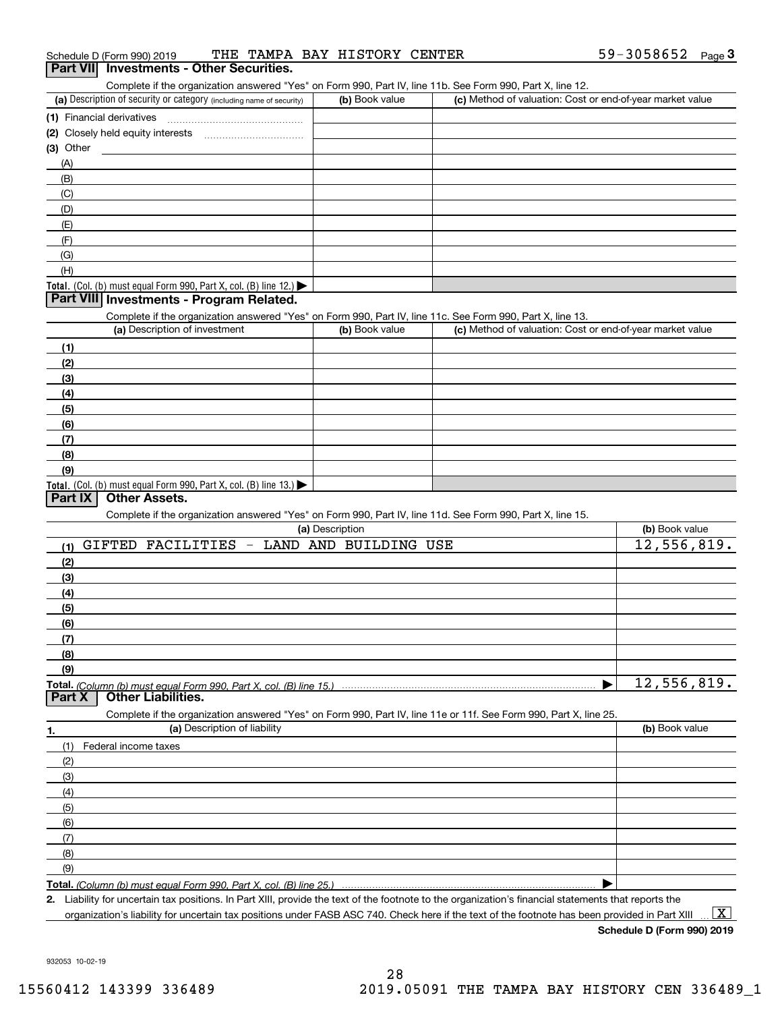| Schedule D (Form 990) 2019 |  |  |  |  | THE TAMPA BAY HISTORY CENTER |  | 59-3058652 | Page |  |
|----------------------------|--|--|--|--|------------------------------|--|------------|------|--|
|----------------------------|--|--|--|--|------------------------------|--|------------|------|--|

### **Part VII Investments - Other Securities.**

Complete if the organization answered "Yes" on Form 990, Part IV, line 11b. See Form 990, Part X, line 12.

| (a) Description of security or category (including name of security)                          | (b) Book value | (c) Method of valuation: Cost or end-of-year market value |
|-----------------------------------------------------------------------------------------------|----------------|-----------------------------------------------------------|
| (1) Financial derivatives                                                                     |                |                                                           |
| (2) Closely held equity interests                                                             |                |                                                           |
| $(3)$ Other                                                                                   |                |                                                           |
| (A)                                                                                           |                |                                                           |
| (B)                                                                                           |                |                                                           |
| (C)                                                                                           |                |                                                           |
| (D)                                                                                           |                |                                                           |
| (E)                                                                                           |                |                                                           |
| (F)                                                                                           |                |                                                           |
| (G)                                                                                           |                |                                                           |
| (H)                                                                                           |                |                                                           |
| <b>Total.</b> (Col. (b) must equal Form 990, Part X, col. (B) line 12.) $\blacktriangleright$ |                |                                                           |

#### **Part VIII Investments - Program Related.**

Complete if the organization answered "Yes" on Form 990, Part IV, line 11c. See Form 990, Part X, line 13.

| (a) Description of investment                                    | (b) Book value | (c) Method of valuation: Cost or end-of-year market value |
|------------------------------------------------------------------|----------------|-----------------------------------------------------------|
| (1)                                                              |                |                                                           |
| (2)                                                              |                |                                                           |
| $\frac{1}{2}$                                                    |                |                                                           |
| (4)                                                              |                |                                                           |
| $\frac{1}{2}$                                                    |                |                                                           |
| (6)                                                              |                |                                                           |
| $\sqrt{(7)}$                                                     |                |                                                           |
| (8)                                                              |                |                                                           |
| (9)                                                              |                |                                                           |
| Total. (Col. (b) must equal Form 990, Part X, col. (B) line 13.) |                |                                                           |

#### **Part IX Other Assets.**

Complete if the organization answered "Yes" on Form 990, Part IV, line 11d. See Form 990, Part X, line 15.

| (a) Description                                                                                                   | (b) Book value |
|-------------------------------------------------------------------------------------------------------------------|----------------|
| <b>GIFTED</b><br>FACILITIES<br>LAND AND BUILDING USE<br>$\overline{\phantom{a}}$<br>(1)                           | 12,556,819.    |
| (2)                                                                                                               |                |
| (3)                                                                                                               |                |
| (4)                                                                                                               |                |
| (5)                                                                                                               |                |
| (6)                                                                                                               |                |
| (7)                                                                                                               |                |
| (8)                                                                                                               |                |
| (9)                                                                                                               |                |
| Total. (Column (b) must equal Form 990, Part X, col. (B) line 15.)<br><b>Other Liabilities.</b>                   | 12,556,819.    |
| Part X                                                                                                            |                |
|                                                                                                                   |                |
| Complete if the organization answered "Yes" on Form 990, Part IV, line 11e or 11f. See Form 990, Part X, line 25. |                |
| (a) Description of liability<br>1.                                                                                | (b) Book value |
| Federal income taxes<br>(1)                                                                                       |                |
| (2)                                                                                                               |                |
| (3)                                                                                                               |                |
| (4)                                                                                                               |                |
| (5)                                                                                                               |                |
| (6)                                                                                                               |                |
| (7)                                                                                                               |                |
| (8)                                                                                                               |                |
| (9)                                                                                                               |                |

**Total.**  *(Column (b) must equal Form 990, Part X, col. (B) line 25.)*

**2.** Liability for uncertain tax positions. In Part XIII, provide the text of the footnote to the organization's financial statements that reports the organization's liability for uncertain tax positions under FASB ASC 740. Check here if the text of the footnote has been provided in Part XIII  $\boxed{\text{X}}$ 

**Schedule D (Form 990) 2019**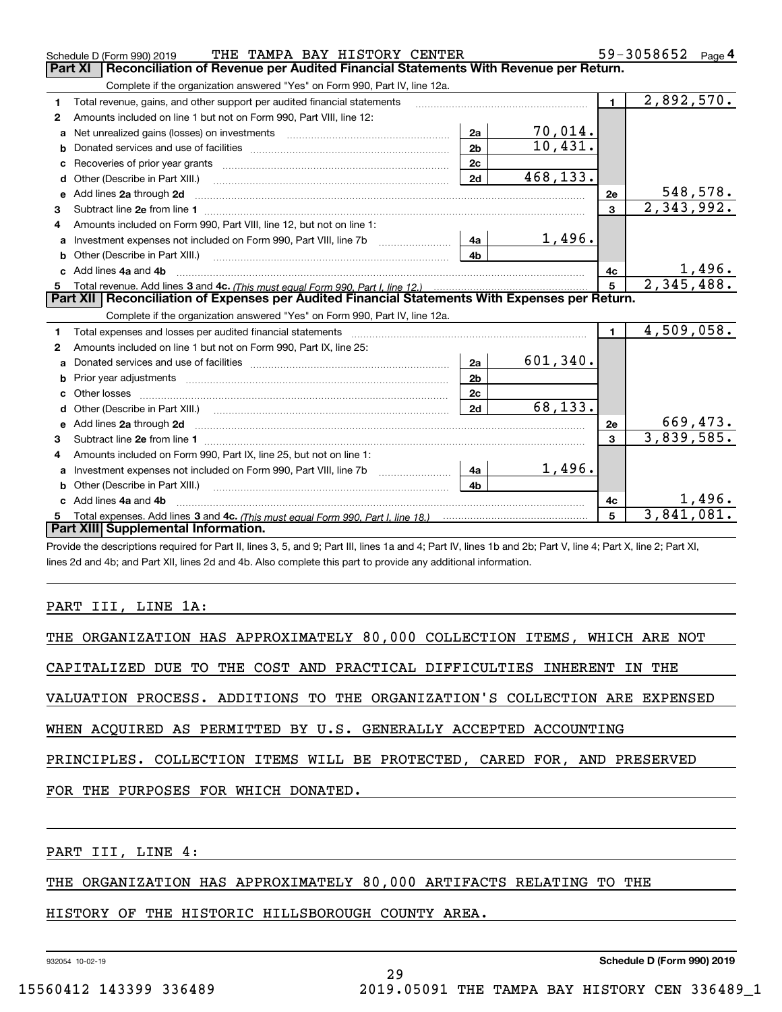|              | THE TAMPA BAY HISTORY CENTER<br>Schedule D (Form 990) 2019                                                                                                                                                                     |                |                |                 | 59-3058652 Page 4 |
|--------------|--------------------------------------------------------------------------------------------------------------------------------------------------------------------------------------------------------------------------------|----------------|----------------|-----------------|-------------------|
|              | Reconciliation of Revenue per Audited Financial Statements With Revenue per Return.<br>Part XI                                                                                                                                 |                |                |                 |                   |
|              | Complete if the organization answered "Yes" on Form 990, Part IV, line 12a.                                                                                                                                                    |                |                |                 |                   |
| 1            | Total revenue, gains, and other support per audited financial statements                                                                                                                                                       |                |                | $\mathbf 1$     | 2,892,570.        |
| $\mathbf{2}$ | Amounts included on line 1 but not on Form 990, Part VIII, line 12:                                                                                                                                                            |                |                |                 |                   |
| a            | Net unrealized gains (losses) on investments [11] matter contracts and the unrealized gains (losses) on investments                                                                                                            | 2a             | <u>70,014.</u> |                 |                   |
| b            |                                                                                                                                                                                                                                | 2 <sub>b</sub> | 10,431.        |                 |                   |
| c            |                                                                                                                                                                                                                                | 2c             |                |                 |                   |
| d            | Other (Describe in Part XIII.)                                                                                                                                                                                                 | 2d             | 468,133.       |                 |                   |
| е            | Add lines 2a through 2d                                                                                                                                                                                                        |                |                | 2e              | 548,578.          |
| 3            |                                                                                                                                                                                                                                |                |                | $\mathbf{3}$    | 2,343,992.        |
| 4            | Amounts included on Form 990, Part VIII, line 12, but not on line 1:                                                                                                                                                           |                |                |                 |                   |
| a            |                                                                                                                                                                                                                                | 4a             | 1,496.         |                 |                   |
|              |                                                                                                                                                                                                                                | 4 <sub>b</sub> |                |                 |                   |
| c.           | Add lines 4a and 4b                                                                                                                                                                                                            |                |                | 4с              | 1,496.            |
| 5            |                                                                                                                                                                                                                                |                |                | $5\phantom{.0}$ | 2,345,488.        |
|              | Part XII   Reconciliation of Expenses per Audited Financial Statements With Expenses per Return.                                                                                                                               |                |                |                 |                   |
|              | Complete if the organization answered "Yes" on Form 990, Part IV, line 12a.                                                                                                                                                    |                |                |                 |                   |
| 1            | Total expenses and losses per audited financial statements [11] [12] contain an intervention and contain a statements [13] [13] and the statements [13] [13] and the statements [13] and the statements [13] and the statement |                |                | $\mathbf{1}$    | 4,509,058.        |
| 2            | Amounts included on line 1 but not on Form 990, Part IX, line 25:                                                                                                                                                              |                |                |                 |                   |
| a            |                                                                                                                                                                                                                                | 2a             | 601,340.       |                 |                   |
| b            |                                                                                                                                                                                                                                | 2 <sub>b</sub> |                |                 |                   |
| c            |                                                                                                                                                                                                                                | 2c             |                |                 |                   |
| d            |                                                                                                                                                                                                                                | 2d             | 68,133.        |                 |                   |
|              | e Add lines 2a through 2d                                                                                                                                                                                                      |                |                | 2e              | 669,473.          |
| 3            |                                                                                                                                                                                                                                |                |                | $\mathbf{3}$    | 3,839,585.        |
|              |                                                                                                                                                                                                                                |                |                |                 |                   |
| 4            | Amounts included on Form 990, Part IX, line 25, but not on line 1:                                                                                                                                                             |                |                |                 |                   |
| a            |                                                                                                                                                                                                                                | 4a             | 1,496.         |                 |                   |
| b            |                                                                                                                                                                                                                                | 4 <sub>h</sub> |                |                 |                   |
|              | Add lines 4a and 4b                                                                                                                                                                                                            |                |                | 4с              | 1,496.            |
|              | Part XIII Supplemental Information.                                                                                                                                                                                            |                |                | 5               | 3,841,081.        |

Provide the descriptions required for Part II, lines 3, 5, and 9; Part III, lines 1a and 4; Part IV, lines 1b and 2b; Part V, line 4; Part X, line 2; Part XI, lines 2d and 4b; and Part XII, lines 2d and 4b. Also complete this part to provide any additional information.

## PART III, LINE 1A:

| THE ORGANIZATION HAS APPROXIMATELY 80,000 COLLECTION ITEMS, WHICH ARE NOT  |
|----------------------------------------------------------------------------|
| CAPITALIZED DUE TO THE COST AND PRACTICAL DIFFICULTIES INHERENT IN THE     |
| VALUATION PROCESS. ADDITIONS TO THE ORGANIZATION'S COLLECTION ARE EXPENSED |
| WHEN ACOUIRED AS PERMITTED BY U.S. GENERALLY ACCEPTED ACCOUNTING           |
| PRINCIPLES. COLLECTION ITEMS WILL BE PROTECTED, CARED FOR, AND PRESERVED   |
| FOR THE PURPOSES FOR WHICH DONATED.                                        |
|                                                                            |

PART III, LINE 4:

THE ORGANIZATION HAS APPROXIMATELY 80,000 ARTIFACTS RELATING TO THE

HISTORY OF THE HISTORIC HILLSBOROUGH COUNTY AREA.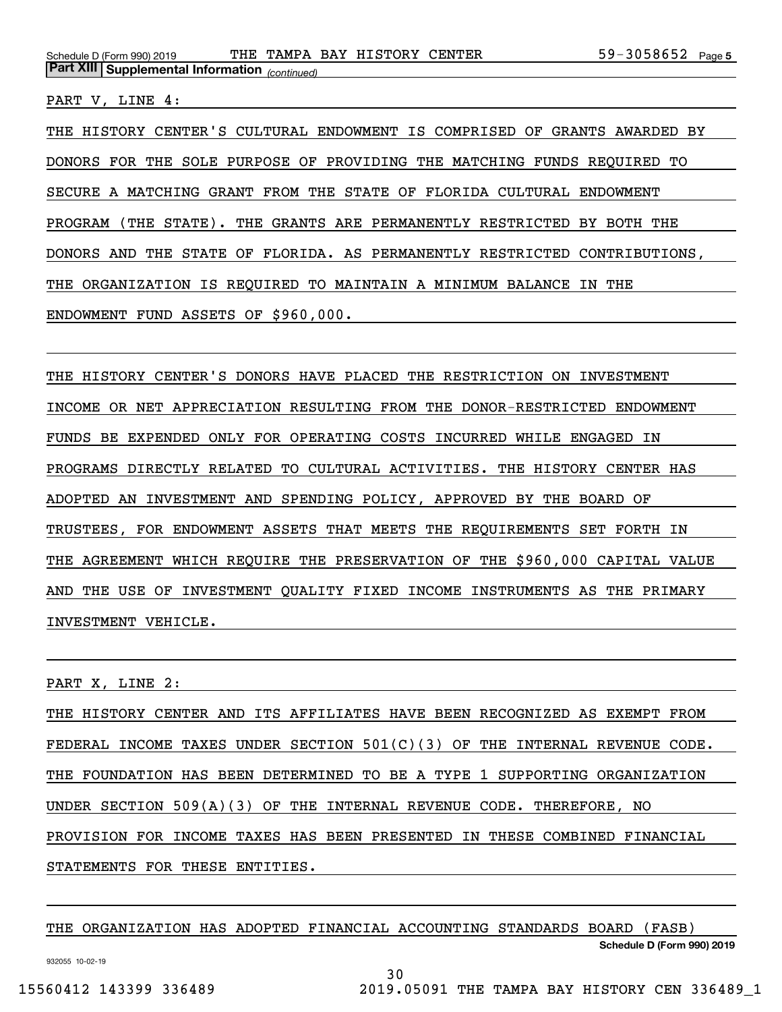PART V, LINE 4:

THE HISTORY CENTER'S CULTURAL ENDOWMENT IS COMPRISED OF GRANTS AWARDED BY DONORS FOR THE SOLE PURPOSE OF PROVIDING THE MATCHING FUNDS REQUIRED TO SECURE A MATCHING GRANT FROM THE STATE OF FLORIDA CULTURAL ENDOWMENT PROGRAM (THE STATE). THE GRANTS ARE PERMANENTLY RESTRICTED BY BOTH THE DONORS AND THE STATE OF FLORIDA. AS PERMANENTLY RESTRICTED CONTRIBUTIONS, THE ORGANIZATION IS REQUIRED TO MAINTAIN A MINIMUM BALANCE IN THE ENDOWMENT FUND ASSETS OF \$960,000.

THE HISTORY CENTER'S DONORS HAVE PLACED THE RESTRICTION ON INVESTMENT INCOME OR NET APPRECIATION RESULTING FROM THE DONOR-RESTRICTED ENDOWMENT FUNDS BE EXPENDED ONLY FOR OPERATING COSTS INCURRED WHILE ENGAGED IN PROGRAMS DIRECTLY RELATED TO CULTURAL ACTIVITIES. THE HISTORY CENTER HAS ADOPTED AN INVESTMENT AND SPENDING POLICY, APPROVED BY THE BOARD OF TRUSTEES, FOR ENDOWMENT ASSETS THAT MEETS THE REQUIREMENTS SET FORTH IN THE AGREEMENT WHICH REQUIRE THE PRESERVATION OF THE \$960,000 CAPITAL VALUE AND THE USE OF INVESTMENT QUALITY FIXED INCOME INSTRUMENTS AS THE PRIMARY INVESTMENT VEHICLE.

PART X, LINE 2:

THE HISTORY CENTER AND ITS AFFILIATES HAVE BEEN RECOGNIZED AS EXEMPT FROM FEDERAL INCOME TAXES UNDER SECTION 501(C)(3) OF THE INTERNAL REVENUE CODE. THE FOUNDATION HAS BEEN DETERMINED TO BE A TYPE 1 SUPPORTING ORGANIZATION UNDER SECTION 509(A)(3) OF THE INTERNAL REVENUE CODE. THEREFORE, NO PROVISION FOR INCOME TAXES HAS BEEN PRESENTED IN THESE COMBINED FINANCIAL STATEMENTS FOR THESE ENTITIES.

THE ORGANIZATION HAS ADOPTED FINANCIAL ACCOUNTING STANDARDS BOARD (FASB)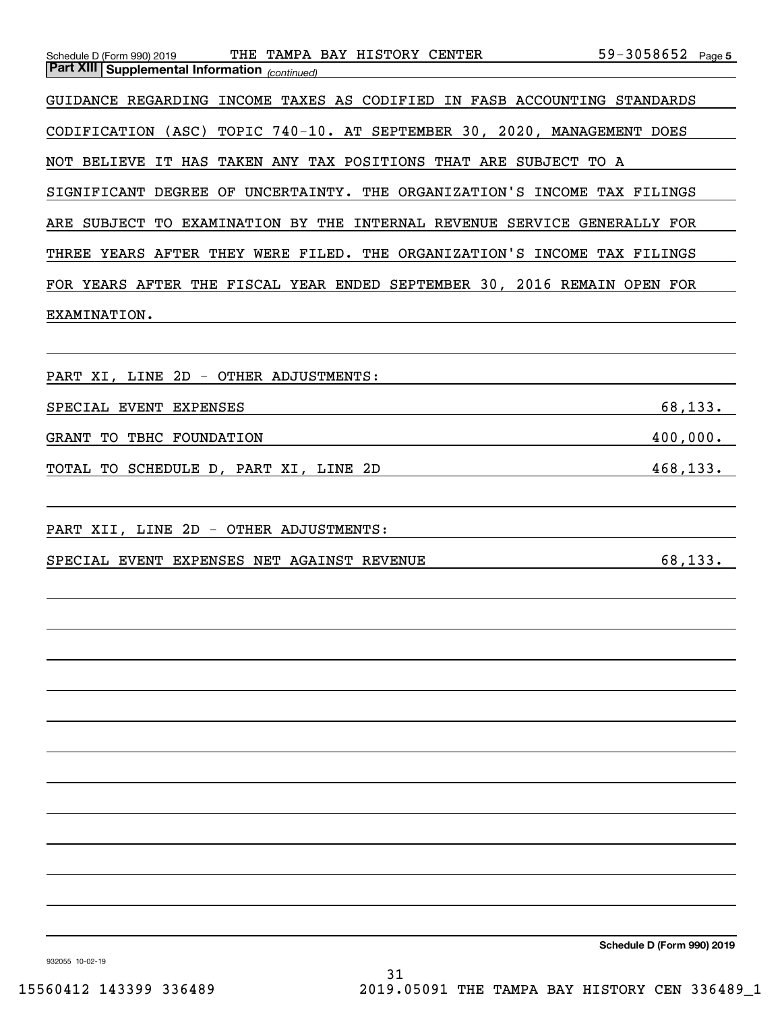| Schedule D (Form 990) 2019 THE TAMPA BAY HISTORY CENTER 59-3058652 Page 5<br>Part XIII Supplemental Information <sub>(continued)</sub> |           |
|----------------------------------------------------------------------------------------------------------------------------------------|-----------|
|                                                                                                                                        |           |
| GUIDANCE REGARDING INCOME TAXES AS CODIFIED IN FASB ACCOUNTING STANDARDS                                                               |           |
| CODIFICATION (ASC) TOPIC 740-10. AT SEPTEMBER 30, 2020, MANAGEMENT DOES                                                                |           |
| NOT BELIEVE IT HAS TAKEN ANY TAX POSITIONS THAT ARE SUBJECT TO A                                                                       |           |
| SIGNIFICANT DEGREE OF UNCERTAINTY. THE ORGANIZATION'S INCOME TAX FILINGS                                                               |           |
| ARE SUBJECT TO EXAMINATION BY THE INTERNAL REVENUE SERVICE GENERALLY FOR                                                               |           |
| THREE YEARS AFTER THEY WERE FILED. THE ORGANIZATION'S INCOME TAX FILINGS                                                               |           |
| FOR YEARS AFTER THE FISCAL YEAR ENDED SEPTEMBER 30, 2016 REMAIN OPEN FOR                                                               |           |
| EXAMINATION.                                                                                                                           |           |
|                                                                                                                                        |           |
| PART XI, LINE 2D - OTHER ADJUSTMENTS:                                                                                                  |           |
| SPECIAL EVENT EXPENSES                                                                                                                 | 68,133.   |
| GRANT TO TBHC FOUNDATION                                                                                                               | 400,000.  |
| TOTAL TO SCHEDULE D, PART XI, LINE 2D<br><u> 1980 - Andrea Andrew Maria (h. 1980).</u>                                                 | 468, 133. |
|                                                                                                                                        |           |
| PART XII, LINE 2D - OTHER ADJUSTMENTS:                                                                                                 |           |
| SPECIAL EVENT EXPENSES NET AGAINST REVENUE                                                                                             | 68,133.   |
|                                                                                                                                        |           |
|                                                                                                                                        |           |
|                                                                                                                                        |           |
|                                                                                                                                        |           |
|                                                                                                                                        |           |
|                                                                                                                                        |           |
|                                                                                                                                        |           |
|                                                                                                                                        |           |
|                                                                                                                                        |           |
|                                                                                                                                        |           |
|                                                                                                                                        |           |
|                                                                                                                                        |           |
|                                                                                                                                        |           |

**Schedule D (Form 990) 2019**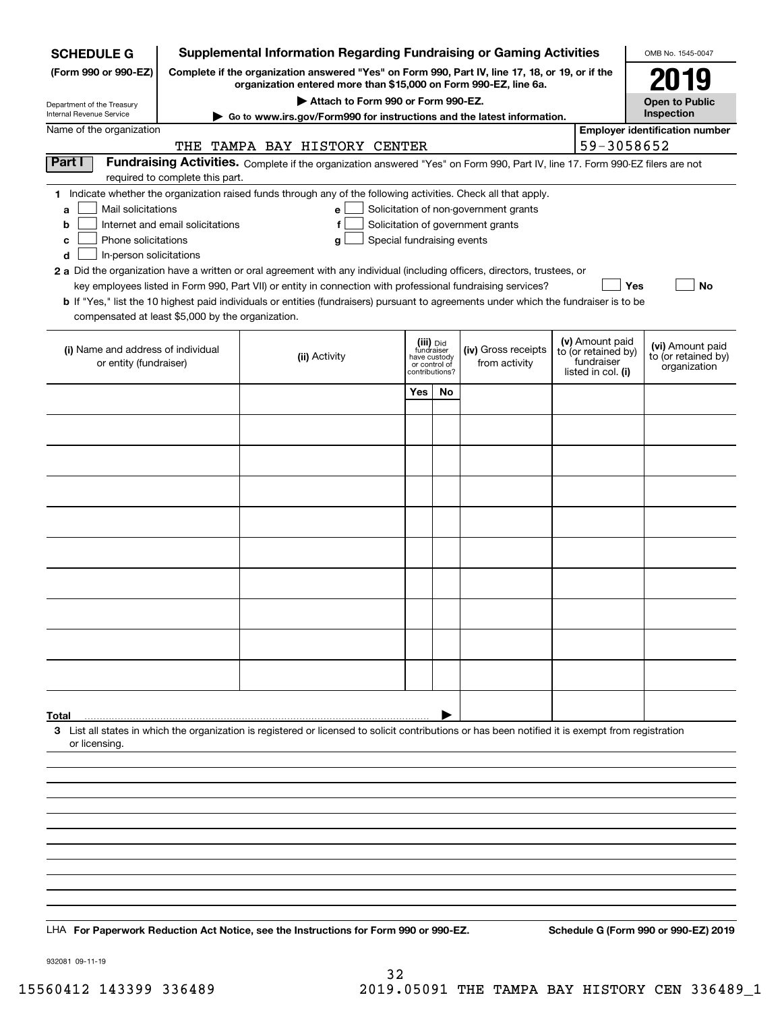| <b>SCHEDULE G</b>                                                                                                                                                                          | <b>Supplemental Information Regarding Fundraising or Gaming Activities</b>                                                                                          |                                                                                                                                                    |                                                 |                                                |               |  |                                        | OMB No. 1545-0047                                   |  |  |
|--------------------------------------------------------------------------------------------------------------------------------------------------------------------------------------------|---------------------------------------------------------------------------------------------------------------------------------------------------------------------|----------------------------------------------------------------------------------------------------------------------------------------------------|-------------------------------------------------|------------------------------------------------|---------------|--|----------------------------------------|-----------------------------------------------------|--|--|
| (Form 990 or 990-EZ)                                                                                                                                                                       | Complete if the organization answered "Yes" on Form 990, Part IV, line 17, 18, or 19, or if the<br>organization entered more than \$15,000 on Form 990-EZ, line 6a. |                                                                                                                                                    |                                                 |                                                |               |  |                                        | 2019                                                |  |  |
| Department of the Treasury                                                                                                                                                                 | Attach to Form 990 or Form 990-EZ.                                                                                                                                  |                                                                                                                                                    |                                                 |                                                |               |  |                                        | <b>Open to Public</b>                               |  |  |
| <b>Internal Revenue Service</b>                                                                                                                                                            | Go to www.irs.gov/Form990 for instructions and the latest information.                                                                                              |                                                                                                                                                    |                                                 |                                                |               |  |                                        | Inspection                                          |  |  |
| Name of the organization<br>TAMPA BAY HISTORY CENTER<br>THE                                                                                                                                |                                                                                                                                                                     |                                                                                                                                                    |                                                 |                                                |               |  |                                        | <b>Employer identification number</b><br>59-3058652 |  |  |
| Part I                                                                                                                                                                                     |                                                                                                                                                                     | Fundraising Activities. Complete if the organization answered "Yes" on Form 990, Part IV, line 17. Form 990-EZ filers are not                      |                                                 |                                                |               |  |                                        |                                                     |  |  |
|                                                                                                                                                                                            | required to complete this part.                                                                                                                                     |                                                                                                                                                    |                                                 |                                                |               |  |                                        |                                                     |  |  |
| 1 Indicate whether the organization raised funds through any of the following activities. Check all that apply.<br>Mail solicitations<br>Solicitation of non-government grants<br>e l<br>a |                                                                                                                                                                     |                                                                                                                                                    |                                                 |                                                |               |  |                                        |                                                     |  |  |
| b                                                                                                                                                                                          | Solicitation of government grants<br>Internet and email solicitations<br>f                                                                                          |                                                                                                                                                    |                                                 |                                                |               |  |                                        |                                                     |  |  |
| Phone solicitations<br>с                                                                                                                                                                   |                                                                                                                                                                     | Special fundraising events<br>g                                                                                                                    |                                                 |                                                |               |  |                                        |                                                     |  |  |
| d<br>In-person solicitations                                                                                                                                                               |                                                                                                                                                                     | 2 a Did the organization have a written or oral agreement with any individual (including officers, directors, trustees, or                         |                                                 |                                                |               |  |                                        |                                                     |  |  |
|                                                                                                                                                                                            |                                                                                                                                                                     | key employees listed in Form 990, Part VII) or entity in connection with professional fundraising services?                                        |                                                 |                                                |               |  | Yes                                    | No                                                  |  |  |
|                                                                                                                                                                                            |                                                                                                                                                                     | <b>b</b> If "Yes," list the 10 highest paid individuals or entities (fundraisers) pursuant to agreements under which the fundraiser is to be       |                                                 |                                                |               |  |                                        |                                                     |  |  |
| compensated at least \$5,000 by the organization.                                                                                                                                          |                                                                                                                                                                     |                                                                                                                                                    |                                                 |                                                |               |  |                                        |                                                     |  |  |
| (i) Name and address of individual<br>or entity (fundraiser)                                                                                                                               |                                                                                                                                                                     |                                                                                                                                                    |                                                 | (iii) Did<br>fundraiser<br>(iv) Gross receipts |               |  | (v) Amount paid<br>to (or retained by) | (vi) Amount paid                                    |  |  |
|                                                                                                                                                                                            |                                                                                                                                                                     | (ii) Activity                                                                                                                                      | have custody<br>or control of<br>contributions? |                                                | from activity |  | fundraiser<br>listed in col. (i)       | to (or retained by)<br>organization                 |  |  |
|                                                                                                                                                                                            |                                                                                                                                                                     |                                                                                                                                                    | Yes                                             | <b>No</b>                                      |               |  |                                        |                                                     |  |  |
|                                                                                                                                                                                            |                                                                                                                                                                     |                                                                                                                                                    |                                                 |                                                |               |  |                                        |                                                     |  |  |
|                                                                                                                                                                                            |                                                                                                                                                                     |                                                                                                                                                    |                                                 |                                                |               |  |                                        |                                                     |  |  |
|                                                                                                                                                                                            |                                                                                                                                                                     |                                                                                                                                                    |                                                 |                                                |               |  |                                        |                                                     |  |  |
|                                                                                                                                                                                            |                                                                                                                                                                     |                                                                                                                                                    |                                                 |                                                |               |  |                                        |                                                     |  |  |
|                                                                                                                                                                                            |                                                                                                                                                                     |                                                                                                                                                    |                                                 |                                                |               |  |                                        |                                                     |  |  |
|                                                                                                                                                                                            |                                                                                                                                                                     |                                                                                                                                                    |                                                 |                                                |               |  |                                        |                                                     |  |  |
|                                                                                                                                                                                            |                                                                                                                                                                     |                                                                                                                                                    |                                                 |                                                |               |  |                                        |                                                     |  |  |
|                                                                                                                                                                                            |                                                                                                                                                                     |                                                                                                                                                    |                                                 |                                                |               |  |                                        |                                                     |  |  |
|                                                                                                                                                                                            |                                                                                                                                                                     |                                                                                                                                                    |                                                 |                                                |               |  |                                        |                                                     |  |  |
|                                                                                                                                                                                            |                                                                                                                                                                     |                                                                                                                                                    |                                                 |                                                |               |  |                                        |                                                     |  |  |
|                                                                                                                                                                                            |                                                                                                                                                                     |                                                                                                                                                    |                                                 |                                                |               |  |                                        |                                                     |  |  |
|                                                                                                                                                                                            |                                                                                                                                                                     |                                                                                                                                                    |                                                 |                                                |               |  |                                        |                                                     |  |  |
|                                                                                                                                                                                            |                                                                                                                                                                     |                                                                                                                                                    |                                                 |                                                |               |  |                                        |                                                     |  |  |
|                                                                                                                                                                                            |                                                                                                                                                                     |                                                                                                                                                    |                                                 |                                                |               |  |                                        |                                                     |  |  |
| Total                                                                                                                                                                                      |                                                                                                                                                                     |                                                                                                                                                    |                                                 |                                                |               |  |                                        |                                                     |  |  |
|                                                                                                                                                                                            |                                                                                                                                                                     | 3 List all states in which the organization is registered or licensed to solicit contributions or has been notified it is exempt from registration |                                                 |                                                |               |  |                                        |                                                     |  |  |
| or licensing.                                                                                                                                                                              |                                                                                                                                                                     |                                                                                                                                                    |                                                 |                                                |               |  |                                        |                                                     |  |  |
|                                                                                                                                                                                            |                                                                                                                                                                     |                                                                                                                                                    |                                                 |                                                |               |  |                                        |                                                     |  |  |
|                                                                                                                                                                                            |                                                                                                                                                                     |                                                                                                                                                    |                                                 |                                                |               |  |                                        |                                                     |  |  |
|                                                                                                                                                                                            |                                                                                                                                                                     |                                                                                                                                                    |                                                 |                                                |               |  |                                        |                                                     |  |  |
|                                                                                                                                                                                            |                                                                                                                                                                     |                                                                                                                                                    |                                                 |                                                |               |  |                                        |                                                     |  |  |
|                                                                                                                                                                                            |                                                                                                                                                                     |                                                                                                                                                    |                                                 |                                                |               |  |                                        |                                                     |  |  |
|                                                                                                                                                                                            |                                                                                                                                                                     |                                                                                                                                                    |                                                 |                                                |               |  |                                        |                                                     |  |  |
|                                                                                                                                                                                            |                                                                                                                                                                     |                                                                                                                                                    |                                                 |                                                |               |  |                                        |                                                     |  |  |
|                                                                                                                                                                                            |                                                                                                                                                                     |                                                                                                                                                    |                                                 |                                                |               |  |                                        |                                                     |  |  |
|                                                                                                                                                                                            |                                                                                                                                                                     | LHA For Paperwork Reduction Act Notice, see the Instructions for Form 990 or 990-EZ.                                                               |                                                 |                                                |               |  |                                        | Schedule G (Form 990 or 990-EZ) 2019                |  |  |

932081 09-11-19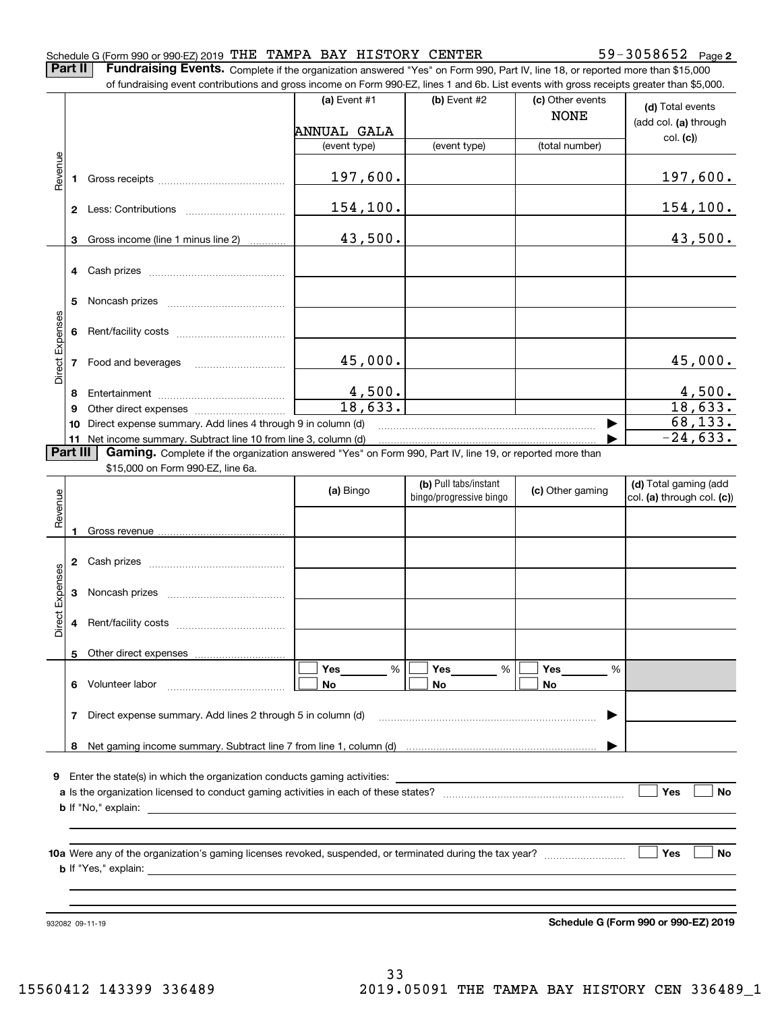#### Schedule G (Form 990 or 990-EZ) 2019 <code>THE TAMPA BAY HISTORY CENTER</code>  $59-3058652$  <code>Page</code>

**2**

**Part II** | Fundraising Events. Complete if the organization answered "Yes" on Form 990, Part IV, line 18, or reported more than \$15,000

|                 |          | of fundraising event contributions and gross income on Form 990-EZ, lines 1 and 6b. List events with gross receipts greater than \$5,000.                                   |                          |                         |                                 |                                           |
|-----------------|----------|-----------------------------------------------------------------------------------------------------------------------------------------------------------------------------|--------------------------|-------------------------|---------------------------------|-------------------------------------------|
|                 |          |                                                                                                                                                                             | (a) Event #1             | (b) Event #2            | (c) Other events<br><b>NONE</b> | (d) Total events<br>(add col. (a) through |
|                 |          |                                                                                                                                                                             | ANNUAL GALA              |                         |                                 | col. (c)                                  |
|                 |          |                                                                                                                                                                             | (event type)             | (event type)            | (total number)                  |                                           |
| Revenue         | 1        |                                                                                                                                                                             | 197,600.                 |                         |                                 | <u>197,600.</u>                           |
|                 |          |                                                                                                                                                                             | 154,100.                 |                         |                                 | <u> 154,100.</u>                          |
|                 | 3        | Gross income (line 1 minus line 2)                                                                                                                                          | 43,500.                  |                         |                                 | 43,500.                                   |
|                 |          |                                                                                                                                                                             |                          |                         |                                 |                                           |
|                 | 4        |                                                                                                                                                                             |                          |                         |                                 |                                           |
|                 | 5        |                                                                                                                                                                             |                          |                         |                                 |                                           |
|                 |          |                                                                                                                                                                             |                          |                         |                                 |                                           |
|                 | 6        |                                                                                                                                                                             |                          |                         |                                 |                                           |
| Direct Expenses | 7        | Food and beverages                                                                                                                                                          | 45,000.                  |                         |                                 | 45,000.                                   |
|                 |          |                                                                                                                                                                             |                          |                         |                                 |                                           |
|                 | 8        |                                                                                                                                                                             | $\frac{4,500}{18,633}$ . |                         |                                 | $\frac{4,500}{18,633}$ .                  |
|                 | 9        |                                                                                                                                                                             |                          |                         |                                 | 68, 133.                                  |
|                 | 10       | Direct expense summary. Add lines 4 through 9 in column (d)                                                                                                                 |                          |                         |                                 | $-24,633.$                                |
|                 | Part III | 11 Net income summary. Subtract line 10 from line 3, column (d)<br>Gaming. Complete if the organization answered "Yes" on Form 990, Part IV, line 19, or reported more than |                          |                         |                                 |                                           |
|                 |          | \$15,000 on Form 990-EZ, line 6a.                                                                                                                                           |                          |                         |                                 |                                           |
|                 |          |                                                                                                                                                                             |                          | (b) Pull tabs/instant   |                                 | (d) Total gaming (add                     |
|                 |          |                                                                                                                                                                             | (a) Bingo                | bingo/progressive bingo | (c) Other gaming                | col. (a) through col. (c))                |
| Revenue         |          |                                                                                                                                                                             |                          |                         |                                 |                                           |
|                 | 1        |                                                                                                                                                                             |                          |                         |                                 |                                           |
|                 |          |                                                                                                                                                                             |                          |                         |                                 |                                           |
|                 | 2        |                                                                                                                                                                             |                          |                         |                                 |                                           |
|                 |          |                                                                                                                                                                             |                          |                         |                                 |                                           |
| Expenses        | 3        |                                                                                                                                                                             |                          |                         |                                 |                                           |
| Direct          | 4        |                                                                                                                                                                             |                          |                         |                                 |                                           |
|                 |          |                                                                                                                                                                             |                          |                         |                                 |                                           |
|                 |          | 5 Other direct expenses                                                                                                                                                     |                          |                         |                                 |                                           |
|                 |          |                                                                                                                                                                             | %<br>Yes                 | %<br>Yes                | Yes<br>%                        |                                           |
|                 | 6.       | Volunteer labor                                                                                                                                                             | No                       | No                      | No                              |                                           |
|                 | 7        | Direct expense summary. Add lines 2 through 5 in column (d)                                                                                                                 |                          |                         |                                 |                                           |
|                 |          |                                                                                                                                                                             |                          |                         |                                 |                                           |
|                 |          |                                                                                                                                                                             |                          |                         |                                 |                                           |
| 9               |          |                                                                                                                                                                             |                          |                         |                                 |                                           |
|                 |          |                                                                                                                                                                             |                          |                         |                                 | Yes<br>No                                 |
|                 |          |                                                                                                                                                                             |                          |                         |                                 |                                           |
|                 |          |                                                                                                                                                                             |                          |                         |                                 |                                           |
|                 |          |                                                                                                                                                                             |                          |                         |                                 |                                           |
|                 |          |                                                                                                                                                                             |                          |                         |                                 | Yes<br>No                                 |
|                 |          |                                                                                                                                                                             |                          |                         |                                 |                                           |
|                 |          |                                                                                                                                                                             |                          |                         |                                 |                                           |
|                 |          |                                                                                                                                                                             |                          |                         |                                 |                                           |
|                 |          | 932082 09-11-19                                                                                                                                                             |                          |                         |                                 | Schedule G (Form 990 or 990-EZ) 2019      |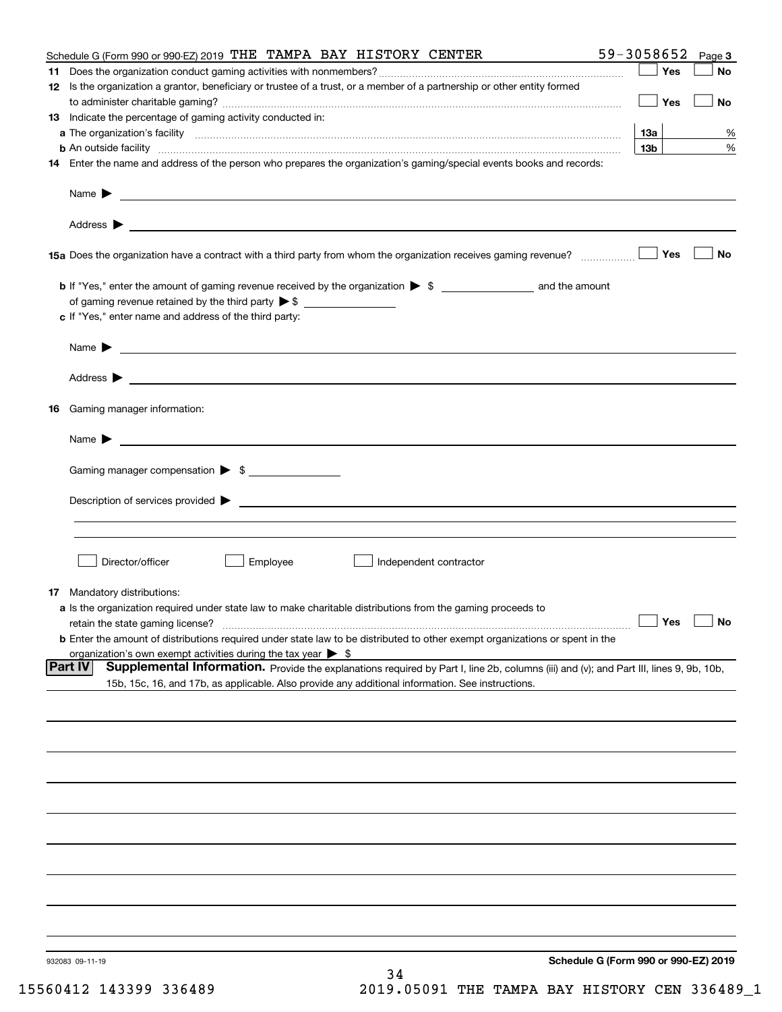| Schedule G (Form 990 or 990-EZ) 2019 THE TAMPA BAY HISTORY CENTER                                                                                             | 59-3058652      | Page 3 |
|---------------------------------------------------------------------------------------------------------------------------------------------------------------|-----------------|--------|
|                                                                                                                                                               | Yes             | No     |
| 12 Is the organization a grantor, beneficiary or trustee of a trust, or a member of a partnership or other entity formed                                      |                 |        |
|                                                                                                                                                               | Yes             | No     |
| 13 Indicate the percentage of gaming activity conducted in:                                                                                                   |                 |        |
|                                                                                                                                                               | <u>13a</u>      | %      |
| <b>b</b> An outside facility <i>www.communicality www.communicality.communicality www.communicality www.communicality.communicality www.communicality.com</i> | 13 <sub>b</sub> | %      |
| 14 Enter the name and address of the person who prepares the organization's gaming/special events books and records:                                          |                 |        |
|                                                                                                                                                               |                 |        |
|                                                                                                                                                               |                 |        |
|                                                                                                                                                               |                 |        |
|                                                                                                                                                               |                 |        |
|                                                                                                                                                               |                 |        |
| 15a Does the organization have a contract with a third party from whom the organization receives gaming revenue?                                              | Yes             | No     |
|                                                                                                                                                               |                 |        |
|                                                                                                                                                               |                 |        |
| <b>b</b> If "Yes," enter the amount of gaming revenue received by the organization $\triangleright$ \$ ____________________ and the amount                    |                 |        |
|                                                                                                                                                               |                 |        |
| c If "Yes," enter name and address of the third party:                                                                                                        |                 |        |
|                                                                                                                                                               |                 |        |
| Name $\blacktriangleright$ $\_\_\_\_\_\_\_\_\_\$                                                                                                              |                 |        |
|                                                                                                                                                               |                 |        |
|                                                                                                                                                               |                 |        |
|                                                                                                                                                               |                 |        |
| 16 Gaming manager information:                                                                                                                                |                 |        |
|                                                                                                                                                               |                 |        |
| Name $\triangleright$ $\square$                                                                                                                               |                 |        |
|                                                                                                                                                               |                 |        |
| Gaming manager compensation > \$                                                                                                                              |                 |        |
|                                                                                                                                                               |                 |        |
|                                                                                                                                                               |                 |        |
|                                                                                                                                                               |                 |        |
|                                                                                                                                                               |                 |        |
|                                                                                                                                                               |                 |        |
| Director/officer<br>Employee<br>Independent contractor                                                                                                        |                 |        |
|                                                                                                                                                               |                 |        |
| 17 Mandatory distributions:                                                                                                                                   |                 |        |
| a Is the organization required under state law to make charitable distributions from the gaming proceeds to                                                   |                 |        |
| $\Box$ Yes $\Box$ No<br>retain the state gaming license?                                                                                                      |                 |        |
| <b>b</b> Enter the amount of distributions required under state law to be distributed to other exempt organizations or spent in the                           |                 |        |
| organization's own exempt activities during the tax year $\triangleright$ \$                                                                                  |                 |        |
| <b>Part IV</b><br>Supplemental Information. Provide the explanations required by Part I, line 2b, columns (iii) and (v); and Part III, lines 9, 9b, 10b,      |                 |        |
| 15b, 15c, 16, and 17b, as applicable. Also provide any additional information. See instructions.                                                              |                 |        |
|                                                                                                                                                               |                 |        |
|                                                                                                                                                               |                 |        |
|                                                                                                                                                               |                 |        |
|                                                                                                                                                               |                 |        |
|                                                                                                                                                               |                 |        |
|                                                                                                                                                               |                 |        |
|                                                                                                                                                               |                 |        |
|                                                                                                                                                               |                 |        |
|                                                                                                                                                               |                 |        |
|                                                                                                                                                               |                 |        |
|                                                                                                                                                               |                 |        |
|                                                                                                                                                               |                 |        |
|                                                                                                                                                               |                 |        |
|                                                                                                                                                               |                 |        |
|                                                                                                                                                               |                 |        |
|                                                                                                                                                               |                 |        |
|                                                                                                                                                               |                 |        |
|                                                                                                                                                               |                 |        |
| Schedule G (Form 990 or 990-EZ) 2019<br>932083 09-11-19                                                                                                       |                 |        |
| 34                                                                                                                                                            |                 |        |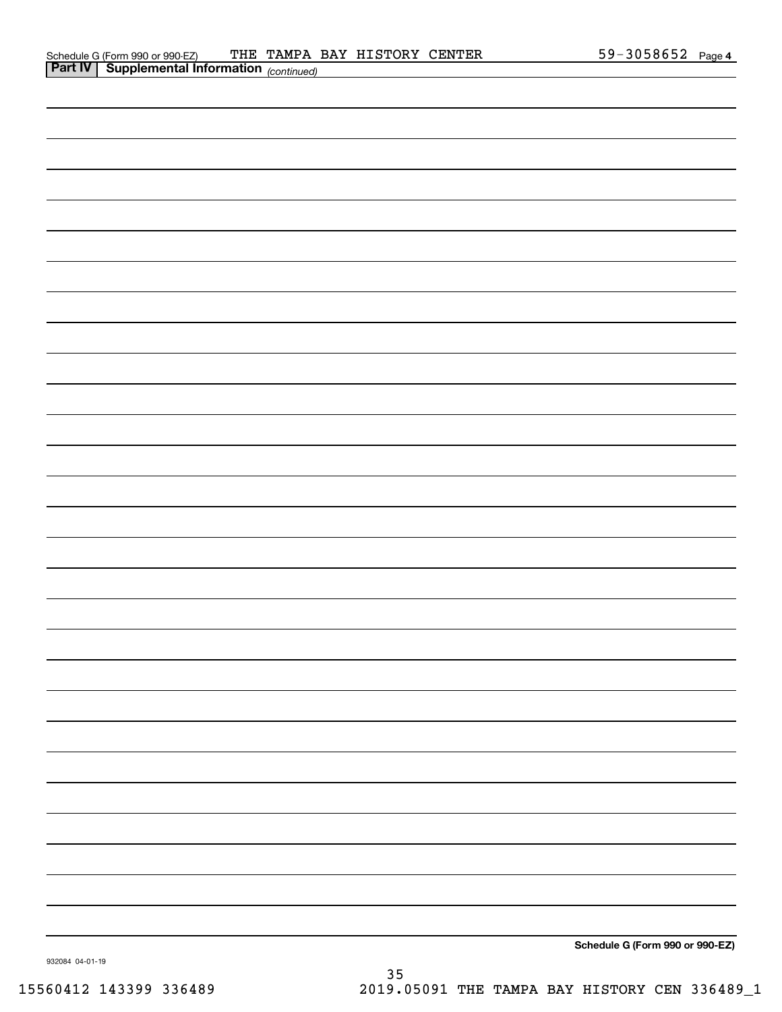| <b>Part IV   Supplemental Information</b> (continued) |
|-------------------------------------------------------|
|                                                       |
|                                                       |
|                                                       |
|                                                       |
|                                                       |
|                                                       |
|                                                       |
|                                                       |
|                                                       |
|                                                       |
|                                                       |
|                                                       |
|                                                       |
|                                                       |
|                                                       |
|                                                       |
|                                                       |
|                                                       |
|                                                       |
|                                                       |
|                                                       |
|                                                       |
|                                                       |
|                                                       |
|                                                       |
|                                                       |
|                                                       |
|                                                       |
| Schedule G (Form 990 or 990-EZ)                       |

932084 04-01-19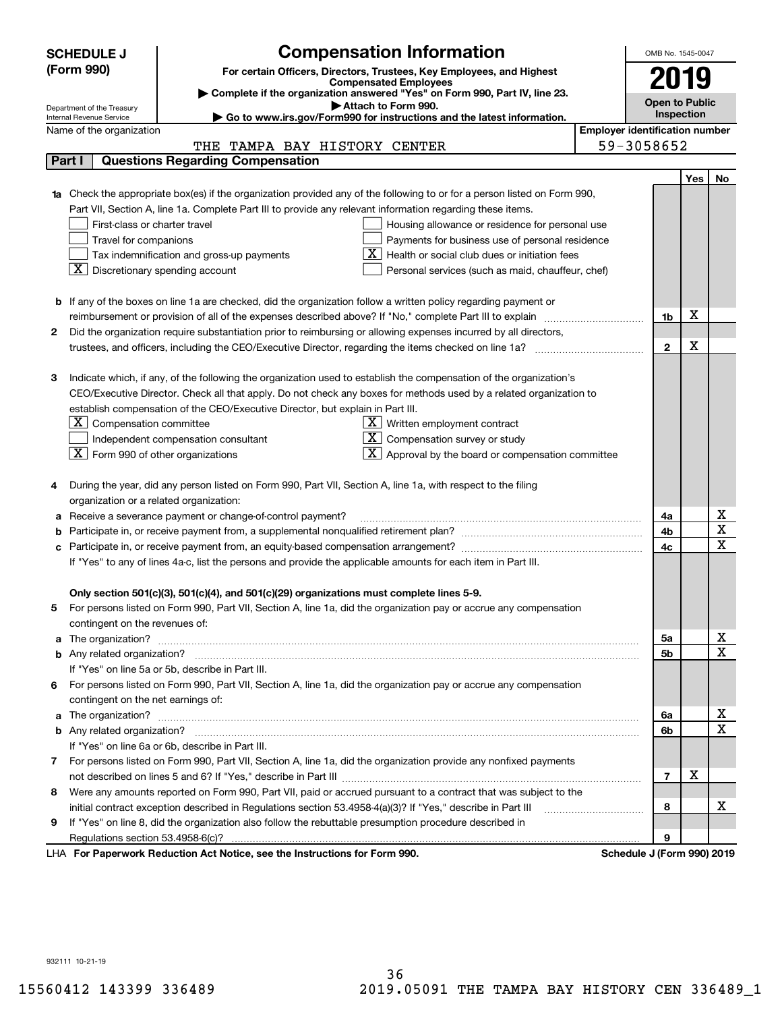|    | <b>SCHEDULE J</b>                                                                                                                | <b>Compensation Information</b>                                                                                        |                                                   |                  | OMB No. 1545-0047     |            |                                     |  |  |
|----|----------------------------------------------------------------------------------------------------------------------------------|------------------------------------------------------------------------------------------------------------------------|---------------------------------------------------|------------------|-----------------------|------------|-------------------------------------|--|--|
|    | (Form 990)                                                                                                                       | For certain Officers, Directors, Trustees, Key Employees, and Highest                                                  |                                                   |                  |                       |            |                                     |  |  |
|    |                                                                                                                                  | <b>Compensated Employees</b>                                                                                           |                                                   |                  | 2019                  |            |                                     |  |  |
|    |                                                                                                                                  | Complete if the organization answered "Yes" on Form 990, Part IV, line 23.<br>Attach to Form 990.                      |                                                   |                  | <b>Open to Public</b> |            |                                     |  |  |
|    | Department of the Treasury<br>Internal Revenue Service                                                                           | Go to www.irs.gov/Form990 for instructions and the latest information.                                                 |                                                   |                  |                       | Inspection |                                     |  |  |
|    | <b>Employer identification number</b><br>Name of the organization                                                                |                                                                                                                        |                                                   |                  |                       |            |                                     |  |  |
|    | 59-3058652<br>THE TAMPA BAY HISTORY CENTER                                                                                       |                                                                                                                        |                                                   |                  |                       |            |                                     |  |  |
|    | Part I                                                                                                                           | <b>Questions Regarding Compensation</b>                                                                                |                                                   |                  |                       |            |                                     |  |  |
|    |                                                                                                                                  |                                                                                                                        |                                                   |                  |                       | <b>Yes</b> | No                                  |  |  |
|    | <b>1a</b> Check the appropriate box(es) if the organization provided any of the following to or for a person listed on Form 990, |                                                                                                                        |                                                   |                  |                       |            |                                     |  |  |
|    |                                                                                                                                  | Part VII, Section A, line 1a. Complete Part III to provide any relevant information regarding these items.             |                                                   |                  |                       |            |                                     |  |  |
|    | First-class or charter travel                                                                                                    |                                                                                                                        | Housing allowance or residence for personal use   |                  |                       |            |                                     |  |  |
|    | Travel for companions                                                                                                            |                                                                                                                        | Payments for business use of personal residence   |                  |                       |            |                                     |  |  |
|    |                                                                                                                                  | Tax indemnification and gross-up payments                                                                              | Health or social club dues or initiation fees     |                  |                       |            |                                     |  |  |
|    | X                                                                                                                                | Discretionary spending account                                                                                         | Personal services (such as maid, chauffeur, chef) |                  |                       |            |                                     |  |  |
|    |                                                                                                                                  |                                                                                                                        |                                                   |                  |                       |            |                                     |  |  |
|    |                                                                                                                                  | <b>b</b> If any of the boxes on line 1a are checked, did the organization follow a written policy regarding payment or |                                                   |                  |                       | х          |                                     |  |  |
| 2  |                                                                                                                                  | reimbursement or provision of all of the expenses described above? If "No," complete Part III to explain               |                                                   |                  | 1b                    |            |                                     |  |  |
|    |                                                                                                                                  | Did the organization require substantiation prior to reimbursing or allowing expenses incurred by all directors,       |                                                   |                  | $\mathbf{2}$          | X          |                                     |  |  |
|    |                                                                                                                                  |                                                                                                                        |                                                   |                  |                       |            |                                     |  |  |
| з  |                                                                                                                                  | Indicate which, if any, of the following the organization used to establish the compensation of the organization's     |                                                   |                  |                       |            |                                     |  |  |
|    |                                                                                                                                  | CEO/Executive Director. Check all that apply. Do not check any boxes for methods used by a related organization to     |                                                   |                  |                       |            |                                     |  |  |
|    |                                                                                                                                  | establish compensation of the CEO/Executive Director, but explain in Part III.                                         |                                                   |                  |                       |            |                                     |  |  |
|    | $ \mathbf{X} $ Compensation committee                                                                                            |                                                                                                                        | $X$ Written employment contract                   |                  |                       |            |                                     |  |  |
|    | Compensation survey or study<br>Independent compensation consultant                                                              |                                                                                                                        |                                                   |                  |                       |            |                                     |  |  |
|    | $\boxed{\textbf{X}}$ Form 990 of other organizations                                                                             |                                                                                                                        | Approval by the board or compensation committee   |                  |                       |            |                                     |  |  |
|    |                                                                                                                                  |                                                                                                                        |                                                   |                  |                       |            |                                     |  |  |
|    |                                                                                                                                  | During the year, did any person listed on Form 990, Part VII, Section A, line 1a, with respect to the filing           |                                                   |                  |                       |            |                                     |  |  |
|    | organization or a related organization:                                                                                          |                                                                                                                        |                                                   |                  |                       |            |                                     |  |  |
|    |                                                                                                                                  | Receive a severance payment or change-of-control payment?                                                              |                                                   |                  | 4a                    |            | x                                   |  |  |
|    |                                                                                                                                  |                                                                                                                        |                                                   |                  | 4b                    |            | $\overline{\text{x}}$               |  |  |
|    |                                                                                                                                  |                                                                                                                        |                                                   |                  |                       |            | $\overline{\text{x}}$               |  |  |
|    | If "Yes" to any of lines 4a-c, list the persons and provide the applicable amounts for each item in Part III.                    |                                                                                                                        |                                                   |                  |                       |            |                                     |  |  |
|    |                                                                                                                                  |                                                                                                                        |                                                   |                  |                       |            |                                     |  |  |
|    |                                                                                                                                  | Only section 501(c)(3), 501(c)(4), and 501(c)(29) organizations must complete lines 5-9.                               |                                                   |                  |                       |            |                                     |  |  |
| 5  |                                                                                                                                  | For persons listed on Form 990, Part VII, Section A, line 1a, did the organization pay or accrue any compensation      |                                                   |                  |                       |            |                                     |  |  |
|    | contingent on the revenues of:                                                                                                   |                                                                                                                        |                                                   |                  |                       |            |                                     |  |  |
|    | a The organization? <b>Manual Community Community</b> Community Community Community Community Community Community Community      |                                                                                                                        |                                                   |                  | 5a                    |            | <u>x</u><br>$\overline{\mathbf{x}}$ |  |  |
|    |                                                                                                                                  |                                                                                                                        |                                                   |                  | 5b                    |            |                                     |  |  |
|    |                                                                                                                                  | If "Yes" on line 5a or 5b, describe in Part III.                                                                       |                                                   |                  |                       |            |                                     |  |  |
| 6. |                                                                                                                                  | For persons listed on Form 990, Part VII, Section A, line 1a, did the organization pay or accrue any compensation      |                                                   |                  |                       |            |                                     |  |  |
|    | contingent on the net earnings of:                                                                                               |                                                                                                                        |                                                   |                  | 6a                    |            | x                                   |  |  |
|    |                                                                                                                                  |                                                                                                                        |                                                   |                  | 6b                    |            | $\overline{\mathbf{x}}$             |  |  |
|    |                                                                                                                                  | If "Yes" on line 6a or 6b, describe in Part III.                                                                       |                                                   |                  |                       |            |                                     |  |  |
|    |                                                                                                                                  | 7 For persons listed on Form 990, Part VII, Section A, line 1a, did the organization provide any nonfixed payments     |                                                   |                  |                       |            |                                     |  |  |
|    |                                                                                                                                  |                                                                                                                        |                                                   |                  | $\overline{7}$        | х          |                                     |  |  |
| 8  |                                                                                                                                  | Were any amounts reported on Form 990, Part VII, paid or accrued pursuant to a contract that was subject to the        |                                                   |                  |                       |            |                                     |  |  |
|    |                                                                                                                                  |                                                                                                                        |                                                   |                  | 8                     |            | х                                   |  |  |
| 9  |                                                                                                                                  | If "Yes" on line 8, did the organization also follow the rebuttable presumption procedure described in                 |                                                   |                  |                       |            |                                     |  |  |
|    |                                                                                                                                  |                                                                                                                        |                                                   |                  | 9                     |            |                                     |  |  |
|    |                                                                                                                                  | suark Deduction Act Netice, see the Instructions for Form 000                                                          |                                                   | Cahadula II Faun |                       |            |                                     |  |  |

LHA For Paperwork Reduction Act Notice, see the Instructions for Form 990. Schedule J (Form 990) 2019

932111 10-21-19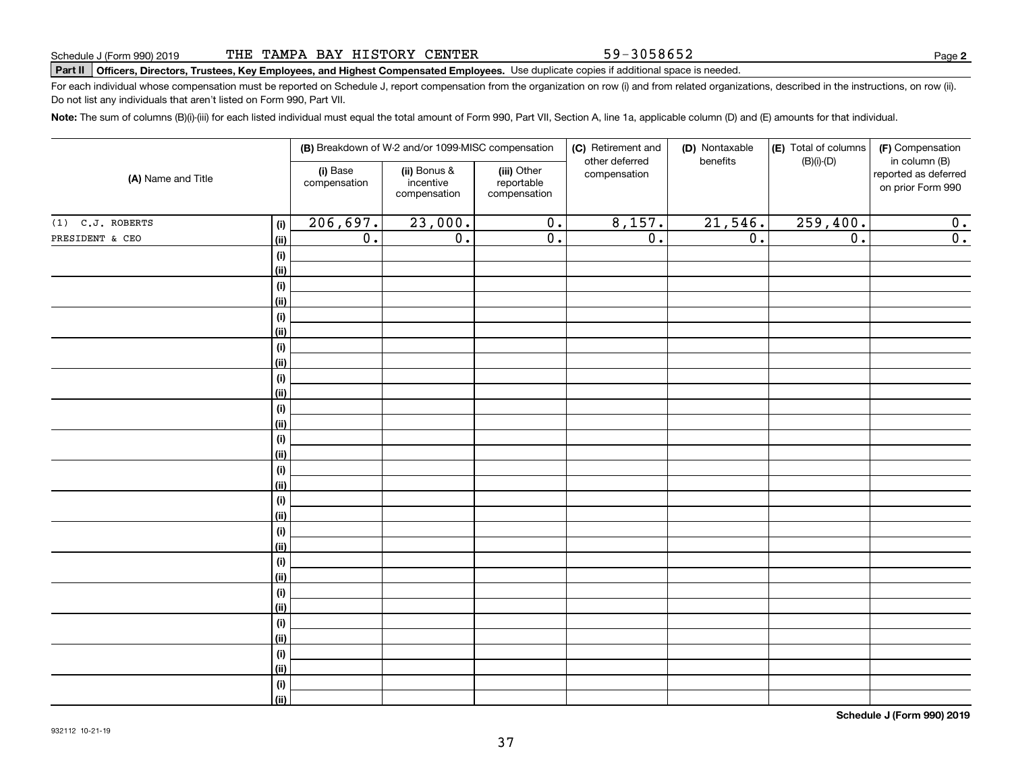59-3058652

**2**

# **Part II Officers, Directors, Trustees, Key Employees, and Highest Compensated Employees.**  Schedule J (Form 990) 2019 Page Use duplicate copies if additional space is needed.

For each individual whose compensation must be reported on Schedule J, report compensation from the organization on row (i) and from related organizations, described in the instructions, on row (ii). Do not list any individuals that aren't listed on Form 990, Part VII.

**Note:**  The sum of columns (B)(i)-(iii) for each listed individual must equal the total amount of Form 990, Part VII, Section A, line 1a, applicable column (D) and (E) amounts for that individual.

| (A) Name and Title |                | (B) Breakdown of W-2 and/or 1099-MISC compensation |                                           |                                           | (C) Retirement and<br>other deferred | (D) Nontaxable<br>benefits | (E) Total of columns<br>(F) Compensation<br>$(B)(i)-(D)$<br>in column (B) |                                           |  |
|--------------------|----------------|----------------------------------------------------|-------------------------------------------|-------------------------------------------|--------------------------------------|----------------------------|---------------------------------------------------------------------------|-------------------------------------------|--|
|                    |                | (i) Base<br>compensation                           | (ii) Bonus &<br>incentive<br>compensation | (iii) Other<br>reportable<br>compensation | compensation                         |                            |                                                                           | reported as deferred<br>on prior Form 990 |  |
| $(1)$ C.J. ROBERTS | (i)            | 206,697.                                           | 23,000.                                   | $\overline{0}$ .                          | 8,157.                               | 21,546.                    | 259,400.                                                                  | 0.                                        |  |
| PRESIDENT & CEO    | (ii)           | $\overline{0}$ .                                   | $\overline{0}$ .                          | $\overline{0}$ .                          | $\overline{0}$ .                     | $\overline{0}$ .           | $\overline{0}$ .                                                          | $\overline{0}$ .                          |  |
|                    | (i)            |                                                    |                                           |                                           |                                      |                            |                                                                           |                                           |  |
|                    | <u>(ii)</u>    |                                                    |                                           |                                           |                                      |                            |                                                                           |                                           |  |
|                    | (i)            |                                                    |                                           |                                           |                                      |                            |                                                                           |                                           |  |
|                    | <u>(ii)</u>    |                                                    |                                           |                                           |                                      |                            |                                                                           |                                           |  |
|                    | (i)            |                                                    |                                           |                                           |                                      |                            |                                                                           |                                           |  |
|                    | <u>(ii)</u>    |                                                    |                                           |                                           |                                      |                            |                                                                           |                                           |  |
|                    | (i)            |                                                    |                                           |                                           |                                      |                            |                                                                           |                                           |  |
|                    | <u>(ii)</u>    |                                                    |                                           |                                           |                                      |                            |                                                                           |                                           |  |
|                    | (i)            |                                                    |                                           |                                           |                                      |                            |                                                                           |                                           |  |
|                    | <u>(ii)</u>    |                                                    |                                           |                                           |                                      |                            |                                                                           |                                           |  |
|                    | (i)            |                                                    |                                           |                                           |                                      |                            |                                                                           |                                           |  |
|                    | (ii)           |                                                    |                                           |                                           |                                      |                            |                                                                           |                                           |  |
|                    | (i)<br>(ii)    |                                                    |                                           |                                           |                                      |                            |                                                                           |                                           |  |
|                    | (i)            |                                                    |                                           |                                           |                                      |                            |                                                                           |                                           |  |
|                    | (ii)           |                                                    |                                           |                                           |                                      |                            |                                                                           |                                           |  |
|                    | (i)            |                                                    |                                           |                                           |                                      |                            |                                                                           |                                           |  |
|                    | (ii)           |                                                    |                                           |                                           |                                      |                            |                                                                           |                                           |  |
|                    | (i)            |                                                    |                                           |                                           |                                      |                            |                                                                           |                                           |  |
|                    | <u>(ii)</u>    |                                                    |                                           |                                           |                                      |                            |                                                                           |                                           |  |
|                    | (i)            |                                                    |                                           |                                           |                                      |                            |                                                                           |                                           |  |
|                    | <u>(ii)</u>    |                                                    |                                           |                                           |                                      |                            |                                                                           |                                           |  |
|                    | (i)            |                                                    |                                           |                                           |                                      |                            |                                                                           |                                           |  |
|                    | <u>(ii)</u>    |                                                    |                                           |                                           |                                      |                            |                                                                           |                                           |  |
|                    | (i)            |                                                    |                                           |                                           |                                      |                            |                                                                           |                                           |  |
|                    | <u>(ii)</u>    |                                                    |                                           |                                           |                                      |                            |                                                                           |                                           |  |
|                    | (i)            |                                                    |                                           |                                           |                                      |                            |                                                                           |                                           |  |
|                    | <u>(ii)</u>    |                                                    |                                           |                                           |                                      |                            |                                                                           |                                           |  |
|                    | (i)            |                                                    |                                           |                                           |                                      |                            |                                                                           |                                           |  |
|                    | $\overline{}}$ |                                                    |                                           |                                           |                                      |                            |                                                                           |                                           |  |

**Schedule J (Form 990) 2019**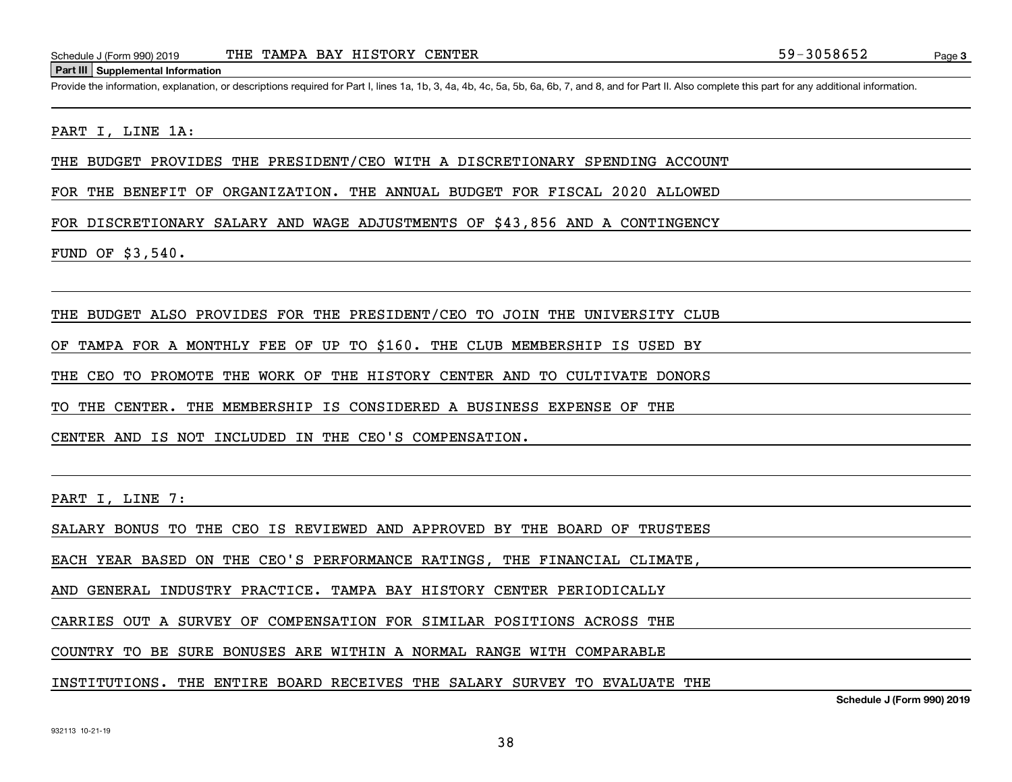#### **Part III Supplemental Information**

Schedule J (Form 990) 2019 THE TAMPA BAY HISTORY CENTER<br>
Part III Supplemental Information<br>
Provide the information, explanation, or descriptions required for Part I. lines 1a, 1b, 3, 4a, 4b, 4c, 5a, 5b, 6a, 6b, 7, and 8,

#### PART I, LINE 1A:

THE BUDGET PROVIDES THE PRESIDENT/CEO WITH A DISCRETIONARY SPENDING ACCOUNT

FOR THE BENEFIT OF ORGANIZATION. THE ANNUAL BUDGET FOR FISCAL 2020 ALLOWED

FOR DISCRETIONARY SALARY AND WAGE ADJUSTMENTS OF \$43,856 AND A CONTINGENCY

FUND OF \$3,540.

THE BUDGET ALSO PROVIDES FOR THE PRESIDENT/CEO TO JOIN THE UNIVERSITY CLUB

OF TAMPA FOR A MONTHLY FEE OF UP TO \$160. THE CLUB MEMBERSHIP IS USED BY

THE CEO TO PROMOTE THE WORK OF THE HISTORY CENTER AND TO CULTIVATE DONORS

TO THE CENTER. THE MEMBERSHIP IS CONSIDERED A BUSINESS EXPENSE OF THE

CENTER AND IS NOT INCLUDED IN THE CEO'S COMPENSATION.

PART I, LINE 7:

SALARY BONUS TO THE CEO IS REVIEWED AND APPROVED BY THE BOARD OF TRUSTEES

EACH YEAR BASED ON THE CEO'S PERFORMANCE RATINGS, THE FINANCIAL CLIMATE,

AND GENERAL INDUSTRY PRACTICE. TAMPA BAY HISTORY CENTER PERIODICALLY

CARRIES OUT A SURVEY OF COMPENSATION FOR SIMILAR POSITIONS ACROSS THE

COUNTRY TO BE SURE BONUSES ARE WITHIN A NORMAL RANGE WITH COMPARABLE

INSTITUTIONS. THE ENTIRE BOARD RECEIVES THE SALARY SURVEY TO EVALUATE THE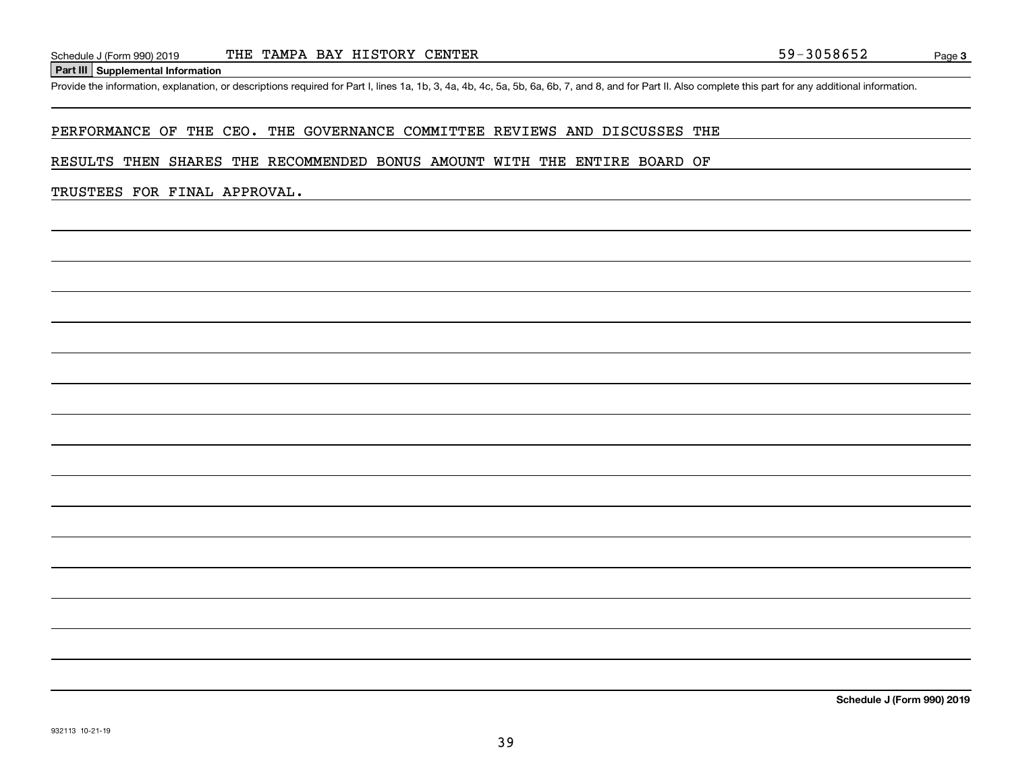#### **Part III Supplemental Information**

Schedule J (Form 990) 2019 THE TAMPA BAY HISTORY CENTER<br>Part III Supplemental Information<br>Provide the information, explanation, or descriptions required for Part I, lines 1a, 1b, 3, 4a, 4b, 4c, 5a, 5b, 6a, 6b, 7, and 8, an

#### PERFORMANCE OF THE CEO. THE GOVERNANCE COMMITTEE REVIEWS AND DISCUSSES THE

#### RESULTS THEN SHARES THE RECOMMENDED BONUS AMOUNT WITH THE ENTIRE BOARD OF

#### TRUSTEES FOR FINAL APPROVAL.

**Schedule J (Form 990) 2019**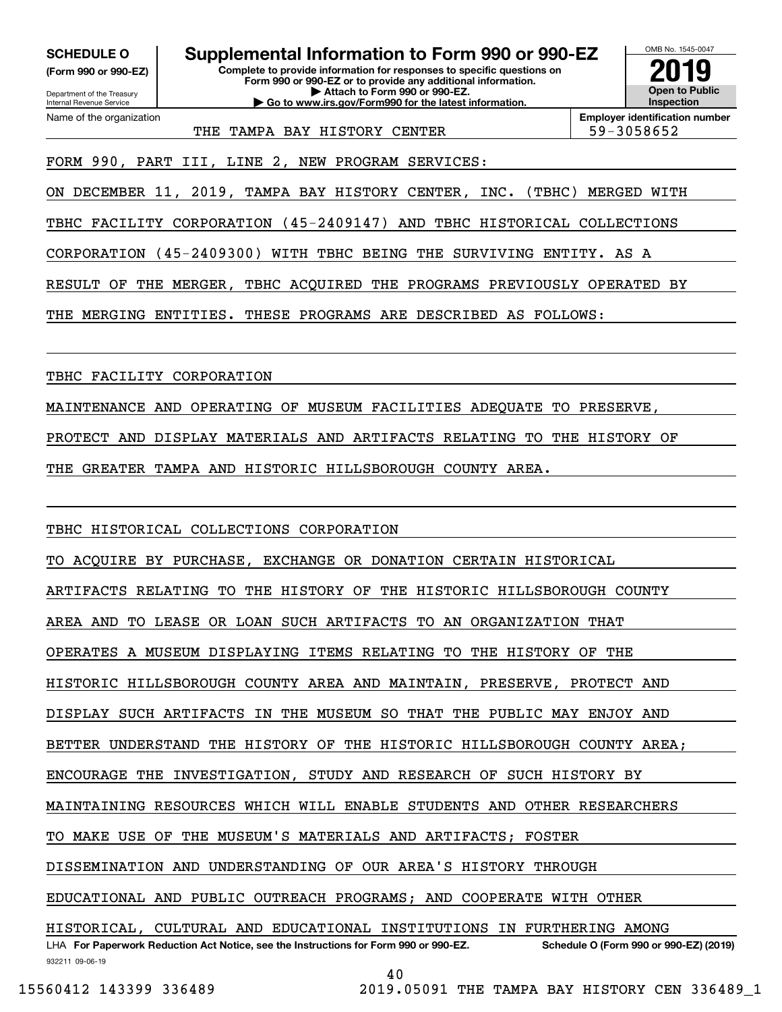**(Form 990 or 990-EZ)**

Department of the Treasury Internal Revenue Service Name of the organization

**SCHEDULE O Supplemental Information to Form 990 or 990-EZ**

**Complete to provide information for responses to specific questions on Form 990 or 990-EZ or to provide any additional information. | Attach to Form 990 or 990-EZ. | Go to www.irs.gov/Form990 for the latest information.**



**Employer identification number**

THE TAMPA BAY HISTORY CENTER THE 59-3058652

FORM 990, PART III, LINE 2, NEW PROGRAM SERVICES:

ON DECEMBER 11, 2019, TAMPA BAY HISTORY CENTER, INC. (TBHC) MERGED WITH

TBHC FACILITY CORPORATION (45-2409147) AND TBHC HISTORICAL COLLECTIONS

CORPORATION (45-2409300) WITH TBHC BEING THE SURVIVING ENTITY. AS A

RESULT OF THE MERGER, TBHC ACQUIRED THE PROGRAMS PREVIOUSLY OPERATED BY

THE MERGING ENTITIES. THESE PROGRAMS ARE DESCRIBED AS FOLLOWS:

TBHC FACILITY CORPORATION

MAINTENANCE AND OPERATING OF MUSEUM FACILITIES ADEQUATE TO PRESERVE,

PROTECT AND DISPLAY MATERIALS AND ARTIFACTS RELATING TO THE HISTORY OF

THE GREATER TAMPA AND HISTORIC HILLSBOROUGH COUNTY AREA.

TBHC HISTORICAL COLLECTIONS CORPORATION

TO ACQUIRE BY PURCHASE, EXCHANGE OR DONATION CERTAIN HISTORICAL

ARTIFACTS RELATING TO THE HISTORY OF THE HISTORIC HILLSBOROUGH COUNTY

AREA AND TO LEASE OR LOAN SUCH ARTIFACTS TO AN ORGANIZATION THAT

OPERATES A MUSEUM DISPLAYING ITEMS RELATING TO THE HISTORY OF THE

HISTORIC HILLSBOROUGH COUNTY AREA AND MAINTAIN, PRESERVE, PROTECT AND

DISPLAY SUCH ARTIFACTS IN THE MUSEUM SO THAT THE PUBLIC MAY ENJOY AND

BETTER UNDERSTAND THE HISTORY OF THE HISTORIC HILLSBOROUGH COUNTY AREA;

ENCOURAGE THE INVESTIGATION, STUDY AND RESEARCH OF SUCH HISTORY BY

MAINTAINING RESOURCES WHICH WILL ENABLE STUDENTS AND OTHER RESEARCHERS

TO MAKE USE OF THE MUSEUM'S MATERIALS AND ARTIFACTS; FOSTER

DISSEMINATION AND UNDERSTANDING OF OUR AREA'S HISTORY THROUGH

EDUCATIONAL AND PUBLIC OUTREACH PROGRAMS; AND COOPERATE WITH OTHER

932211 09-06-19 LHA For Paperwork Reduction Act Notice, see the Instructions for Form 990 or 990-EZ. Schedule O (Form 990 or 990-EZ) (2019) HISTORICAL, CULTURAL AND EDUCATIONAL INSTITUTIONS IN FURTHERING AMONG

40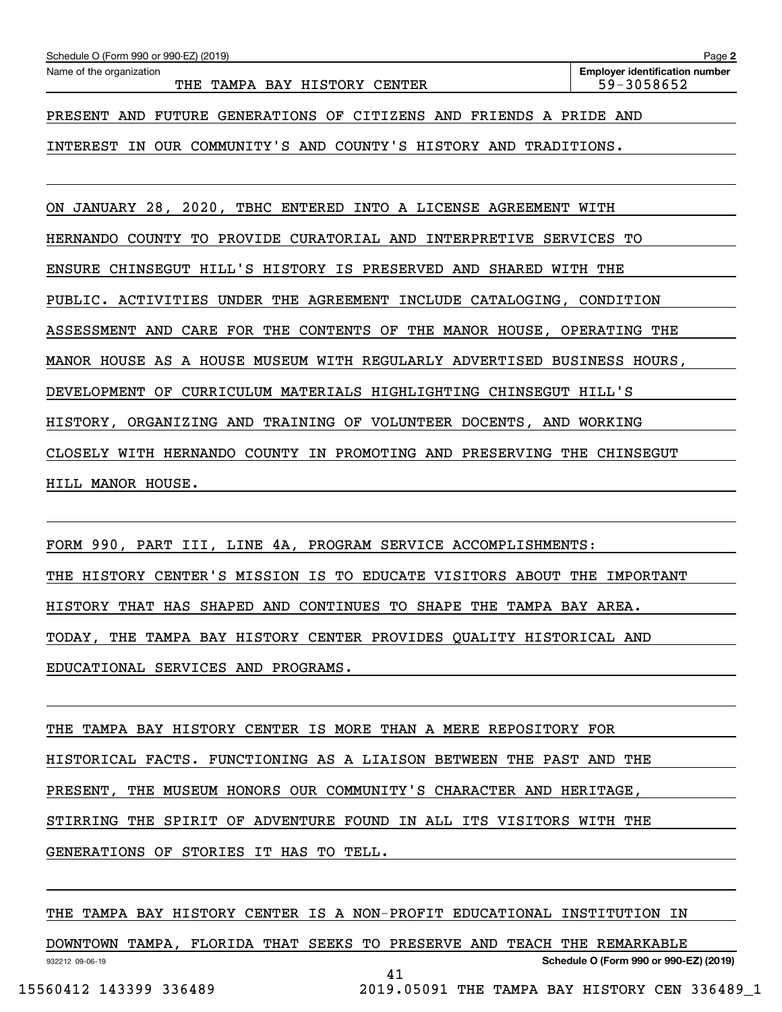| Schedule O (Form 990 or 990-EZ) (2019) |                                                                    | Page 2                                |
|----------------------------------------|--------------------------------------------------------------------|---------------------------------------|
| Name of the organization               |                                                                    | <b>Employer identification number</b> |
|                                        | THE TAMPA BAY HISTORY CENTER                                       | 59-3058652                            |
|                                        |                                                                    |                                       |
|                                        | PRESENT AND FUTURE GENERATIONS OF CITIZENS AND FRIENDS A PRIDE AND |                                       |
|                                        |                                                                    |                                       |

INTEREST IN OUR COMMUNITY'S AND COUNTY'S HISTORY AND TRADITIONS.

ON JANUARY 28, 2020, TBHC ENTERED INTO A LICENSE AGREEMENT WITH HERNANDO COUNTY TO PROVIDE CURATORIAL AND INTERPRETIVE SERVICES TO ENSURE CHINSEGUT HILL'S HISTORY IS PRESERVED AND SHARED WITH THE PUBLIC. ACTIVITIES UNDER THE AGREEMENT INCLUDE CATALOGING, CONDITION ASSESSMENT AND CARE FOR THE CONTENTS OF THE MANOR HOUSE, OPERATING THE MANOR HOUSE AS A HOUSE MUSEUM WITH REGULARLY ADVERTISED BUSINESS HOURS, DEVELOPMENT OF CURRICULUM MATERIALS HIGHLIGHTING CHINSEGUT HILL'S HISTORY, ORGANIZING AND TRAINING OF VOLUNTEER DOCENTS, AND WORKING CLOSELY WITH HERNANDO COUNTY IN PROMOTING AND PRESERVING THE CHINSEGUT HILL MANOR HOUSE.

FORM 990, PART III, LINE 4A, PROGRAM SERVICE ACCOMPLISHMENTS: THE HISTORY CENTER'S MISSION IS TO EDUCATE VISITORS ABOUT THE IMPORTANT HISTORY THAT HAS SHAPED AND CONTINUES TO SHAPE THE TAMPA BAY AREA. TODAY, THE TAMPA BAY HISTORY CENTER PROVIDES QUALITY HISTORICAL AND EDUCATIONAL SERVICES AND PROGRAMS.

THE TAMPA BAY HISTORY CENTER IS MORE THAN A MERE REPOSITORY FOR HISTORICAL FACTS. FUNCTIONING AS A LIAISON BETWEEN THE PAST AND THE PRESENT, THE MUSEUM HONORS OUR COMMUNITY'S CHARACTER AND HERITAGE, STIRRING THE SPIRIT OF ADVENTURE FOUND IN ALL ITS VISITORS WITH THE GENERATIONS OF STORIES IT HAS TO TELL.

THE TAMPA BAY HISTORY CENTER IS A NON-PROFIT EDUCATIONAL INSTITUTION IN

932212 09-06-19 **Schedule O (Form 990 or 990-EZ) (2019)** DOWNTOWN TAMPA, FLORIDA THAT SEEKS TO PRESERVE AND TEACH THE REMARKABLE 41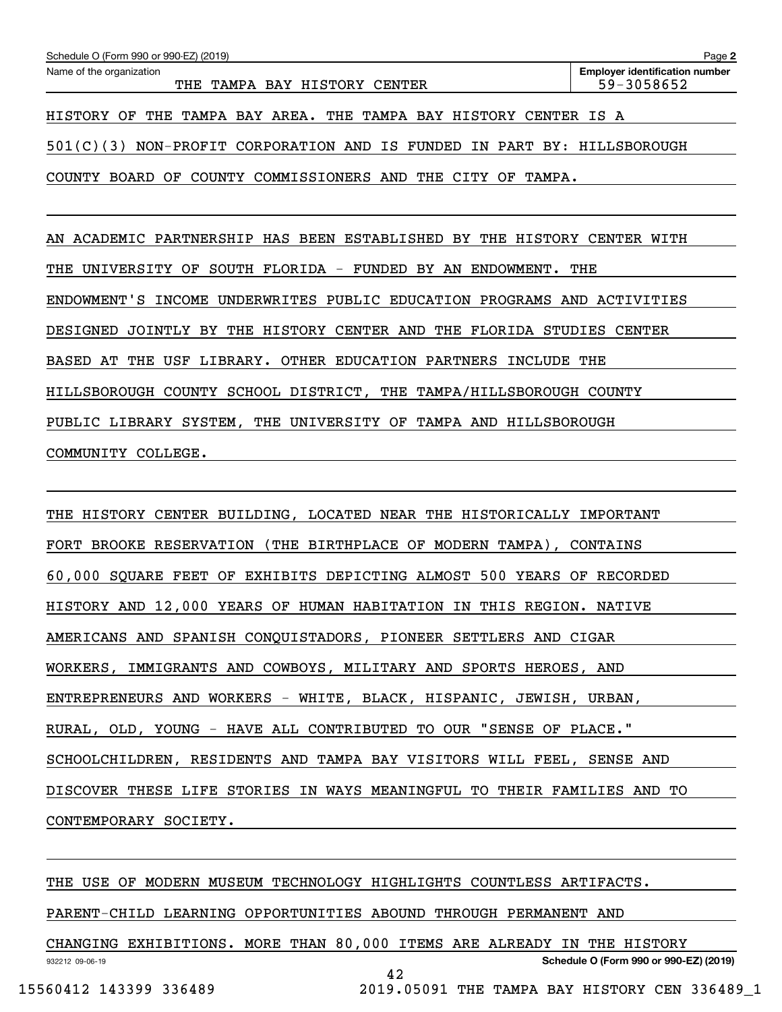| Schedule O (Form 990 or 990-EZ) (2019)                                     | Page 2                                              |
|----------------------------------------------------------------------------|-----------------------------------------------------|
| Name of the organization<br>TAMPA BAY HISTORY CENTER<br>THE.               | <b>Employer identification number</b><br>59-3058652 |
| THE TAMPA BAY AREA. THE TAMPA BAY HISTORY CENTER IS A<br>HISTORY OF        |                                                     |
| 501(C)(3)<br>NON-PROFIT CORPORATION AND IS FUNDED IN PART BY: HILLSBOROUGH |                                                     |
| COUNTY COMMISSIONERS AND<br>BOARD OF<br>THE CITY OF TAMPA.<br>COUNTY       |                                                     |

AN ACADEMIC PARTNERSHIP HAS BEEN ESTABLISHED BY THE HISTORY CENTER WITH THE UNIVERSITY OF SOUTH FLORIDA - FUNDED BY AN ENDOWMENT. THE ENDOWMENT'S INCOME UNDERWRITES PUBLIC EDUCATION PROGRAMS AND ACTIVITIES DESIGNED JOINTLY BY THE HISTORY CENTER AND THE FLORIDA STUDIES CENTER BASED AT THE USF LIBRARY. OTHER EDUCATION PARTNERS INCLUDE THE HILLSBOROUGH COUNTY SCHOOL DISTRICT, THE TAMPA/HILLSBOROUGH COUNTY PUBLIC LIBRARY SYSTEM, THE UNIVERSITY OF TAMPA AND HILLSBOROUGH COMMUNITY COLLEGE.

THE HISTORY CENTER BUILDING, LOCATED NEAR THE HISTORICALLY IMPORTANT FORT BROOKE RESERVATION (THE BIRTHPLACE OF MODERN TAMPA), CONTAINS 60,000 SQUARE FEET OF EXHIBITS DEPICTING ALMOST 500 YEARS OF RECORDED HISTORY AND 12,000 YEARS OF HUMAN HABITATION IN THIS REGION. NATIVE AMERICANS AND SPANISH CONQUISTADORS, PIONEER SETTLERS AND CIGAR WORKERS, IMMIGRANTS AND COWBOYS, MILITARY AND SPORTS HEROES, AND ENTREPRENEURS AND WORKERS - WHITE, BLACK, HISPANIC, JEWISH, URBAN, RURAL, OLD, YOUNG - HAVE ALL CONTRIBUTED TO OUR "SENSE OF PLACE." SCHOOLCHILDREN, RESIDENTS AND TAMPA BAY VISITORS WILL FEEL, SENSE AND DISCOVER THESE LIFE STORIES IN WAYS MEANINGFUL TO THEIR FAMILIES AND TO CONTEMPORARY SOCIETY.

932212 09-06-19 **Schedule O (Form 990 or 990-EZ) (2019)** THE USE OF MODERN MUSEUM TECHNOLOGY HIGHLIGHTS COUNTLESS ARTIFACTS. PARENT-CHILD LEARNING OPPORTUNITIES ABOUND THROUGH PERMANENT AND CHANGING EXHIBITIONS. MORE THAN 80,000 ITEMS ARE ALREADY IN THE HISTORY 42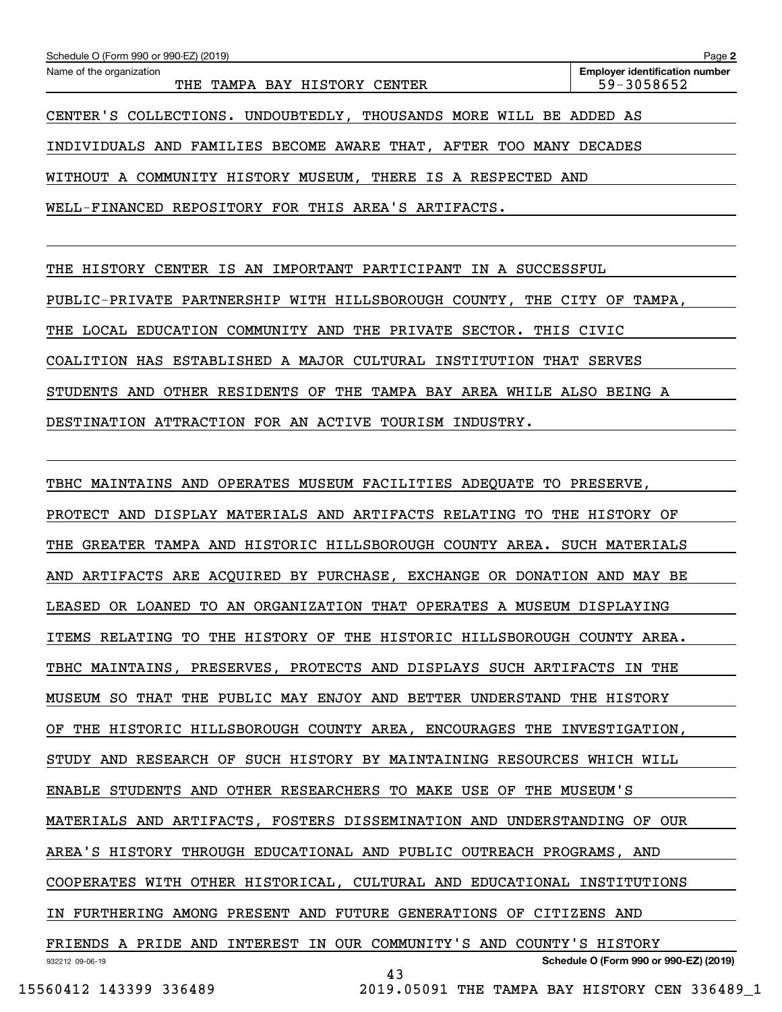| Schedule O (Form 990 or 990-EZ) (2019)                             | Page 2                                              |
|--------------------------------------------------------------------|-----------------------------------------------------|
| Name of the organization<br>THE TAMPA BAY HISTORY<br>CENTER        | <b>Employer identification number</b><br>59-3058652 |
| CENTER'S COLLECTIONS. UNDOUBTEDLY, THOUSANDS MORE WILL BE ADDED AS |                                                     |
| INDIVIDUALS AND FAMILIES BECOME AWARE THAT, AFTER TOO MANY DECADES |                                                     |
| WITHOUT A COMMUNITY HISTORY MUSEUM, THERE IS A RESPECTED AND       |                                                     |
| WELL-FINANCED REPOSITORY FOR THIS AREA'S ARTIFACTS.                |                                                     |
|                                                                    |                                                     |

THE HISTORY CENTER IS AN IMPORTANT PARTICIPANT IN A SUCCESSFUL PUBLIC-PRIVATE PARTNERSHIP WITH HILLSBOROUGH COUNTY, THE CITY OF TAMPA, THE LOCAL EDUCATION COMMUNITY AND THE PRIVATE SECTOR. THIS CIVIC COALITION HAS ESTABLISHED A MAJOR CULTURAL INSTITUTION THAT SERVES STUDENTS AND OTHER RESIDENTS OF THE TAMPA BAY AREA WHILE ALSO BEING A DESTINATION ATTRACTION FOR AN ACTIVE TOURISM INDUSTRY.

932212 09-06-19 **Schedule O (Form 990 or 990-EZ) (2019)** TBHC MAINTAINS AND OPERATES MUSEUM FACILITIES ADEQUATE TO PRESERVE, PROTECT AND DISPLAY MATERIALS AND ARTIFACTS RELATING TO THE HISTORY OF THE GREATER TAMPA AND HISTORIC HILLSBOROUGH COUNTY AREA. SUCH MATERIALS AND ARTIFACTS ARE ACQUIRED BY PURCHASE, EXCHANGE OR DONATION AND MAY BE LEASED OR LOANED TO AN ORGANIZATION THAT OPERATES A MUSEUM DISPLAYING ITEMS RELATING TO THE HISTORY OF THE HISTORIC HILLSBOROUGH COUNTY AREA. TBHC MAINTAINS, PRESERVES, PROTECTS AND DISPLAYS SUCH ARTIFACTS IN THE MUSEUM SO THAT THE PUBLIC MAY ENJOY AND BETTER UNDERSTAND THE HISTORY OF THE HISTORIC HILLSBOROUGH COUNTY AREA, ENCOURAGES THE INVESTIGATION, STUDY AND RESEARCH OF SUCH HISTORY BY MAINTAINING RESOURCES WHICH WILL ENABLE STUDENTS AND OTHER RESEARCHERS TO MAKE USE OF THE MUSEUM'S MATERIALS AND ARTIFACTS, FOSTERS DISSEMINATION AND UNDERSTANDING OF OUR AREA'S HISTORY THROUGH EDUCATIONAL AND PUBLIC OUTREACH PROGRAMS, AND COOPERATES WITH OTHER HISTORICAL, CULTURAL AND EDUCATIONAL INSTITUTIONS IN FURTHERING AMONG PRESENT AND FUTURE GENERATIONS OF CITIZENS AND FRIENDS A PRIDE AND INTEREST IN OUR COMMUNITY'S AND COUNTY'S HISTORY 43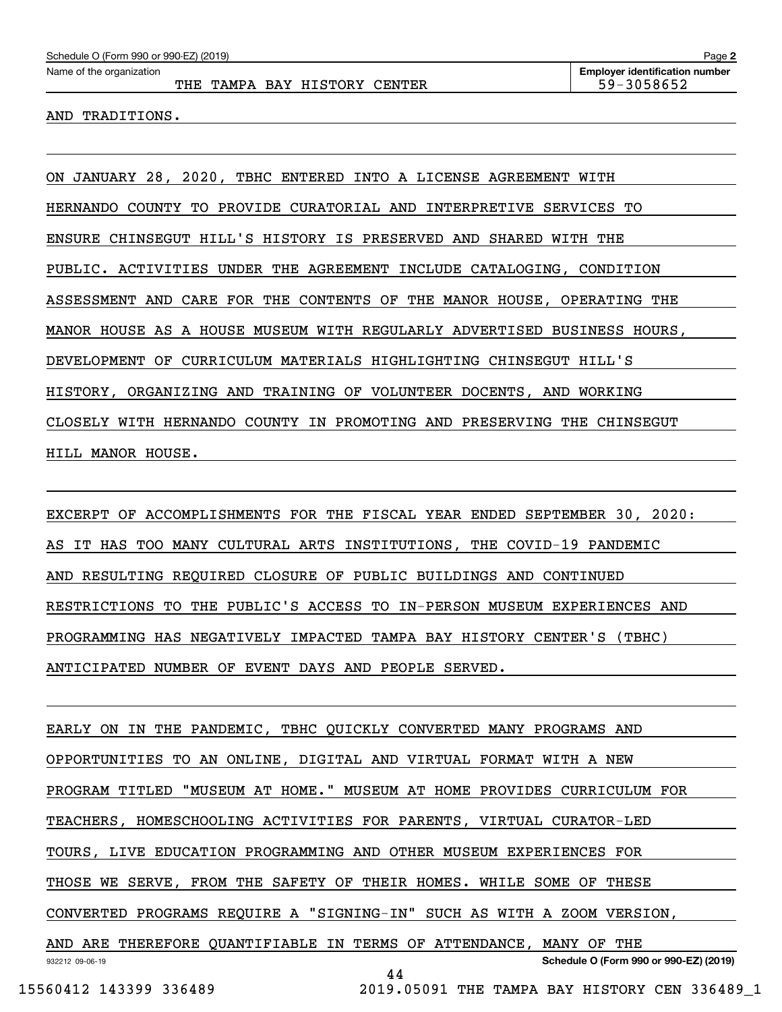AND TRADITIONS.

ON JANUARY 28, 2020, TBHC ENTERED INTO A LICENSE AGREEMENT WITH HERNANDO COUNTY TO PROVIDE CURATORIAL AND INTERPRETIVE SERVICES TO ENSURE CHINSEGUT HILL'S HISTORY IS PRESERVED AND SHARED WITH THE PUBLIC. ACTIVITIES UNDER THE AGREEMENT INCLUDE CATALOGING, CONDITION ASSESSMENT AND CARE FOR THE CONTENTS OF THE MANOR HOUSE, OPERATING THE MANOR HOUSE AS A HOUSE MUSEUM WITH REGULARLY ADVERTISED BUSINESS HOURS, DEVELOPMENT OF CURRICULUM MATERIALS HIGHLIGHTING CHINSEGUT HILL'S HISTORY, ORGANIZING AND TRAINING OF VOLUNTEER DOCENTS, AND WORKING CLOSELY WITH HERNANDO COUNTY IN PROMOTING AND PRESERVING THE CHINSEGUT HILL MANOR HOUSE.

EXCERPT OF ACCOMPLISHMENTS FOR THE FISCAL YEAR ENDED SEPTEMBER 30, 2020: AS IT HAS TOO MANY CULTURAL ARTS INSTITUTIONS, THE COVID-19 PANDEMIC AND RESULTING REQUIRED CLOSURE OF PUBLIC BUILDINGS AND CONTINUED RESTRICTIONS TO THE PUBLIC'S ACCESS TO IN-PERSON MUSEUM EXPERIENCES AND PROGRAMMING HAS NEGATIVELY IMPACTED TAMPA BAY HISTORY CENTER'S (TBHC) ANTICIPATED NUMBER OF EVENT DAYS AND PEOPLE SERVED.

932212 09-06-19 **Schedule O (Form 990 or 990-EZ) (2019)** EARLY ON IN THE PANDEMIC, TBHC QUICKLY CONVERTED MANY PROGRAMS AND OPPORTUNITIES TO AN ONLINE, DIGITAL AND VIRTUAL FORMAT WITH A NEW PROGRAM TITLED "MUSEUM AT HOME." MUSEUM AT HOME PROVIDES CURRICULUM FOR TEACHERS, HOMESCHOOLING ACTIVITIES FOR PARENTS, VIRTUAL CURATOR-LED TOURS, LIVE EDUCATION PROGRAMMING AND OTHER MUSEUM EXPERIENCES FOR THOSE WE SERVE, FROM THE SAFETY OF THEIR HOMES. WHILE SOME OF THESE CONVERTED PROGRAMS REQUIRE A "SIGNING-IN" SUCH AS WITH A ZOOM VERSION, AND ARE THEREFORE QUANTIFIABLE IN TERMS OF ATTENDANCE, MANY OF THE 44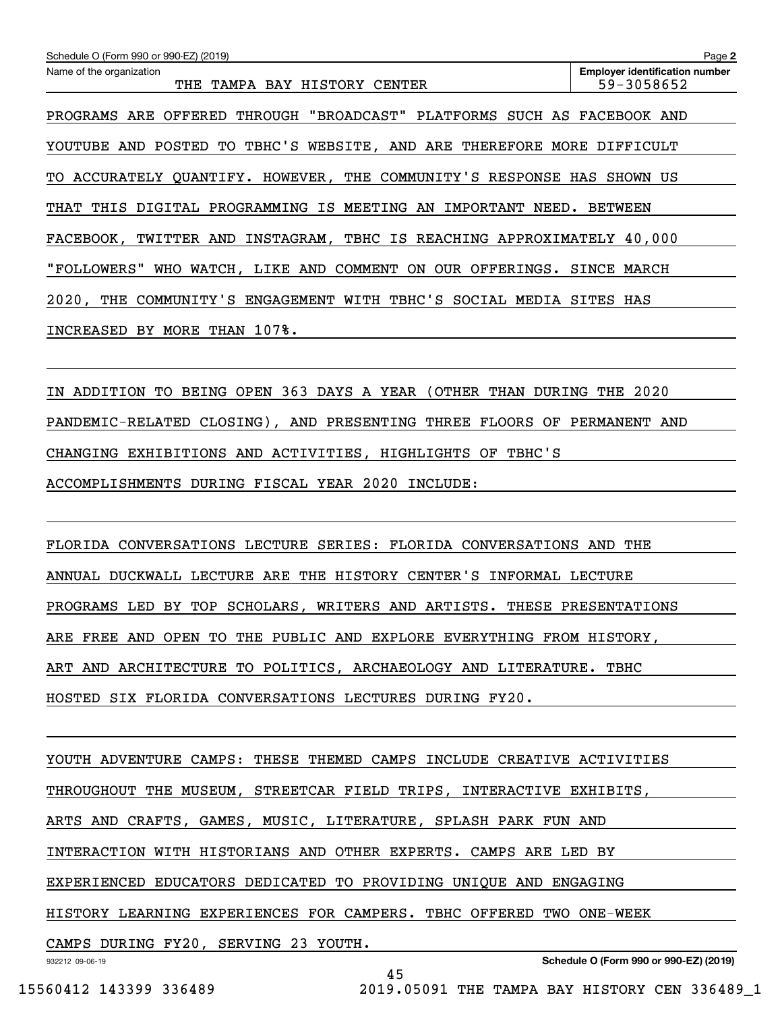| Schedule O (Form 990 or 990-EZ) (2019)                                 | Page 2                                              |
|------------------------------------------------------------------------|-----------------------------------------------------|
| Name of the organization<br>THE TAMPA BAY HISTORY CENTER               | <b>Employer identification number</b><br>59-3058652 |
| OFFERED THROUGH "BROADCAST" PLATFORMS SUCH AS<br>PROGRAMS ARE          | FACEBOOK AND                                        |
| YOUTUBE AND POSTED TO TBHC'S WEBSITE, AND ARE THEREFORE MORE DIFFICULT |                                                     |
| TO ACCURATELY QUANTIFY. HOWEVER, THE COMMUNITY'S RESPONSE HAS          | SHOWN US                                            |
| IS MEETING AN IMPORTANT NEED.<br>THIS DIGITAL PROGRAMMING<br>THAT      | <b>BETWEEN</b>                                      |
| FACEBOOK, TWITTER AND INSTAGRAM, TBHC IS REACHING APPROXIMATELY 40,000 |                                                     |
| COMMENT ON OUR OFFERINGS.<br>"FOLLOWERS"<br>WHO WATCH, LIKE AND        | SINCE MARCH                                         |
| COMMUNITY'S ENGAGEMENT WITH TBHC'S SOCIAL MEDIA<br>2020,<br>THE        | SITES HAS                                           |
| BY MORE THAN 107%.<br>INCREASED                                        |                                                     |
|                                                                        |                                                     |
|                                                                        |                                                     |

IN ADDITION TO BEING OPEN 363 DAYS A YEAR (OTHER THAN DURING THE 2020 PANDEMIC-RELATED CLOSING), AND PRESENTING THREE FLOORS OF PERMANENT AND CHANGING EXHIBITIONS AND ACTIVITIES, HIGHLIGHTS OF TBHC'S ACCOMPLISHMENTS DURING FISCAL YEAR 2020 INCLUDE:

FLORIDA CONVERSATIONS LECTURE SERIES: FLORIDA CONVERSATIONS AND THE ANNUAL DUCKWALL LECTURE ARE THE HISTORY CENTER'S INFORMAL LECTURE PROGRAMS LED BY TOP SCHOLARS, WRITERS AND ARTISTS. THESE PRESENTATIONS ARE FREE AND OPEN TO THE PUBLIC AND EXPLORE EVERYTHING FROM HISTORY, ART AND ARCHITECTURE TO POLITICS, ARCHAEOLOGY AND LITERATURE. TBHC HOSTED SIX FLORIDA CONVERSATIONS LECTURES DURING FY20.

YOUTH ADVENTURE CAMPS: THESE THEMED CAMPS INCLUDE CREATIVE ACTIVITIES THROUGHOUT THE MUSEUM, STREETCAR FIELD TRIPS, INTERACTIVE EXHIBITS, ARTS AND CRAFTS, GAMES, MUSIC, LITERATURE, SPLASH PARK FUN AND INTERACTION WITH HISTORIANS AND OTHER EXPERTS. CAMPS ARE LED BY EXPERIENCED EDUCATORS DEDICATED TO PROVIDING UNIQUE AND ENGAGING HISTORY LEARNING EXPERIENCES FOR CAMPERS. TBHC OFFERED TWO ONE-WEEK CAMPS DURING FY20, SERVING 23 YOUTH.

45

932212 09-06-19

**Schedule O (Form 990 or 990-EZ) (2019)**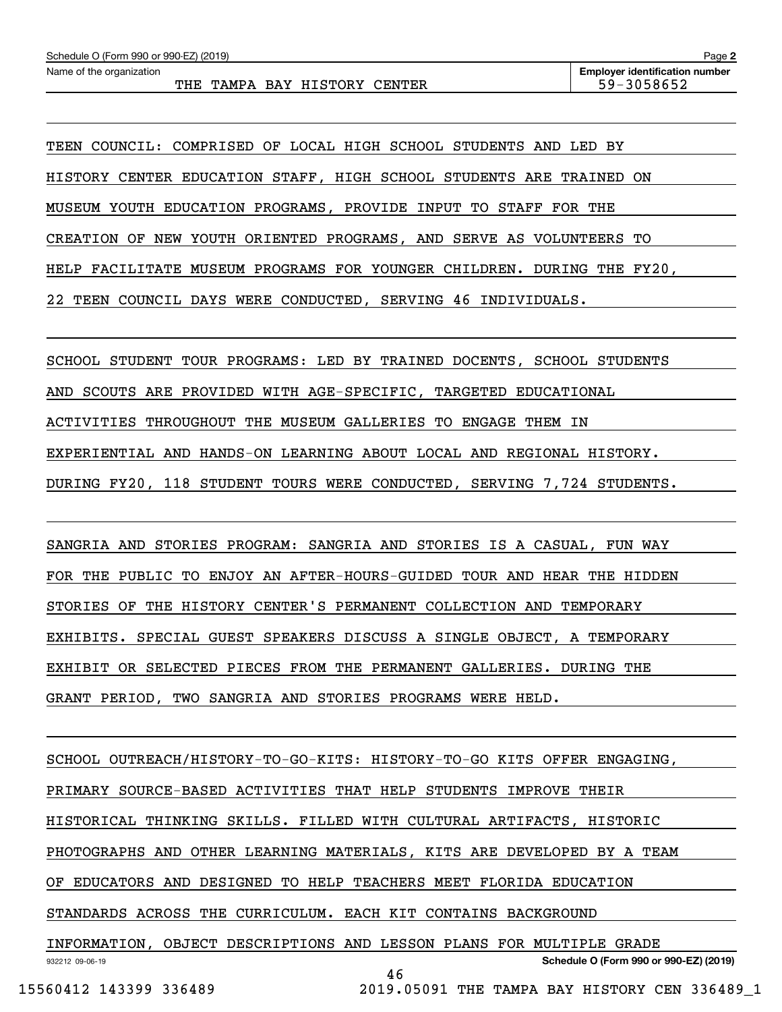TEEN COUNCIL: COMPRISED OF LOCAL HIGH SCHOOL STUDENTS AND LED BY HISTORY CENTER EDUCATION STAFF, HIGH SCHOOL STUDENTS ARE TRAINED ON MUSEUM YOUTH EDUCATION PROGRAMS, PROVIDE INPUT TO STAFF FOR THE CREATION OF NEW YOUTH ORIENTED PROGRAMS, AND SERVE AS VOLUNTEERS TO HELP FACILITATE MUSEUM PROGRAMS FOR YOUNGER CHILDREN. DURING THE FY20, 22 TEEN COUNCIL DAYS WERE CONDUCTED, SERVING 46 INDIVIDUALS.

SCHOOL STUDENT TOUR PROGRAMS: LED BY TRAINED DOCENTS, SCHOOL STUDENTS

AND SCOUTS ARE PROVIDED WITH AGE-SPECIFIC, TARGETED EDUCATIONAL

ACTIVITIES THROUGHOUT THE MUSEUM GALLERIES TO ENGAGE THEM IN

EXPERIENTIAL AND HANDS-ON LEARNING ABOUT LOCAL AND REGIONAL HISTORY.

DURING FY20, 118 STUDENT TOURS WERE CONDUCTED, SERVING 7,724 STUDENTS.

SANGRIA AND STORIES PROGRAM: SANGRIA AND STORIES IS A CASUAL, FUN WAY FOR THE PUBLIC TO ENJOY AN AFTER-HOURS-GUIDED TOUR AND HEAR THE HIDDEN STORIES OF THE HISTORY CENTER'S PERMANENT COLLECTION AND TEMPORARY EXHIBITS. SPECIAL GUEST SPEAKERS DISCUSS A SINGLE OBJECT, A TEMPORARY EXHIBIT OR SELECTED PIECES FROM THE PERMANENT GALLERIES. DURING THE GRANT PERIOD, TWO SANGRIA AND STORIES PROGRAMS WERE HELD.

932212 09-06-19 **Schedule O (Form 990 or 990-EZ) (2019)** SCHOOL OUTREACH/HISTORY-TO-GO-KITS: HISTORY-TO-GO KITS OFFER ENGAGING, PRIMARY SOURCE-BASED ACTIVITIES THAT HELP STUDENTS IMPROVE THEIR HISTORICAL THINKING SKILLS. FILLED WITH CULTURAL ARTIFACTS, HISTORIC PHOTOGRAPHS AND OTHER LEARNING MATERIALS, KITS ARE DEVELOPED BY A TEAM OF EDUCATORS AND DESIGNED TO HELP TEACHERS MEET FLORIDA EDUCATION STANDARDS ACROSS THE CURRICULUM. EACH KIT CONTAINS BACKGROUND INFORMATION, OBJECT DESCRIPTIONS AND LESSON PLANS FOR MULTIPLE GRADE

46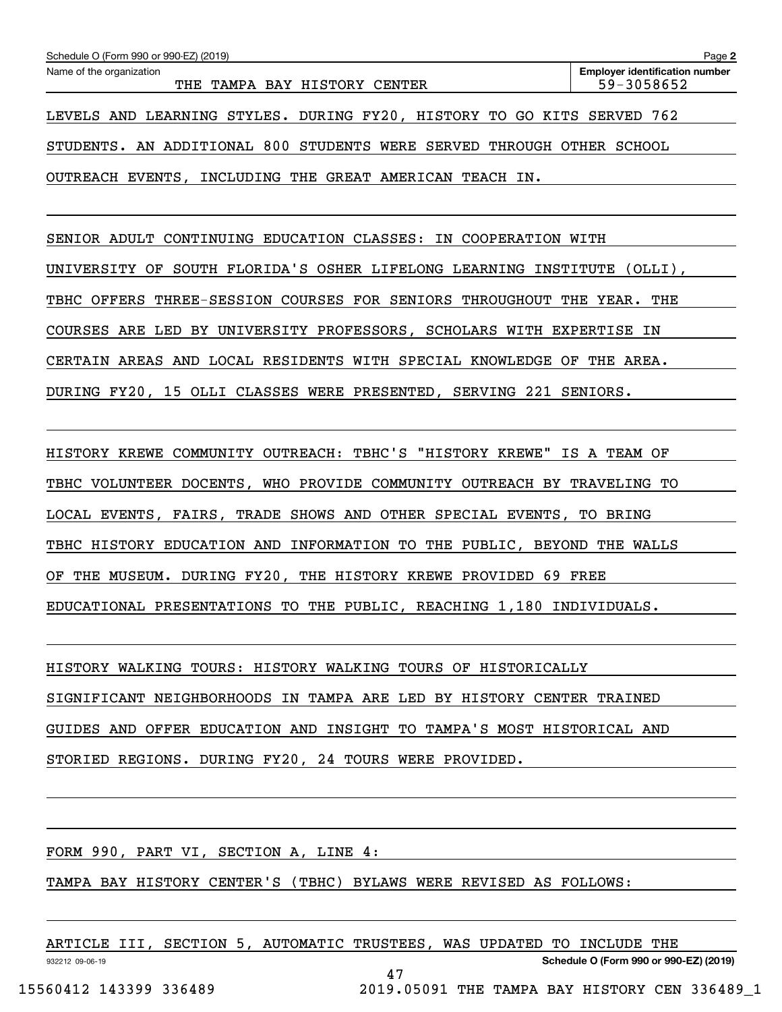| Name of the organization<br>TAMPA BAY HISTORY CENTER<br>THE            | <b>Employer identification number</b><br>59-3058652 |
|------------------------------------------------------------------------|-----------------------------------------------------|
| LEVELS AND LEARNING STYLES. DURING FY20, HISTORY TO GO KITS SERVED 762 |                                                     |
| STUDENTS. AN ADDITIONAL 800 STUDENTS WERE SERVED THROUGH OTHER SCHOOL  |                                                     |
| OUTREACH EVENTS, INCLUDING THE GREAT AMERICAN TEACH IN.                |                                                     |

SENIOR ADULT CONTINUING EDUCATION CLASSES: IN COOPERATION WITH

UNIVERSITY OF SOUTH FLORIDA'S OSHER LIFELONG LEARNING INSTITUTE (OLLI),

TBHC OFFERS THREE-SESSION COURSES FOR SENIORS THROUGHOUT THE YEAR. THE

COURSES ARE LED BY UNIVERSITY PROFESSORS, SCHOLARS WITH EXPERTISE IN

CERTAIN AREAS AND LOCAL RESIDENTS WITH SPECIAL KNOWLEDGE OF THE AREA.

DURING FY20, 15 OLLI CLASSES WERE PRESENTED, SERVING 221 SENIORS.

HISTORY KREWE COMMUNITY OUTREACH: TBHC'S "HISTORY KREWE" IS A TEAM OF

TBHC VOLUNTEER DOCENTS, WHO PROVIDE COMMUNITY OUTREACH BY TRAVELING TO

LOCAL EVENTS, FAIRS, TRADE SHOWS AND OTHER SPECIAL EVENTS, TO BRING

TBHC HISTORY EDUCATION AND INFORMATION TO THE PUBLIC, BEYOND THE WALLS

OF THE MUSEUM. DURING FY20, THE HISTORY KREWE PROVIDED 69 FREE

EDUCATIONAL PRESENTATIONS TO THE PUBLIC, REACHING 1,180 INDIVIDUALS.

HISTORY WALKING TOURS: HISTORY WALKING TOURS OF HISTORICALLY SIGNIFICANT NEIGHBORHOODS IN TAMPA ARE LED BY HISTORY CENTER TRAINED GUIDES AND OFFER EDUCATION AND INSIGHT TO TAMPA'S MOST HISTORICAL AND STORIED REGIONS. DURING FY20, 24 TOURS WERE PROVIDED.

FORM 990, PART VI, SECTION A, LINE 4:

TAMPA BAY HISTORY CENTER'S (TBHC) BYLAWS WERE REVISED AS FOLLOWS:

| ARTICLE III, SECTION ! |  | 5, AUTOMATIC TRUSTEES, WAS UPDATED TO INCLUDE THE |  |                                      |  |
|------------------------|--|---------------------------------------------------|--|--------------------------------------|--|
| 932212 09-06-19        |  |                                                   |  | Schedule O (Form 990 or 990-EZ) (201 |  |

47

**Schedule O (Form 990 or 990-EZ) (2019)**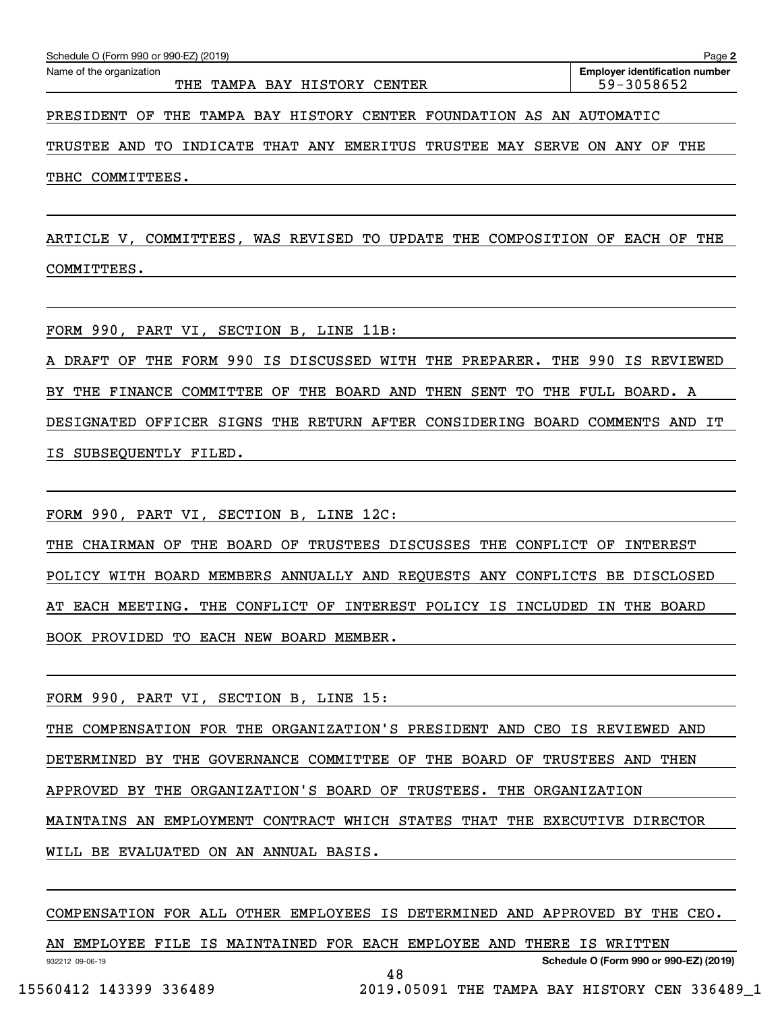THE TAMPA BAY HISTORY CENTER THE 59-3058652

PRESIDENT OF THE TAMPA BAY HISTORY CENTER FOUNDATION AS AN AUTOMATIC

TRUSTEE AND TO INDICATE THAT ANY EMERITUS TRUSTEE MAY SERVE ON ANY OF THE TBHC COMMITTEES.

ARTICLE V, COMMITTEES, WAS REVISED TO UPDATE THE COMPOSITION OF EACH OF THE COMMITTEES.

FORM 990, PART VI, SECTION B, LINE 11B:

A DRAFT OF THE FORM 990 IS DISCUSSED WITH THE PREPARER. THE 990 IS REVIEWED BY THE FINANCE COMMITTEE OF THE BOARD AND THEN SENT TO THE FULL BOARD. A DESIGNATED OFFICER SIGNS THE RETURN AFTER CONSIDERING BOARD COMMENTS AND IT IS SUBSEQUENTLY FILED.

FORM 990, PART VI, SECTION B, LINE 12C:

THE CHAIRMAN OF THE BOARD OF TRUSTEES DISCUSSES THE CONFLICT OF INTEREST POLICY WITH BOARD MEMBERS ANNUALLY AND REQUESTS ANY CONFLICTS BE DISCLOSED AT EACH MEETING. THE CONFLICT OF INTEREST POLICY IS INCLUDED IN THE BOARD BOOK PROVIDED TO EACH NEW BOARD MEMBER.

FORM 990, PART VI, SECTION B, LINE 15:

THE COMPENSATION FOR THE ORGANIZATION'S PRESIDENT AND CEO IS REVIEWED AND

DETERMINED BY THE GOVERNANCE COMMITTEE OF THE BOARD OF TRUSTEES AND THEN

APPROVED BY THE ORGANIZATION'S BOARD OF TRUSTEES. THE ORGANIZATION

MAINTAINS AN EMPLOYMENT CONTRACT WHICH STATES THAT THE EXECUTIVE DIRECTOR

WILL BE EVALUATED ON AN ANNUAL BASIS.

COMPENSATION FOR ALL OTHER EMPLOYEES IS DETERMINED AND APPROVED BY THE CEO.

932212 09-06-19 **Schedule O (Form 990 or 990-EZ) (2019)** AN EMPLOYEE FILE IS MAINTAINED FOR EACH EMPLOYEE AND THERE IS WRITTEN 48 15560412 143399 336489 2019.05091 THE TAMPA BAY HISTORY CEN 336489\_1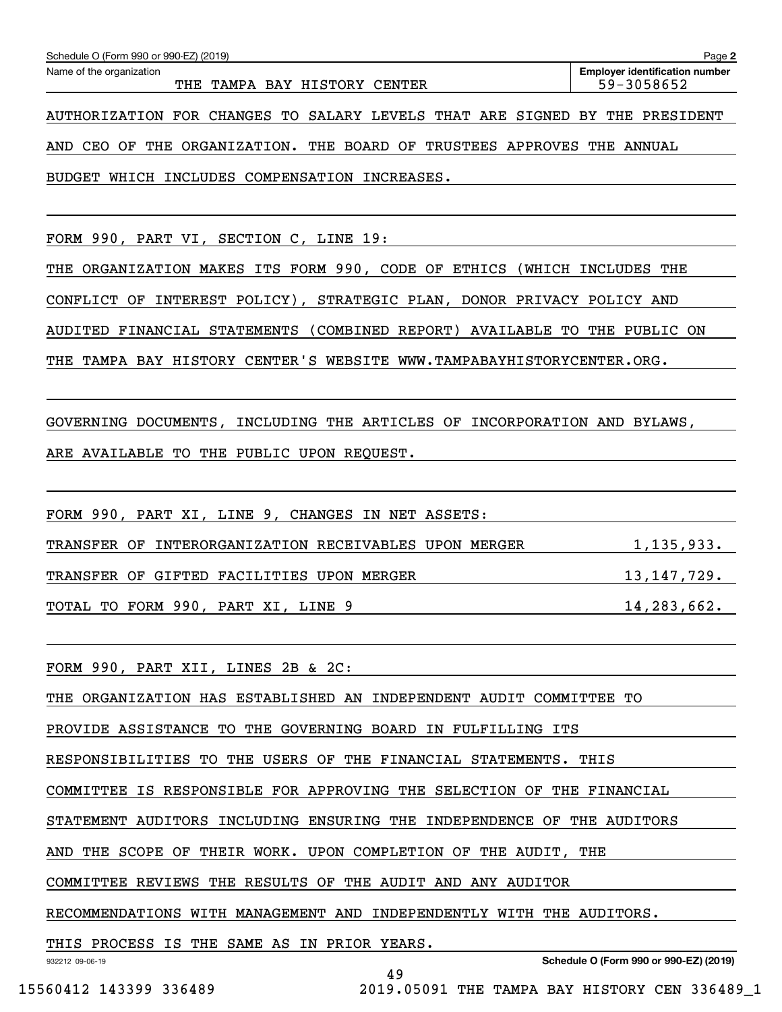| BUDGET WHICH INCLUDES COMPENSATION INCREASES.                                                                          |
|------------------------------------------------------------------------------------------------------------------------|
|                                                                                                                        |
| FORM 990, PART VI, SECTION C, LINE 19:                                                                                 |
| THE ORGANIZATION MAKES ITS FORM 990, CODE OF ETHICS (WHICH INCLUDES THE                                                |
| CONFLICT OF INTEREST POLICY), STRATEGIC PLAN, DONOR PRIVACY POLICY AND                                                 |
| AUDITED FINANCIAL STATEMENTS (COMBINED REPORT) AVAILABLE TO THE PUBLIC ON                                              |
| THE TAMPA BAY HISTORY CENTER'S WEBSITE WWW.TAMPABAYHISTORYCENTER.ORG.                                                  |
|                                                                                                                        |
| GOVERNING DOCUMENTS, INCLUDING THE ARTICLES OF INCORPORATION AND BYLAWS,                                               |
| ARE AVAILABLE TO THE PUBLIC UPON REQUEST.                                                                              |
|                                                                                                                        |
| FORM 990, PART XI, LINE 9, CHANGES IN NET ASSETS:                                                                      |
| TRANSFER OF INTERORGANIZATION RECEIVABLES UPON MERGER 1,135,933.                                                       |
| TRANSFER OF GIFTED FACILITIES UPON MERGER 13,147,729.                                                                  |
| TOTAL TO FORM 990, PART XI, LINE 9 14, 283, 662.                                                                       |
| <u> 1989 - Andrea Santana, amerikana amerikana amerikana amerikana amerikana amerikana amerikana amerikana amerika</u> |
| FORM 990, PART XII, LINES 2B & 2C:                                                                                     |
| THE ORGANIZATION HAS ESTABLISHED AN INDEPENDENT AUDIT COMMITTEE TO                                                     |
| PROVIDE ASSISTANCE TO THE GOVERNING BOARD IN FULFILLING ITS                                                            |
| RESPONSIBILITIES TO THE USERS OF THE FINANCIAL STATEMENTS. THIS                                                        |
| COMMITTEE IS RESPONSIBLE FOR APPROVING THE SELECTION OF THE FINANCIAL                                                  |
| STATEMENT AUDITORS INCLUDING ENSURING THE INDEPENDENCE OF THE AUDITORS                                                 |
| AND THE SCOPE OF THEIR WORK. UPON COMPLETION OF THE AUDIT, THE                                                         |
| COMMITTEE REVIEWS THE RESULTS OF THE AUDIT AND ANY AUDITOR                                                             |
| RECOMMENDATIONS WITH MANAGEMENT AND INDEPENDENTLY WITH THE AUDITORS.                                                   |

Echedule O (Form 990 or 990-EZ) (2019)<br>Name of the organization **number** Name of the organization **page Name of the organization number** 

THE TAMPA BAY HISTORY CENTER THE 59-3058652

AUTHORIZATION FOR CHANGES TO SALARY LEVELS THAT ARE SIGNED BY THE PRESIDENT

AND CEO OF THE ORGANIZATION. THE BOARD OF TRUSTEES APPROVES THE ANNUAL

THIS PROCESS IS THE SAME AS IN PRIOR YEARS.

932212 09-06-19

**Schedule O (Form 990 or 990-EZ) (2019)**

**2**

49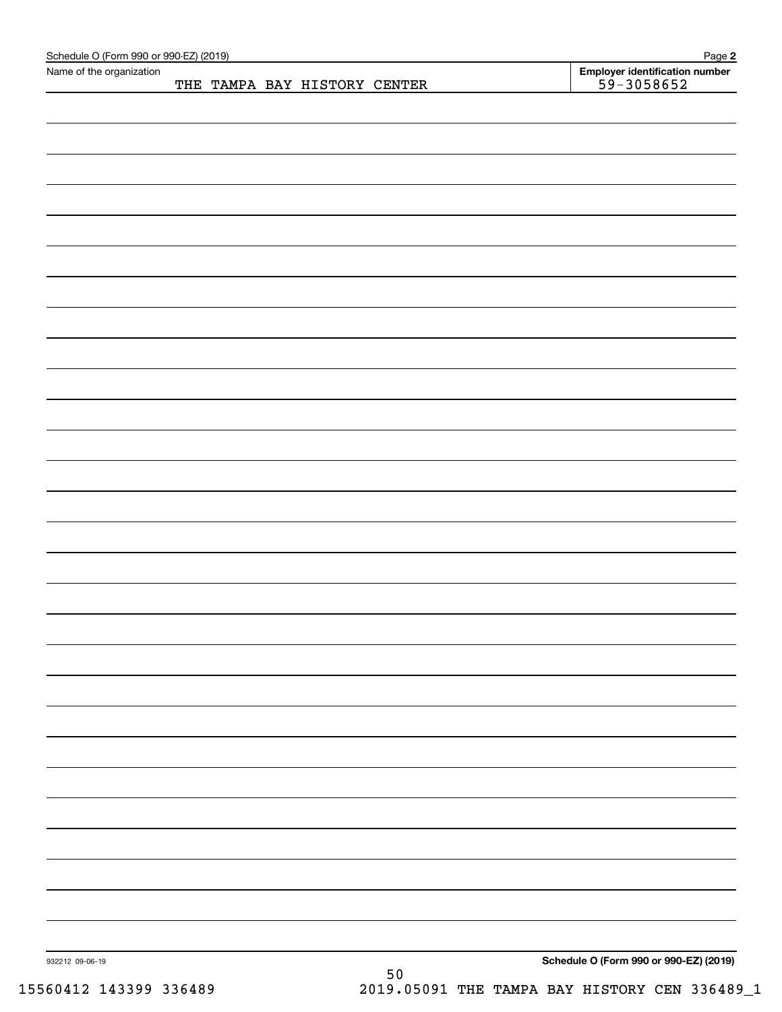| Schedule O (Form 990 or 990-EZ) (2019)<br>Name of the organization |  |                              |    | Page 2                                           |
|--------------------------------------------------------------------|--|------------------------------|----|--------------------------------------------------|
|                                                                    |  | THE TAMPA BAY HISTORY CENTER |    | Employer identification number<br>$59 - 3058652$ |
|                                                                    |  |                              |    |                                                  |
|                                                                    |  |                              |    |                                                  |
|                                                                    |  |                              |    |                                                  |
|                                                                    |  |                              |    |                                                  |
|                                                                    |  |                              |    |                                                  |
|                                                                    |  |                              |    |                                                  |
|                                                                    |  |                              |    |                                                  |
|                                                                    |  |                              |    |                                                  |
|                                                                    |  |                              |    |                                                  |
|                                                                    |  |                              |    |                                                  |
|                                                                    |  |                              |    |                                                  |
|                                                                    |  |                              |    |                                                  |
|                                                                    |  |                              |    |                                                  |
|                                                                    |  |                              |    |                                                  |
|                                                                    |  |                              |    |                                                  |
|                                                                    |  |                              |    |                                                  |
|                                                                    |  |                              |    |                                                  |
|                                                                    |  |                              |    |                                                  |
|                                                                    |  |                              |    |                                                  |
|                                                                    |  |                              |    |                                                  |
|                                                                    |  |                              |    |                                                  |
|                                                                    |  |                              |    |                                                  |
|                                                                    |  |                              |    |                                                  |
|                                                                    |  |                              |    |                                                  |
|                                                                    |  |                              |    |                                                  |
|                                                                    |  |                              |    |                                                  |
|                                                                    |  |                              |    |                                                  |
|                                                                    |  |                              |    |                                                  |
|                                                                    |  |                              |    |                                                  |
|                                                                    |  |                              |    |                                                  |
|                                                                    |  |                              |    |                                                  |
|                                                                    |  |                              |    |                                                  |
|                                                                    |  |                              |    |                                                  |
|                                                                    |  |                              |    |                                                  |
|                                                                    |  |                              |    |                                                  |
|                                                                    |  |                              |    |                                                  |
|                                                                    |  |                              |    |                                                  |
|                                                                    |  |                              |    |                                                  |
|                                                                    |  |                              |    |                                                  |
|                                                                    |  |                              |    |                                                  |
|                                                                    |  |                              |    |                                                  |
|                                                                    |  |                              |    |                                                  |
|                                                                    |  |                              |    |                                                  |
|                                                                    |  |                              |    |                                                  |
|                                                                    |  |                              |    |                                                  |
|                                                                    |  |                              |    |                                                  |
| 932212 09-06-19                                                    |  |                              |    | Schedule O (Form 990 or 990-EZ) (2019)           |
|                                                                    |  |                              | 50 |                                                  |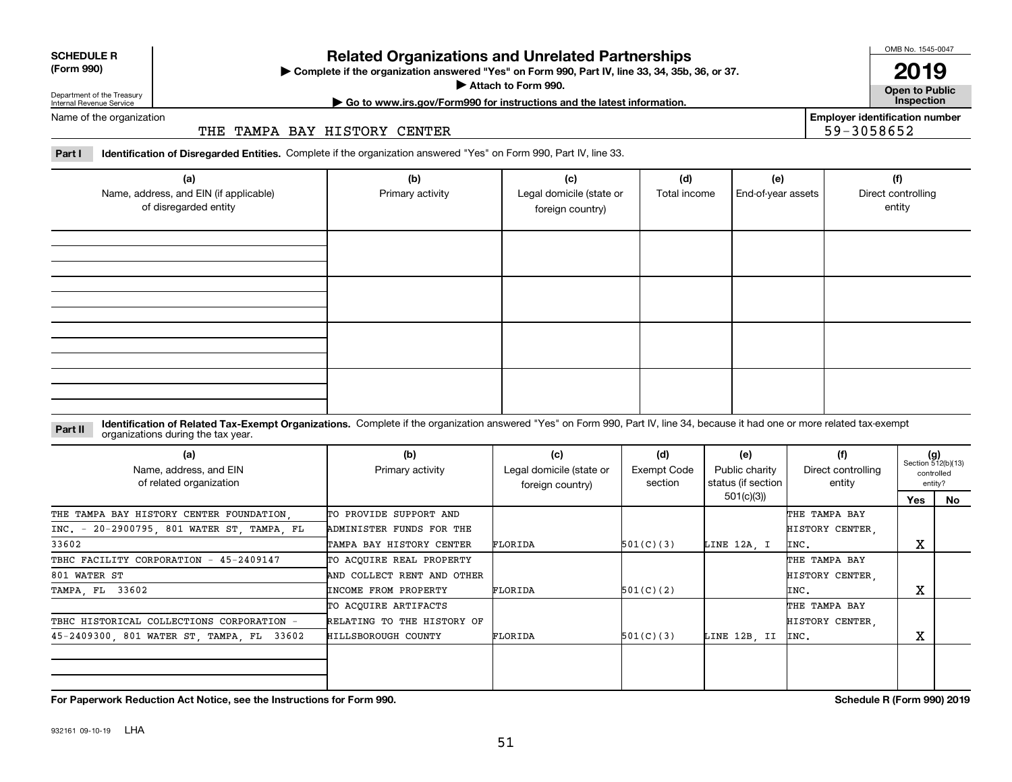| <b>SCHEDULE R</b> |  |
|-------------------|--|
| $(T - 0.00)$      |  |

#### **(Form 990)**

# **Related Organizations and Unrelated Partnerships**

**Complete if the organization answered "Yes" on Form 990, Part IV, line 33, 34, 35b, 36, or 37.** |

**Attach to Form 990.**  |

OMB No. 1545-0047

**Open to Public 2019**

**Employer identification number**

59-3058652

Department of the Treasury Internal Revenue Service

**| Go to www.irs.gov/Form990 for instructions and the latest information. Inspection**

Name of the organization

#### THE TAMPA BAY HISTORY CENTER

**Part I Identification of Disregarded Entities.**  Complete if the organization answered "Yes" on Form 990, Part IV, line 33.

| (a)<br>Name, address, and EIN (if applicable)<br>of disregarded entity | (b)<br>Primary activity | (c)<br>Legal domicile (state or<br>foreign country) | (d)<br>Total income | (e)<br>End-of-year assets | (f)<br>Direct controlling<br>entity |
|------------------------------------------------------------------------|-------------------------|-----------------------------------------------------|---------------------|---------------------------|-------------------------------------|
|                                                                        |                         |                                                     |                     |                           |                                     |
|                                                                        |                         |                                                     |                     |                           |                                     |
|                                                                        |                         |                                                     |                     |                           |                                     |
|                                                                        |                         |                                                     |                     |                           |                                     |

#### **Identification of Related Tax-Exempt Organizations.** Complete if the organization answered "Yes" on Form 990, Part IV, line 34, because it had one or more related tax-exempt **Part II** organizations during the tax year.

| (a)<br>Name, address, and EIN<br>of related organization | (b)<br>Primary activity    | (c)<br>Legal domicile (state or<br>foreign country) | (d)<br>Exempt Code<br>section | (e)<br>Public charity<br>status (if section | (f)<br>Direct controlling<br>entity | $(g)$<br>Section 512(b)(13)<br>controlled<br>entity? |    |
|----------------------------------------------------------|----------------------------|-----------------------------------------------------|-------------------------------|---------------------------------------------|-------------------------------------|------------------------------------------------------|----|
|                                                          |                            |                                                     |                               | 501(c)(3)                                   |                                     | Yes                                                  | No |
| THE TAMPA BAY HISTORY CENTER FOUNDATION.                 | TO PROVIDE SUPPORT AND     |                                                     |                               |                                             | THE TAMPA BAY                       |                                                      |    |
| INC. - 20-2900795, 801 WATER ST, TAMPA, FL               | ADMINISTER FUNDS FOR THE   |                                                     |                               |                                             | HISTORY CENTER                      |                                                      |    |
| 33602                                                    | TAMPA BAY HISTORY CENTER   | FLORIDA                                             | 501(C)(3)                     | LINE 12A, I                                 | INC.                                | X                                                    |    |
| TBHC FACILITY CORPORATION - 45-2409147                   | TO ACQUIRE REAL PROPERTY   |                                                     |                               |                                             | THE TAMPA BAY                       |                                                      |    |
| 801 WATER ST                                             | AND COLLECT RENT AND OTHER |                                                     |                               |                                             | HISTORY CENTER.                     |                                                      |    |
| TAMPA, FL 33602                                          | INCOME FROM PROPERTY       | FLORIDA                                             | 501(C)(2)                     |                                             | INC.                                | х                                                    |    |
|                                                          | TO ACQUIRE ARTIFACTS       |                                                     |                               |                                             | THE TAMPA BAY                       |                                                      |    |
| TBHC HISTORICAL COLLECTIONS CORPORATION -                | RELATING TO THE HISTORY OF |                                                     |                               |                                             | HISTORY CENTER.                     |                                                      |    |
| 45-2409300, 801 WATER ST, TAMPA, FL 33602                | <b>HILLSBOROUGH COUNTY</b> | FLORIDA                                             | 501(C)(3)                     | LINE 12B, II                                | INC.                                | X                                                    |    |
|                                                          |                            |                                                     |                               |                                             |                                     |                                                      |    |
|                                                          |                            |                                                     |                               |                                             |                                     |                                                      |    |
|                                                          |                            |                                                     |                               |                                             |                                     |                                                      |    |

**For Paperwork Reduction Act Notice, see the Instructions for Form 990. Schedule R (Form 990) 2019**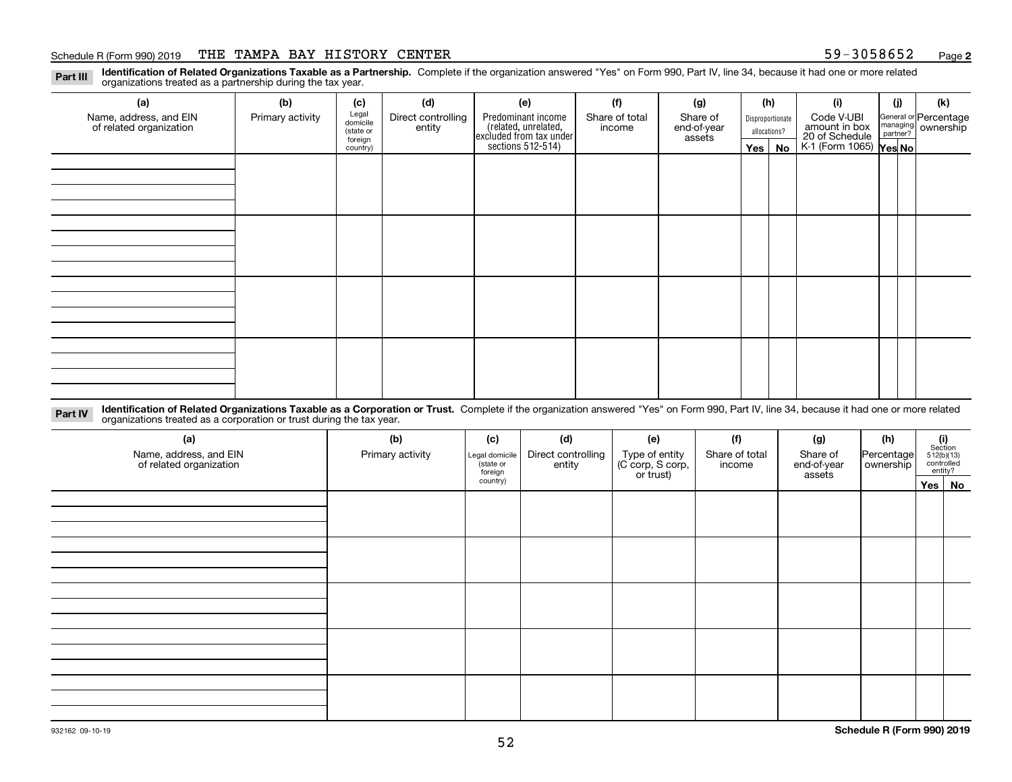#### Schedule R (Form 990) 2019 THE TAMPA BAY HISTORY CENTER 59-3058652 <sub>Page</sub>

**2**

**Identification of Related Organizations Taxable as a Partnership.** Complete if the organization answered "Yes" on Form 990, Part IV, line 34, because it had one or more related **Part III** organizations treated as a partnership during the tax year.

| (a)                                               | (b)              | (c)                  | (d)                          | (e)                                                                 | (f)                      | (g)                     | (h)              | (i)                                                       | (j) | (k)                                                     |
|---------------------------------------------------|------------------|----------------------|------------------------------|---------------------------------------------------------------------|--------------------------|-------------------------|------------------|-----------------------------------------------------------|-----|---------------------------------------------------------|
| Name, address, and EIN<br>of related organization | Primary activity | Legal<br>domicile    | Direct controlling<br>entity | Predominant income                                                  | Share of total<br>income | Share of<br>end-of-year | Disproportionate | Code V-UBI                                                |     | General or Percentage<br>managing ownership<br>partner? |
|                                                   |                  | (state or<br>foreign |                              |                                                                     |                          | assets                  | allocations?     |                                                           |     |                                                         |
|                                                   |                  | country)             |                              | related, unrelated,<br>excluded from tax under<br>sections 512-514) |                          |                         | Yes   No         | amount in box<br>20 of Schedule<br>K-1 (Form 1065) Yes No |     |                                                         |
|                                                   |                  |                      |                              |                                                                     |                          |                         |                  |                                                           |     |                                                         |
|                                                   |                  |                      |                              |                                                                     |                          |                         |                  |                                                           |     |                                                         |
|                                                   |                  |                      |                              |                                                                     |                          |                         |                  |                                                           |     |                                                         |
|                                                   |                  |                      |                              |                                                                     |                          |                         |                  |                                                           |     |                                                         |
|                                                   |                  |                      |                              |                                                                     |                          |                         |                  |                                                           |     |                                                         |
|                                                   |                  |                      |                              |                                                                     |                          |                         |                  |                                                           |     |                                                         |
|                                                   |                  |                      |                              |                                                                     |                          |                         |                  |                                                           |     |                                                         |
|                                                   |                  |                      |                              |                                                                     |                          |                         |                  |                                                           |     |                                                         |
|                                                   |                  |                      |                              |                                                                     |                          |                         |                  |                                                           |     |                                                         |
|                                                   |                  |                      |                              |                                                                     |                          |                         |                  |                                                           |     |                                                         |
|                                                   |                  |                      |                              |                                                                     |                          |                         |                  |                                                           |     |                                                         |
|                                                   |                  |                      |                              |                                                                     |                          |                         |                  |                                                           |     |                                                         |
|                                                   |                  |                      |                              |                                                                     |                          |                         |                  |                                                           |     |                                                         |
|                                                   |                  |                      |                              |                                                                     |                          |                         |                  |                                                           |     |                                                         |
|                                                   |                  |                      |                              |                                                                     |                          |                         |                  |                                                           |     |                                                         |
|                                                   |                  |                      |                              |                                                                     |                          |                         |                  |                                                           |     |                                                         |
|                                                   |                  |                      |                              |                                                                     |                          |                         |                  |                                                           |     |                                                         |

**Identification of Related Organizations Taxable as a Corporation or Trust.** Complete if the organization answered "Yes" on Form 990, Part IV, line 34, because it had one or more related **Part IV** organizations treated as a corporation or trust during the tax year.

| (a)<br>Name, address, and EIN<br>of related organization | (b)<br>Primary activity | (c)<br>Legal domicile<br>(state or<br>foreign | (d)<br>Direct controlling<br>entity | (e)<br>Type of entity<br>(C corp, S corp,<br>or trust) | (f)<br>Share of total<br>income | (g)<br>Share of<br>end-of-year<br>assets | (h)<br>Percentage<br>ownership | $\begin{array}{c} \textbf{(i)}\\ \text{Section}\\ 512 \text{(b)} \text{(13)}\\ \text{controlled}\end{array}$<br>entity? |
|----------------------------------------------------------|-------------------------|-----------------------------------------------|-------------------------------------|--------------------------------------------------------|---------------------------------|------------------------------------------|--------------------------------|-------------------------------------------------------------------------------------------------------------------------|
|                                                          |                         | country)                                      |                                     |                                                        |                                 |                                          |                                | Yes No                                                                                                                  |
|                                                          |                         |                                               |                                     |                                                        |                                 |                                          |                                |                                                                                                                         |
|                                                          |                         |                                               |                                     |                                                        |                                 |                                          |                                |                                                                                                                         |
|                                                          |                         |                                               |                                     |                                                        |                                 |                                          |                                |                                                                                                                         |
|                                                          |                         |                                               |                                     |                                                        |                                 |                                          |                                |                                                                                                                         |
|                                                          |                         |                                               |                                     |                                                        |                                 |                                          |                                |                                                                                                                         |
|                                                          |                         |                                               |                                     |                                                        |                                 |                                          |                                |                                                                                                                         |
|                                                          |                         |                                               |                                     |                                                        |                                 |                                          |                                |                                                                                                                         |
|                                                          |                         |                                               |                                     |                                                        |                                 |                                          |                                |                                                                                                                         |
|                                                          |                         |                                               |                                     |                                                        |                                 |                                          |                                |                                                                                                                         |
|                                                          |                         |                                               |                                     |                                                        |                                 |                                          |                                |                                                                                                                         |
|                                                          |                         |                                               |                                     |                                                        |                                 |                                          |                                |                                                                                                                         |
|                                                          |                         |                                               |                                     |                                                        |                                 |                                          |                                |                                                                                                                         |
|                                                          |                         |                                               |                                     |                                                        |                                 |                                          |                                |                                                                                                                         |
|                                                          |                         |                                               |                                     |                                                        |                                 |                                          |                                |                                                                                                                         |
|                                                          |                         |                                               |                                     |                                                        |                                 |                                          |                                |                                                                                                                         |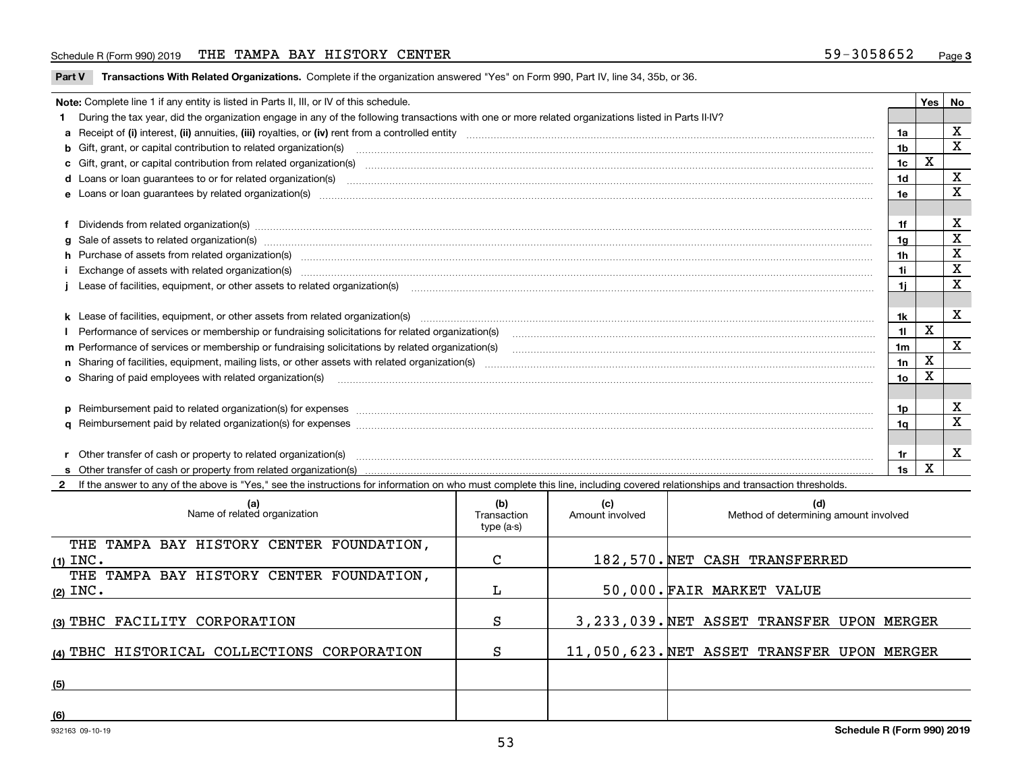#### Schedule R (Form 990) 2019 THE TAMPA BAY HISTORY CENTER 59-3058652 <sub>Page</sub>

**Part V** T**ransactions With Related Organizations.** Complete if the organization answered "Yes" on Form 990, Part IV, line 34, 35b, or 36.

| Note: Complete line 1 if any entity is listed in Parts II, III, or IV of this schedule.                                                                                                                                                                                                                                                                                                                                                                                                                  |                | <b>Yes</b> | No          |
|----------------------------------------------------------------------------------------------------------------------------------------------------------------------------------------------------------------------------------------------------------------------------------------------------------------------------------------------------------------------------------------------------------------------------------------------------------------------------------------------------------|----------------|------------|-------------|
| During the tax year, did the organization engage in any of the following transactions with one or more related organizations listed in Parts II-IV?                                                                                                                                                                                                                                                                                                                                                      |                |            |             |
|                                                                                                                                                                                                                                                                                                                                                                                                                                                                                                          | 1a             |            | X           |
| b Gift, grant, or capital contribution to related organization(s) manufaction(s) and content to related organization (s) and contribution to related organization(s) manufactured content and content of the state of Gift, gr                                                                                                                                                                                                                                                                           | 1b             |            | $\mathbf x$ |
| <b>c</b> Gift, grant, or capital contribution from related organization(s)<br>$\overline{a_1, \ldots, a_n, \ldots, a_n, \ldots, a_n, \ldots, a_n, \ldots, a_n, \ldots, a_n, \ldots, a_n, \ldots, a_n, \ldots, a_n, \ldots, a_n, \ldots, a_n, \ldots, a_n, \ldots, a_n, \ldots, a_n, \ldots, a_n, \ldots, a_n, \ldots, a_n, \ldots, a_n, \ldots, a_n, \ldots, a_n, \ldots, a_n, \ldots, a_n, \ldots, a_n, \ldots, a_n, \ldots, a_n, \ldots, a_n, \ldots, a_n, \ldots, a_n, \ldots, a_n, \ldots, a_n, \ld$ | 1c             | X          |             |
|                                                                                                                                                                                                                                                                                                                                                                                                                                                                                                          | 1 <sub>d</sub> |            | x           |
| e Loans or loan quarantees by related organization(s)                                                                                                                                                                                                                                                                                                                                                                                                                                                    | 1e             |            | x           |
|                                                                                                                                                                                                                                                                                                                                                                                                                                                                                                          |                |            |             |
| f Dividends from related organization(s) manufactured and contract the contract of the contract of the contract of the contract of the contract of the contract of the contract of the contract of the contract of the contrac                                                                                                                                                                                                                                                                           | 1f             |            | х           |
|                                                                                                                                                                                                                                                                                                                                                                                                                                                                                                          | 1g             |            | X           |
| h Purchase of assets from related organization(s) manufactured and content to content the content of assets from related organization(s)                                                                                                                                                                                                                                                                                                                                                                 | 1h             |            | X           |
|                                                                                                                                                                                                                                                                                                                                                                                                                                                                                                          | 1i.            |            | X           |
| Lease of facilities, equipment, or other assets to related organization(s) contraction contraction control and the state of facilities, equipment, or other assets to related organization(s) contraction control and the stat                                                                                                                                                                                                                                                                           |                |            | х           |
|                                                                                                                                                                                                                                                                                                                                                                                                                                                                                                          |                |            |             |
|                                                                                                                                                                                                                                                                                                                                                                                                                                                                                                          | 1k.            |            | x           |
| Performance of services or membership or fundraising solicitations for related organization(s)                                                                                                                                                                                                                                                                                                                                                                                                           | 11             | х          |             |
| m Performance of services or membership or fundraising solicitations by related organization(s)                                                                                                                                                                                                                                                                                                                                                                                                          | 1m             |            | X           |
|                                                                                                                                                                                                                                                                                                                                                                                                                                                                                                          | 1n             | X          |             |
| <b>o</b> Sharing of paid employees with related organization(s)                                                                                                                                                                                                                                                                                                                                                                                                                                          | 1о             | X          |             |
|                                                                                                                                                                                                                                                                                                                                                                                                                                                                                                          |                |            |             |
|                                                                                                                                                                                                                                                                                                                                                                                                                                                                                                          | 1p.            |            | х           |
|                                                                                                                                                                                                                                                                                                                                                                                                                                                                                                          | 1q             |            | х           |
|                                                                                                                                                                                                                                                                                                                                                                                                                                                                                                          |                |            |             |
| r Other transfer of cash or property to related organization(s)                                                                                                                                                                                                                                                                                                                                                                                                                                          | 1r.            |            | х           |
|                                                                                                                                                                                                                                                                                                                                                                                                                                                                                                          | 1s             | X          |             |

**2**If the answer to any of the above is "Yes," see the instructions for information on who must complete this line, including covered relationships and transaction thresholds.

| (a)<br>Name of related organization         | (b)<br>Transaction<br>type (a-s) | (c)<br>Amount involved | (d)<br>Method of determining amount involved |
|---------------------------------------------|----------------------------------|------------------------|----------------------------------------------|
| THE TAMPA BAY HISTORY CENTER FOUNDATION,    |                                  |                        |                                              |
| $(1)$ INC.                                  | C                                |                        | 182,570. NET CASH TRANSFERRED                |
| THE TAMPA BAY HISTORY CENTER FOUNDATION,    |                                  |                        |                                              |
| $(2)$ INC.                                  |                                  |                        | 50,000. FAIR MARKET VALUE                    |
| (3) TBHC FACILITY CORPORATION               | S                                |                        | 3, 233, 039. NET ASSET TRANSFER UPON MERGER  |
| (4) TBHC HISTORICAL COLLECTIONS CORPORATION | S                                |                        | 11,050,623. NET ASSET TRANSFER UPON MERGER   |
| (5)                                         |                                  |                        |                                              |
| (6)                                         |                                  |                        |                                              |

 $\overline{\phantom{a}}$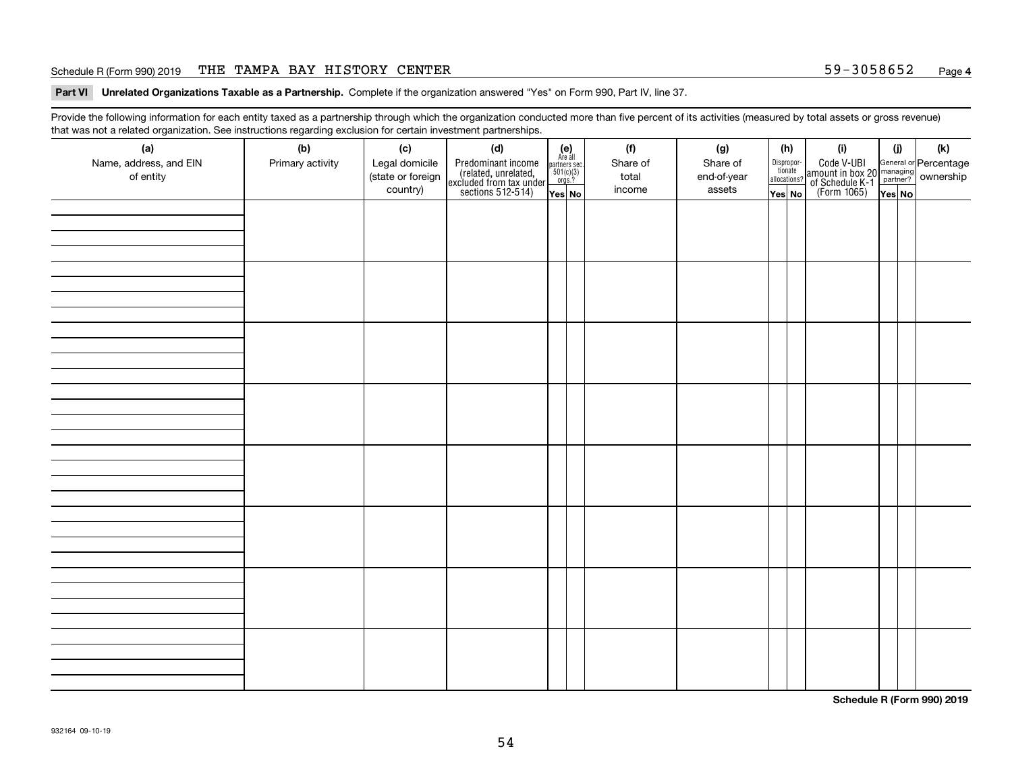#### Schedule R (Form 990) 2019 THE TAMPA BAY HISTORY CENTER 59-3058652 <sub>Page</sub>

**Part VI Unrelated Organizations Taxable as a Partnership. Complete if the organization answered "Yes" on Form 990, Part IV, line 37.** 

Provide the following information for each entity taxed as a partnership through which the organization conducted more than five percent of its activities (measured by total assets or gross revenue) that was not a related organization. See instructions regarding exclusion for certain investment partnerships.

| - - - - -<br>(a)<br>Name, address, and EIN<br>of entity | ----- <del>-</del> -------<br>(b)<br>Primary activity | (c)<br>Legal domicile<br>(state or foreign<br>country) | (d)<br>Predominant income<br>(related, unrelated,<br>excluded from tax under<br>sections 512-514) | (e)<br>Are all<br>partners sec.<br>$501(c)(3)$<br>orgs.?<br>Yes No | (f)<br>Share of<br>total<br>income | (g)<br>Share of<br>end-of-year<br>assets | allocations? | (h)<br>Dispropor-<br>tionate<br>Yes No | (i)<br>Code V-UBI<br>amount in box 20 managing<br>of Schedule K-1<br>(Form 1065)<br>$\overline{Yes}$ No | (i)<br>Yes No | (k) |
|---------------------------------------------------------|-------------------------------------------------------|--------------------------------------------------------|---------------------------------------------------------------------------------------------------|--------------------------------------------------------------------|------------------------------------|------------------------------------------|--------------|----------------------------------------|---------------------------------------------------------------------------------------------------------|---------------|-----|
|                                                         |                                                       |                                                        |                                                                                                   |                                                                    |                                    |                                          |              |                                        |                                                                                                         |               |     |
|                                                         |                                                       |                                                        |                                                                                                   |                                                                    |                                    |                                          |              |                                        |                                                                                                         |               |     |
|                                                         |                                                       |                                                        |                                                                                                   |                                                                    |                                    |                                          |              |                                        |                                                                                                         |               |     |
|                                                         |                                                       |                                                        |                                                                                                   |                                                                    |                                    |                                          |              |                                        |                                                                                                         |               |     |
|                                                         |                                                       |                                                        |                                                                                                   |                                                                    |                                    |                                          |              |                                        |                                                                                                         |               |     |
|                                                         |                                                       |                                                        |                                                                                                   |                                                                    |                                    |                                          |              |                                        |                                                                                                         |               |     |
|                                                         |                                                       |                                                        |                                                                                                   |                                                                    |                                    |                                          |              |                                        |                                                                                                         |               |     |
|                                                         |                                                       |                                                        |                                                                                                   |                                                                    |                                    |                                          |              |                                        |                                                                                                         |               |     |

**Schedule R (Form 990) 2019**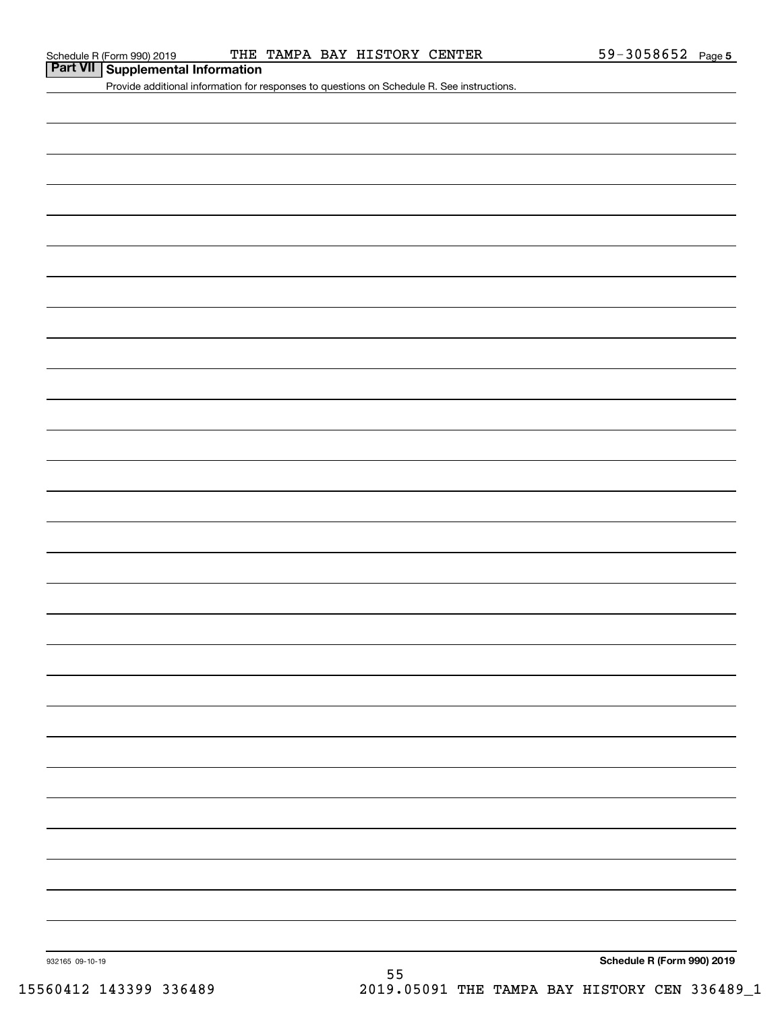# **Part VII Supplemental Information**

Provide additional information for responses to questions on Schedule R. See instructions.

932165 09-10-19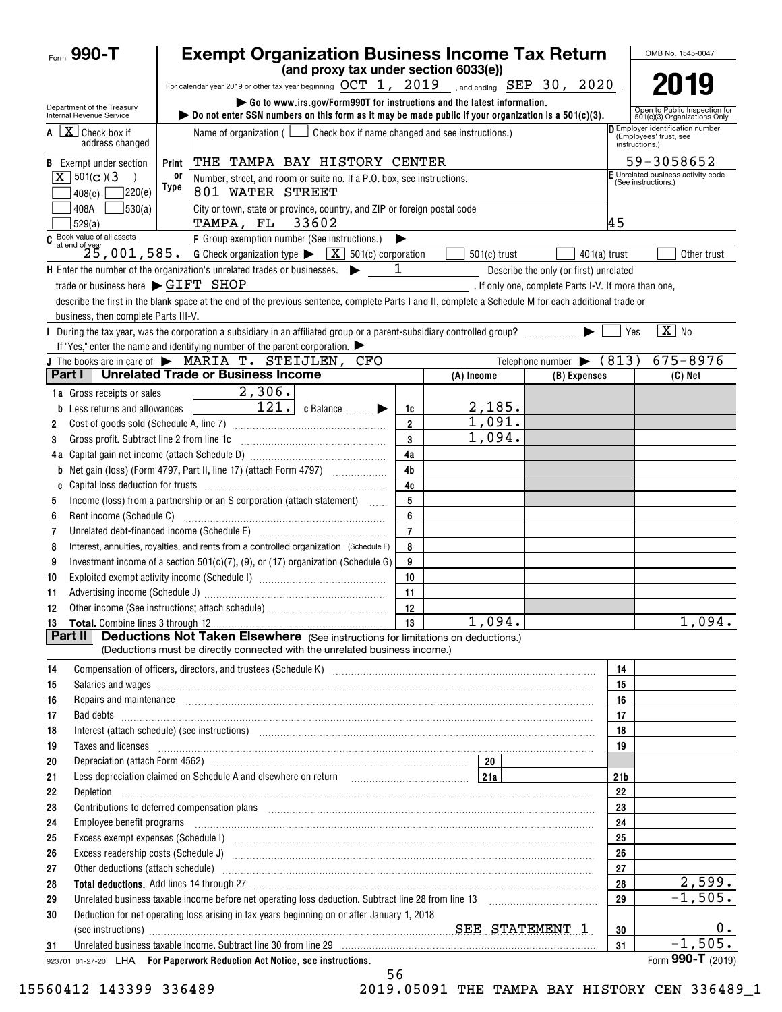| Form $990 - T$                                         |       | <b>Exempt Organization Business Income Tax Return</b>                                                                                                                                                                          |                |                                                  |                                                      |                 | OMB No. 1545-0047                                                          |
|--------------------------------------------------------|-------|--------------------------------------------------------------------------------------------------------------------------------------------------------------------------------------------------------------------------------|----------------|--------------------------------------------------|------------------------------------------------------|-----------------|----------------------------------------------------------------------------|
|                                                        |       | (and proxy tax under section 6033(e))                                                                                                                                                                                          |                |                                                  |                                                      |                 |                                                                            |
|                                                        |       | For calendar year 2019 or other tax year beginning $OCT$ 1, $2019$ , and ending $SEP$ 30, $2020$                                                                                                                               |                |                                                  |                                                      |                 |                                                                            |
| Department of the Treasury<br>Internal Revenue Service |       | Go to www.irs.gov/Form990T for instructions and the latest information.<br>bo not enter SSN numbers on this form as it may be made public if your organization is a $501(c)(3)$ .                                              |                |                                                  |                                                      |                 | Open to Public Inspection for<br>501(c)(3) Organizations Only              |
| $A \mid X$ Check box if<br>address changed             |       | Name of organization $($                                                                                                                                                                                                       |                | Check box if name changed and see instructions.) |                                                      |                 | Employer identification number<br>(Employees' trust, see<br>instructions.) |
| <b>B</b> Exempt under section                          | Print | THE TAMPA BAY HISTORY CENTER                                                                                                                                                                                                   |                |                                                  |                                                      |                 | 59-3058652                                                                 |
| $X \mid 501(c)$ (3)                                    | 0ľ    | Number, street, and room or suite no. If a P.O. box, see instructions.                                                                                                                                                         |                |                                                  |                                                      |                 | E Unrelated business activity code<br>(See instructions.)                  |
| 7220(e)<br>408(e)                                      | Type  | 801 WATER STREET                                                                                                                                                                                                               |                |                                                  |                                                      |                 |                                                                            |
| 530(a)<br>408A<br>529(a)                               |       | City or town, state or province, country, and ZIP or foreign postal code<br>TAMPA, FL 33602                                                                                                                                    |                |                                                  |                                                      | 45              |                                                                            |
| $C$ Book value of all assets<br>at end of year         |       | F Group exemption number (See instructions.)                                                                                                                                                                                   | ▶              |                                                  |                                                      |                 |                                                                            |
|                                                        |       | $25$ , 001, 585. G Check organization type $\blacktriangleright$<br>$\boxed{\mathbf{X}}$ 501(c) corporation                                                                                                                    |                | $501(c)$ trust                                   | $401(a)$ trust                                       |                 | Other trust                                                                |
|                                                        |       | H Enter the number of the organization's unrelated trades or businesses.                                                                                                                                                       | 1              |                                                  | Describe the only (or first) unrelated               |                 |                                                                            |
| trade or business here $\blacktriangleright$ GIFT SHOP |       |                                                                                                                                                                                                                                |                |                                                  | . If only one, complete Parts I-V. If more than one, |                 |                                                                            |
|                                                        |       | describe the first in the blank space at the end of the previous sentence, complete Parts I and II, complete a Schedule M for each additional trade or                                                                         |                |                                                  |                                                      |                 |                                                                            |
| business, then complete Parts III-V.                   |       |                                                                                                                                                                                                                                |                |                                                  |                                                      |                 |                                                                            |
|                                                        |       | During the tax year, was the corporation a subsidiary in an affiliated group or a parent-subsidiary controlled group?                                                                                                          |                |                                                  |                                                      | Yes             | $\boxed{\mathbf{X}}$ No                                                    |
|                                                        |       | If "Yes," enter the name and identifying number of the parent corporation. $\blacktriangleright$                                                                                                                               |                |                                                  |                                                      |                 |                                                                            |
|                                                        |       | J The books are in care of $\blacktriangleright$ MARIA T. STEIJLEN,<br>CFO                                                                                                                                                     |                |                                                  | Telephone number $\blacktriangleright$               | (813)           | $675 - 8976$                                                               |
| Part I                                                 |       | <b>Unrelated Trade or Business Income</b>                                                                                                                                                                                      |                | (A) Income                                       | (B) Expenses                                         |                 | $(C)$ Net                                                                  |
| 1a Gross receipts or sales                             |       | 2,306.                                                                                                                                                                                                                         |                |                                                  |                                                      |                 |                                                                            |
| <b>b</b> Less returns and allowances                   |       | $\overline{121.}$ c Balance $\Box$                                                                                                                                                                                             | 1c             | 2,185.                                           |                                                      |                 |                                                                            |
| 2                                                      |       |                                                                                                                                                                                                                                | $\overline{2}$ | 1,091.                                           |                                                      |                 |                                                                            |
| Gross profit. Subtract line 2 from line 1c<br>3        |       |                                                                                                                                                                                                                                | 3              | 1,094.                                           |                                                      |                 |                                                                            |
|                                                        |       |                                                                                                                                                                                                                                | 4a             |                                                  |                                                      |                 |                                                                            |
| b                                                      |       |                                                                                                                                                                                                                                | 4b             |                                                  |                                                      |                 |                                                                            |
| C<br>5                                                 |       | Income (loss) from a partnership or an S corporation (attach statement)                                                                                                                                                        | 4c<br>5        |                                                  |                                                      |                 |                                                                            |
| 6                                                      |       |                                                                                                                                                                                                                                | 6              |                                                  |                                                      |                 |                                                                            |
| 7                                                      |       | Unrelated debt-financed income (Schedule E) [11] [2010] [2010] [2010] [2010] [2010] [2010] [2010] [2010] [2010                                                                                                                 | $\overline{7}$ |                                                  |                                                      |                 |                                                                            |
| 8                                                      |       | Interest, annuities, royalties, and rents from a controlled organization (Schedule F)                                                                                                                                          | 8              |                                                  |                                                      |                 |                                                                            |
| 9                                                      |       | Investment income of a section $501(c)(7)$ , (9), or (17) organization (Schedule G)                                                                                                                                            | 9              |                                                  |                                                      |                 |                                                                            |
| 10                                                     |       |                                                                                                                                                                                                                                | 10             |                                                  |                                                      |                 |                                                                            |
| 11                                                     |       |                                                                                                                                                                                                                                | 11             |                                                  |                                                      |                 |                                                                            |
| 12                                                     |       |                                                                                                                                                                                                                                | 12             |                                                  |                                                      |                 |                                                                            |
|                                                        |       |                                                                                                                                                                                                                                | 13             | 1,094.                                           |                                                      |                 | 1,094.                                                                     |
| <b>Part II</b>                                         |       | <b>Deductions Not Taken Elsewhere</b> (See instructions for limitations on deductions.)                                                                                                                                        |                |                                                  |                                                      |                 |                                                                            |
|                                                        |       | (Deductions must be directly connected with the unrelated business income.)                                                                                                                                                    |                |                                                  |                                                      |                 |                                                                            |
| 14                                                     |       |                                                                                                                                                                                                                                |                |                                                  |                                                      | 14              |                                                                            |
| 15                                                     |       | Salaries and wages <b>construction and construction of the construction</b> and wages <b>construction</b> and wages <b>construction</b>                                                                                        |                |                                                  |                                                      | 15              |                                                                            |
| 16                                                     |       | Repairs and maintenance <i>[1] [1] [1] [1] [1] [1] [1] [1] [1] [1]</i> [1] <b>[1]</b> [1] <b>[1]</b> [1] <b>[1] [1] [1] [1] [1] [1] [1] [1] [1] [1] [1] [1] [1] [1] [1] [1] [1] [1] [1] [1] [1] [1]</b>                        |                |                                                  |                                                      | 16              |                                                                            |
| 17                                                     |       |                                                                                                                                                                                                                                |                |                                                  |                                                      | 17              |                                                                            |
| 18                                                     |       | Interest (attach schedule) (see instructions) www.communications.communications are interest (attach schedule)                                                                                                                 |                |                                                  |                                                      | 18              |                                                                            |
| 19<br>20                                               |       | Taxes and licenses <b>construction and construction of the construction of the construction of the construction</b>                                                                                                            |                |                                                  |                                                      | 19              |                                                                            |
| 21                                                     |       | Less depreciation claimed on Schedule A and elsewhere on return [1] [214]                                                                                                                                                      |                |                                                  |                                                      | 21 <sub>b</sub> |                                                                            |
| 22                                                     |       |                                                                                                                                                                                                                                |                |                                                  |                                                      | 22              |                                                                            |
| 23                                                     |       | Contributions to deferred compensation plans [11] manufactured and produced a deferred compensation plans [11] manufactured and plans [11] manufactured and plans and plans and plans and plans are controlled and plans are c |                |                                                  |                                                      | 23              |                                                                            |
| 24                                                     |       | Employee benefit programs in the continuum contract of the contract of the contract of the contract of the contract of the contract of the contract of the contract of the contract of the contract of the contract of the con |                |                                                  |                                                      | 24              |                                                                            |
| 25                                                     |       |                                                                                                                                                                                                                                |                |                                                  |                                                      | 25              |                                                                            |
| 26                                                     |       | Excess readership costs (Schedule J) <b>Manual Community Constructs</b> and Talents and Talents and Talents and Talents                                                                                                        |                |                                                  |                                                      | 26              |                                                                            |
| 27                                                     |       | Other deductions (attach schedule) manufactured and according of the schedule of the schedule of the schedule                                                                                                                  |                |                                                  |                                                      | 27              |                                                                            |
| 28                                                     |       |                                                                                                                                                                                                                                |                |                                                  |                                                      | 28              | 2,599.                                                                     |
| 29                                                     |       | Unrelated business taxable income before net operating loss deduction. Subtract line 28 from line 13 [11] [12]                                                                                                                 |                |                                                  |                                                      | 29              | $-1,505.$                                                                  |
| 30                                                     |       | Deduction for net operating loss arising in tax years beginning on or after January 1, 2018                                                                                                                                    |                |                                                  |                                                      | 30              | 0.                                                                         |
| 31                                                     |       | Unrelated business taxable income. Subtract line 30 from line 29 manufacture income in the control of the state of the state of the state of the state of the state of the state of the state of the state of the state of the |                |                                                  |                                                      | 31              | $-1,505.$                                                                  |
|                                                        |       | 923701 01-27-20 LHA For Paperwork Reduction Act Notice, see instructions.                                                                                                                                                      |                |                                                  |                                                      |                 | Form 990-T (2019)                                                          |

15560412 143399 336489 2019.05091 THE TAMPA BAY HISTORY CEN 336489\_1

56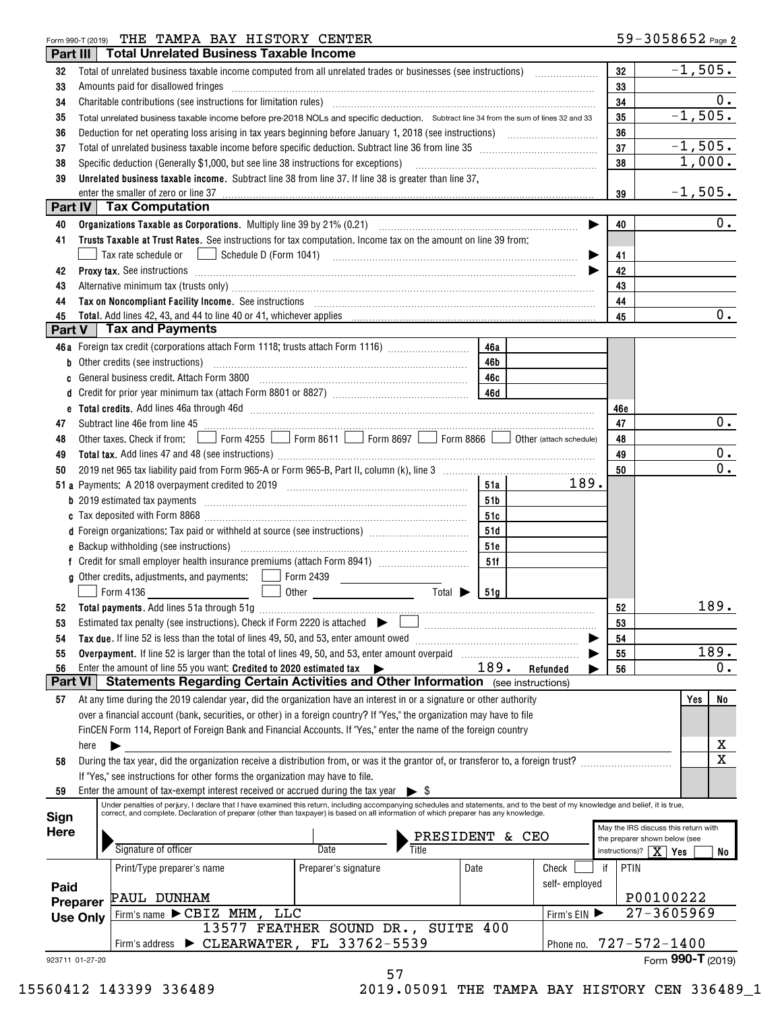#### Form 990-T (2019) Page THE TAMPA BAY HISTORY CENTER

| Part III        |                 | <b>Total Unrelated Business Taxable Income</b>                                                                                                                                                                                       |                                                       |           |               |     |                                                                       |
|-----------------|-----------------|--------------------------------------------------------------------------------------------------------------------------------------------------------------------------------------------------------------------------------------|-------------------------------------------------------|-----------|---------------|-----|-----------------------------------------------------------------------|
| 32              |                 | Total of unrelated business taxable income computed from all unrelated trades or businesses (see instructions)                                                                                                                       |                                                       |           |               | 32  | $-1,505.$                                                             |
| 33              |                 | Amounts paid for disallowed fringes                                                                                                                                                                                                  |                                                       |           |               | 33  |                                                                       |
| 34              |                 |                                                                                                                                                                                                                                      |                                                       |           |               | 34  | 0.                                                                    |
| 35              |                 | Total unrelated business taxable income before pre-2018 NOLs and specific deduction. Subtract line 34 from the sum of lines 32 and 33                                                                                                |                                                       |           |               | 35  | $-1,505.$                                                             |
| 36              |                 |                                                                                                                                                                                                                                      |                                                       |           |               | 36  |                                                                       |
| 37              |                 |                                                                                                                                                                                                                                      |                                                       |           |               | 37  | $-1,505.$                                                             |
| 38              |                 | Specific deduction (Generally \$1,000, but see line 38 instructions for exceptions) [10] manufacture in the substitution of the second state of the second state of the second state of the second state of the second state of      |                                                       |           |               | 38  | 1,000.                                                                |
| 39              |                 | Unrelated business taxable income. Subtract line 38 from line 37. If line 38 is greater than line 37,                                                                                                                                |                                                       |           |               |     |                                                                       |
|                 |                 | enter the smaller of zero or line 37                                                                                                                                                                                                 |                                                       |           |               | 39  | $-1,505.$                                                             |
| Part IV         |                 | <b>Tax Computation</b>                                                                                                                                                                                                               |                                                       |           |               |     |                                                                       |
| 40              |                 |                                                                                                                                                                                                                                      |                                                       |           | ▶             | 40  | 0.                                                                    |
| 41              |                 | Trusts Taxable at Trust Rates. See instructions for tax computation. Income tax on the amount on line 39 from:                                                                                                                       |                                                       |           |               |     |                                                                       |
|                 |                 | Tax rate schedule or                                                                                                                                                                                                                 |                                                       |           |               | 41  |                                                                       |
| 42              |                 | Proxy tax. See instructions <i>material content content and all the set of the set of the set of the set of the set of the set of the set of the set of the set of the set of the set of the set of the set of the set of the se</i> |                                                       |           |               | 42  |                                                                       |
| 43              |                 | Alternative minimum tax (trusts only) manufactured and an according term of the state of the state of the state of the state of the state of the state of the state of the state of the state of the state of the state of the       |                                                       |           |               | 43  |                                                                       |
| 44              |                 | Tax on Noncompliant Facility Income. See instructions [11] The manufacture material contracts and noncompliant material contracts and material contracts and non-                                                                    |                                                       |           |               | 44  |                                                                       |
| 45              |                 |                                                                                                                                                                                                                                      |                                                       |           |               | 45  | $0$ .                                                                 |
| Part V          |                 | <b>Tax and Payments</b>                                                                                                                                                                                                              |                                                       |           |               |     |                                                                       |
|                 |                 | 46a Foreign tax credit (corporations attach Form 1118; trusts attach Form 1116)                                                                                                                                                      |                                                       | 46a       |               |     |                                                                       |
|                 |                 | <b>b</b> Other credits (see instructions)                                                                                                                                                                                            |                                                       | 46b       |               |     |                                                                       |
| C               |                 |                                                                                                                                                                                                                                      |                                                       | 46c       |               |     |                                                                       |
| d               |                 |                                                                                                                                                                                                                                      |                                                       |           |               |     |                                                                       |
|                 |                 |                                                                                                                                                                                                                                      |                                                       |           |               | 46e |                                                                       |
| 47              |                 | Subtract line 46e from line 45 <b>manual construction</b> 45                                                                                                                                                                         |                                                       |           |               | 47  | 0.                                                                    |
| 48              |                 | Other taxes. Check if from: Form 4255 Superior 8611 Service Service Torm 8697 Superior 8866 Of Other (attach schedule)                                                                                                               |                                                       |           |               | 48  |                                                                       |
| 49              |                 |                                                                                                                                                                                                                                      |                                                       |           |               | 49  | 0.                                                                    |
| 50              |                 |                                                                                                                                                                                                                                      |                                                       |           |               | 50  | 0.                                                                    |
|                 |                 |                                                                                                                                                                                                                                      |                                                       | 51a       | 189.          |     |                                                                       |
|                 |                 |                                                                                                                                                                                                                                      |                                                       | 51b       |               |     |                                                                       |
|                 |                 |                                                                                                                                                                                                                                      |                                                       | 51c       |               |     |                                                                       |
|                 |                 | d Foreign organizations: Tax paid or withheld at source (see instructions) [                                                                                                                                                         |                                                       | 51d       |               |     |                                                                       |
|                 |                 |                                                                                                                                                                                                                                      |                                                       | 51e       |               |     |                                                                       |
|                 |                 |                                                                                                                                                                                                                                      |                                                       | 51f       |               |     |                                                                       |
|                 |                 | g Other credits, adjustments, and payments:   Form 2439                                                                                                                                                                              |                                                       |           |               |     |                                                                       |
|                 |                 | Form 4136                                                                                                                                                                                                                            | Total $\blacktriangleright$<br>Other <b>contracts</b> | 51a       |               |     |                                                                       |
| 52              |                 |                                                                                                                                                                                                                                      |                                                       |           |               | 52  | 189.                                                                  |
| 53              |                 |                                                                                                                                                                                                                                      |                                                       |           |               | 53  |                                                                       |
| 54              |                 | Tax due. If line 52 is less than the total of lines 49, 50, and 53, enter amount owed                                                                                                                                                |                                                       |           |               | 54  |                                                                       |
| 55              |                 |                                                                                                                                                                                                                                      |                                                       |           |               | 55  | 189.                                                                  |
| 56              |                 | Enter the amount of line 55 you want: Credited to 2020 estimated tax $\blacktriangleright$                                                                                                                                           |                                                       | 189.      | Refunded      | 56  | $0$ .                                                                 |
| <b>Part VI</b>  |                 | <b>Statements Regarding Certain Activities and Other Information</b> (see instructions)                                                                                                                                              |                                                       |           |               |     |                                                                       |
| 57              |                 | At any time during the 2019 calendar year, did the organization have an interest in or a signature or other authority                                                                                                                |                                                       |           |               |     | No<br>Yes                                                             |
|                 |                 | over a financial account (bank, securities, or other) in a foreign country? If "Yes," the organization may have to file                                                                                                              |                                                       |           |               |     |                                                                       |
|                 |                 | FinCEN Form 114, Report of Foreign Bank and Financial Accounts. If "Yes," enter the name of the foreign country                                                                                                                      |                                                       |           |               |     |                                                                       |
|                 | here            |                                                                                                                                                                                                                                      |                                                       |           |               |     | х<br>$\mathbf X$                                                      |
| 58              |                 | During the tax year, did the organization receive a distribution from, or was it the grantor of, or transferor to, a foreign trust?                                                                                                  |                                                       |           |               |     |                                                                       |
| 59              |                 | If "Yes," see instructions for other forms the organization may have to file.<br>Enter the amount of tax-exempt interest received or accrued during the tax year $\triangleright$ \$                                                 |                                                       |           |               |     |                                                                       |
|                 |                 | Under penalties of perjury, I declare that I have examined this return, including accompanying schedules and statements, and to the best of my knowledge and belief, it is true,                                                     |                                                       |           |               |     |                                                                       |
| Sign            |                 | correct, and complete. Declaration of preparer (other than taxpayer) is based on all information of which preparer has any knowledge.                                                                                                |                                                       |           |               |     |                                                                       |
| Here            |                 |                                                                                                                                                                                                                                      | PRESIDENT                                             |           | & CEO         |     | May the IRS discuss this return with<br>the preparer shown below (see |
|                 |                 | Signature of officer                                                                                                                                                                                                                 | Date<br>Title                                         |           |               |     | instructions)? $X$ Yes<br>No                                          |
|                 |                 | Print/Type preparer's name                                                                                                                                                                                                           | Preparer's signature                                  | Date      | Check         | if  | PTIN                                                                  |
|                 |                 |                                                                                                                                                                                                                                      |                                                       |           | self-employed |     |                                                                       |
| Paid            |                 | PAUL DUNHAM                                                                                                                                                                                                                          |                                                       |           |               |     | P00100222                                                             |
|                 | Preparer        | <b>LLC</b><br>Firm's name $\blacktriangleright$ CBIZ MHM,                                                                                                                                                                            |                                                       |           | Firm's EIN    |     | $27 - 3605969$                                                        |
|                 | <b>Use Only</b> |                                                                                                                                                                                                                                      | 13577 FEATHER SOUND DR.,                              | SUITE 400 |               |     |                                                                       |
|                 |                 | Firm's address                                                                                                                                                                                                                       | $\triangleright$ CLEARWATER, FL 33762-5539            |           | Phone no.     |     | $727 - 572 - 1400$                                                    |
| 923711 01-27-20 |                 |                                                                                                                                                                                                                                      |                                                       |           |               |     | Form 990-T (2019)                                                     |
|                 |                 |                                                                                                                                                                                                                                      | 57                                                    |           |               |     |                                                                       |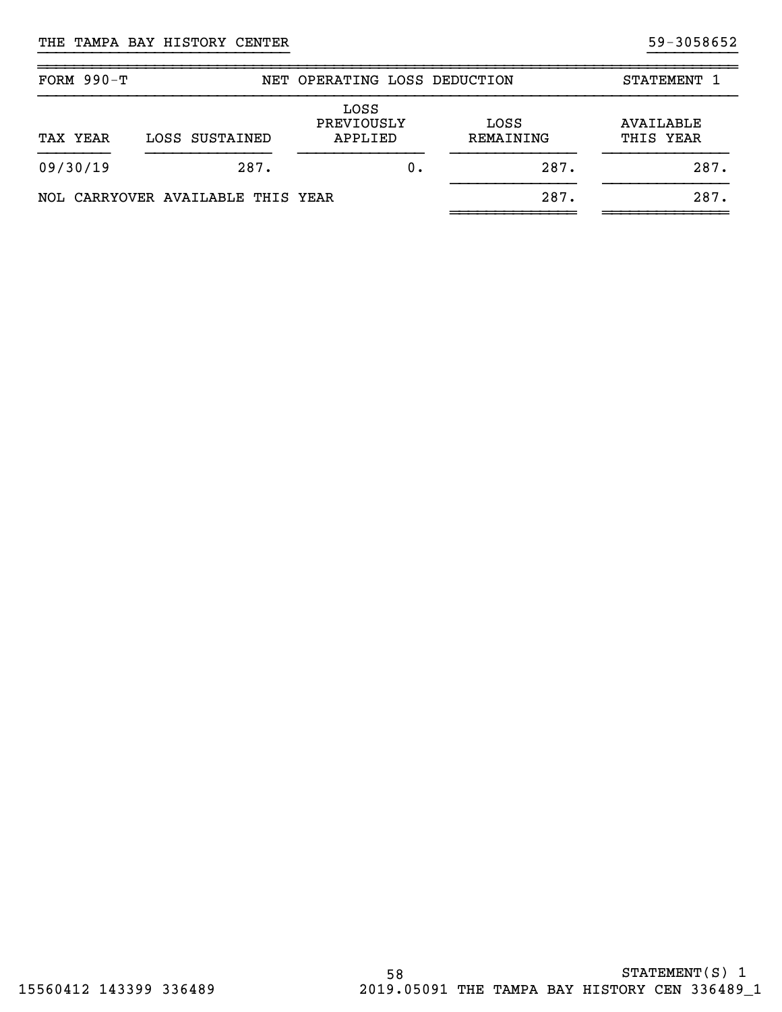| FORM $990-T$ |                                   | NET OPERATING LOSS DEDUCTION  |                   | STATEMENT 1            |
|--------------|-----------------------------------|-------------------------------|-------------------|------------------------|
| TAX YEAR     | LOSS SUSTAINED                    | LOSS<br>PREVIOUSLY<br>APPLIED | LOSS<br>REMAINING | AVAILABLE<br>THIS YEAR |
| 09/30/19     | 287.                              | 0.                            | 287.              | 287.                   |
|              | NOL CARRYOVER AVAILABLE THIS YEAR |                               | 287.              | 287.                   |

}}}}}}}}}}}}}}}}}}}}}}}}}}}} }}}}}}}}}}

~~~~~~~~~~~~~~~~~~~~~~~~~~~~~~~~~~~~~~~~~~~~~~~~~~~~~~~~~~~~~~~~~~~~~~~~~~~~~~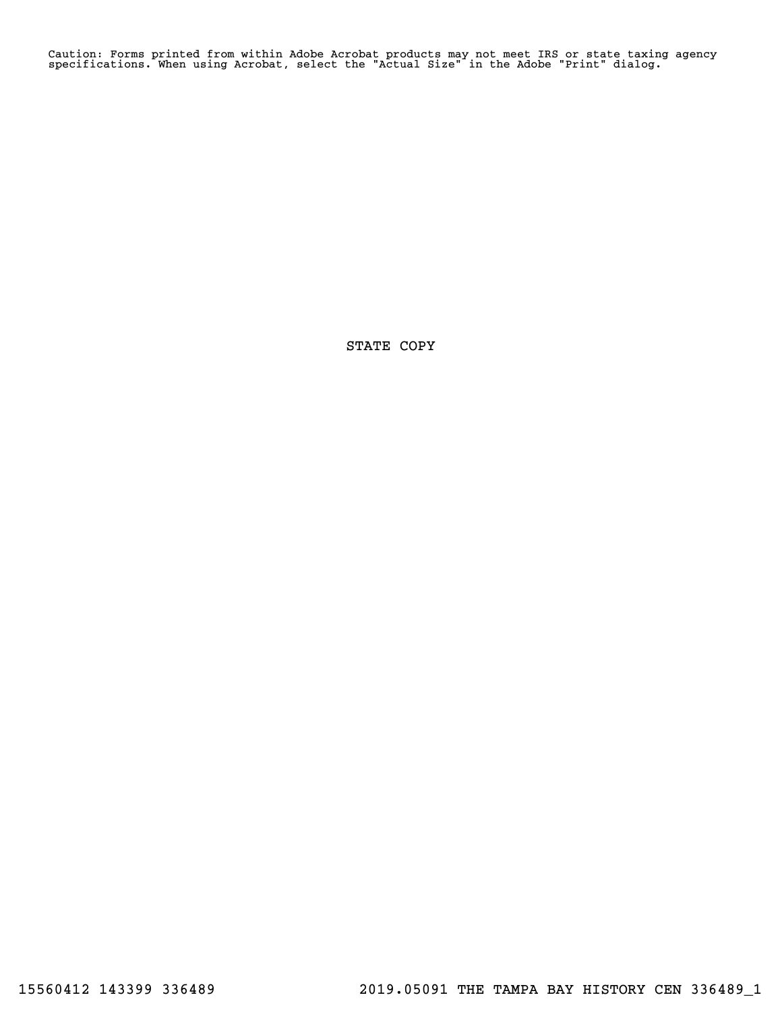Caution: Forms printed from within Adobe Acrobat products may not meet IRS or state taxing agency specifications. When using Acrobat, select the "Actual Size" in the Adobe "Print" dialog.

STATE COPY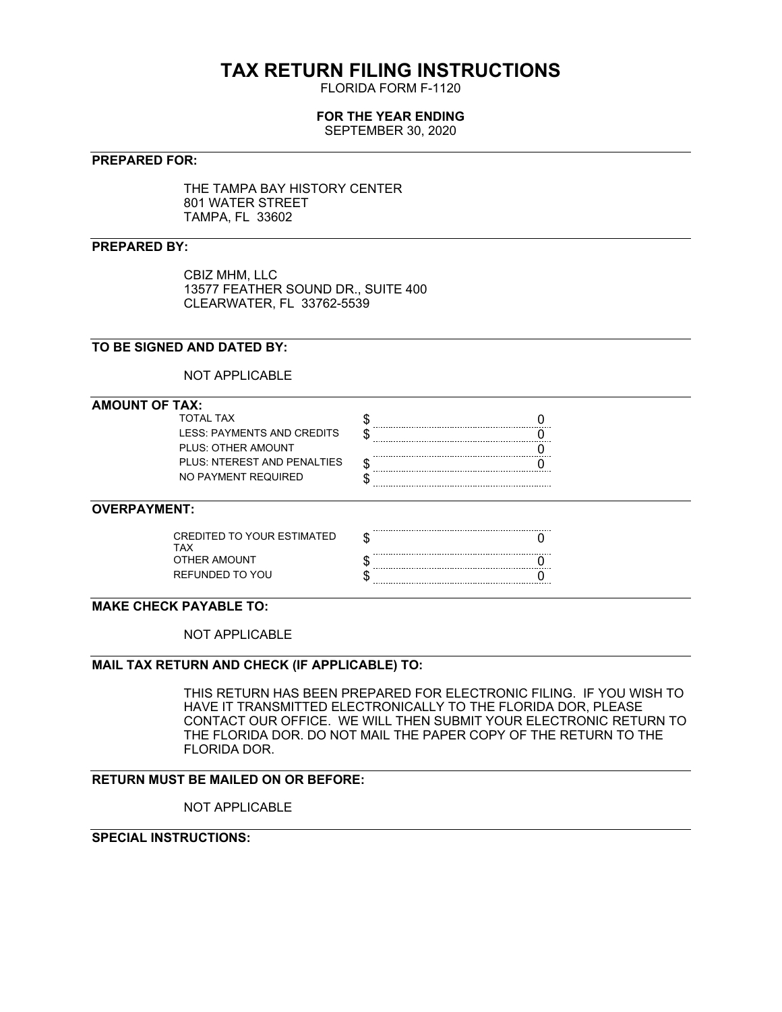# **TAX RETURN FILING INSTRUCTIONS**

FLORIDA FORM F-1120

# **FOR THE YEAR ENDING**

SEPTEMBER 30, 2020

#### **PREPARED FOR:**

THE TAMPA BAY HISTORY CENTER 801 WATER STREET TAMPA, FL 33602

#### **PREPARED BY:**

CBIZ MHM, LLC 13577 FEATHER SOUND DR., SUITE 400 CLEARWATER, FL 33762-5539

# **TO BE SIGNED AND DATED BY:**

NOT APPLICABLE

#### **AMOUNT OF TAX:**

| TOTAI TAX                  |  |
|----------------------------|--|
| LESS: PAYMENTS AND CREDITS |  |
| PLUS: OTHER AMOUNT         |  |
| PLUS NTEREST AND PENALTIES |  |
| NO PAYMENT REQUIRED        |  |

#### **OVERPAYMENT:**

| CREDITED TO YOUR ESTIMATED |  |
|----------------------------|--|
| OTHER AMOUNT               |  |
| REFUNDED TO YOU            |  |

## **MAKE CHECK PAYABLE TO:**

NOT APPLICABLE

#### **MAIL TAX RETURN AND CHECK (IF APPLICABLE) TO:**

THIS RETURN HAS BEEN PREPARED FOR ELECTRONIC FILING. IF YOU WISH TO HAVE IT TRANSMITTED ELECTRONICALLY TO THE FLORIDA DOR, PLEASE CONTACT OUR OFFICE. WE WILL THEN SUBMIT YOUR ELECTRONIC RETURN TO THE FLORIDA DOR. DO NOT MAIL THE PAPER COPY OF THE RETURN TO THE FLORIDA DOR.

## **RETURN MUST BE MAILED ON OR BEFORE:**

NOT APPLICABLE

# **SPECIAL INSTRUCTIONS:**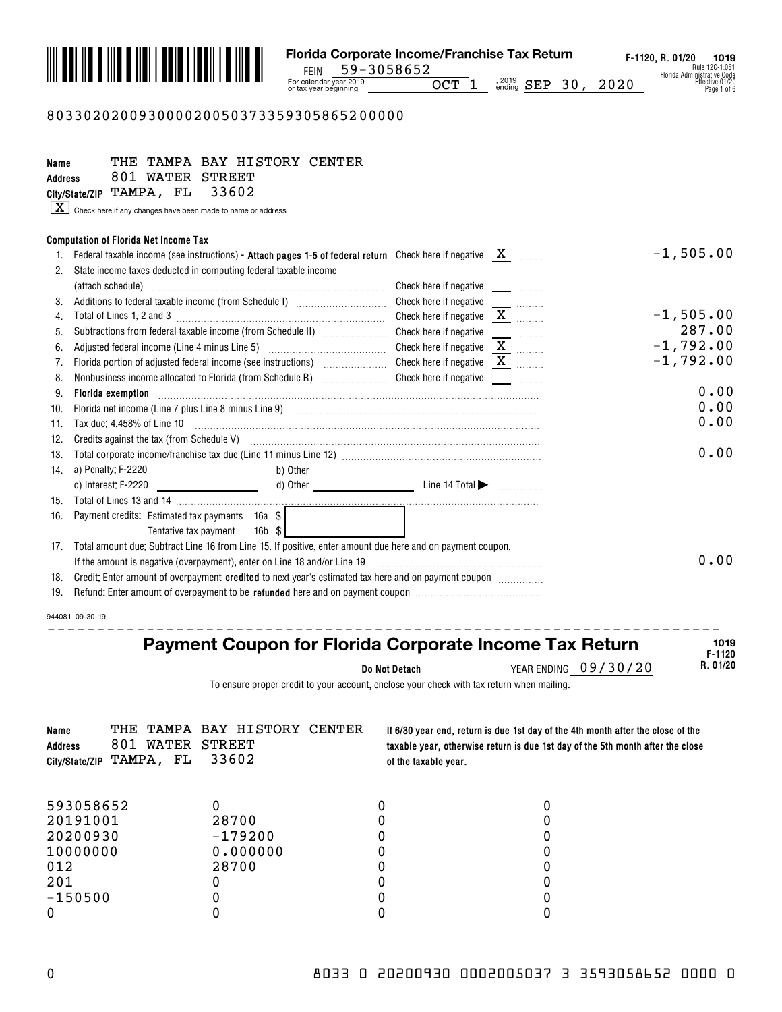

#### 803302020093000020050373359305865200000

| Name<br><b>Address</b> | TAMPA BAY HISTORY CENTER<br>THE<br>801 WATER STREET                                                                                                                                             |                                                                             |             |
|------------------------|-------------------------------------------------------------------------------------------------------------------------------------------------------------------------------------------------|-----------------------------------------------------------------------------|-------------|
|                        | City/State/ZIP TAMPA, FL<br>33602                                                                                                                                                               |                                                                             |             |
|                        | $\boxed{\textbf{X}}$ Check here if any changes have been made to name or address                                                                                                                |                                                                             |             |
|                        | <b>Computation of Florida Net Income Tax</b>                                                                                                                                                    |                                                                             |             |
| 1.                     | Federal taxable income (see instructions) - Attach pages 1-5 of federal return Check here if negative $X$ ______                                                                                |                                                                             | $-1,505.00$ |
| 2.                     | State income taxes deducted in computing federal taxable income                                                                                                                                 |                                                                             |             |
|                        |                                                                                                                                                                                                 |                                                                             |             |
| 3.                     | Additions to federal taxable income (from Schedule I) [11] [12] [12] Additions to federal taxable income (from Schedule I)                                                                      | Check here if negative<br>$\frac{1}{2}$ and $\frac{1}{2}$ and $\frac{1}{2}$ |             |
| $\overline{4}$ .       |                                                                                                                                                                                                 | Check here if negative $X$                                                  | $-1,505.00$ |
| 5.                     | Subtractions from federal taxable income (from Schedule II) [[[[[[[[[[[[[[[[[[[[[[[]]]]]]]]]]]                                                                                                  | Check here if negative                                                      | 287.00      |
| 6.                     |                                                                                                                                                                                                 | Check here if negative $\underline{\mathbf{X}}$                             | $-1,792.00$ |
| 7.                     | Florida portion of adjusted federal income (see instructions) [                                                                                                                                 | Check here if negative $X$                                                  | $-1,792.00$ |
| 8.                     | Nonbusiness income allocated to Florida (from Schedule R) [19] [19] Check here if negative [19] [19] Nonbusiness income allocated to Florida (from Schedule R) [19] [19] Check here if negative |                                                                             |             |
| 9.                     | Florida exemption                                                                                                                                                                               |                                                                             | 0.00        |
| 10.                    | Florida net income (Line 7 plus Line 8 minus Line 9) [11] matter continuum matter in the contract of the 2 minus                                                                                |                                                                             | 0.00        |
| 11.                    | Tax due: 4.458% of Line 10                                                                                                                                                                      |                                                                             | 0.00        |
| 12.                    | Credits against the tax (from Schedule V) <b>manufacture and continuum</b> content and against the tax (from Schedule V)                                                                        |                                                                             |             |
| 13.                    |                                                                                                                                                                                                 |                                                                             | 0.00        |
| 14.                    | a) Penalty: F-2220<br><u> 1990 - Johann Barbara, politik eta politik eta politik eta politik eta politik eta politik eta politik eta p</u> oli                                                  |                                                                             |             |
|                        | c) Interest: F-2220                                                                                                                                                                             |                                                                             |             |
| 15.                    |                                                                                                                                                                                                 |                                                                             |             |
| 16.                    | Payment credits: Estimated tax payments 16a \$                                                                                                                                                  |                                                                             |             |
|                        | $16b$ $$$<br>Tentative tax payment                                                                                                                                                              |                                                                             |             |
| 17.                    | Total amount due: Subtract Line 16 from Line 15. If positive, enter amount due here and on payment coupon.                                                                                      |                                                                             |             |
|                        | If the amount is negative (overpayment), enter on Line 18 and/or Line 19                                                                                                                        |                                                                             | 0.00        |
| 18.                    | Credit: Enter amount of overpayment credited to next year's estimated tax here and on payment coupon <i>management</i>                                                                          |                                                                             |             |
| 19.                    |                                                                                                                                                                                                 |                                                                             |             |
|                        | 944081 09-30-19                                                                                                                                                                                 |                                                                             |             |
|                        |                                                                                                                                                                                                 |                                                                             |             |

# **Payment Coupon for Florida Corporate Income Tax Return**

**Do Not Detach**

YEAR ENDING 09/30/20

**F-1120 R. 01/20 1019**

To ensure proper credit to your account, enclose your check with tax return when mailing.

| Name<br><b>Address</b><br>City/State/ZIP | 801 WATER STREET<br>TAMPA, FL | THE TAMPA BAY HISTORY CENTER<br>33602 | of the taxable year. | If 6/30 year end, return is due 1st day of the 4th month after the close of the<br>taxable year, otherwise return is due 1st day of the 5th month after the close |
|------------------------------------------|-------------------------------|---------------------------------------|----------------------|-------------------------------------------------------------------------------------------------------------------------------------------------------------------|
| 593058652                                |                               |                                       |                      |                                                                                                                                                                   |
| 20191001                                 |                               | 28700                                 |                      |                                                                                                                                                                   |
| 20200930                                 |                               | $-179200$                             |                      |                                                                                                                                                                   |
| 10000000                                 |                               | 0.000000                              |                      |                                                                                                                                                                   |
| 012                                      |                               | 28700                                 |                      |                                                                                                                                                                   |
| 201                                      |                               |                                       |                      |                                                                                                                                                                   |
| $-150500$                                |                               |                                       |                      |                                                                                                                                                                   |
|                                          |                               |                                       |                      |                                                                                                                                                                   |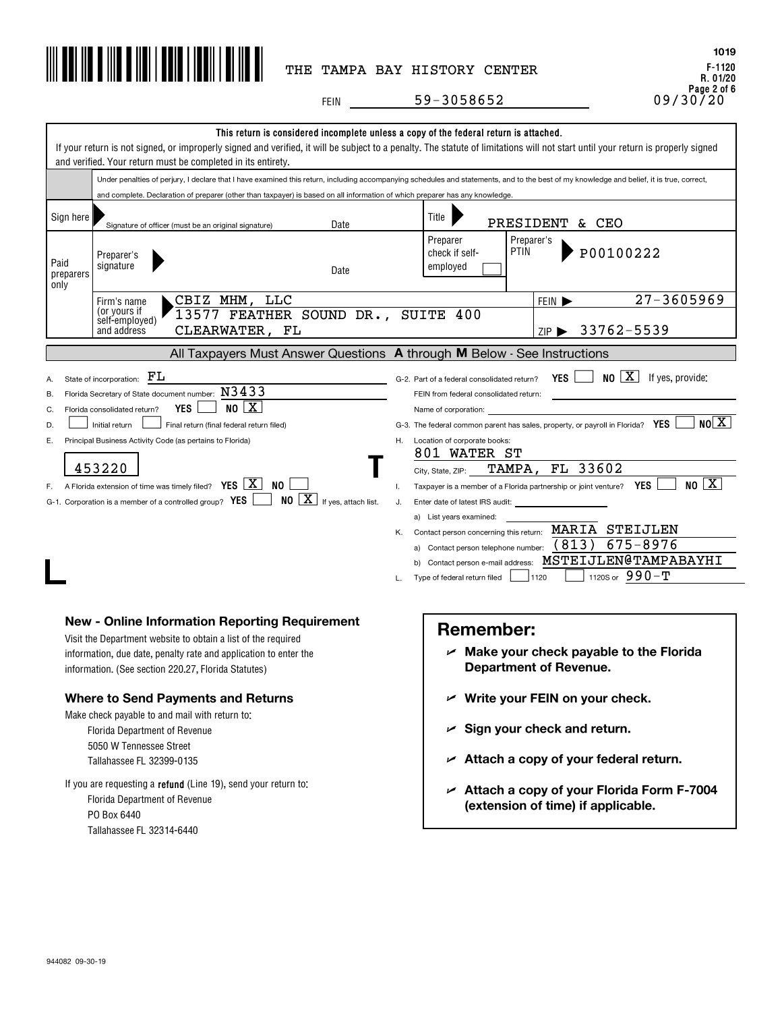

**F-1120 R. 01/20 Page 2 of 6 1019**

FEIN 09/30/20 59-3058652

|                            | and verified. Your return must be completed in its entirety.                                                                                                                                                                                                                                                                                                                                                                                                                                                                                                       | This return is considered incomplete unless a copy of the federal return is attached.<br>If your return is not signed, or improperly signed and verified, it will be subject to a penalty. The statute of limitations will not start until your return is properly signed                                                                                                                                                                                                                                                                                                                                                                                                                                                                                                       |
|----------------------------|--------------------------------------------------------------------------------------------------------------------------------------------------------------------------------------------------------------------------------------------------------------------------------------------------------------------------------------------------------------------------------------------------------------------------------------------------------------------------------------------------------------------------------------------------------------------|---------------------------------------------------------------------------------------------------------------------------------------------------------------------------------------------------------------------------------------------------------------------------------------------------------------------------------------------------------------------------------------------------------------------------------------------------------------------------------------------------------------------------------------------------------------------------------------------------------------------------------------------------------------------------------------------------------------------------------------------------------------------------------|
|                            |                                                                                                                                                                                                                                                                                                                                                                                                                                                                                                                                                                    | Under penalties of perjury, I declare that I have examined this return, including accompanying schedules and statements, and to the best of my knowledge and belief, it is true, correct,                                                                                                                                                                                                                                                                                                                                                                                                                                                                                                                                                                                       |
|                            | and complete. Declaration of preparer (other than taxpayer) is based on all information of which preparer has any knowledge.                                                                                                                                                                                                                                                                                                                                                                                                                                       |                                                                                                                                                                                                                                                                                                                                                                                                                                                                                                                                                                                                                                                                                                                                                                                 |
| Sign here                  | Date<br>Signature of officer (must be an original signature)                                                                                                                                                                                                                                                                                                                                                                                                                                                                                                       | Title<br>PRESIDENT & CEO                                                                                                                                                                                                                                                                                                                                                                                                                                                                                                                                                                                                                                                                                                                                                        |
| Paid<br>preparers<br>only  | Preparer's<br>signature<br>Date                                                                                                                                                                                                                                                                                                                                                                                                                                                                                                                                    | Preparer's<br>Preparer<br><b>PTIN</b><br>P00100222<br>check if self-<br>employed                                                                                                                                                                                                                                                                                                                                                                                                                                                                                                                                                                                                                                                                                                |
|                            | CBIZ MHM, LLC<br>Firm's name                                                                                                                                                                                                                                                                                                                                                                                                                                                                                                                                       | $27 - 3605969$<br>FEIN $\blacktriangleright$                                                                                                                                                                                                                                                                                                                                                                                                                                                                                                                                                                                                                                                                                                                                    |
|                            | (or yours if<br>13577 FEATHER SOUND DR., SUITE 400<br>self-employed)<br>CLEARWATER, FL<br>and address                                                                                                                                                                                                                                                                                                                                                                                                                                                              | ZIP > 33762-5539                                                                                                                                                                                                                                                                                                                                                                                                                                                                                                                                                                                                                                                                                                                                                                |
|                            |                                                                                                                                                                                                                                                                                                                                                                                                                                                                                                                                                                    | All Taxpayers Must Answer Questions A through M Below - See Instructions                                                                                                                                                                                                                                                                                                                                                                                                                                                                                                                                                                                                                                                                                                        |
| В.<br>C.<br>D.<br>Е.<br>F. | FL<br>State of incorporation:<br>Florida Secretary of State document number: $N3433$<br>NO[X]<br><b>YES</b><br>Florida consolidated return?<br>Initial return<br>Final return (final federal return filed)<br>Principal Business Activity Code (as pertains to Florida)<br>453220<br>A Florida extension of time was timely filed? $YES \mid X$<br>NO.<br>$NO \ \boxed{X}$ If yes, attach list.<br>G-1. Corporation is a member of a controlled group? YES                                                                                                         | NO X<br>YES  <br>If yes, provide:<br>G-2. Part of a federal consolidated return?<br>FEIN from federal consolidated return:<br>Name of corporation:<br>N0 X <br>G-3. The federal common parent has sales, property, or payroll in Florida? YES<br>Location of corporate books:<br>H.<br>801 WATER ST<br>FL 33602<br>TAMPA,<br>City, State, ZIP:<br>$NO \sqrt{X}$<br>Taxpayer is a member of a Florida partnership or joint venture? YES<br>Τ.<br>Enter date of latest IRS audit:<br>J.<br>a) List years examined:<br>MARIA STEIJLEN<br>Contact person concerning this return:<br>Κ.<br>(813)<br>675-8976<br>a) Contact person telephone number:<br>MSTEIJLEN@TAMPABAYHI<br>b) Contact person e-mail address:<br>1120S or $990 - T$<br>1120<br>Type of federal return filed<br>L. |
|                            | <b>New - Online Information Reporting Requirement</b><br>Visit the Department website to obtain a list of the required<br>information, due date, penalty rate and application to enter the<br>information. (See section 220.27, Florida Statutes)<br><b>Where to Send Payments and Returns</b><br>Make check payable to and mail with return to:<br>Florida Department of Revenue<br>5050 W Tennessee Street<br>Tallahassee FL 32399-0135<br>If you are requesting a refund (Line 19), send your return to:<br><b>Florida Department of Revenue</b><br>PO Box 6440 | <b>Remember:</b><br>$\nu$ Make your check payable to the Florida<br><b>Department of Revenue.</b><br>$\nu$ Write your FEIN on your check.<br>$\mathcal{L}$ Sign your check and return.<br>$\angle$ Attach a copy of your federal return.<br>$\angle$ Attach a copy of your Florida Form F-7004<br>(extension of time) if applicable.                                                                                                                                                                                                                                                                                                                                                                                                                                            |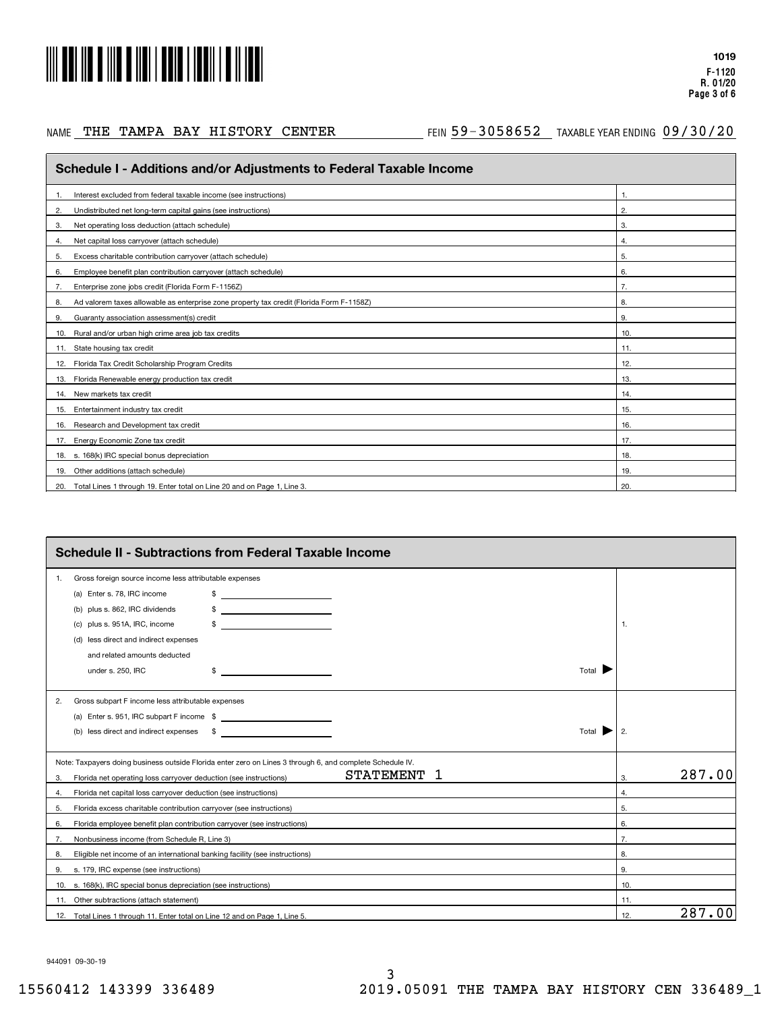

#### NAME THE TAMPA BAY HISTORY CENTER

#### AE THE TAMPA BAY HISTORY CENTER THIN 59-3058652 TAXABLEYEARENDING 09/30/20

| Schedule I - Additions and/or Adjustments to Federal Taxable Income                            |     |
|------------------------------------------------------------------------------------------------|-----|
| Interest excluded from federal taxable income (see instructions)                               | 1.  |
| Undistributed net long-term capital gains (see instructions)<br>2.                             | 2.  |
| Net operating loss deduction (attach schedule)<br>3.                                           | 3.  |
| Net capital loss carryover (attach schedule)<br>4.                                             | 4.  |
| Excess charitable contribution carryover (attach schedule)<br>5.                               | 5.  |
| Employee benefit plan contribution carryover (attach schedule)<br>6.                           | 6.  |
| Enterprise zone jobs credit (Florida Form F-1156Z)<br>7.                                       | 7.  |
| Ad valorem taxes allowable as enterprise zone property tax credit (Florida Form F-1158Z)<br>8. | 8.  |
| Guaranty association assessment(s) credit<br>9.                                                | 9.  |
| Rural and/or urban high crime area job tax credits<br>10.                                      | 10. |
| 11. State housing tax credit                                                                   | 11. |
| 12. Florida Tax Credit Scholarship Program Credits                                             | 12. |
| 13. Florida Renewable energy production tax credit                                             | 13. |
| 14. New markets tax credit                                                                     | 14. |
| Entertainment industry tax credit<br>15.                                                       | 15. |
| Research and Development tax credit<br>16.                                                     | 16. |
| 17. Energy Economic Zone tax credit                                                            | 17. |
| 18. s. 168(k) IRC special bonus depreciation                                                   | 18. |
| 19. Other additions (attach schedule)                                                          | 19. |
| 20. Total Lines 1 through 19. Enter total on Line 20 and on Page 1, Line 3.                    | 20. |

|    | <b>Schedule II - Subtractions from Federal Taxable Income</b>                                                            |               |
|----|--------------------------------------------------------------------------------------------------------------------------|---------------|
| 1. | Gross foreign source income less attributable expenses                                                                   |               |
|    | (a) Enter s. 78, IRC income<br>\$<br><u> Alexandria de la conte</u>                                                      |               |
|    | (b) plus s. 862, IRC dividends                                                                                           |               |
|    | plus s. 951A, IRC, income<br>(C)                                                                                         | 1.            |
|    | (d) less direct and indirect expenses                                                                                    |               |
|    | and related amounts deducted                                                                                             |               |
|    | Total $\blacksquare$<br>under s. 250, IRC<br><u> 1990 - Johann Barbara, martxa a</u><br>\$                               |               |
| 2. | Gross subpart F income less attributable expenses                                                                        |               |
|    | (a) Enter s. 951, IRC subpart F income \$                                                                                |               |
|    | (b) less direct and indirect expenses \$<br><u> 1989 - Andrea State Barnett, amerikansk politiker (d. 1989)</u><br>Total | 2.            |
|    | Note: Taxpayers doing business outside Florida enter zero on Lines 3 through 6, and complete Schedule IV.                |               |
| 3. | <b>STATEMENT</b><br>1<br>Florida net operating loss carryover deduction (see instructions)                               | 287.00<br>3.  |
| 4. | Florida net capital loss carryover deduction (see instructions)                                                          | 4.            |
| 5. | Florida excess charitable contribution carryover (see instructions)                                                      | 5.            |
| 6. | Florida employee benefit plan contribution carryover (see instructions)                                                  | 6.            |
| 7. | Nonbusiness income (from Schedule R, Line 3)                                                                             | 7.            |
| 8. | Eligible net income of an international banking facility (see instructions)                                              | 8.            |
| 9. | s. 179, IRC expense (see instructions)                                                                                   | 9.            |
|    | 10. s. 168(k), IRC special bonus depreciation (see instructions)                                                         | 10.           |
|    | 11. Other subtractions (attach statement)                                                                                | 11.           |
|    | 12. Total Lines 1 through 11. Enter total on Line 12 and on Page 1, Line 5.                                              | 287.00<br>12. |

944091 09-30-19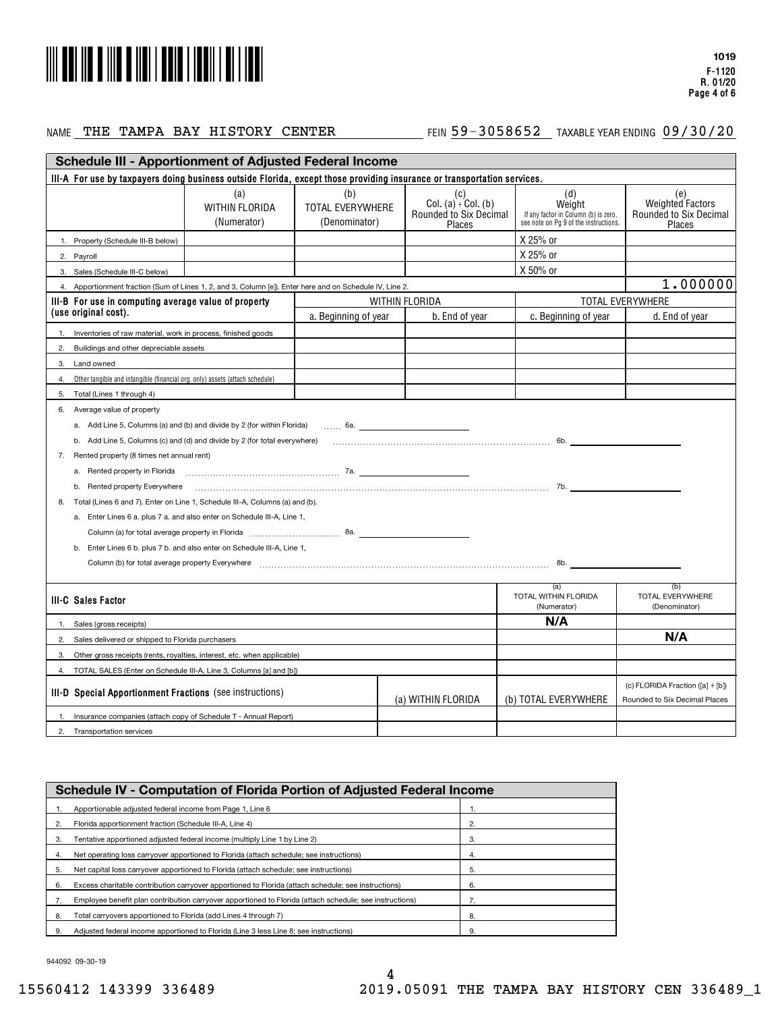

#### NAME 'L'**HE 'L'AMPA BAY HI S'L'ORY CENTER FEIN 59-3058652 TAXABLE YEAR ENDING**

## $\frac{59-3058652}{20}$  Taxable year ending  $\frac{09/30/20}{20}$

|                                                                                                                           | <b>Schedule III - Apportionment of Adjusted Federal Income</b>                                                                                                                                                                 |                                          |                                                                               |  |                                                                                                |                                                             |
|---------------------------------------------------------------------------------------------------------------------------|--------------------------------------------------------------------------------------------------------------------------------------------------------------------------------------------------------------------------------|------------------------------------------|-------------------------------------------------------------------------------|--|------------------------------------------------------------------------------------------------|-------------------------------------------------------------|
| III-A For use by taxpayers doing business outside Florida, except those providing insurance or transportation services.   |                                                                                                                                                                                                                                |                                          |                                                                               |  |                                                                                                |                                                             |
|                                                                                                                           | (a)<br>WITHIN FLORIDA<br>(Numerator)                                                                                                                                                                                           | (b)<br>TOTAL EVERYWHERE<br>(Denominator) | (c)<br>Col. $(a)$ <sup>:</sup> Col. $(b)$<br>Rounded to Six Decimal<br>Places |  | (d)<br>Weight<br>If any factor in Column (b) is zero,<br>see note on Pg 9 of the instructions. | (e)<br>Weighted Factors<br>Rounded to Six Decimal<br>Places |
| 1. Property (Schedule III-B below)                                                                                        |                                                                                                                                                                                                                                |                                          |                                                                               |  | X 25% or                                                                                       |                                                             |
| 2. Payroll                                                                                                                |                                                                                                                                                                                                                                |                                          |                                                                               |  | X 25% or                                                                                       |                                                             |
| 3. Sales (Schedule III-C below)                                                                                           |                                                                                                                                                                                                                                |                                          |                                                                               |  | X 50% or                                                                                       |                                                             |
| Apportionment fraction (Sum of Lines 1, 2, and 3, Column [e]). Enter here and on Schedule IV, Line 2.<br>$\overline{4}$ . |                                                                                                                                                                                                                                |                                          |                                                                               |  |                                                                                                | 1.000000                                                    |
| III-B For use in computing average value of property                                                                      |                                                                                                                                                                                                                                |                                          | WITHIN FLORIDA                                                                |  |                                                                                                | TOTAL EVERYWHERE                                            |
| (use original cost).                                                                                                      |                                                                                                                                                                                                                                | a. Beginning of year                     | b. End of year                                                                |  | c. Beginning of year                                                                           | d. End of year                                              |
| Inventories of raw material, work in process, finished goods<br>1                                                         |                                                                                                                                                                                                                                |                                          |                                                                               |  |                                                                                                |                                                             |
| 2.<br>Buildings and other depreciable assets                                                                              |                                                                                                                                                                                                                                |                                          |                                                                               |  |                                                                                                |                                                             |
| 3.<br>Land owned                                                                                                          |                                                                                                                                                                                                                                |                                          |                                                                               |  |                                                                                                |                                                             |
| Other tangible and intangible (financial org. only) assets (attach schedule)<br>4                                         |                                                                                                                                                                                                                                |                                          |                                                                               |  |                                                                                                |                                                             |
| Total (Lines 1 through 4)<br>5.                                                                                           |                                                                                                                                                                                                                                |                                          |                                                                               |  |                                                                                                |                                                             |
| Average value of property<br>6.                                                                                           |                                                                                                                                                                                                                                |                                          |                                                                               |  |                                                                                                |                                                             |
| a. Add Line 5, Columns (a) and (b) and divide by 2 (for within Florida)                                                   |                                                                                                                                                                                                                                |                                          | 6a. <u>_____________________________</u>                                      |  |                                                                                                |                                                             |
| b. Add Line 5, Columns (c) and (d) and divide by 2 (for total everywhere)                                                 |                                                                                                                                                                                                                                |                                          |                                                                               |  |                                                                                                |                                                             |
| Rented property (8 times net annual rent)<br>7.                                                                           |                                                                                                                                                                                                                                |                                          |                                                                               |  |                                                                                                |                                                             |
| а.                                                                                                                        | Rented property in Florida (1000) contains the control of the control of the control of the control of the control of the control of the control of the control of the control of the control of the control of the control of |                                          |                                                                               |  |                                                                                                |                                                             |
| b. Rented property Everywhere                                                                                             |                                                                                                                                                                                                                                |                                          |                                                                               |  |                                                                                                |                                                             |
| Total (Lines 6 and 7). Enter on Line 1, Schedule III-A, Columns (a) and (b).<br>8.                                        |                                                                                                                                                                                                                                |                                          |                                                                               |  |                                                                                                |                                                             |
| a. Enter Lines 6 a. plus 7 a. and also enter on Schedule III-A, Line 1,                                                   |                                                                                                                                                                                                                                |                                          |                                                                               |  |                                                                                                |                                                             |
|                                                                                                                           | Column (a) for total average property in Florida [1] [1] [1] [1] [30] [88.                                                                                                                                                     |                                          |                                                                               |  |                                                                                                |                                                             |
| b. Enter Lines 6 b. plus 7 b. and also enter on Schedule III-A, Line 1,                                                   |                                                                                                                                                                                                                                |                                          |                                                                               |  |                                                                                                |                                                             |
|                                                                                                                           |                                                                                                                                                                                                                                |                                          |                                                                               |  | 8b.                                                                                            |                                                             |
|                                                                                                                           |                                                                                                                                                                                                                                |                                          |                                                                               |  |                                                                                                |                                                             |
| III-C Sales Factor                                                                                                        |                                                                                                                                                                                                                                |                                          |                                                                               |  | (a)<br>TOTAL WITHIN FLORIDA<br>(Numerator)                                                     | (b)<br>TOTAL EVERYWHERE<br>(Denominator)                    |
| Sales (gross receipts)<br>1.                                                                                              | N/A                                                                                                                                                                                                                            |                                          |                                                                               |  |                                                                                                |                                                             |
| Sales delivered or shipped to Florida purchasers<br>2.                                                                    |                                                                                                                                                                                                                                |                                          |                                                                               |  |                                                                                                | N/A                                                         |
| 3.<br>Other gross receipts (rents, royalties, interest, etc. when applicable)                                             |                                                                                                                                                                                                                                |                                          |                                                                               |  |                                                                                                |                                                             |
| TOTAL SALES (Enter on Schedule III-A, Line 3, Columns [a] and [b])<br>$\overline{4}$                                      |                                                                                                                                                                                                                                |                                          |                                                                               |  |                                                                                                |                                                             |
|                                                                                                                           | (c) FLORIDA Fraction ([a] ÷ [b])<br>III-D Special Apportionment Fractions (see instructions)<br>(a) WITHIN FLORIDA<br>(b) TOTAL EVERYWHERE<br>Rounded to Six Decimal Places                                                    |                                          |                                                                               |  |                                                                                                |                                                             |
| Insurance companies (attach copy of Schedule T - Annual Report)                                                           |                                                                                                                                                                                                                                |                                          |                                                                               |  |                                                                                                |                                                             |
| <b>Transportation services</b><br>2.                                                                                      |                                                                                                                                                                                                                                |                                          |                                                                               |  |                                                                                                |                                                             |

|    | <b>Schedule IV - Computation of Florida Portion of Adjusted Federal Income</b>                          |    |  |  |
|----|---------------------------------------------------------------------------------------------------------|----|--|--|
|    | Apportionable adjusted federal income from Page 1, Line 6                                               |    |  |  |
|    | Florida apportionment fraction (Schedule III-A, Line 4)                                                 | 2. |  |  |
| 3. | Tentative apportioned adjusted federal income (multiply Line 1 by Line 2)                               | 3. |  |  |
| 4. | Net operating loss carryover apportioned to Florida (attach schedule; see instructions)                 | 4. |  |  |
| 5. | Net capital loss carryover apportioned to Florida (attach schedule; see instructions)                   | 5. |  |  |
| 6. | Excess charitable contribution carryover apportioned to Florida (attach schedule; see instructions)     | 6. |  |  |
|    | Employee benefit plan contribution carryover apportioned to Florida (attach schedule: see instructions) |    |  |  |
| 8. | Total carryovers apportioned to Florida (add Lines 4 through 7)                                         | 8. |  |  |
| 9  | Adjusted federal income apportioned to Florida (Line 3 less Line 8: see instructions)                   | 9. |  |  |
|    |                                                                                                         |    |  |  |

944092 09-30-19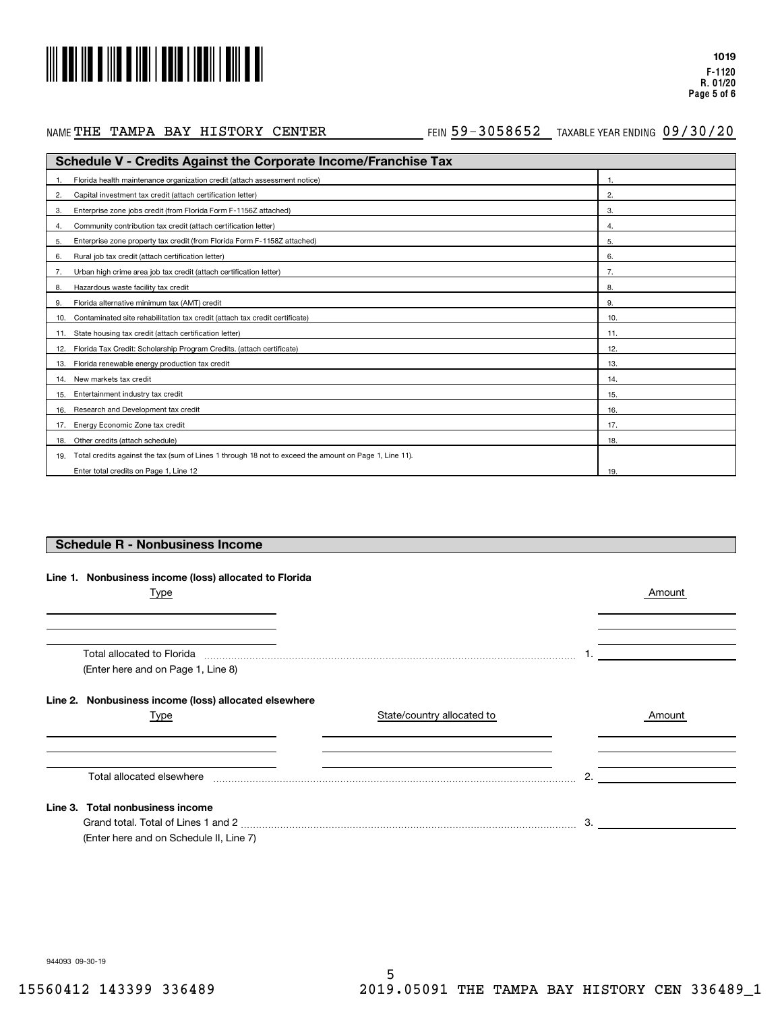

## NAME THE TAMPA BAY HISTORY CENTER

#### AETHE TAMPA BAY HISTORY CENTER THING 59-3058652 TAXABLE YEAR ENDING 09/30/20

| <b>Schedule V - Credits Against the Corporate Income/Franchise Tax</b>                                        |     |  |  |
|---------------------------------------------------------------------------------------------------------------|-----|--|--|
| Florida health maintenance organization credit (attach assessment notice)                                     |     |  |  |
| Capital investment tax credit (attach certification letter)<br>2.                                             | 2.  |  |  |
| Enterprise zone jobs credit (from Florida Form F-1156Z attached)<br>3.                                        | 3.  |  |  |
| Community contribution tax credit (attach certification letter)<br>4.                                         | 4.  |  |  |
| Enterprise zone property tax credit (from Florida Form F-1158Z attached)<br>5.                                | 5.  |  |  |
| Rural job tax credit (attach certification letter)<br>6.                                                      | 6.  |  |  |
| Urban high crime area job tax credit (attach certification letter)                                            |     |  |  |
| Hazardous waste facility tax credit<br>8.                                                                     | 8.  |  |  |
| Florida alternative minimum tax (AMT) credit<br>9.                                                            | 9.  |  |  |
| Contaminated site rehabilitation tax credit (attach tax credit certificate)<br>10.                            | 10. |  |  |
| State housing tax credit (attach certification letter)<br>11.                                                 | 11. |  |  |
| Florida Tax Credit: Scholarship Program Credits. (attach certificate)<br>12.                                  | 12. |  |  |
| Florida renewable energy production tax credit<br>13.                                                         | 13. |  |  |
| New markets tax credit<br>14.                                                                                 | 14. |  |  |
| Entertainment industry tax credit<br>15.                                                                      | 15. |  |  |
| Research and Development tax credit<br>16.                                                                    | 16. |  |  |
| Energy Economic Zone tax credit<br>17.                                                                        | 17. |  |  |
| Other credits (attach schedule)<br>18.                                                                        | 18. |  |  |
| Total credits against the tax (sum of Lines 1 through 18 not to exceed the amount on Page 1, Line 11).<br>19. |     |  |  |
| Enter total credits on Page 1, Line 12                                                                        | 19. |  |  |

#### **Schedule R - Nonbusiness Income**

|  | Line 1. Nonbusiness income (loss) allocated to Florida |  |  |  |
|--|--------------------------------------------------------|--|--|--|
|--|--------------------------------------------------------|--|--|--|

| Type                                                  |                            |    | Amount |
|-------------------------------------------------------|----------------------------|----|--------|
|                                                       |                            |    |        |
|                                                       |                            |    |        |
| (Enter here and on Page 1, Line 8)                    |                            |    |        |
| Line 2. Nonbusiness income (loss) allocated elsewhere |                            |    |        |
| Type                                                  | State/country allocated to |    | Amount |
|                                                       |                            |    |        |
| Total allocated elsewhere                             |                            | 2. |        |
| Line 3. Total nonbusiness income                      |                            |    |        |
|                                                       |                            | 3. |        |
| (Enter here and on Schedule II, Line 7)               |                            |    |        |

944093 09-30-19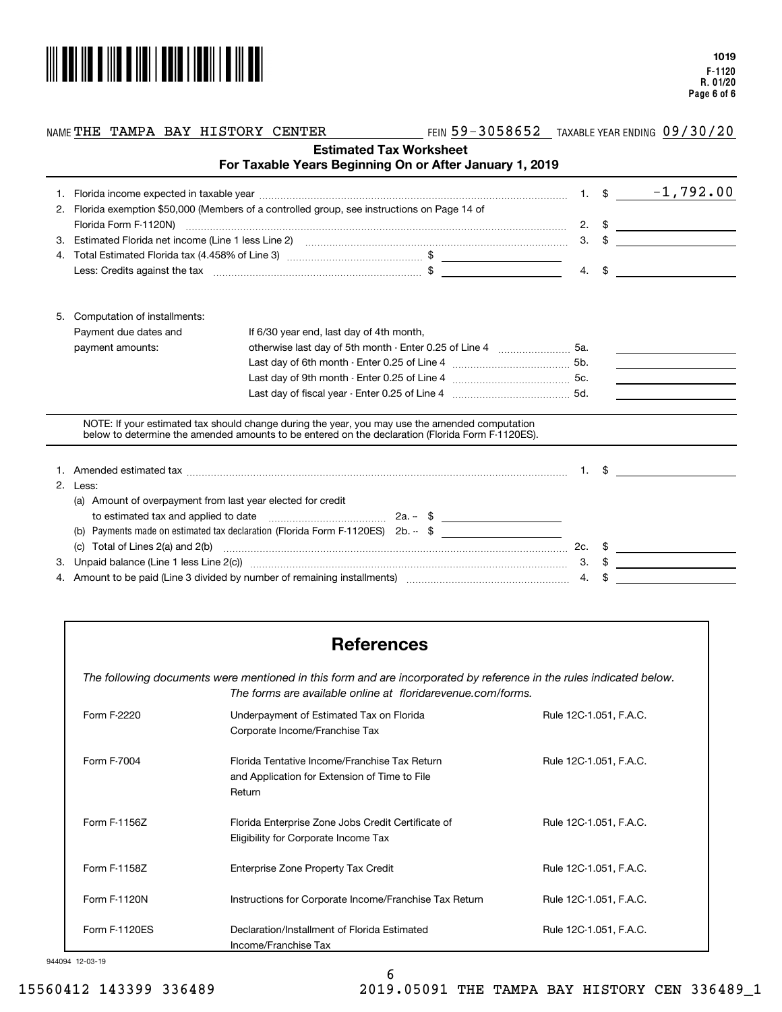

#### NAME THE TAMPA BAY HISTORY CENTER

AETHE TAMPA BAY HISTORY CENTER THING 59-3058652 TAXABLE YEAR ENDING 09/30/20

|    |                                                                                                                                                                                                                                | For Taxable Years Beginning On or After January 1, 2019                                                                                                                                            | <b>Estimated Tax Worksheet</b> |    |               |                                                                                                                                                                                                                                                                                                                           |
|----|--------------------------------------------------------------------------------------------------------------------------------------------------------------------------------------------------------------------------------|----------------------------------------------------------------------------------------------------------------------------------------------------------------------------------------------------|--------------------------------|----|---------------|---------------------------------------------------------------------------------------------------------------------------------------------------------------------------------------------------------------------------------------------------------------------------------------------------------------------------|
|    |                                                                                                                                                                                                                                |                                                                                                                                                                                                    |                                |    | $1. \quad$ \$ | $-1,792.00$                                                                                                                                                                                                                                                                                                               |
|    | Florida exemption \$50,000 (Members of a controlled group, see instructions on Page 14 of<br>2.                                                                                                                                |                                                                                                                                                                                                    |                                |    |               |                                                                                                                                                                                                                                                                                                                           |
|    |                                                                                                                                                                                                                                |                                                                                                                                                                                                    |                                |    |               | 2. $\frac{1}{2}$ $\frac{1}{2}$ $\frac{1}{2}$ $\frac{1}{2}$ $\frac{1}{2}$ $\frac{1}{2}$ $\frac{1}{2}$ $\frac{1}{2}$ $\frac{1}{2}$ $\frac{1}{2}$ $\frac{1}{2}$ $\frac{1}{2}$ $\frac{1}{2}$ $\frac{1}{2}$ $\frac{1}{2}$ $\frac{1}{2}$ $\frac{1}{2}$ $\frac{1}{2}$ $\frac{1}{2}$ $\frac{1}{2}$ $\frac{1}{2}$ $\frac{1}{2}$    |
| 3. |                                                                                                                                                                                                                                | Estimated Florida net income (Line 1 less Line 2) [11] [20] [12] [20] [20] [20] [20] [30] [30] [30] [30] [30] [                                                                                    |                                |    |               | $3. \quad$ $\frac{1}{2}$ $\frac{1}{2}$ $\frac{1}{2}$ $\frac{1}{2}$ $\frac{1}{2}$ $\frac{1}{2}$ $\frac{1}{2}$ $\frac{1}{2}$ $\frac{1}{2}$ $\frac{1}{2}$ $\frac{1}{2}$ $\frac{1}{2}$ $\frac{1}{2}$ $\frac{1}{2}$ $\frac{1}{2}$ $\frac{1}{2}$ $\frac{1}{2}$ $\frac{1}{2}$ $\frac{1}{2}$ $\frac{1}{2}$ $\frac{1}{2}$ $\frac{$ |
|    | 4.                                                                                                                                                                                                                             |                                                                                                                                                                                                    |                                |    |               |                                                                                                                                                                                                                                                                                                                           |
|    |                                                                                                                                                                                                                                |                                                                                                                                                                                                    |                                |    |               | 4. $\frac{1}{2}$ $\frac{1}{2}$ $\frac{1}{2}$ $\frac{1}{2}$ $\frac{1}{2}$ $\frac{1}{2}$ $\frac{1}{2}$ $\frac{1}{2}$ $\frac{1}{2}$ $\frac{1}{2}$ $\frac{1}{2}$ $\frac{1}{2}$ $\frac{1}{2}$ $\frac{1}{2}$ $\frac{1}{2}$ $\frac{1}{2}$ $\frac{1}{2}$ $\frac{1}{2}$ $\frac{1}{2}$ $\frac{1}{2}$ $\frac{1}{2}$ $\frac{1}{2}$    |
| 5. | Computation of installments:                                                                                                                                                                                                   |                                                                                                                                                                                                    |                                |    |               |                                                                                                                                                                                                                                                                                                                           |
|    | Payment due dates and                                                                                                                                                                                                          | If 6/30 year end, last day of 4th month,                                                                                                                                                           |                                |    |               |                                                                                                                                                                                                                                                                                                                           |
|    | payment amounts:                                                                                                                                                                                                               | otherwise last day of 5th month - Enter 0.25 of Line 4  5a.                                                                                                                                        |                                |    |               |                                                                                                                                                                                                                                                                                                                           |
|    |                                                                                                                                                                                                                                |                                                                                                                                                                                                    |                                |    |               |                                                                                                                                                                                                                                                                                                                           |
|    |                                                                                                                                                                                                                                |                                                                                                                                                                                                    |                                |    |               | <u> 1999 - John Stone, mars et al. 1999 - John Stone, mars et al. 1999 - John Stone, mars et al. 1999 - John Stone</u>                                                                                                                                                                                                    |
|    |                                                                                                                                                                                                                                |                                                                                                                                                                                                    |                                |    |               | <u> 1989 - John Stein, mars and de Branch and de Branch and de Branch and de Branch and de Branch and de Branch and de Branch and de Branch and de Branch and de Branch and de Branch and de Branch and de Branch and de Branch </u>                                                                                      |
|    |                                                                                                                                                                                                                                | NOTE: If your estimated tax should change during the year, you may use the amended computation<br>below to determine the amended amounts to be entered on the declaration (Florida Form F-1120ES). |                                |    |               |                                                                                                                                                                                                                                                                                                                           |
|    |                                                                                                                                                                                                                                |                                                                                                                                                                                                    |                                |    |               | $1. \quad$ \$                                                                                                                                                                                                                                                                                                             |
|    | 2. Less:                                                                                                                                                                                                                       |                                                                                                                                                                                                    |                                |    |               |                                                                                                                                                                                                                                                                                                                           |
|    | (a) Amount of overpayment from last year elected for credit                                                                                                                                                                    |                                                                                                                                                                                                    |                                |    |               |                                                                                                                                                                                                                                                                                                                           |
|    |                                                                                                                                                                                                                                |                                                                                                                                                                                                    |                                |    |               |                                                                                                                                                                                                                                                                                                                           |
|    |                                                                                                                                                                                                                                | Payments made on estimated tax declaration (Florida Form F-1120ES) $2b - $ \$                                                                                                                      |                                |    |               |                                                                                                                                                                                                                                                                                                                           |
|    | Total of Lines 2(a) and 2(b)<br>(C)                                                                                                                                                                                            |                                                                                                                                                                                                    |                                |    |               |                                                                                                                                                                                                                                                                                                                           |
| З. |                                                                                                                                                                                                                                |                                                                                                                                                                                                    |                                |    |               | $3. \quad$ \$                                                                                                                                                                                                                                                                                                             |
|    | 4. Amount to be paid (Line 3 divided by number of remaining installments) [110] [11] Amount to be paid (Line 3 divided by number of remaining installments) [11] Amount to be paid (Line 3 divided by number of remaining inst |                                                                                                                                                                                                    |                                | 4. |               |                                                                                                                                                                                                                                                                                                                           |

# **References**

*The following documents were mentioned in this form and are incorporated by reference in the rules indicated below. The forms are available online at floridarevenue.com/forms.*

| Form F-2220   | Underpayment of Estimated Tax on Florida<br>Corporate Income/Franchise Tax                               | Rule 12C-1.051, F.A.C. |
|---------------|----------------------------------------------------------------------------------------------------------|------------------------|
| Form F-7004   | Florida Tentative Income/Franchise Tax Return<br>and Application for Extension of Time to File<br>Return | Rule 12C-1.051, F.A.C. |
| Form F-1156Z  | Florida Enterprise Zone Jobs Credit Certificate of<br>Eligibility for Corporate Income Tax               | Rule 12C-1.051, F.A.C. |
| Form F-1158Z  | Enterprise Zone Property Tax Credit                                                                      | Rule 12C-1.051, F.A.C. |
| Form F-1120N  | Instructions for Corporate Income/Franchise Tax Return                                                   | Rule 12C-1.051, F.A.C. |
| Form F-1120ES | Declaration/Installment of Florida Estimated<br>Income/Franchise Tax                                     | Rule 12C-1.051, F.A.C. |

#### 944094 12-03-19

6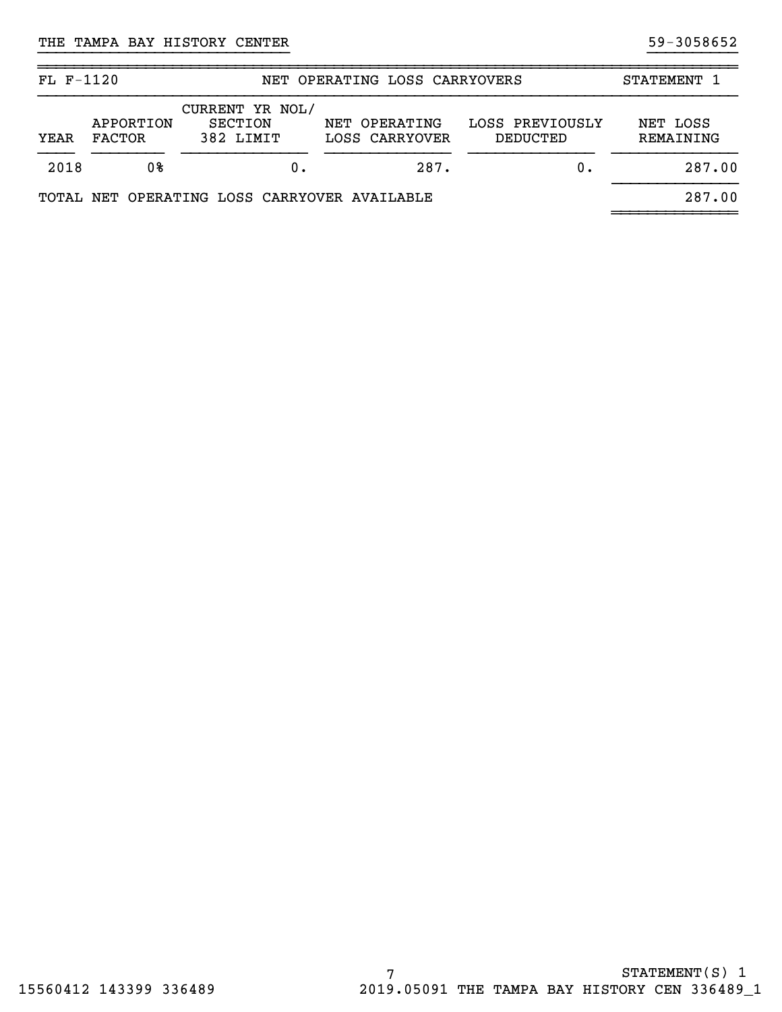| $FL F-1120$ |                            | NET OPERATING LOSS CARRYOVERS                  |                                 | <b>STATEMENT</b>            |                       |
|-------------|----------------------------|------------------------------------------------|---------------------------------|-----------------------------|-----------------------|
| YEAR        | APPORTION<br><b>FACTOR</b> | CURRENT YR NOL/<br><b>SECTION</b><br>382 LIMIT | NET OPERATING<br>LOSS CARRYOVER | LOSS PREVIOUSLY<br>DEDUCTED | NET LOSS<br>REMAINING |
| 2018        | 08                         |                                                | 287.                            | $0$ .                       | 287.00                |
|             |                            | TOTAL NET OPERATING LOSS CARRYOVER AVAILABLE   |                                 |                             | 287.00                |

}}}}}}}}}}}}}}}}}}}}}}}}}}}} }}}}}}}}}}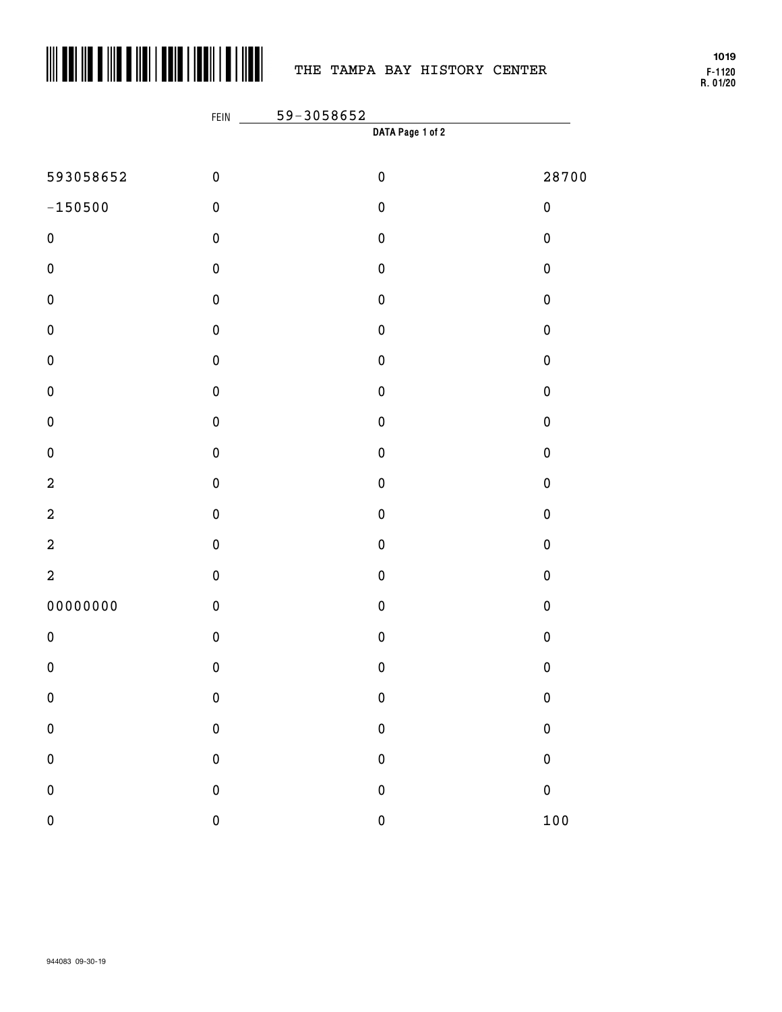

# THE TAMPA BAY HISTORY CENTER

**F-1120 R. 01/20 1019**

|                  | FEIN      | 59-3058652       |           |
|------------------|-----------|------------------|-----------|
|                  |           | DATA Page 1 of 2 |           |
| 593058652        | $\pmb{0}$ | $\pmb{0}$        | 28700     |
| $-150500$        | $\pmb{0}$ | $\pmb{0}$        | $\pmb{0}$ |
| $\pmb{0}$        | $\pmb{0}$ | $\pmb{0}$        | $\pmb{0}$ |
| $\pmb{0}$        | $\pmb{0}$ | $\pmb{0}$        | $\pmb{0}$ |
| $\pmb{0}$        | $\pmb{0}$ | $\pmb{0}$        | $\pmb{0}$ |
| $\pmb{0}$        | $\pmb{0}$ | $\pmb{0}$        | $\pmb{0}$ |
| $\pmb{0}$        | $\pmb{0}$ | $\pmb{0}$        | $\pmb{0}$ |
| $\pmb{0}$        | $\pmb{0}$ | $\pmb{0}$        | $\pmb{0}$ |
| $\pmb{0}$        | $\pmb{0}$ | $\pmb{0}$        | $\pmb{0}$ |
| $\pmb{0}$        | $\pmb{0}$ | $\pmb{0}$        | $\pmb{0}$ |
| $\boldsymbol{2}$ | $\pmb{0}$ | $\pmb{0}$        | $\pmb{0}$ |
| $\boldsymbol{2}$ | $\pmb{0}$ | $\pmb{0}$        | $\pmb{0}$ |
| $\boldsymbol{2}$ | $\pmb{0}$ | $\pmb{0}$        | $\pmb{0}$ |
| $\overline{a}$   | $\pmb{0}$ | $\pmb{0}$        | $\pmb{0}$ |
| 00000000         | $\pmb{0}$ | $\pmb{0}$        | $\pmb{0}$ |
| $\pmb{0}$        | $\pmb{0}$ | $\pmb{0}$        | $\pmb{0}$ |
| $\pmb{0}$        | $\pmb{0}$ | $\pmb{0}$        | $\pmb{0}$ |
| $\pmb{0}$        | $\bf{0}$  | $\bf{0}$         | $\bf{0}$  |
| $\pmb{0}$        | $\bf{0}$  | $\bf{0}$         | $\bf{0}$  |
| $\pmb{0}$        | $\bf{0}$  | $\mathbf{0}$     | $\bf{0}$  |
| $\pmb{0}$        | $\bf{0}$  | $\mathbf{0}$     | $\pmb{0}$ |
| $\pmb{0}$        | $\pmb{0}$ | $\mathbf 0$      | 100       |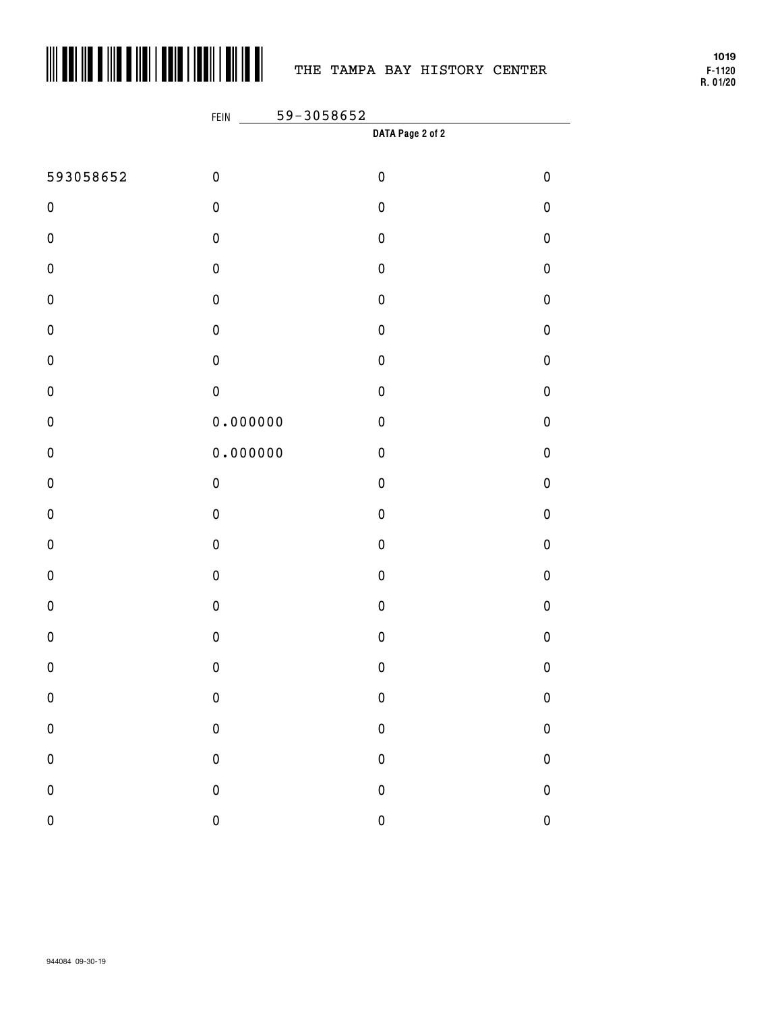

## THE TAMPA BAY HISTORY CENTER

**F-1120 R. 01/20 1019**

|           | 59-3058652<br>FEIN |           |             |  |  |
|-----------|--------------------|-----------|-------------|--|--|
|           | DATA Page 2 of 2   |           |             |  |  |
| 593058652 | $\pmb{0}$          | $\pmb{0}$ | $\pmb{0}$   |  |  |
| $\pmb{0}$ | $\pmb{0}$          | $\pmb{0}$ | $\pmb{0}$   |  |  |
| $\pmb{0}$ | $\pmb{0}$          | $\pmb{0}$ | $\pmb{0}$   |  |  |
| $\pmb{0}$ | $\pmb{0}$          | $\pmb{0}$ | $\pmb{0}$   |  |  |
| $\pmb{0}$ | $\pmb{0}$          | $\pmb{0}$ | $\pmb{0}$   |  |  |
| $\pmb{0}$ | $\pmb{0}$          | $\pmb{0}$ | $\pmb{0}$   |  |  |
| $\pmb{0}$ | $\pmb{0}$          | $\pmb{0}$ | $\pmb{0}$   |  |  |
| $\pmb{0}$ | $\pmb{0}$          | $\pmb{0}$ | $\pmb{0}$   |  |  |
| $\pmb{0}$ | 0.000000           | $\pmb{0}$ | $\pmb{0}$   |  |  |
| $\pmb{0}$ | 0.000000           | $\pmb{0}$ | $\pmb{0}$   |  |  |
| $\pmb{0}$ | $\pmb{0}$          | $\pmb{0}$ | $\pmb{0}$   |  |  |
| $\pmb{0}$ | $\pmb{0}$          | $\pmb{0}$ | $\pmb{0}$   |  |  |
| $\pmb{0}$ | $\pmb{0}$          | $\pmb{0}$ | $\pmb{0}$   |  |  |
| $\pmb{0}$ | $\pmb{0}$          | $\pmb{0}$ | $\pmb{0}$   |  |  |
| $\pmb{0}$ | $\pmb{0}$          | $\pmb{0}$ | $\pmb{0}$   |  |  |
| $\pmb{0}$ | $\pmb{0}$          | $\pmb{0}$ | $\pmb{0}$   |  |  |
| $\pmb{0}$ | $\mathbf 0$        | $\pmb{0}$ | $\pmb{0}$   |  |  |
| $\pmb{0}$ | $\bf{0}$           | $\pmb{0}$ | $\bf{0}$    |  |  |
| $\pmb{0}$ | $\mathbf 0$        | $\pmb{0}$ | $\pmb{0}$   |  |  |
| $\pmb{0}$ | $\mathbf{0}$       | $\pmb{0}$ | $\pmb{0}$   |  |  |
| ${\bf 0}$ | $\mathbf 0$        | $\pmb{0}$ | 0           |  |  |
| $\pmb{0}$ | $\overline{0}$     | $\pmb{0}$ | $\mathbf 0$ |  |  |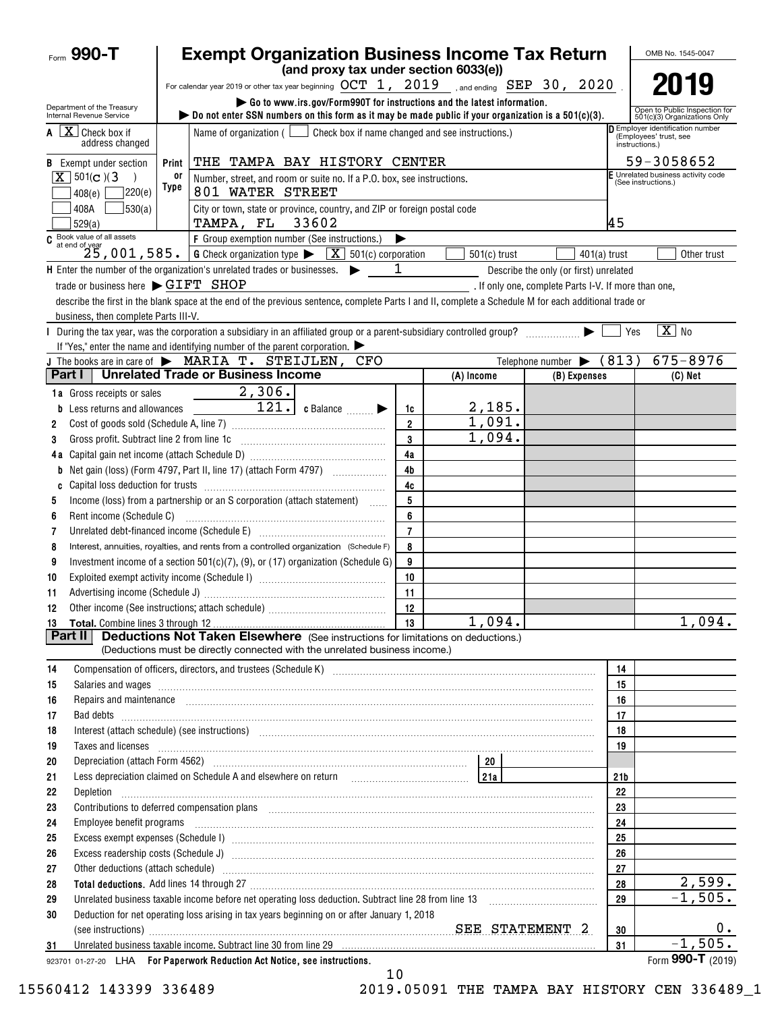| Form $990 - T$                                                                                                                                                                                                                       | <b>Exempt Organization Business Income Tax Return</b>                                                                                                                                                                          |                                                                                                                                                                                                                                                                         |                      |                |                                                      |                 | OMB No. 1545-0047                                                          |
|--------------------------------------------------------------------------------------------------------------------------------------------------------------------------------------------------------------------------------------|--------------------------------------------------------------------------------------------------------------------------------------------------------------------------------------------------------------------------------|-------------------------------------------------------------------------------------------------------------------------------------------------------------------------------------------------------------------------------------------------------------------------|----------------------|----------------|------------------------------------------------------|-----------------|----------------------------------------------------------------------------|
|                                                                                                                                                                                                                                      |                                                                                                                                                                                                                                | (and proxy tax under section 6033(e))                                                                                                                                                                                                                                   |                      |                |                                                      |                 |                                                                            |
|                                                                                                                                                                                                                                      |                                                                                                                                                                                                                                | For calendar year 2019 or other tax year beginning $OCT$ 1, $2019$ , and ending $SEP$ 30, $2020$                                                                                                                                                                        |                      |                |                                                      |                 |                                                                            |
| Department of the Treasury<br>Internal Revenue Service                                                                                                                                                                               |                                                                                                                                                                                                                                | Go to www.irs.gov/Form990T for instructions and the latest information.<br>bo not enter SSN numbers on this form as it may be made public if your organization is a $501(c)(3)$ .                                                                                       |                      |                |                                                      |                 | Open to Public Inspection for<br>501(c)(3) Organizations Only              |
| $A \mid X$ Check box if<br>address changed                                                                                                                                                                                           | Check box if name changed and see instructions.)<br>Name of organization $($                                                                                                                                                   |                                                                                                                                                                                                                                                                         |                      |                |                                                      |                 | Employer identification number<br>(Employees' trust, see<br>instructions.) |
| <b>B</b> Exempt under section                                                                                                                                                                                                        | THE TAMPA BAY HISTORY CENTER<br>Print                                                                                                                                                                                          |                                                                                                                                                                                                                                                                         |                      |                |                                                      |                 | 59-3058652                                                                 |
| $X \mid 501(c)$ (3)                                                                                                                                                                                                                  | 0ľ                                                                                                                                                                                                                             | Number, street, and room or suite no. If a P.O. box, see instructions.                                                                                                                                                                                                  |                      |                |                                                      |                 | E Unrelated business activity code<br>(See instructions.)                  |
| 7220(e)<br>408(e)                                                                                                                                                                                                                    | Type                                                                                                                                                                                                                           | 801 WATER STREET                                                                                                                                                                                                                                                        |                      |                |                                                      |                 |                                                                            |
| 530(a)<br>408A<br>529(a)                                                                                                                                                                                                             |                                                                                                                                                                                                                                | City or town, state or province, country, and ZIP or foreign postal code<br>TAMPA, FL 33602                                                                                                                                                                             |                      |                |                                                      | 45              |                                                                            |
| $C$ Book value of all assets<br>at end of year                                                                                                                                                                                       |                                                                                                                                                                                                                                | F Group exemption number (See instructions.)                                                                                                                                                                                                                            | ▶                    |                |                                                      |                 |                                                                            |
|                                                                                                                                                                                                                                      |                                                                                                                                                                                                                                | $25,001,585.$ G Check organization type $\blacktriangleright$<br>$\boxed{\mathbf{X}}$ 501(c) corporation                                                                                                                                                                |                      | $501(c)$ trust | $401(a)$ trust                                       |                 | Other trust                                                                |
|                                                                                                                                                                                                                                      |                                                                                                                                                                                                                                | H Enter the number of the organization's unrelated trades or businesses.                                                                                                                                                                                                | 1                    |                | Describe the only (or first) unrelated               |                 |                                                                            |
| trade or business here $\blacktriangleright$ GIFT SHOP                                                                                                                                                                               |                                                                                                                                                                                                                                |                                                                                                                                                                                                                                                                         |                      |                | . If only one, complete Parts I-V. If more than one, |                 |                                                                            |
|                                                                                                                                                                                                                                      |                                                                                                                                                                                                                                | describe the first in the blank space at the end of the previous sentence, complete Parts I and II, complete a Schedule M for each additional trade or                                                                                                                  |                      |                |                                                      |                 |                                                                            |
| business, then complete Parts III-V.                                                                                                                                                                                                 |                                                                                                                                                                                                                                |                                                                                                                                                                                                                                                                         |                      |                |                                                      |                 |                                                                            |
|                                                                                                                                                                                                                                      |                                                                                                                                                                                                                                | During the tax year, was the corporation a subsidiary in an affiliated group or a parent-subsidiary controlled group?                                                                                                                                                   |                      |                |                                                      | Yes             | $\boxed{\mathbf{X}}$ No                                                    |
|                                                                                                                                                                                                                                      |                                                                                                                                                                                                                                | If "Yes," enter the name and identifying number of the parent corporation. $\blacktriangleright$                                                                                                                                                                        |                      |                |                                                      |                 |                                                                            |
|                                                                                                                                                                                                                                      |                                                                                                                                                                                                                                | J The books are in care of $\blacktriangleright$ MARIA T. STEIJLEN,<br>CFO                                                                                                                                                                                              |                      |                | Telephone number $\blacktriangleright$               | (813)           | $675 - 8976$                                                               |
| Part I                                                                                                                                                                                                                               |                                                                                                                                                                                                                                | <b>Unrelated Trade or Business Income</b>                                                                                                                                                                                                                               |                      | (A) Income     | (B) Expenses                                         |                 | $(C)$ Net                                                                  |
| 1a Gross receipts or sales                                                                                                                                                                                                           |                                                                                                                                                                                                                                | 2,306.<br>$\overline{121.}$ c Balance $\Box$                                                                                                                                                                                                                            |                      | 2,185.         |                                                      |                 |                                                                            |
| <b>b</b> Less returns and allowances                                                                                                                                                                                                 |                                                                                                                                                                                                                                |                                                                                                                                                                                                                                                                         | 1c<br>$\overline{2}$ | 1,091.         |                                                      |                 |                                                                            |
| 2<br>Gross profit. Subtract line 2 from line 1c<br>3                                                                                                                                                                                 |                                                                                                                                                                                                                                |                                                                                                                                                                                                                                                                         | 3                    | 1,094.         |                                                      |                 |                                                                            |
|                                                                                                                                                                                                                                      |                                                                                                                                                                                                                                |                                                                                                                                                                                                                                                                         | 4a                   |                |                                                      |                 |                                                                            |
| b                                                                                                                                                                                                                                    |                                                                                                                                                                                                                                |                                                                                                                                                                                                                                                                         | 4b                   |                |                                                      |                 |                                                                            |
| C                                                                                                                                                                                                                                    |                                                                                                                                                                                                                                |                                                                                                                                                                                                                                                                         | 4c                   |                |                                                      |                 |                                                                            |
| 5                                                                                                                                                                                                                                    |                                                                                                                                                                                                                                | Income (loss) from a partnership or an S corporation (attach statement)                                                                                                                                                                                                 | 5                    |                |                                                      |                 |                                                                            |
| 6                                                                                                                                                                                                                                    |                                                                                                                                                                                                                                |                                                                                                                                                                                                                                                                         | 6                    |                |                                                      |                 |                                                                            |
| 7                                                                                                                                                                                                                                    |                                                                                                                                                                                                                                | Unrelated debt-financed income (Schedule E) [11] [2010] [2010] [2010] [2010] [2010] [2010] [2010] [2010] [2010                                                                                                                                                          | $\overline{7}$       |                |                                                      |                 |                                                                            |
| 8                                                                                                                                                                                                                                    |                                                                                                                                                                                                                                | Interest, annuities, royalties, and rents from a controlled organization (Schedule F)                                                                                                                                                                                   | 8                    |                |                                                      |                 |                                                                            |
| 9                                                                                                                                                                                                                                    |                                                                                                                                                                                                                                | Investment income of a section $501(c)(7)$ , (9), or (17) organization (Schedule G)                                                                                                                                                                                     | 9                    |                |                                                      |                 |                                                                            |
| 10                                                                                                                                                                                                                                   |                                                                                                                                                                                                                                |                                                                                                                                                                                                                                                                         | 10                   |                |                                                      |                 |                                                                            |
| 11                                                                                                                                                                                                                                   |                                                                                                                                                                                                                                |                                                                                                                                                                                                                                                                         | 11                   |                |                                                      |                 |                                                                            |
| 12                                                                                                                                                                                                                                   |                                                                                                                                                                                                                                |                                                                                                                                                                                                                                                                         | 12                   |                |                                                      |                 |                                                                            |
|                                                                                                                                                                                                                                      |                                                                                                                                                                                                                                |                                                                                                                                                                                                                                                                         | 13                   | 1,094.         |                                                      |                 | 1,094.                                                                     |
| <b>Part II</b>                                                                                                                                                                                                                       |                                                                                                                                                                                                                                | <b>Deductions Not Taken Elsewhere</b> (See instructions for limitations on deductions.)<br>(Deductions must be directly connected with the unrelated business income.)                                                                                                  |                      |                |                                                      |                 |                                                                            |
|                                                                                                                                                                                                                                      |                                                                                                                                                                                                                                |                                                                                                                                                                                                                                                                         |                      |                |                                                      |                 |                                                                            |
| 14<br>15                                                                                                                                                                                                                             |                                                                                                                                                                                                                                |                                                                                                                                                                                                                                                                         |                      |                |                                                      | 14<br>15        |                                                                            |
| 16                                                                                                                                                                                                                                   |                                                                                                                                                                                                                                | Salaries and wages <b>construction and construction of the construction</b> and wages <b>construction</b> and wages <b>construction</b><br>Repairs and maintenance <b>contained and contained and contained and contained and maintenance</b> contained and maintenance |                      |                |                                                      | 16              |                                                                            |
| 17                                                                                                                                                                                                                                   |                                                                                                                                                                                                                                |                                                                                                                                                                                                                                                                         |                      |                |                                                      | 17              |                                                                            |
| 18                                                                                                                                                                                                                                   |                                                                                                                                                                                                                                | Interest (attach schedule) (see instructions) www.communications.communications are interest (attach schedule)                                                                                                                                                          |                      |                |                                                      | 18              |                                                                            |
| 19                                                                                                                                                                                                                                   |                                                                                                                                                                                                                                | Taxes and licenses <b>construction and construction of the construction of the construction of the construction</b>                                                                                                                                                     |                      |                |                                                      | 19              |                                                                            |
| 20                                                                                                                                                                                                                                   |                                                                                                                                                                                                                                |                                                                                                                                                                                                                                                                         |                      |                |                                                      |                 |                                                                            |
| 21                                                                                                                                                                                                                                   |                                                                                                                                                                                                                                | Less depreciation claimed on Schedule A and elsewhere on return [1] [214]                                                                                                                                                                                               |                      |                |                                                      | 21 <sub>b</sub> |                                                                            |
| 22                                                                                                                                                                                                                                   |                                                                                                                                                                                                                                |                                                                                                                                                                                                                                                                         |                      |                |                                                      | 22              |                                                                            |
| Contributions to deferred compensation plans [11] manufactured and produced a deferred compensation plans [11] manufactured and plans [11] manufactured and plans and plans and plans and plans are controlled and plans are c<br>23 |                                                                                                                                                                                                                                |                                                                                                                                                                                                                                                                         |                      |                |                                                      | 23              |                                                                            |
| 24<br>Employee benefit programs in the continuum contract of the contract of the contract of the contract of the contract of the contract of the contract of the contract of the contract of the contract of the contract of the con |                                                                                                                                                                                                                                |                                                                                                                                                                                                                                                                         |                      |                |                                                      | 24              |                                                                            |
| 25                                                                                                                                                                                                                                   |                                                                                                                                                                                                                                |                                                                                                                                                                                                                                                                         |                      |                |                                                      | 25              |                                                                            |
| 26                                                                                                                                                                                                                                   | Excess readership costs (Schedule J) <b>Manual Community Constructs</b> and Talents and Talents and Talents and Talents                                                                                                        |                                                                                                                                                                                                                                                                         |                      |                |                                                      | 26              |                                                                            |
| 27                                                                                                                                                                                                                                   | Other deductions (attach schedule) manufactured and contract and contract and contract and contract and contract and contract and contract and contract and contract and contract and contract and contract and contract and c |                                                                                                                                                                                                                                                                         |                      |                |                                                      | 27              |                                                                            |
| 28                                                                                                                                                                                                                                   |                                                                                                                                                                                                                                |                                                                                                                                                                                                                                                                         |                      |                |                                                      | 28              | 2,599.<br>$-1,505.$                                                        |
| 29<br>29<br>Deduction for net operating loss arising in tax years beginning on or after January 1, 2018<br>30                                                                                                                        |                                                                                                                                                                                                                                |                                                                                                                                                                                                                                                                         |                      |                |                                                      |                 |                                                                            |
|                                                                                                                                                                                                                                      |                                                                                                                                                                                                                                |                                                                                                                                                                                                                                                                         |                      |                |                                                      | 30              | 0.                                                                         |
| 31                                                                                                                                                                                                                                   |                                                                                                                                                                                                                                | Unrelated business taxable income. Subtract line 30 from line 29 manufacture income contained business taxable income. Subtract line 30 from line 29 manufacture income and the state of the state of the state of the state o                                          |                      |                |                                                      | 31              | $-1,505.$<br>Form 990-T (2019)                                             |
|                                                                                                                                                                                                                                      |                                                                                                                                                                                                                                | 923701 01-27-20 LHA For Paperwork Reduction Act Notice, see instructions.                                                                                                                                                                                               |                      |                |                                                      |                 |                                                                            |

15560412 143399 336489 2019.05091 THE TAMPA BAY HISTORY CEN 336489\_1

 $10$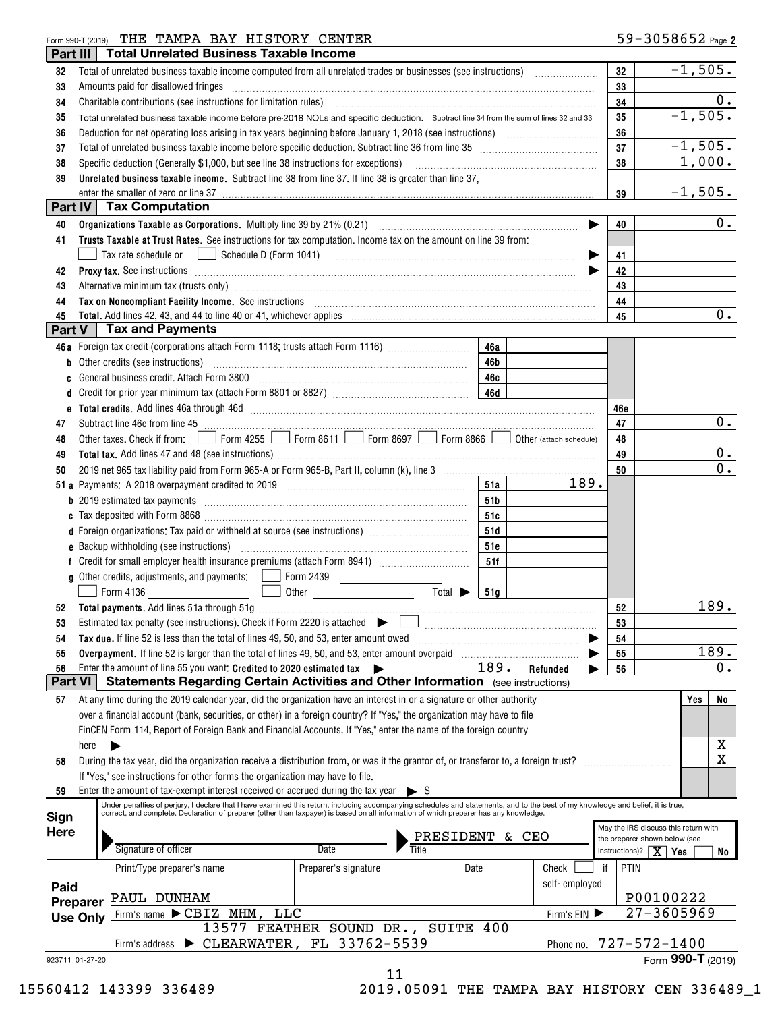## Form 990-T (2019) Page THE TAMPA BAY HISTORY CENTER

| Part III             |                                                                                                                        | <b>Total Unrelated Business Taxable Income</b>                                                                                                                                                                                                   |                                                       |           |               |            |                                                                       |
|----------------------|------------------------------------------------------------------------------------------------------------------------|--------------------------------------------------------------------------------------------------------------------------------------------------------------------------------------------------------------------------------------------------|-------------------------------------------------------|-----------|---------------|------------|-----------------------------------------------------------------------|
| 32                   |                                                                                                                        | Total of unrelated business taxable income computed from all unrelated trades or businesses (see instructions)                                                                                                                                   |                                                       |           |               | 32         | $-1,505.$                                                             |
| 33                   |                                                                                                                        | Amounts paid for disallowed fringes                                                                                                                                                                                                              |                                                       |           |               | 33         |                                                                       |
| 34                   |                                                                                                                        |                                                                                                                                                                                                                                                  |                                                       |           |               | 34         | 0.                                                                    |
| 35                   |                                                                                                                        | Total unrelated business taxable income before pre-2018 NOLs and specific deduction. Subtract line 34 from the sum of lines 32 and 33                                                                                                            |                                                       |           |               | 35         | $-1,505.$                                                             |
| 36                   |                                                                                                                        |                                                                                                                                                                                                                                                  |                                                       |           |               | 36         |                                                                       |
| 37                   |                                                                                                                        |                                                                                                                                                                                                                                                  |                                                       |           |               | 37         | $-1,505.$                                                             |
| 38                   |                                                                                                                        | Specific deduction (Generally \$1,000, but see line 38 instructions for exceptions) [10] manufacture in the substitution of the second state of the second state of the second state of the second state of the second state of                  |                                                       |           |               | 38         | 1,000.                                                                |
| 39                   |                                                                                                                        | Unrelated business taxable income. Subtract line 38 from line 37. If line 38 is greater than line 37,                                                                                                                                            |                                                       |           |               |            |                                                                       |
|                      |                                                                                                                        | enter the smaller of zero or line 37                                                                                                                                                                                                             |                                                       |           |               | 39         | $-1,505.$                                                             |
| Part IV              |                                                                                                                        | <b>Tax Computation</b>                                                                                                                                                                                                                           |                                                       |           |               |            |                                                                       |
| 40                   |                                                                                                                        |                                                                                                                                                                                                                                                  |                                                       |           | ▶             | 40         | 0.                                                                    |
| 41                   |                                                                                                                        | Trusts Taxable at Trust Rates. See instructions for tax computation. Income tax on the amount on line 39 from:                                                                                                                                   |                                                       |           |               |            |                                                                       |
|                      |                                                                                                                        | Tax rate schedule or                                                                                                                                                                                                                             |                                                       |           |               | 41         |                                                                       |
| 42                   |                                                                                                                        | Proxy tax. See instructions <i>material content content and all the set of the set of the set of the set of the set of the set of the set of the set of the set of the set of the set of the set of the set of the set of the se</i>             |                                                       |           |               | 42         |                                                                       |
| 43                   |                                                                                                                        | Alternative minimum tax (trusts only) manufactured and an according term of the state of the state of the state of the state of the state of the state of the state of the state of the state of the state of the state of the                   |                                                       |           |               | 43         |                                                                       |
| 44                   |                                                                                                                        | Tax on Noncompliant Facility Income. See instructions [11] The manufacture material contracts and noncompliant material contracts and material contracts and non-                                                                                |                                                       |           |               | 44         |                                                                       |
| 45                   |                                                                                                                        |                                                                                                                                                                                                                                                  |                                                       |           |               | 45         | $0$ .                                                                 |
| Part V               |                                                                                                                        | <b>Tax and Payments</b>                                                                                                                                                                                                                          |                                                       |           |               |            |                                                                       |
|                      |                                                                                                                        | 46a Foreign tax credit (corporations attach Form 1118; trusts attach Form 1116)                                                                                                                                                                  |                                                       | 46a       |               |            |                                                                       |
|                      |                                                                                                                        | <b>b</b> Other credits (see instructions)                                                                                                                                                                                                        |                                                       | 46b       |               |            |                                                                       |
| C                    |                                                                                                                        |                                                                                                                                                                                                                                                  |                                                       | 46c       |               |            |                                                                       |
| d                    |                                                                                                                        |                                                                                                                                                                                                                                                  |                                                       |           |               |            |                                                                       |
|                      |                                                                                                                        |                                                                                                                                                                                                                                                  |                                                       |           |               | 46e        |                                                                       |
| 47                   |                                                                                                                        | Subtract line 46e from line 45 <b>manual construction</b> 45                                                                                                                                                                                     |                                                       |           |               | 47         | 0.                                                                    |
| 48                   | Other taxes. Check if from: Form 4255 Superior 8611 Service Service Torm 8697 Superior 8866 Of Other (attach schedule) |                                                                                                                                                                                                                                                  |                                                       |           |               | 48         |                                                                       |
| 49                   |                                                                                                                        |                                                                                                                                                                                                                                                  |                                                       |           |               | 49         | 0.                                                                    |
| 50                   |                                                                                                                        |                                                                                                                                                                                                                                                  |                                                       |           |               | 50         | 0.                                                                    |
|                      |                                                                                                                        |                                                                                                                                                                                                                                                  |                                                       | 51a       | 189.          |            |                                                                       |
|                      |                                                                                                                        |                                                                                                                                                                                                                                                  |                                                       | 51b       |               |            |                                                                       |
|                      |                                                                                                                        |                                                                                                                                                                                                                                                  |                                                       | 51c       |               |            |                                                                       |
|                      |                                                                                                                        | d Foreign organizations: Tax paid or withheld at source (see instructions) [                                                                                                                                                                     |                                                       | 51d       |               |            |                                                                       |
|                      |                                                                                                                        |                                                                                                                                                                                                                                                  |                                                       | 51e       |               |            |                                                                       |
|                      |                                                                                                                        |                                                                                                                                                                                                                                                  |                                                       | 51f       |               |            |                                                                       |
|                      |                                                                                                                        | g Other credits, adjustments, and payments:   Form 2439                                                                                                                                                                                          |                                                       |           |               |            |                                                                       |
|                      |                                                                                                                        | Form 4136                                                                                                                                                                                                                                        | Total $\blacktriangleright$<br>Other <b>contracts</b> | 51a       |               |            |                                                                       |
| 52                   |                                                                                                                        |                                                                                                                                                                                                                                                  |                                                       |           |               | 52         | 189.                                                                  |
| 53                   |                                                                                                                        |                                                                                                                                                                                                                                                  |                                                       |           |               | 53         |                                                                       |
| 54                   |                                                                                                                        | Tax due. If line 52 is less than the total of lines 49, 50, and 53, enter amount owed                                                                                                                                                            |                                                       |           |               | 54         |                                                                       |
| 55                   |                                                                                                                        |                                                                                                                                                                                                                                                  |                                                       |           |               | 55         | 189.                                                                  |
| 56<br><b>Part VI</b> |                                                                                                                        | Enter the amount of line 55 you want: Credited to 2020 estimated tax $\blacktriangleright$<br><b>Statements Regarding Certain Activities and Other Information</b> (see instructions)                                                            |                                                       | 189.      | Refunded      | 56         | $0$ .                                                                 |
|                      |                                                                                                                        |                                                                                                                                                                                                                                                  |                                                       |           |               |            |                                                                       |
| 57                   |                                                                                                                        | At any time during the 2019 calendar year, did the organization have an interest in or a signature or other authority<br>over a financial account (bank, securities, or other) in a foreign country? If "Yes," the organization may have to file |                                                       |           |               |            | No<br>Yes                                                             |
|                      |                                                                                                                        | FinCEN Form 114, Report of Foreign Bank and Financial Accounts. If "Yes," enter the name of the foreign country                                                                                                                                  |                                                       |           |               |            |                                                                       |
|                      | here                                                                                                                   |                                                                                                                                                                                                                                                  |                                                       |           |               |            | х                                                                     |
| 58                   |                                                                                                                        | During the tax year, did the organization receive a distribution from, or was it the grantor of, or transferor to, a foreign trust?                                                                                                              |                                                       |           |               |            | $\mathbf X$                                                           |
|                      |                                                                                                                        | If "Yes," see instructions for other forms the organization may have to file.                                                                                                                                                                    |                                                       |           |               |            |                                                                       |
| 59                   |                                                                                                                        | Enter the amount of tax-exempt interest received or accrued during the tax year $\triangleright$ \$                                                                                                                                              |                                                       |           |               |            |                                                                       |
|                      |                                                                                                                        | Under penalties of perjury, I declare that I have examined this return, including accompanying schedules and statements, and to the best of my knowledge and belief, it is true,                                                                 |                                                       |           |               |            |                                                                       |
| Sign                 |                                                                                                                        | correct, and complete. Declaration of preparer (other than taxpayer) is based on all information of which preparer has any knowledge.                                                                                                            |                                                       |           |               |            |                                                                       |
| Here                 |                                                                                                                        |                                                                                                                                                                                                                                                  | PRESIDENT                                             |           | & CEO         |            | May the IRS discuss this return with<br>the preparer shown below (see |
|                      |                                                                                                                        | Signature of officer                                                                                                                                                                                                                             | Date<br>Title                                         |           |               |            | instructions)? $X$ Yes<br>No                                          |
|                      |                                                                                                                        | Print/Type preparer's name                                                                                                                                                                                                                       | Preparer's signature                                  | Date      | Check         | PTIN<br>if |                                                                       |
| Paid                 |                                                                                                                        |                                                                                                                                                                                                                                                  |                                                       |           | self-employed |            |                                                                       |
|                      | Preparer                                                                                                               | PAUL DUNHAM                                                                                                                                                                                                                                      |                                                       |           |               |            | P00100222                                                             |
|                      | <b>Use Only</b>                                                                                                        | <b>LLC</b><br>Firm's name $\blacktriangleright$ CBIZ MHM,                                                                                                                                                                                        |                                                       |           | Firm's EIN    |            | $27 - 3605969$                                                        |
|                      |                                                                                                                        |                                                                                                                                                                                                                                                  | 13577 FEATHER SOUND DR.,                              | SUITE 400 |               |            |                                                                       |
|                      |                                                                                                                        | Firm's address                                                                                                                                                                                                                                   | $\triangleright$ CLEARWATER, FL 33762-5539            |           | Phone no.     |            | $727 - 572 - 1400$                                                    |
| 923711 01-27-20      |                                                                                                                        |                                                                                                                                                                                                                                                  |                                                       |           |               |            | Form 990-T (2019)                                                     |
|                      |                                                                                                                        |                                                                                                                                                                                                                                                  | 11                                                    |           |               |            |                                                                       |

15560412 143399 336489 2019.05091 THE TAMPA BAY HISTORY CEN 336489\_1